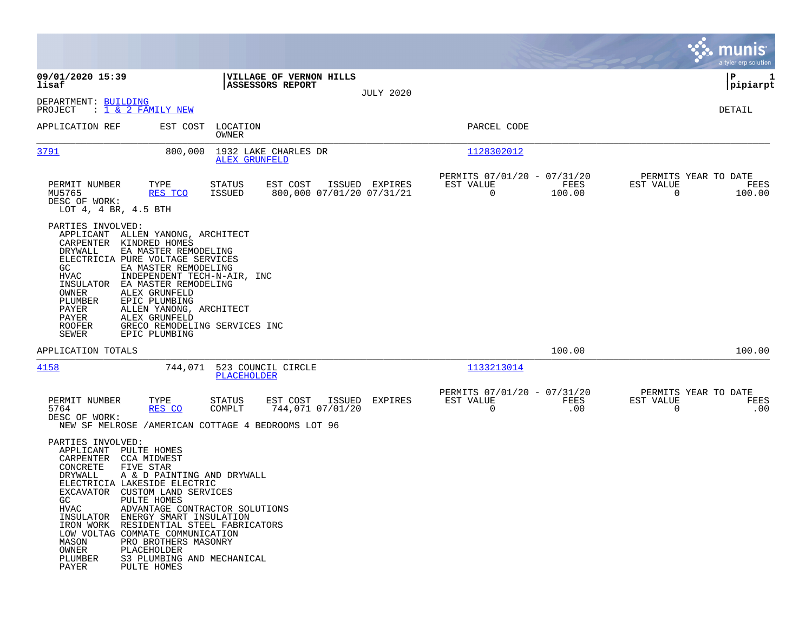|                                                                                                                                                   |                                                                                                                                                                                                                                                                                                                                                                                     |                         |                                             |                  |                                                         |                |                                                  | munis<br>a tyler erp solution |
|---------------------------------------------------------------------------------------------------------------------------------------------------|-------------------------------------------------------------------------------------------------------------------------------------------------------------------------------------------------------------------------------------------------------------------------------------------------------------------------------------------------------------------------------------|-------------------------|---------------------------------------------|------------------|---------------------------------------------------------|----------------|--------------------------------------------------|-------------------------------|
| 09/01/2020 15:39<br>lisaf                                                                                                                         |                                                                                                                                                                                                                                                                                                                                                                                     |                         | VILLAGE OF VERNON HILLS<br>ASSESSORS REPORT |                  |                                                         |                |                                                  | P<br>1<br> pipiarpt           |
| DEPARTMENT: BUILDING<br>PROJECT                                                                                                                   | : <u>1 &amp; 2 FAMILY NEW</u>                                                                                                                                                                                                                                                                                                                                                       |                         |                                             | <b>JULY 2020</b> |                                                         |                |                                                  | DETAIL                        |
| APPLICATION REF                                                                                                                                   | EST COST                                                                                                                                                                                                                                                                                                                                                                            | LOCATION<br>OWNER       |                                             |                  | PARCEL CODE                                             |                |                                                  |                               |
| <u>3791</u>                                                                                                                                       | 800,000                                                                                                                                                                                                                                                                                                                                                                             | <b>ALEX GRUNFELD</b>    | 1932 LAKE CHARLES DR                        |                  | 1128302012                                              |                |                                                  |                               |
| PERMIT NUMBER<br>MU5765<br>DESC OF WORK:<br>LOT 4, 4 BR, 4.5 BTH                                                                                  | TYPE<br>RES TCO                                                                                                                                                                                                                                                                                                                                                                     | STATUS<br>ISSUED        | EST COST<br>800,000 07/01/20 07/31/21       | ISSUED EXPIRES   | PERMITS 07/01/20 - 07/31/20<br>EST VALUE<br>0           | FEES<br>100.00 | PERMITS YEAR TO DATE<br>EST VALUE<br>0           | FEES<br>100.00                |
| PARTIES INVOLVED:<br>APPLICANT<br>DRYWALL<br>GC.<br>HVAC<br>INSULATOR<br>OWNER<br>PLUMBER<br>PAYER<br>PAYER<br><b>ROOFER</b><br><b>SEWER</b>      | ALLEN YANONG, ARCHITECT<br>CARPENTER KINDRED HOMES<br>EA MASTER REMODELING<br>ELECTRICIA PURE VOLTAGE SERVICES<br>EA MASTER REMODELING<br>INDEPENDENT TECH-N-AIR, INC<br>EA MASTER REMODELING<br>ALEX GRUNFELD<br>EPIC PLUMBING<br>ALLEN YANONG, ARCHITECT<br>ALEX GRUNFELD<br>GRECO REMODELING SERVICES INC<br>EPIC PLUMBING                                                       |                         |                                             |                  |                                                         |                |                                                  |                               |
| APPLICATION TOTALS                                                                                                                                |                                                                                                                                                                                                                                                                                                                                                                                     |                         |                                             |                  |                                                         | 100.00         |                                                  | 100.00                        |
| 4158                                                                                                                                              | 744,071                                                                                                                                                                                                                                                                                                                                                                             | PLACEHOLDER             | 523 COUNCIL CIRCLE                          |                  | 1133213014                                              |                |                                                  |                               |
| PERMIT NUMBER<br>5764<br>DESC OF WORK:                                                                                                            | TYPE<br>RES CO<br>NEW SF MELROSE / AMERICAN COTTAGE 4 BEDROOMS LOT 96                                                                                                                                                                                                                                                                                                               | <b>STATUS</b><br>COMPLT | EST COST<br>ISSUED<br>744,071 07/01/20      | EXPIRES          | PERMITS 07/01/20 - 07/31/20<br>EST VALUE<br>$\mathbf 0$ | FEES<br>.00    | PERMITS YEAR TO DATE<br>EST VALUE<br>$\mathbf 0$ | FEES<br>.00                   |
| PARTIES INVOLVED:<br>APPLICANT<br>CARPENTER<br>CONCRETE<br>DRYWALL<br>GC.<br>HVAC<br>INSULATOR<br>IRON WORK<br>MASON<br>OWNER<br>PLUMBER<br>PAYER | PULTE HOMES<br><b>CCA MIDWEST</b><br>FIVE STAR<br>A & D PAINTING AND DRYWALL<br>ELECTRICIA LAKESIDE ELECTRIC<br>EXCAVATOR CUSTOM LAND SERVICES<br>PULTE HOMES<br>ADVANTAGE CONTRACTOR SOLUTIONS<br>ENERGY SMART INSULATION<br>RESIDENTIAL STEEL FABRICATORS<br>LOW VOLTAG COMMATE COMMUNICATION<br>PRO BROTHERS MASONRY<br>PLACEHOLDER<br>S3 PLUMBING AND MECHANICAL<br>PULTE HOMES |                         |                                             |                  |                                                         |                |                                                  |                               |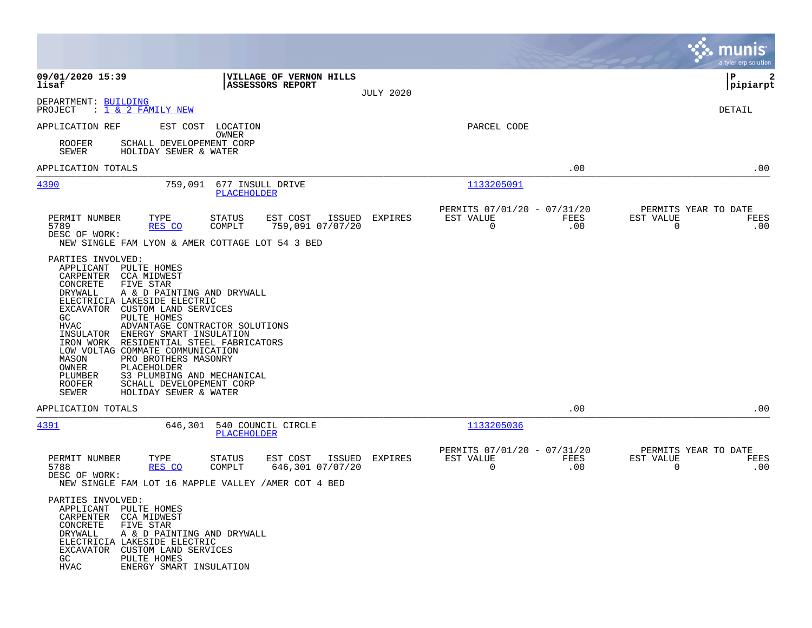|                                                                                                                                                                                                                                                                                                                                                                                                                                                                                                                                                                                       |                                                            |                  |                                                      |             | munis<br>a tyler erp solution                                      |
|---------------------------------------------------------------------------------------------------------------------------------------------------------------------------------------------------------------------------------------------------------------------------------------------------------------------------------------------------------------------------------------------------------------------------------------------------------------------------------------------------------------------------------------------------------------------------------------|------------------------------------------------------------|------------------|------------------------------------------------------|-------------|--------------------------------------------------------------------|
| 09/01/2020 15:39<br>lisaf                                                                                                                                                                                                                                                                                                                                                                                                                                                                                                                                                             | VILLAGE OF VERNON HILLS<br><b>ASSESSORS REPORT</b>         | <b>JULY 2020</b> |                                                      |             | l P<br>2<br> pipiarpt                                              |
| DEPARTMENT: BUILDING<br>PROJECT : 1 & 2 FAMILY NEW                                                                                                                                                                                                                                                                                                                                                                                                                                                                                                                                    |                                                            |                  |                                                      |             | DETAIL                                                             |
| APPLICATION REF<br><b>ROOFER</b><br>SCHALL DEVELOPEMENT CORP                                                                                                                                                                                                                                                                                                                                                                                                                                                                                                                          | EST COST LOCATION<br>OWNER                                 |                  | PARCEL CODE                                          |             |                                                                    |
| SEWER<br>HOLIDAY SEWER & WATER                                                                                                                                                                                                                                                                                                                                                                                                                                                                                                                                                        |                                                            |                  |                                                      |             |                                                                    |
| APPLICATION TOTALS                                                                                                                                                                                                                                                                                                                                                                                                                                                                                                                                                                    |                                                            |                  |                                                      | .00         | .00                                                                |
| 4390<br>759,091                                                                                                                                                                                                                                                                                                                                                                                                                                                                                                                                                                       | 677 INSULL DRIVE<br>PLACEHOLDER                            |                  | 1133205091                                           |             |                                                                    |
| PERMIT NUMBER<br>TYPE<br>5789<br>RES CO<br>DESC OF WORK:<br>NEW SINGLE FAM LYON & AMER COTTAGE LOT 54 3 BED                                                                                                                                                                                                                                                                                                                                                                                                                                                                           | STATUS<br>EST COST<br>ISSUED<br>COMPLT<br>759,091 07/07/20 | EXPIRES          | PERMITS 07/01/20 - 07/31/20<br>EST VALUE<br>$\Omega$ | FEES<br>.00 | PERMITS YEAR TO DATE<br>EST VALUE<br>FEES<br>$\overline{0}$<br>.00 |
| PARTIES INVOLVED:<br>APPLICANT<br>PULTE HOMES<br>CARPENTER<br>CCA MIDWEST<br>CONCRETE<br>FIVE STAR<br>DRYWALL<br>A & D PAINTING AND DRYWALL<br>ELECTRICIA LAKESIDE ELECTRIC<br>EXCAVATOR CUSTOM LAND SERVICES<br>GC.<br>PULTE HOMES<br>HVAC<br>ADVANTAGE CONTRACTOR SOLUTIONS<br>INSULATOR<br>ENERGY SMART INSULATION<br>IRON WORK RESIDENTIAL STEEL FABRICATORS<br>LOW VOLTAG COMMATE COMMUNICATION<br>PRO BROTHERS MASONRY<br>MASON<br>OWNER<br>PLACEHOLDER<br>PLUMBER<br>S3 PLUMBING AND MECHANICAL<br><b>ROOFER</b><br>SCHALL DEVELOPEMENT CORP<br>SEWER<br>HOLIDAY SEWER & WATER |                                                            |                  |                                                      |             |                                                                    |
| APPLICATION TOTALS                                                                                                                                                                                                                                                                                                                                                                                                                                                                                                                                                                    |                                                            |                  |                                                      | .00         | .00                                                                |
| 4391<br>646,301                                                                                                                                                                                                                                                                                                                                                                                                                                                                                                                                                                       | 540 COUNCIL CIRCLE<br><b>PLACEHOLDER</b>                   |                  | 1133205036<br>PERMITS 07/01/20 - 07/31/20            |             | PERMITS YEAR TO DATE                                               |
| PERMIT NUMBER<br>TYPE<br>5788<br>RES CO<br>DESC OF WORK:<br>NEW SINGLE FAM LOT 16 MAPPLE VALLEY / AMER COT 4 BED                                                                                                                                                                                                                                                                                                                                                                                                                                                                      | EST COST<br>ISSUED<br>STATUS<br>COMPLT<br>646,301 07/07/20 | EXPIRES          | EST VALUE<br>$\mathbf 0$                             | FEES<br>.00 | EST VALUE<br>FEES<br>0<br>.00                                      |
| PARTIES INVOLVED:<br>APPLICANT PULTE HOMES<br>CARPENTER CCA MIDWEST<br>CONCRETE<br>FIVE STAR<br>DRYWALL<br>A & D PAINTING AND DRYWALL<br>ELECTRICIA LAKESIDE ELECTRIC<br><b>EXCAVATOR</b><br>CUSTOM LAND SERVICES<br>PULTE HOMES<br>GC.<br><b>HVAC</b><br>ENERGY SMART INSULATION                                                                                                                                                                                                                                                                                                     |                                                            |                  |                                                      |             |                                                                    |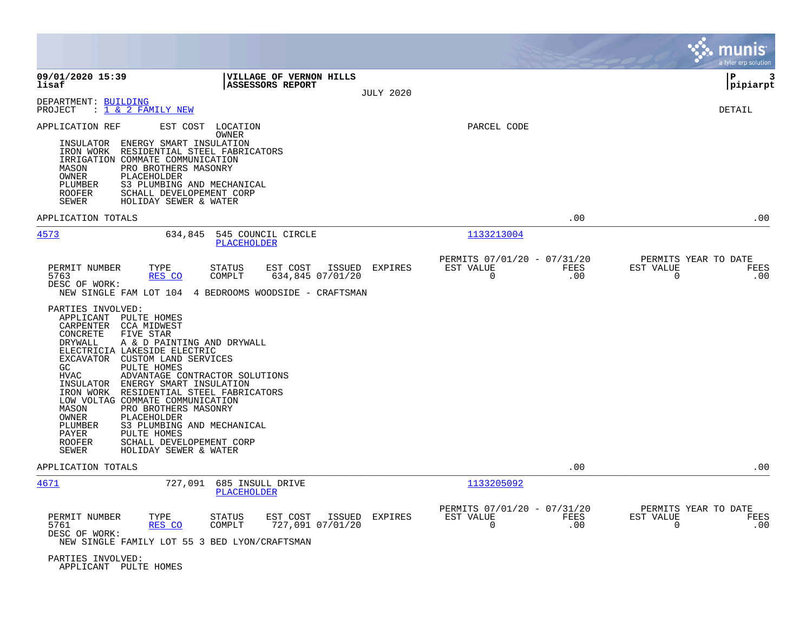|                                                                                                                                                                                                                                                                                                                                                                                                                                                                                                                                                                                                                                                                                                                                                                                                                                 |                                                                                   | munis<br>a tyler erp solution                                       |
|---------------------------------------------------------------------------------------------------------------------------------------------------------------------------------------------------------------------------------------------------------------------------------------------------------------------------------------------------------------------------------------------------------------------------------------------------------------------------------------------------------------------------------------------------------------------------------------------------------------------------------------------------------------------------------------------------------------------------------------------------------------------------------------------------------------------------------|-----------------------------------------------------------------------------------|---------------------------------------------------------------------|
| 09/01/2020 15:39<br>VILLAGE OF VERNON HILLS<br>lisaf<br><b>ASSESSORS REPORT</b><br><b>JULY 2020</b>                                                                                                                                                                                                                                                                                                                                                                                                                                                                                                                                                                                                                                                                                                                             |                                                                                   | l P<br>3<br> pipiarpt                                               |
| DEPARTMENT: BUILDING<br>: <u>1 &amp; 2 FAMILY NEW</u><br>PROJECT                                                                                                                                                                                                                                                                                                                                                                                                                                                                                                                                                                                                                                                                                                                                                                |                                                                                   | <b>DETAIL</b>                                                       |
| APPLICATION REF<br>EST COST<br>LOCATION<br>OWNER<br>ENERGY SMART INSULATION<br>INSULATOR<br>IRON WORK RESIDENTIAL STEEL FABRICATORS<br>IRRIGATION COMMATE COMMUNICATION<br>MASON<br>PRO BROTHERS MASONRY<br>OWNER<br>PLACEHOLDER<br>S3 PLUMBING AND MECHANICAL<br>PLUMBER<br><b>ROOFER</b><br>SCHALL DEVELOPEMENT CORP<br><b>SEWER</b><br>HOLIDAY SEWER & WATER                                                                                                                                                                                                                                                                                                                                                                                                                                                                 | PARCEL CODE                                                                       |                                                                     |
| APPLICATION TOTALS                                                                                                                                                                                                                                                                                                                                                                                                                                                                                                                                                                                                                                                                                                                                                                                                              | .00                                                                               | .00                                                                 |
| 4573<br>634,845<br>545 COUNCIL CIRCLE<br>PLACEHOLDER                                                                                                                                                                                                                                                                                                                                                                                                                                                                                                                                                                                                                                                                                                                                                                            | 1133213004                                                                        |                                                                     |
| PERMIT NUMBER<br>TYPE<br>STATUS<br>EST COST<br>ISSUED<br>EXPIRES<br>5763<br>RES CO<br>COMPLT<br>634,845 07/01/20<br>DESC OF WORK:<br>NEW SINGLE FAM LOT 104 4 BEDROOMS WOODSIDE - CRAFTSMAN<br>PARTIES INVOLVED:<br>APPLICANT<br>PULTE HOMES<br>CARPENTER<br>CCA MIDWEST<br>CONCRETE<br>FIVE STAR<br><b>DRYWALL</b><br>A & D PAINTING AND DRYWALL<br>ELECTRICIA LAKESIDE ELECTRIC<br>EXCAVATOR<br>CUSTOM LAND SERVICES<br>GC<br>PULTE HOMES<br><b>HVAC</b><br>ADVANTAGE CONTRACTOR SOLUTIONS<br>INSULATOR<br>ENERGY SMART INSULATION<br>RESIDENTIAL STEEL FABRICATORS<br>IRON WORK<br>LOW VOLTAG COMMATE COMMUNICATION<br>MASON<br>PRO BROTHERS MASONRY<br>OWNER<br>PLACEHOLDER<br>S3 PLUMBING AND MECHANICAL<br>PLUMBER<br>PAYER<br>PULTE HOMES<br><b>ROOFER</b><br>SCHALL DEVELOPEMENT CORP<br>SEWER<br>HOLIDAY SEWER & WATER | PERMITS 07/01/20 - 07/31/20<br>EST VALUE<br>FEES<br>$\mathbf 0$<br>.00            | PERMITS YEAR TO DATE<br>EST VALUE<br>FEES<br>0<br>.00               |
| APPLICATION TOTALS                                                                                                                                                                                                                                                                                                                                                                                                                                                                                                                                                                                                                                                                                                                                                                                                              | .00                                                                               | .00                                                                 |
| 4671<br>685 INSULL DRIVE<br>727,091<br>PLACEHOLDER<br>EST COST<br>PERMIT NUMBER<br>TYPE<br>STATUS<br>ISSUED<br>EXPIRES<br>5761<br>RES CO<br>COMPLT<br>727,091 07/01/20<br>DESC OF WORK:<br>NEW SINGLE FAMILY LOT 55 3 BED LYON/CRAFTSMAN<br>PARTIES INVOLVED:<br>APPLICANT PULTE HOMES                                                                                                                                                                                                                                                                                                                                                                                                                                                                                                                                          | 1133205092<br>PERMITS 07/01/20 - 07/31/20<br>EST VALUE<br>FEES<br>$\Omega$<br>.00 | PERMITS YEAR TO DATE<br>EST VALUE<br><b>FEES</b><br>$\Omega$<br>.00 |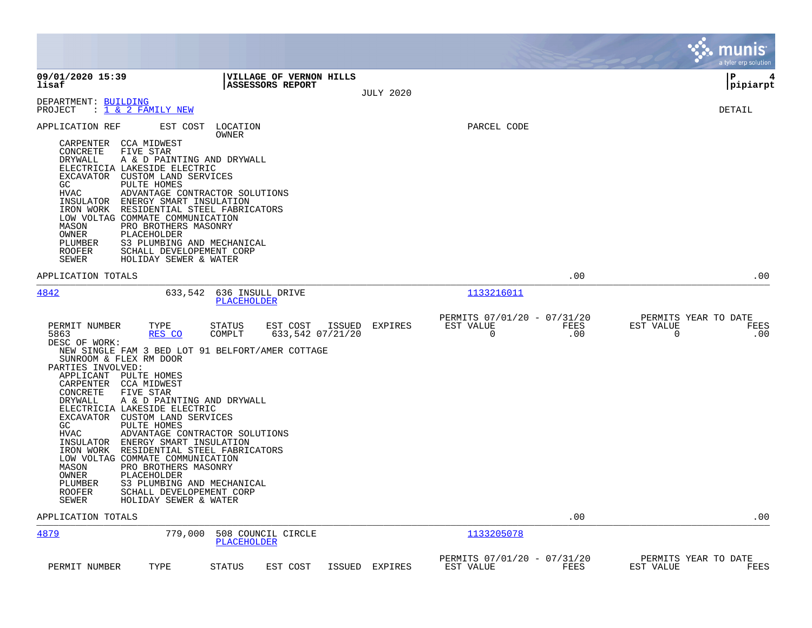|                                                                                                                                                                                                 |                                                                                                                                                                                                                                                                                                                                                                                                                                                                                                                              |                         |                                                           |        |                  |                                                         |             |                                        | munis<br>a tyler erp solution |
|-------------------------------------------------------------------------------------------------------------------------------------------------------------------------------------------------|------------------------------------------------------------------------------------------------------------------------------------------------------------------------------------------------------------------------------------------------------------------------------------------------------------------------------------------------------------------------------------------------------------------------------------------------------------------------------------------------------------------------------|-------------------------|-----------------------------------------------------------|--------|------------------|---------------------------------------------------------|-------------|----------------------------------------|-------------------------------|
| 09/01/2020 15:39<br>lisaf                                                                                                                                                                       |                                                                                                                                                                                                                                                                                                                                                                                                                                                                                                                              |                         | <b>VILLAGE OF VERNON HILLS</b><br><b>ASSESSORS REPORT</b> |        | <b>JULY 2020</b> |                                                         |             |                                        | lР<br>4<br> pipiarpt          |
| DEPARTMENT: BUILDING<br>PROJECT                                                                                                                                                                 | : <u>1 &amp; 2 FAMILY NEW</u>                                                                                                                                                                                                                                                                                                                                                                                                                                                                                                |                         |                                                           |        |                  |                                                         |             |                                        | DETAIL                        |
| APPLICATION REF<br>CARPENTER<br>CONCRETE<br>DRYWALL<br>GC<br><b>HVAC</b><br>INSULATOR<br>IRON WORK<br>MASON<br>OWNER<br>PLUMBER<br><b>ROOFER</b><br><b>SEWER</b>                                | EST COST<br><b>CCA MIDWEST</b><br>FIVE STAR<br>A & D PAINTING AND DRYWALL<br>ELECTRICIA LAKESIDE ELECTRIC<br>EXCAVATOR CUSTOM LAND SERVICES<br>PULTE HOMES<br>ADVANTAGE CONTRACTOR SOLUTIONS<br>ENERGY SMART INSULATION<br>RESIDENTIAL STEEL FABRICATORS<br>LOW VOLTAG COMMATE COMMUNICATION<br>PRO BROTHERS MASONRY<br>PLACEHOLDER<br>S3 PLUMBING AND MECHANICAL<br>SCHALL DEVELOPEMENT CORP<br>HOLIDAY SEWER & WATER                                                                                                       | LOCATION<br>OWNER       |                                                           |        |                  | PARCEL CODE                                             |             |                                        |                               |
| APPLICATION TOTALS                                                                                                                                                                              |                                                                                                                                                                                                                                                                                                                                                                                                                                                                                                                              |                         |                                                           |        |                  |                                                         | .00         |                                        | .00                           |
| 4842                                                                                                                                                                                            | 633,542                                                                                                                                                                                                                                                                                                                                                                                                                                                                                                                      | PLACEHOLDER             | 636 INSULL DRIVE                                          |        |                  | 1133216011                                              |             |                                        |                               |
| PERMIT NUMBER<br>5863<br>DESC OF WORK:<br>PARTIES INVOLVED:<br>CARPENTER<br>CONCRETE<br>DRYWALL<br>GC.<br>HVAC<br>INSULATOR<br>IRON WORK<br>MASON<br>OWNER<br>PLUMBER<br><b>ROOFER</b><br>SEWER | TYPE<br>RES CO<br>NEW SINGLE FAM 3 BED LOT 91 BELFORT/AMER COTTAGE<br>SUNROOM & FLEX RM DOOR<br>APPLICANT PULTE HOMES<br>CCA MIDWEST<br>FIVE STAR<br>A & D PAINTING AND DRYWALL<br>ELECTRICIA LAKESIDE ELECTRIC<br>EXCAVATOR CUSTOM LAND SERVICES<br>PULTE HOMES<br>ADVANTAGE CONTRACTOR SOLUTIONS<br>ENERGY SMART INSULATION<br>RESIDENTIAL STEEL FABRICATORS<br>LOW VOLTAG COMMATE COMMUNICATION<br>PRO BROTHERS MASONRY<br>PLACEHOLDER<br>S3 PLUMBING AND MECHANICAL<br>SCHALL DEVELOPEMENT CORP<br>HOLIDAY SEWER & WATER | <b>STATUS</b><br>COMPLT | EST COST<br>633,542 07/21/20                              | ISSUED | EXPIRES          | PERMITS 07/01/20 - 07/31/20<br>EST VALUE<br>$\mathbf 0$ | FEES<br>.00 | PERMITS YEAR TO DATE<br>EST VALUE<br>0 | FEES<br>.00                   |
| APPLICATION TOTALS                                                                                                                                                                              |                                                                                                                                                                                                                                                                                                                                                                                                                                                                                                                              |                         |                                                           |        |                  |                                                         | .00         |                                        | .00                           |
| 4879                                                                                                                                                                                            | 779,000                                                                                                                                                                                                                                                                                                                                                                                                                                                                                                                      | PLACEHOLDER             | 508 COUNCIL CIRCLE                                        |        |                  | 1133205078                                              |             |                                        |                               |
| PERMIT NUMBER                                                                                                                                                                                   | TYPE                                                                                                                                                                                                                                                                                                                                                                                                                                                                                                                         | <b>STATUS</b>           | EST COST                                                  | ISSUED | EXPIRES          | PERMITS 07/01/20 - 07/31/20<br>EST VALUE                | FEES        | PERMITS YEAR TO DATE<br>EST VALUE      | FEES                          |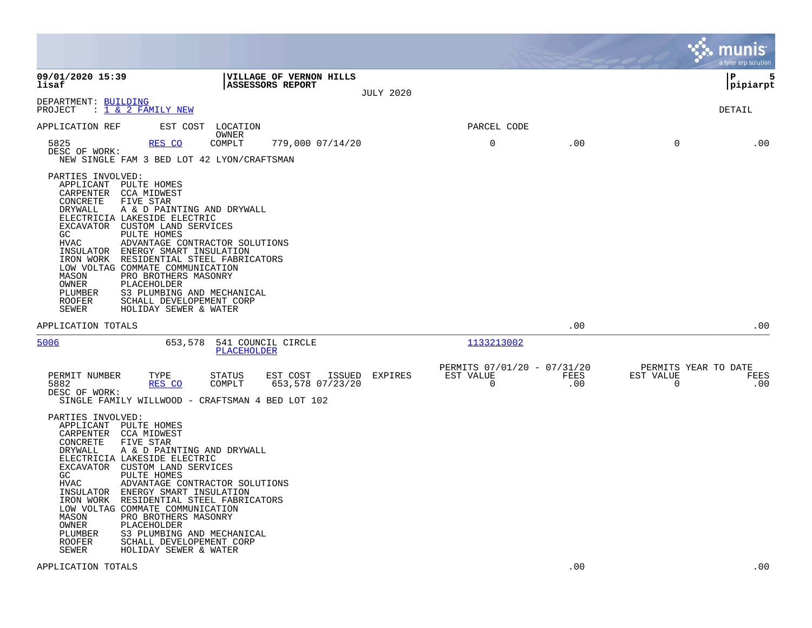|                                                                                                                                                                                                                                                                                                                                                                                                                                                                                                                                                                                        |                                                                               |                                                         |             |                                               | munis<br>a tyler erp solution |
|----------------------------------------------------------------------------------------------------------------------------------------------------------------------------------------------------------------------------------------------------------------------------------------------------------------------------------------------------------------------------------------------------------------------------------------------------------------------------------------------------------------------------------------------------------------------------------------|-------------------------------------------------------------------------------|---------------------------------------------------------|-------------|-----------------------------------------------|-------------------------------|
| 09/01/2020 15:39<br>lisaf                                                                                                                                                                                                                                                                                                                                                                                                                                                                                                                                                              | <b>VILLAGE OF VERNON HILLS</b><br><b>ASSESSORS REPORT</b><br><b>JULY 2020</b> |                                                         |             |                                               | 5<br>l P<br> pipiarpt         |
| DEPARTMENT: BUILDING<br>$: 1 \& 2$ FAMILY NEW<br>PROJECT                                                                                                                                                                                                                                                                                                                                                                                                                                                                                                                               |                                                                               |                                                         |             |                                               | <b>DETAIL</b>                 |
| APPLICATION REF<br>EST COST LOCATION                                                                                                                                                                                                                                                                                                                                                                                                                                                                                                                                                   | OWNER                                                                         | PARCEL CODE                                             |             |                                               |                               |
| 5825<br>RES CO<br>DESC OF WORK:<br>NEW SINGLE FAM 3 BED LOT 42 LYON/CRAFTSMAN                                                                                                                                                                                                                                                                                                                                                                                                                                                                                                          | COMPLT<br>779,000 07/14/20                                                    | $\mathbf 0$                                             | .00         | $\mathbf 0$                                   | .00                           |
| PARTIES INVOLVED:<br>APPLICANT PULTE HOMES<br>CARPENTER<br>CCA MIDWEST<br>CONCRETE<br>FIVE STAR<br>DRYWALL<br>A & D PAINTING AND DRYWALL<br>ELECTRICIA LAKESIDE ELECTRIC<br>EXCAVATOR CUSTOM LAND SERVICES<br>GC.<br>PULTE HOMES<br><b>HVAC</b><br>ADVANTAGE CONTRACTOR SOLUTIONS<br>INSULATOR ENERGY SMART INSULATION<br>IRON WORK RESIDENTIAL STEEL FABRICATORS<br>LOW VOLTAG COMMATE COMMUNICATION<br>MASON<br>PRO BROTHERS MASONRY<br>OWNER<br>PLACEHOLDER<br>PLUMBER<br>S3 PLUMBING AND MECHANICAL<br><b>ROOFER</b><br>SCHALL DEVELOPEMENT CORP<br>SEWER<br>HOLIDAY SEWER & WATER |                                                                               |                                                         |             |                                               |                               |
| APPLICATION TOTALS                                                                                                                                                                                                                                                                                                                                                                                                                                                                                                                                                                     |                                                                               |                                                         | .00         |                                               | .00                           |
| 5006                                                                                                                                                                                                                                                                                                                                                                                                                                                                                                                                                                                   | 653,578 541 COUNCIL CIRCLE<br>PLACEHOLDER                                     | 1133213002                                              |             |                                               |                               |
| PERMIT NUMBER<br>TYPE<br>5882<br>RES CO<br>DESC OF WORK:<br>SINGLE FAMILY WILLWOOD - CRAFTSMAN 4 BED LOT 102                                                                                                                                                                                                                                                                                                                                                                                                                                                                           | STATUS<br>EST COST<br>ISSUED EXPIRES<br>COMPLT<br>653,578 07/23/20            | PERMITS 07/01/20 - 07/31/20<br>EST VALUE<br>$\mathbf 0$ | FEES<br>.00 | PERMITS YEAR TO DATE<br>EST VALUE<br>$\Omega$ | <b>FEES</b><br>.00            |
| PARTIES INVOLVED:<br>APPLICANT PULTE HOMES<br>CARPENTER CCA MIDWEST<br>FIVE STAR<br>CONCRETE<br>A & D PAINTING AND DRYWALL<br>DRYWALL<br>ELECTRICIA LAKESIDE ELECTRIC<br>EXCAVATOR CUSTOM LAND SERVICES<br>GC.<br>PULTE HOMES<br><b>HVAC</b><br>ADVANTAGE CONTRACTOR SOLUTIONS<br>INSULATOR ENERGY SMART INSULATION<br>IRON WORK<br>RESIDENTIAL STEEL FABRICATORS<br>LOW VOLTAG COMMATE COMMUNICATION<br>MASON<br>PRO BROTHERS MASONRY<br>PLACEHOLDER<br>OWNER<br>PLUMBER<br>S3 PLUMBING AND MECHANICAL<br>ROOFER<br>SCHALL DEVELOPEMENT CORP<br>SEWER<br>HOLIDAY SEWER & WATER        |                                                                               |                                                         |             |                                               |                               |
| APPLICATION TOTALS                                                                                                                                                                                                                                                                                                                                                                                                                                                                                                                                                                     |                                                                               |                                                         | .00         |                                               | .00                           |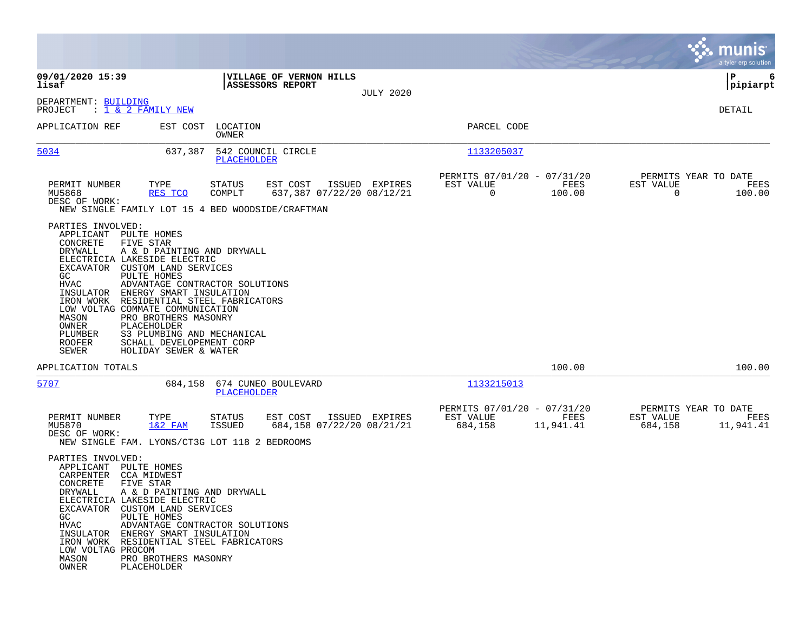|                                                                                                                                                                                                                                                                                                                                                                                                                                                                                                                                                                     |                                                                                    |                  |                                                                           | munis<br>a tyler erp solution                                     |
|---------------------------------------------------------------------------------------------------------------------------------------------------------------------------------------------------------------------------------------------------------------------------------------------------------------------------------------------------------------------------------------------------------------------------------------------------------------------------------------------------------------------------------------------------------------------|------------------------------------------------------------------------------------|------------------|---------------------------------------------------------------------------|-------------------------------------------------------------------|
| 09/01/2020 15:39<br>lisaf                                                                                                                                                                                                                                                                                                                                                                                                                                                                                                                                           | VILLAGE OF VERNON HILLS<br>ASSESSORS REPORT                                        |                  |                                                                           | P<br>6<br> pipiarpt                                               |
| DEPARTMENT: BUILDING<br>PROJECT<br>: <u>1 &amp; 2 FAMILY NEW</u>                                                                                                                                                                                                                                                                                                                                                                                                                                                                                                    |                                                                                    | <b>JULY 2020</b> |                                                                           | DETAIL                                                            |
| APPLICATION REF<br>EST COST                                                                                                                                                                                                                                                                                                                                                                                                                                                                                                                                         | LOCATION<br>OWNER                                                                  |                  | PARCEL CODE                                                               |                                                                   |
| 5034<br>637,387                                                                                                                                                                                                                                                                                                                                                                                                                                                                                                                                                     | 542 COUNCIL CIRCLE<br>PLACEHOLDER                                                  |                  | 1133205037                                                                |                                                                   |
| TYPE<br>PERMIT NUMBER<br>MU5868<br>RES TCO<br>DESC OF WORK:<br>NEW SINGLE FAMILY LOT 15 4 BED WOODSIDE/CRAFTMAN                                                                                                                                                                                                                                                                                                                                                                                                                                                     | STATUS<br>EST COST<br>ISSUED EXPIRES<br>637,387 07/22/20 08/12/21<br>COMPLT        |                  | PERMITS 07/01/20 - 07/31/20<br>EST VALUE<br>FEES<br>$\mathbf 0$<br>100.00 | PERMITS YEAR TO DATE<br>EST VALUE<br>FEES<br>$\Omega$<br>100.00   |
| PARTIES INVOLVED:<br>APPLICANT<br>PULTE HOMES<br>CONCRETE<br>FIVE STAR<br>DRYWALL<br>A & D PAINTING AND DRYWALL<br>ELECTRICIA LAKESIDE ELECTRIC<br>EXCAVATOR<br><b>CUSTOM LAND SERVICES</b><br>PULTE HOMES<br>GC.<br>HVAC<br>ADVANTAGE CONTRACTOR SOLUTIONS<br>INSULATOR<br>ENERGY SMART INSULATION<br>IRON WORK RESIDENTIAL STEEL FABRICATORS<br>LOW VOLTAG COMMATE COMMUNICATION<br>MASON<br>PRO BROTHERS MASONRY<br>OWNER<br>PLACEHOLDER<br>PLUMBER<br>S3 PLUMBING AND MECHANICAL<br><b>ROOFER</b><br>SCHALL DEVELOPEMENT CORP<br>SEWER<br>HOLIDAY SEWER & WATER |                                                                                    |                  |                                                                           |                                                                   |
| APPLICATION TOTALS                                                                                                                                                                                                                                                                                                                                                                                                                                                                                                                                                  |                                                                                    |                  | 100.00                                                                    | 100.00                                                            |
| 5707<br>684,158                                                                                                                                                                                                                                                                                                                                                                                                                                                                                                                                                     | 674 CUNEO BOULEVARD<br>PLACEHOLDER                                                 |                  | 1133215013                                                                |                                                                   |
| PERMIT NUMBER<br>TYPE<br>MU5870<br>$1&2$ FAM<br>DESC OF WORK:<br>NEW SINGLE FAM. LYONS/CT3G LOT 118 2 BEDROOMS<br>PARTIES INVOLVED:<br>APPLICANT<br>PULTE HOMES<br>CARPENTER<br>CCA MIDWEST<br>CONCRETE<br>FIVE STAR<br>DRYWALL<br>A & D PAINTING AND DRYWALL<br>ELECTRICIA LAKESIDE ELECTRIC<br>EXCAVATOR CUSTOM LAND SERVICES<br>GC<br>PULTE HOMES<br>HVAC<br>ADVANTAGE CONTRACTOR SOLUTIONS<br>INSULATOR ENERGY SMART INSULATION<br>IRON WORK RESIDENTIAL STEEL FABRICATORS<br>LOW VOLTAG PROCOM<br>PRO BROTHERS MASONRY<br>MASON<br>OWNER<br>PLACEHOLDER        | EST COST<br>ISSUED EXPIRES<br>STATUS<br><b>ISSUED</b><br>684,158 07/22/20 08/21/21 |                  | PERMITS 07/01/20 - 07/31/20<br>EST VALUE<br>FEES<br>684,158<br>11,941.41  | PERMITS YEAR TO DATE<br>EST VALUE<br>FEES<br>684,158<br>11,941.41 |

 $\mathcal{L}^{\text{max}}$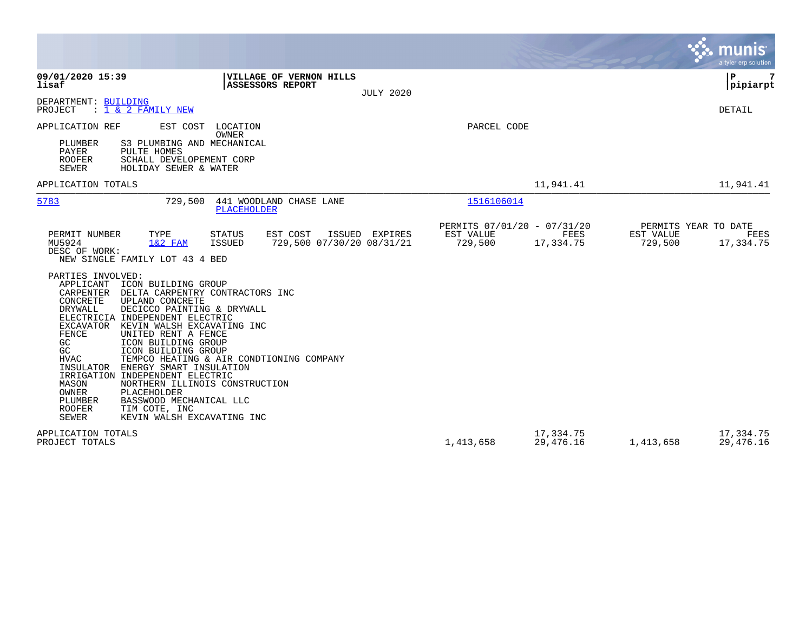|                                                                                                                                                                                                                                                                                                                                                                                                                                                                                                                                                                                                                                                                                       |                                                     |                        | munis<br>a tyler erp solution                                     |
|---------------------------------------------------------------------------------------------------------------------------------------------------------------------------------------------------------------------------------------------------------------------------------------------------------------------------------------------------------------------------------------------------------------------------------------------------------------------------------------------------------------------------------------------------------------------------------------------------------------------------------------------------------------------------------------|-----------------------------------------------------|------------------------|-------------------------------------------------------------------|
| 09/01/2020 15:39<br>VILLAGE OF VERNON HILLS<br>lisaf<br><b>ASSESSORS REPORT</b><br><b>JULY 2020</b>                                                                                                                                                                                                                                                                                                                                                                                                                                                                                                                                                                                   |                                                     |                        | ΙP<br>7<br> pipiarpt                                              |
| DEPARTMENT: BUILDING<br>: 1 & 2 FAMILY NEW<br>PROJECT                                                                                                                                                                                                                                                                                                                                                                                                                                                                                                                                                                                                                                 |                                                     |                        | DETAIL                                                            |
| APPLICATION REF<br>EST COST<br>LOCATION<br>OWNER<br>PLUMBER<br>S3 PLUMBING AND MECHANICAL<br>PAYER<br>PULTE HOMES<br><b>ROOFER</b><br>SCHALL DEVELOPEMENT CORP<br>SEWER<br>HOLIDAY SEWER & WATER                                                                                                                                                                                                                                                                                                                                                                                                                                                                                      | PARCEL CODE                                         |                        |                                                                   |
| APPLICATION TOTALS                                                                                                                                                                                                                                                                                                                                                                                                                                                                                                                                                                                                                                                                    |                                                     | 11,941.41              | 11,941.41                                                         |
| 5783<br>441 WOODLAND CHASE LANE<br>729,500<br>PLACEHOLDER                                                                                                                                                                                                                                                                                                                                                                                                                                                                                                                                                                                                                             | 1516106014                                          |                        |                                                                   |
| PERMIT NUMBER<br>TYPE<br>STATUS<br>EST COST<br>ISSUED EXPIRES<br>MU5924<br>729,500 07/30/20 08/31/21<br>$1&2$ FAM<br>ISSUED<br>DESC OF WORK:<br>NEW SINGLE FAMILY LOT 43 4 BED                                                                                                                                                                                                                                                                                                                                                                                                                                                                                                        | PERMITS 07/01/20 - 07/31/20<br>EST VALUE<br>729,500 | FEES<br>17,334.75      | PERMITS YEAR TO DATE<br>EST VALUE<br>FEES<br>729,500<br>17,334.75 |
| PARTIES INVOLVED:<br>APPLICANT<br>ICON BUILDING GROUP<br>CARPENTER DELTA CARPENTRY CONTRACTORS INC<br>CONCRETE<br>UPLAND CONCRETE<br><b>DRYWALL</b><br>DECICCO PAINTING & DRYWALL<br>ELECTRICIA INDEPENDENT ELECTRIC<br>EXCAVATOR<br>KEVIN WALSH EXCAVATING INC<br>FENCE<br>UNITED RENT A FENCE<br>GC<br>ICON BUILDING GROUP<br>GC<br>ICON BUILDING GROUP<br>TEMPCO HEATING & AIR CONDTIONING COMPANY<br><b>HVAC</b><br>INSULATOR ENERGY SMART INSULATION<br>IRRIGATION INDEPENDENT ELECTRIC<br>MASON<br>NORTHERN ILLINOIS CONSTRUCTION<br>OWNER<br>PLACEHOLDER<br>PLUMBER<br>BASSWOOD MECHANICAL LLC<br><b>ROOFER</b><br>TIM COTE, INC<br><b>SEWER</b><br>KEVIN WALSH EXCAVATING INC |                                                     |                        |                                                                   |
| APPLICATION TOTALS<br>PROJECT TOTALS                                                                                                                                                                                                                                                                                                                                                                                                                                                                                                                                                                                                                                                  | 1,413,658                                           | 17,334.75<br>29,476.16 | 17,334.75<br>1,413,658<br>29,476.16                               |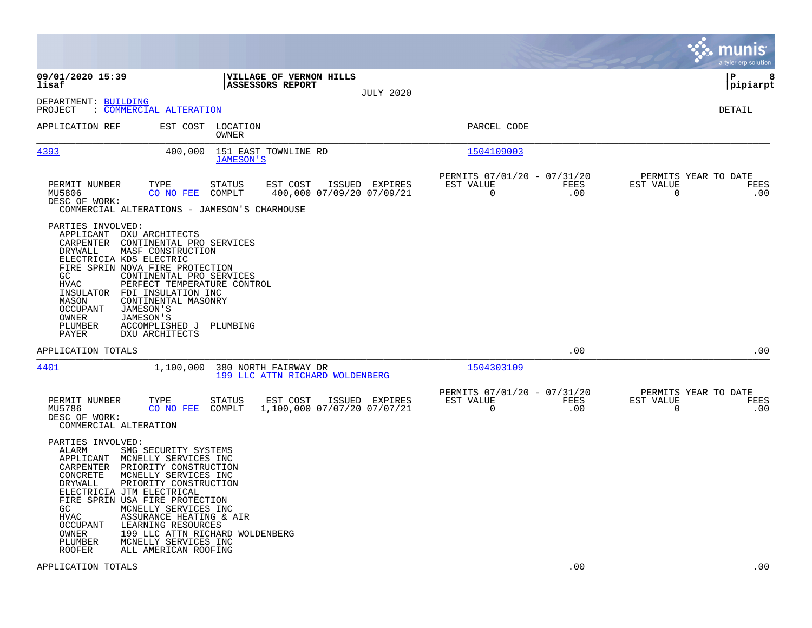|                                                                                                                                                                                                                                                                                                                                                                                                                                                                         |                                                                               |                                                         |             | munis<br>a tyler erp solution                                   |
|-------------------------------------------------------------------------------------------------------------------------------------------------------------------------------------------------------------------------------------------------------------------------------------------------------------------------------------------------------------------------------------------------------------------------------------------------------------------------|-------------------------------------------------------------------------------|---------------------------------------------------------|-------------|-----------------------------------------------------------------|
| 09/01/2020 15:39<br>lisaf                                                                                                                                                                                                                                                                                                                                                                                                                                               | VILLAGE OF VERNON HILLS<br><b>ASSESSORS REPORT</b><br><b>JULY 2020</b>        |                                                         |             | lР<br>8<br> pipiarpt                                            |
| DEPARTMENT: BUILDING<br>PROJECT<br>: COMMERCIAL ALTERATION                                                                                                                                                                                                                                                                                                                                                                                                              |                                                                               |                                                         |             | DETAIL                                                          |
| APPLICATION REF                                                                                                                                                                                                                                                                                                                                                                                                                                                         | EST COST LOCATION<br>OWNER                                                    | PARCEL CODE                                             |             |                                                                 |
| 4393<br>400,000                                                                                                                                                                                                                                                                                                                                                                                                                                                         | 151 EAST TOWNLINE RD<br><b>JAMESON'S</b>                                      | <u>1504109003</u>                                       |             |                                                                 |
| TYPE<br>PERMIT NUMBER<br>MU5806<br>CO NO FEE<br>DESC OF WORK:<br>COMMERCIAL ALTERATIONS - JAMESON'S CHARHOUSE                                                                                                                                                                                                                                                                                                                                                           | STATUS<br>EST COST<br>ISSUED EXPIRES<br>COMPLT<br>400,000 07/09/20 07/09/21   | PERMITS 07/01/20 - 07/31/20<br>EST VALUE<br>$\mathbf 0$ | FEES<br>.00 | PERMITS YEAR TO DATE<br>EST VALUE<br>FEES<br>$\mathbf 0$<br>.00 |
| PARTIES INVOLVED:<br>APPLICANT DXU ARCHITECTS<br>CARPENTER<br>CONTINENTAL PRO SERVICES<br>DRYWALL<br>MASF CONSTRUCTION<br>ELECTRICIA KDS ELECTRIC<br>FIRE SPRIN NOVA FIRE PROTECTION<br>GC.<br>CONTINENTAL PRO SERVICES<br><b>HVAC</b><br>INSULATOR<br>FDI INSULATION INC<br>MASON<br>CONTINENTAL MASONRY<br><b>OCCUPANT</b><br>JAMESON'S<br>JAMESON'S<br>OWNER<br>PLUMBER<br>ACCOMPLISHED J PLUMBING<br>PAYER<br>DXU ARCHITECTS                                        | PERFECT TEMPERATURE CONTROL                                                   |                                                         |             |                                                                 |
| APPLICATION TOTALS                                                                                                                                                                                                                                                                                                                                                                                                                                                      |                                                                               |                                                         | .00         | .00                                                             |
| 4401<br>1,100,000                                                                                                                                                                                                                                                                                                                                                                                                                                                       | 380 NORTH FAIRWAY DR<br>199 LLC ATTN RICHARD WOLDENBERG                       | 1504303109                                              |             |                                                                 |
| PERMIT NUMBER<br>TYPE<br>CO NO FEE<br>MU5786<br>DESC OF WORK:<br>COMMERCIAL ALTERATION                                                                                                                                                                                                                                                                                                                                                                                  | EST COST<br>STATUS<br>ISSUED EXPIRES<br>COMPLT<br>1,100,000 07/07/20 07/07/21 | PERMITS 07/01/20 - 07/31/20<br>EST VALUE<br>$\mathbf 0$ | FEES<br>.00 | PERMITS YEAR TO DATE<br>EST VALUE<br>FEES<br>$\mathbf 0$<br>.00 |
| PARTIES INVOLVED:<br>ALARM<br>SMG SECURITY SYSTEMS<br>APPLICANT<br>MCNELLY SERVICES INC<br>CARPENTER PRIORITY CONSTRUCTION<br>CONCRETE<br>MCNELLY SERVICES INC<br>DRYWALL<br>PRIORITY CONSTRUCTION<br>ELECTRICIA JTM ELECTRICAL<br>FIRE SPRIN USA FIRE PROTECTION<br>GC<br>MCNELLY SERVICES INC<br><b>HVAC</b><br>ASSURANCE HEATING & AIR<br><b>OCCUPANT</b><br>LEARNING RESOURCES<br>OWNER<br>PLUMBER<br>MCNELLY SERVICES INC<br><b>ROOFER</b><br>ALL AMERICAN ROOFING | 199 LLC ATTN RICHARD WOLDENBERG                                               |                                                         |             |                                                                 |
| APPLICATION TOTALS                                                                                                                                                                                                                                                                                                                                                                                                                                                      |                                                                               |                                                         | .00         | .00                                                             |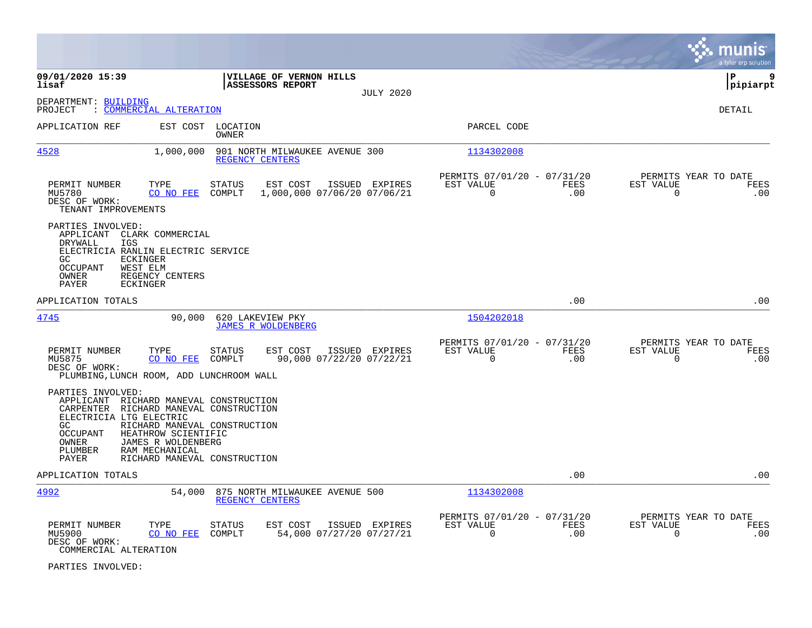|                                                                                                                                                                                                                                                                                                                       |                                                                                   |                                                         | munis<br>a tyler erp solution                                                         |
|-----------------------------------------------------------------------------------------------------------------------------------------------------------------------------------------------------------------------------------------------------------------------------------------------------------------------|-----------------------------------------------------------------------------------|---------------------------------------------------------|---------------------------------------------------------------------------------------|
| 09/01/2020 15:39<br>lisaf                                                                                                                                                                                                                                                                                             | VILLAGE OF VERNON HILLS<br>ASSESSORS REPORT<br><b>JULY 2020</b>                   |                                                         | lР<br>9<br> pipiarpt                                                                  |
| DEPARTMENT: BUILDING<br>PROJECT<br>: COMMERCIAL ALTERATION                                                                                                                                                                                                                                                            |                                                                                   |                                                         | <b>DETAIL</b>                                                                         |
| APPLICATION REF                                                                                                                                                                                                                                                                                                       | EST COST LOCATION<br>OWNER                                                        | PARCEL CODE                                             |                                                                                       |
| 4528<br>1,000,000                                                                                                                                                                                                                                                                                                     | 901 NORTH MILWAUKEE AVENUE 300<br>REGENCY CENTERS                                 | 1134302008                                              |                                                                                       |
| PERMIT NUMBER<br>TYPE<br>CO NO FEE<br>MU5780<br>DESC OF WORK:<br>TENANT IMPROVEMENTS                                                                                                                                                                                                                                  | EST COST<br>STATUS<br>ISSUED EXPIRES<br>COMPLT<br>1,000,000 07/06/20 07/06/21     | PERMITS 07/01/20 - 07/31/20<br>EST VALUE<br>$\mathbf 0$ | PERMITS YEAR TO DATE<br>FEES<br>EST VALUE<br>FEES<br>.00<br>$\mathbf 0$<br>.00        |
| PARTIES INVOLVED:<br>APPLICANT CLARK COMMERCIAL<br>DRYWALL<br>IGS<br>ELECTRICIA RANLIN ELECTRIC SERVICE<br>GC.<br><b>ECKINGER</b><br><b>OCCUPANT</b><br>WEST ELM<br>REGENCY CENTERS<br>OWNER<br>PAYER<br>ECKINGER                                                                                                     |                                                                                   |                                                         |                                                                                       |
| APPLICATION TOTALS                                                                                                                                                                                                                                                                                                    |                                                                                   |                                                         | .00<br>.00                                                                            |
| 4745<br>90,000                                                                                                                                                                                                                                                                                                        | 620 LAKEVIEW PKY<br><b>JAMES R WOLDENBERG</b>                                     | 1504202018                                              |                                                                                       |
| PERMIT NUMBER<br>TYPE<br>MU5875<br>CO NO FEE<br>DESC OF WORK:<br>PLUMBING, LUNCH ROOM, ADD LUNCHROOM WALL                                                                                                                                                                                                             | <b>STATUS</b><br>EST COST<br>ISSUED EXPIRES<br>COMPLT<br>90,000 07/22/20 07/22/21 | PERMITS 07/01/20 - 07/31/20<br>EST VALUE<br>$\mathbf 0$ | PERMITS YEAR TO DATE<br>FEES<br>EST VALUE<br>FEES<br>.00<br>0<br>.00                  |
| PARTIES INVOLVED:<br>APPLICANT RICHARD MANEVAL CONSTRUCTION<br>CARPENTER RICHARD MANEVAL CONSTRUCTION<br>ELECTRICIA LTG ELECTRIC<br>GC<br>RICHARD MANEVAL CONSTRUCTION<br><b>OCCUPANT</b><br>HEATHROW SCIENTIFIC<br>OWNER<br>JAMES R WOLDENBERG<br>RAM MECHANICAL<br>PLUMBER<br>PAYER<br>RICHARD MANEVAL CONSTRUCTION |                                                                                   |                                                         |                                                                                       |
| APPLICATION TOTALS                                                                                                                                                                                                                                                                                                    |                                                                                   |                                                         | .00<br>.00                                                                            |
| 4992<br>54,000                                                                                                                                                                                                                                                                                                        | 875 NORTH MILWAUKEE AVENUE 500<br>REGENCY CENTERS                                 | 1134302008                                              |                                                                                       |
| PERMIT NUMBER<br>TYPE<br>MU5900<br>CO NO FEE<br>DESC OF WORK:<br>COMMERCIAL ALTERATION                                                                                                                                                                                                                                | ISSUED EXPIRES<br>STATUS<br>EST COST<br>COMPLT<br>54,000 07/27/20 07/27/21        | PERMITS 07/01/20 - 07/31/20<br>EST VALUE<br>0           | PERMITS YEAR TO DATE<br><b>FEES</b><br>EST VALUE<br>FEES<br>.00<br>$\mathbf 0$<br>.00 |

PARTIES INVOLVED: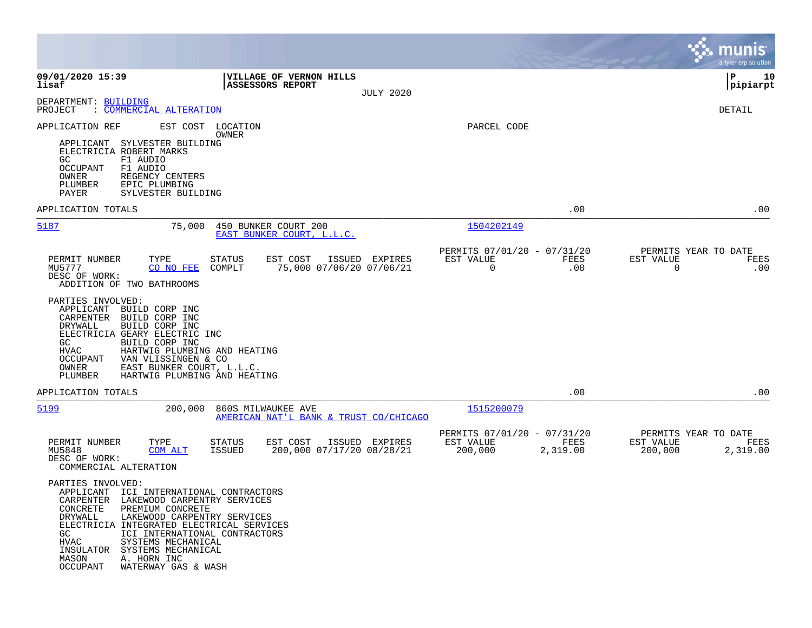|                                                                                                                                                                                                                                                                                                                                                                                                                   |                                                                                      |                                                                         | munis<br>a tyler erp solution                                    |
|-------------------------------------------------------------------------------------------------------------------------------------------------------------------------------------------------------------------------------------------------------------------------------------------------------------------------------------------------------------------------------------------------------------------|--------------------------------------------------------------------------------------|-------------------------------------------------------------------------|------------------------------------------------------------------|
| 09/01/2020 15:39<br>lisaf                                                                                                                                                                                                                                                                                                                                                                                         | VILLAGE OF VERNON HILLS<br><b>ASSESSORS REPORT</b><br><b>JULY 2020</b>               |                                                                         | P<br>10<br> pipiarpt                                             |
| DEPARTMENT: BUILDING<br>PROJECT<br>: COMMERCIAL ALTERATION                                                                                                                                                                                                                                                                                                                                                        |                                                                                      |                                                                         | DETAIL                                                           |
| APPLICATION REF<br>EST COST<br>SYLVESTER BUILDING<br>APPLICANT<br>ELECTRICIA ROBERT MARKS<br>F1 AUDIO<br>GC.<br>F1 AUDIO<br>OCCUPANT<br>OWNER<br>REGENCY CENTERS<br>PLUMBER<br>EPIC PLUMBING<br><b>PAYER</b><br>SYLVESTER BUILDING                                                                                                                                                                                | LOCATION<br>OWNER                                                                    | PARCEL CODE                                                             |                                                                  |
| APPLICATION TOTALS                                                                                                                                                                                                                                                                                                                                                                                                |                                                                                      | .00                                                                     | .00                                                              |
| 5187<br>75,000                                                                                                                                                                                                                                                                                                                                                                                                    | 450 BUNKER COURT 200<br>EAST BUNKER COURT, L.L.C.                                    | 1504202149                                                              |                                                                  |
| PERMIT NUMBER<br>TYPE<br>MU5777<br>CO NO FEE<br>DESC OF WORK:<br>ADDITION OF TWO BATHROOMS                                                                                                                                                                                                                                                                                                                        | <b>STATUS</b><br>EST COST<br>ISSUED<br>EXPIRES<br>COMPLT<br>75,000 07/06/20 07/06/21 | PERMITS 07/01/20 - 07/31/20<br>EST VALUE<br>FEES<br>0<br>.00            | PERMITS YEAR TO DATE<br>EST VALUE<br>FEES<br>0<br>.00            |
| PARTIES INVOLVED:<br>APPLICANT<br>BUILD CORP INC<br>CARPENTER<br>BUILD CORP INC<br>DRYWALL<br>BUILD CORP INC<br>ELECTRICIA GEARY ELECTRIC INC<br>GC<br>BUILD CORP INC<br>HARTWIG PLUMBING AND HEATING<br>HVAC<br>VAN VLISSINGEN & CO<br><b>OCCUPANT</b><br>OWNER<br>EAST BUNKER COURT, L.L.C.<br>PLUMBER<br>HARTWIG PLUMBING AND HEATING                                                                          |                                                                                      |                                                                         |                                                                  |
| APPLICATION TOTALS                                                                                                                                                                                                                                                                                                                                                                                                |                                                                                      | .00                                                                     | .00                                                              |
| 5199<br>200,000                                                                                                                                                                                                                                                                                                                                                                                                   | 860S MILWAUKEE AVE<br>AMERICAN NAT'L BANK & TRUST CO/CHICAGO                         | 1515200079                                                              |                                                                  |
| PERMIT NUMBER<br>TYPE<br>MU5848<br>COM ALT<br>DESC OF WORK:<br>COMMERCIAL ALTERATION                                                                                                                                                                                                                                                                                                                              | STATUS<br>EST COST<br>ISSUED EXPIRES<br>ISSUED<br>200,000 07/17/20 08/28/21          | PERMITS 07/01/20 - 07/31/20<br>EST VALUE<br>FEES<br>200,000<br>2,319.00 | PERMITS YEAR TO DATE<br>EST VALUE<br>FEES<br>200,000<br>2,319.00 |
| PARTIES INVOLVED:<br>APPLICANT ICI INTERNATIONAL CONTRACTORS<br>LAKEWOOD CARPENTRY SERVICES<br>CARPENTER<br>CONCRETE<br>PREMIUM CONCRETE<br>LAKEWOOD CARPENTRY SERVICES<br>DRYWALL<br>ELECTRICIA INTEGRATED ELECTRICAL SERVICES<br>GC.<br>ICI INTERNATIONAL CONTRACTORS<br><b>HVAC</b><br>SYSTEMS MECHANICAL<br>SYSTEMS MECHANICAL<br>INSULATOR<br>MASON<br>A. HORN INC<br><b>OCCUPANT</b><br>WATERWAY GAS & WASH |                                                                                      |                                                                         |                                                                  |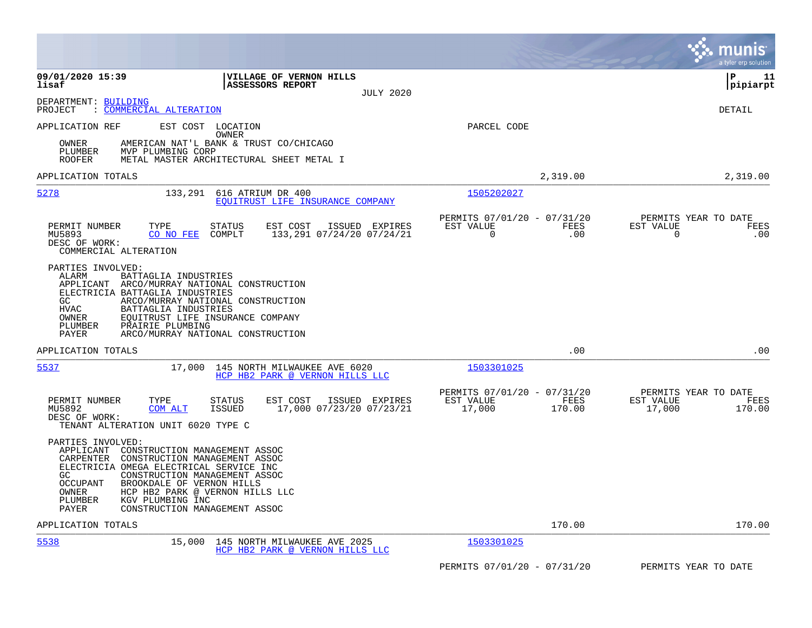|                                                                                                                                                                                                                                                                                                                                                                      |                                                                      | munis<br>a tyler erp solution                                 |
|----------------------------------------------------------------------------------------------------------------------------------------------------------------------------------------------------------------------------------------------------------------------------------------------------------------------------------------------------------------------|----------------------------------------------------------------------|---------------------------------------------------------------|
| 09/01/2020 15:39<br>VILLAGE OF VERNON HILLS<br>lisaf<br><b>ASSESSORS REPORT</b><br><b>JULY 2020</b>                                                                                                                                                                                                                                                                  |                                                                      | l P<br>11<br> pipiarpt                                        |
| DEPARTMENT: BUILDING<br>PROJECT<br>: COMMERCIAL ALTERATION                                                                                                                                                                                                                                                                                                           |                                                                      | DETAIL                                                        |
| APPLICATION REF<br>EST COST LOCATION<br>OWNER                                                                                                                                                                                                                                                                                                                        | PARCEL CODE                                                          |                                                               |
| OWNER<br>AMERICAN NAT'L BANK & TRUST CO/CHICAGO<br>PLUMBER<br>MVP PLUMBING CORP<br><b>ROOFER</b><br>METAL MASTER ARCHITECTURAL SHEET METAL I                                                                                                                                                                                                                         |                                                                      |                                                               |
| APPLICATION TOTALS                                                                                                                                                                                                                                                                                                                                                   | 2,319.00                                                             | 2,319.00                                                      |
| 5278<br>133,291<br>616 ATRIUM DR 400<br>EOUITRUST LIFE INSURANCE COMPANY                                                                                                                                                                                                                                                                                             | 1505202027                                                           |                                                               |
| TYPE<br>STATUS<br>EST COST<br>ISSUED EXPIRES<br>PERMIT NUMBER<br>MU5893<br>COMPLT<br>133,291 07/24/20 07/24/21<br>CO NO FEE<br>DESC OF WORK:<br>COMMERCIAL ALTERATION                                                                                                                                                                                                | PERMITS 07/01/20 - 07/31/20<br>EST VALUE<br>FEES<br>0<br>.00         | PERMITS YEAR TO DATE<br>EST VALUE<br>FEES<br>0<br>.00         |
| PARTIES INVOLVED:<br>ALARM<br>BATTAGLIA INDUSTRIES<br>APPLICANT<br>ARCO/MURRAY NATIONAL CONSTRUCTION<br>ELECTRICIA BATTAGLIA INDUSTRIES<br>GC.<br>ARCO/MURRAY NATIONAL CONSTRUCTION<br><b>HVAC</b><br>BATTAGLIA INDUSTRIES<br>EOUITRUST LIFE INSURANCE COMPANY<br>OWNER<br>PLUMBER<br>PRAIRIE PLUMBING<br><b>PAYER</b><br>ARCO/MURRAY NATIONAL CONSTRUCTION          |                                                                      |                                                               |
| APPLICATION TOTALS                                                                                                                                                                                                                                                                                                                                                   | .00                                                                  | .00                                                           |
| 5537<br>17,000<br>145 NORTH MILWAUKEE AVE 6020<br>HCP HB2 PARK @ VERNON HILLS LLC                                                                                                                                                                                                                                                                                    | 1503301025                                                           |                                                               |
| PERMIT NUMBER<br>TYPE<br>STATUS<br>EST COST<br>ISSUED EXPIRES<br>17,000 07/23/20 07/23/21<br>MU5892<br>COM ALT<br><b>ISSUED</b><br>DESC OF WORK:<br>TENANT ALTERATION UNIT 6020 TYPE C                                                                                                                                                                               | PERMITS 07/01/20 - 07/31/20<br>FEES<br>EST VALUE<br>17,000<br>170.00 | PERMITS YEAR TO DATE<br>EST VALUE<br>FEES<br>17,000<br>170.00 |
| PARTIES INVOLVED:<br>APPLICANT<br>CONSTRUCTION MANAGEMENT ASSOC<br>CARPENTER<br>CONSTRUCTION MANAGEMENT ASSOC<br>ELECTRICIA OMEGA ELECTRICAL SERVICE INC<br>GC<br>CONSTRUCTION MANAGEMENT ASSOC<br><b>OCCUPANT</b><br>BROOKDALE OF VERNON HILLS<br>OWNER<br>HCP HB2 PARK @ VERNON HILLS LLC<br>PLUMBER<br>KGV PLUMBING INC<br>PAYER<br>CONSTRUCTION MANAGEMENT ASSOC |                                                                      |                                                               |
| APPLICATION TOTALS                                                                                                                                                                                                                                                                                                                                                   | 170.00                                                               | 170.00                                                        |
| 5538<br>15,000<br>145 NORTH MILWAUKEE AVE 2025<br>HCP HB2 PARK @ VERNON HILLS LLC                                                                                                                                                                                                                                                                                    | 1503301025                                                           |                                                               |
|                                                                                                                                                                                                                                                                                                                                                                      | PERMITS 07/01/20 - 07/31/20                                          | PERMITS YEAR TO DATE                                          |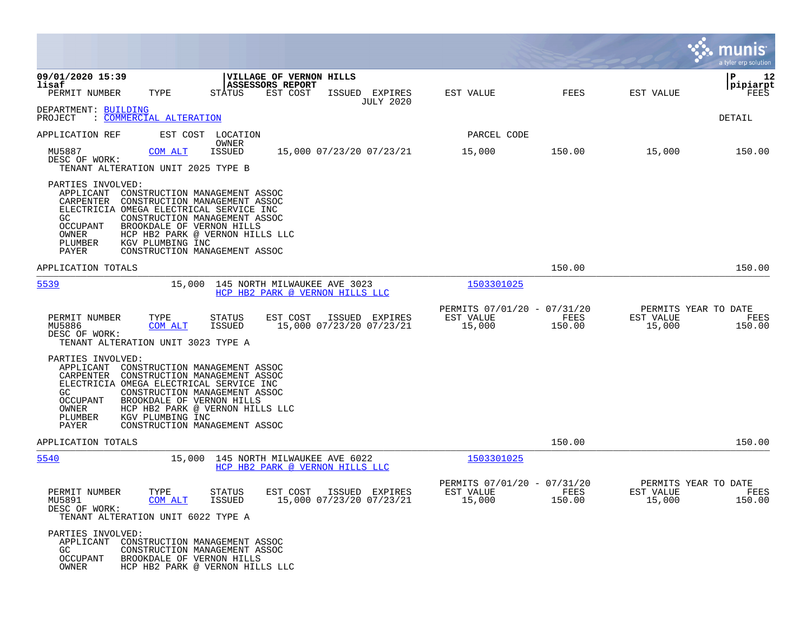|                                                                                                                                              |                                                                                                                                                                                                                      |                         |                                                           |                                            |                                                    |                |                     | munıs <sup>.</sup><br>a tyler erp solution    |
|----------------------------------------------------------------------------------------------------------------------------------------------|----------------------------------------------------------------------------------------------------------------------------------------------------------------------------------------------------------------------|-------------------------|-----------------------------------------------------------|--------------------------------------------|----------------------------------------------------|----------------|---------------------|-----------------------------------------------|
| 09/01/2020 15:39<br>lisaf                                                                                                                    |                                                                                                                                                                                                                      |                         | <b>VILLAGE OF VERNON HILLS</b><br><b>ASSESSORS REPORT</b> |                                            |                                                    |                |                     | l P<br>12                                     |
| PERMIT NUMBER                                                                                                                                | TYPE                                                                                                                                                                                                                 | <b>STATUS</b>           | EST COST                                                  | ISSUED EXPIRES<br><b>JULY 2020</b>         | EST VALUE                                          | FEES           | EST VALUE           | pipiarpt<br>FEES                              |
| DEPARTMENT: BUILDING<br>PROJECT                                                                                                              | : COMMERCIAL ALTERATION                                                                                                                                                                                              |                         |                                                           |                                            |                                                    |                |                     | DETAIL                                        |
| APPLICATION REF                                                                                                                              |                                                                                                                                                                                                                      | EST COST LOCATION       |                                                           |                                            | PARCEL CODE                                        |                |                     |                                               |
| MU5887<br>DESC OF WORK:<br>TENANT ALTERATION UNIT 2025 TYPE B                                                                                | COM ALT                                                                                                                                                                                                              | OWNER<br><b>ISSUED</b>  |                                                           | 15,000 07/23/20 07/23/21                   | 15,000                                             | 150.00         | 15,000              | 150.00                                        |
| PARTIES INVOLVED:<br>APPLICANT<br>CARPENTER<br>ELECTRICIA OMEGA ELECTRICAL SERVICE INC<br><b>GC</b><br>OCCUPANT<br>OWNER<br>PLUMBER<br>PAYER | CONSTRUCTION MANAGEMENT ASSOC<br>CONSTRUCTION MANAGEMENT ASSOC<br>CONSTRUCTION MANAGEMENT ASSOC<br>BROOKDALE OF VERNON HILLS<br>HCP HB2 PARK @ VERNON HILLS LLC<br>KGV PLUMBING INC<br>CONSTRUCTION MANAGEMENT ASSOC |                         |                                                           |                                            |                                                    |                |                     |                                               |
| APPLICATION TOTALS                                                                                                                           |                                                                                                                                                                                                                      |                         |                                                           |                                            |                                                    | 150.00         |                     | 150.00                                        |
| <u>5539</u>                                                                                                                                  | 15,000                                                                                                                                                                                                               |                         | 145 NORTH MILWAUKEE AVE 3023                              | HCP HB2 PARK @ VERNON HILLS LLC            | 1503301025                                         |                |                     |                                               |
| PERMIT NUMBER<br>MU5886<br>DESC OF WORK:<br>TENANT ALTERATION UNIT 3023 TYPE A                                                               | TYPE<br>COM ALT                                                                                                                                                                                                      | <b>STATUS</b><br>ISSUED | EST COST                                                  | ISSUED EXPIRES<br>15,000 07/23/20 07/23/21 | PERMITS 07/01/20 - 07/31/20<br>EST VALUE<br>15,000 | FEES<br>150.00 | EST VALUE<br>15,000 | PERMITS YEAR TO DATE<br><b>FEES</b><br>150.00 |
| PARTIES INVOLVED:<br>APPLICANT<br>CARPENTER<br>ELECTRICIA OMEGA ELECTRICAL SERVICE INC<br>GC<br>OCCUPANT<br>OWNER<br>PLUMBER<br>PAYER        | CONSTRUCTION MANAGEMENT ASSOC<br>CONSTRUCTION MANAGEMENT ASSOC<br>CONSTRUCTION MANAGEMENT ASSOC<br>BROOKDALE OF VERNON HILLS<br>HCP HB2 PARK @ VERNON HILLS LLC<br>KGV PLUMBING INC<br>CONSTRUCTION MANAGEMENT ASSOC |                         |                                                           |                                            |                                                    |                |                     |                                               |
| APPLICATION TOTALS                                                                                                                           |                                                                                                                                                                                                                      |                         |                                                           |                                            |                                                    | 150.00         |                     | 150.00                                        |
| 5540                                                                                                                                         | 15,000                                                                                                                                                                                                               |                         | 145 NORTH MILWAUKEE AVE 6022                              | HCP HB2 PARK @ VERNON HILLS LLC            | 1503301025                                         |                |                     |                                               |
| PERMIT NUMBER<br>MU5891<br>DESC OF WORK:<br>TENANT ALTERATION UNIT 6022 TYPE A                                                               | TYPE<br>COM ALT                                                                                                                                                                                                      | STATUS<br><b>ISSUED</b> | EST COST                                                  | ISSUED EXPIRES<br>15,000 07/23/20 07/23/21 | PERMITS 07/01/20 - 07/31/20<br>EST VALUE<br>15,000 | FEES<br>150.00 | EST VALUE<br>15,000 | PERMITS YEAR TO DATE<br>FEES<br>150.00        |
| PARTIES INVOLVED:<br>APPLICANT<br><b>GC</b><br>OCCUPANT<br>OWNER                                                                             | CONSTRUCTION MANAGEMENT ASSOC<br>CONSTRUCTION MANAGEMENT ASSOC<br>BROOKDALE OF VERNON HILLS<br>HCP HB2 PARK @ VERNON HILLS LLC                                                                                       |                         |                                                           |                                            |                                                    |                |                     |                                               |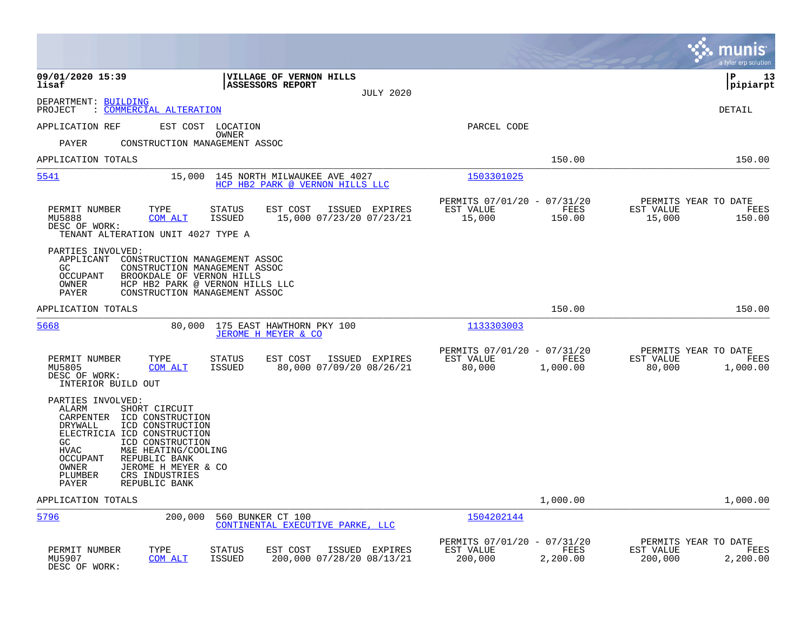|                                                                                                                                                                                                                                                                                                                                    |                                                                         | munis<br>a tyler erp solution                                    |
|------------------------------------------------------------------------------------------------------------------------------------------------------------------------------------------------------------------------------------------------------------------------------------------------------------------------------------|-------------------------------------------------------------------------|------------------------------------------------------------------|
| 09/01/2020 15:39<br><b>VILLAGE OF VERNON HILLS</b><br><b>ASSESSORS REPORT</b><br>lisaf<br><b>JULY 2020</b>                                                                                                                                                                                                                         |                                                                         | ΙP<br>13<br> pipiarpt                                            |
| DEPARTMENT: BUILDING<br>COMMERCIAL ALTERATION<br>PROJECT<br>$\ddot{\cdot}$                                                                                                                                                                                                                                                         |                                                                         | DETAIL                                                           |
| EST COST LOCATION<br>APPLICATION REF<br><b>OWNER</b>                                                                                                                                                                                                                                                                               | PARCEL CODE                                                             |                                                                  |
| <b>PAYER</b><br>CONSTRUCTION MANAGEMENT ASSOC                                                                                                                                                                                                                                                                                      |                                                                         |                                                                  |
| APPLICATION TOTALS                                                                                                                                                                                                                                                                                                                 | 150.00                                                                  | 150.00                                                           |
| 5541<br>145 NORTH MILWAUKEE AVE 4027<br>15,000<br>HCP HB2 PARK @ VERNON HILLS LLC                                                                                                                                                                                                                                                  | 1503301025                                                              |                                                                  |
| PERMIT NUMBER<br>TYPE<br><b>STATUS</b><br>EST COST<br>ISSUED EXPIRES<br>MU5888<br>15,000 07/23/20 07/23/21<br>COM ALT<br><b>ISSUED</b><br>DESC OF WORK:<br>TENANT ALTERATION UNIT 4027 TYPE A                                                                                                                                      | PERMITS 07/01/20 - 07/31/20<br>EST VALUE<br>FEES<br>15,000<br>150.00    | PERMITS YEAR TO DATE<br>EST VALUE<br>FEES<br>15,000<br>150.00    |
| PARTIES INVOLVED:<br>APPLICANT<br>CONSTRUCTION MANAGEMENT ASSOC<br>GC.<br>CONSTRUCTION MANAGEMENT ASSOC<br><b>OCCUPANT</b><br>BROOKDALE OF VERNON HILLS<br>OWNER<br>HCP HB2 PARK @ VERNON HILLS LLC<br>PAYER<br>CONSTRUCTION MANAGEMENT ASSOC                                                                                      |                                                                         |                                                                  |
| APPLICATION TOTALS                                                                                                                                                                                                                                                                                                                 | 150.00                                                                  | 150.00                                                           |
| 5668<br>80,000<br>175 EAST HAWTHORN PKY 100<br>JEROME H MEYER & CO                                                                                                                                                                                                                                                                 | 1133303003                                                              |                                                                  |
| PERMIT NUMBER<br>TYPE<br><b>STATUS</b><br>EST COST<br>ISSUED EXPIRES<br>80,000 07/09/20 08/26/21<br>MU5805<br><b>ISSUED</b><br>COM ALT<br>DESC OF WORK:<br>INTERIOR BUILD OUT                                                                                                                                                      | PERMITS 07/01/20 - 07/31/20<br>EST VALUE<br>FEES<br>80,000<br>1,000.00  | PERMITS YEAR TO DATE<br>EST VALUE<br>FEES<br>80,000<br>1,000.00  |
| PARTIES INVOLVED:<br>ALARM<br>SHORT CIRCUIT<br>CARPENTER<br>ICD CONSTRUCTION<br>DRYWALL<br>ICD<br>CONSTRUCTION<br>ELECTRICIA ICD CONSTRUCTION<br>ICD CONSTRUCTION<br>GC.<br><b>HVAC</b><br>M&E HEATING/COOLING<br>REPUBLIC BANK<br>OCCUPANT<br>OWNER<br>JEROME H MEYER & CO<br>CRS INDUSTRIES<br>PLUMBER<br>REPUBLIC BANK<br>PAYER |                                                                         |                                                                  |
| APPLICATION TOTALS                                                                                                                                                                                                                                                                                                                 | 1,000.00                                                                | 1,000.00                                                         |
| 5796<br>200,000<br>560 BUNKER CT 100<br>CONTINENTAL EXECUTIVE PARKE, LLC                                                                                                                                                                                                                                                           | 1504202144                                                              |                                                                  |
| PERMIT NUMBER<br>TYPE<br><b>STATUS</b><br>EST COST<br>ISSUED EXPIRES<br>200,000 07/28/20 08/13/21<br>MU5907<br><b>COM ALT</b><br><b>ISSUED</b><br>DESC OF WORK:                                                                                                                                                                    | PERMITS 07/01/20 - 07/31/20<br>EST VALUE<br>FEES<br>200,000<br>2,200.00 | PERMITS YEAR TO DATE<br>EST VALUE<br>FEES<br>200,000<br>2,200.00 |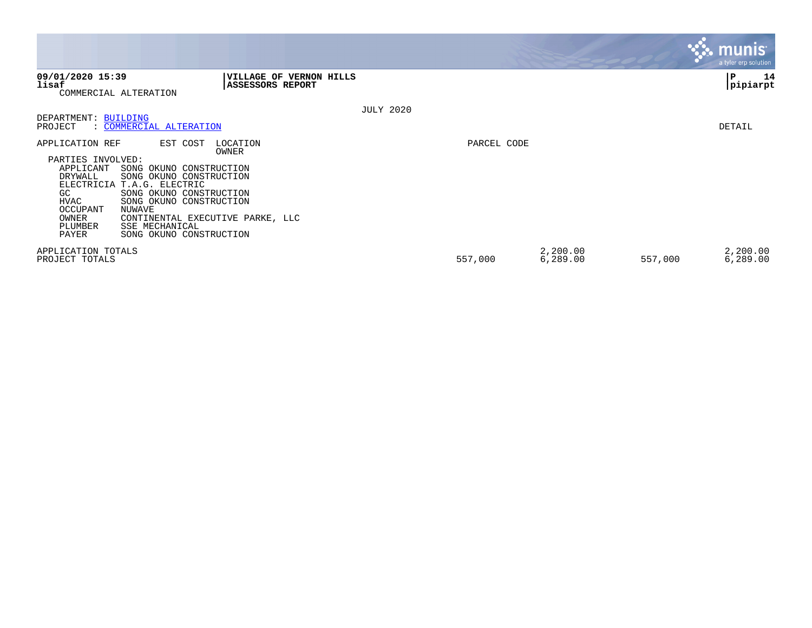|                                                                                                                                                                                                                                                                                                                                                                                                  |                  |                                 | <b>munis</b><br>a tyler erp solution |
|--------------------------------------------------------------------------------------------------------------------------------------------------------------------------------------------------------------------------------------------------------------------------------------------------------------------------------------------------------------------------------------------------|------------------|---------------------------------|--------------------------------------|
| 09/01/2020 15:39<br>VILLAGE OF VERNON HILLS<br>lisaf<br>ASSESSORS REPORT<br>COMMERCIAL ALTERATION                                                                                                                                                                                                                                                                                                |                  |                                 | P<br>14<br>pipiarpt                  |
| DEPARTMENT: BUILDING<br>PROJECT<br>: COMMERCIAL ALTERATION                                                                                                                                                                                                                                                                                                                                       | <b>JULY 2020</b> |                                 | DETAIL                               |
| APPLICATION REF<br>EST COST<br>LOCATION<br>OWNER<br>PARTIES INVOLVED:<br>APPLICANT<br>SONG OKUNO CONSTRUCTION<br>DRYWALL<br>SONG OKUNO CONSTRUCTION<br>ELECTRICIA T.A.G. ELECTRIC<br>GC<br>SONG OKUNO CONSTRUCTION<br>HVAC<br>SONG OKUNO CONSTRUCTION<br><b>OCCUPANT</b><br>NUWAVE<br>OWNER<br>CONTINENTAL EXECUTIVE PARKE, LLC<br>PLUMBER<br>SSE MECHANICAL<br>PAYER<br>SONG OKUNO CONSTRUCTION | PARCEL CODE      |                                 |                                      |
| APPLICATION TOTALS<br>PROJECT TOTALS                                                                                                                                                                                                                                                                                                                                                             | 557,000          | 2,200.00<br>6,289.00<br>557,000 | 2,200.00<br>6,289.00                 |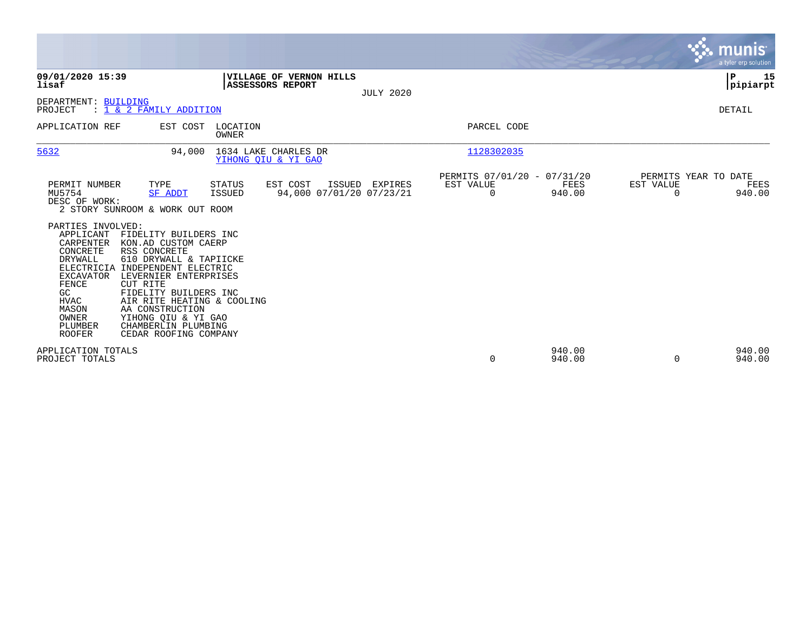|                                                                                                                                                                                                |                                                                                                                                                                                                                                                                                                      |                         |                                                |                  |                                                         |                  |                                               | <b>munis</b><br>a tyler erp solution |
|------------------------------------------------------------------------------------------------------------------------------------------------------------------------------------------------|------------------------------------------------------------------------------------------------------------------------------------------------------------------------------------------------------------------------------------------------------------------------------------------------------|-------------------------|------------------------------------------------|------------------|---------------------------------------------------------|------------------|-----------------------------------------------|--------------------------------------|
| 09/01/2020 15:39<br>lisaf                                                                                                                                                                      |                                                                                                                                                                                                                                                                                                      |                         | VILLAGE OF VERNON HILLS<br>ASSESSORS REPORT    | <b>JULY 2020</b> |                                                         |                  |                                               | 15<br>ΙP<br> pipiarpt                |
| DEPARTMENT: BUILDING<br>PROJECT                                                                                                                                                                | : 1 & 2 FAMILY ADDITION                                                                                                                                                                                                                                                                              |                         |                                                |                  |                                                         |                  |                                               | DETAIL                               |
| APPLICATION REF                                                                                                                                                                                | EST COST                                                                                                                                                                                                                                                                                             | LOCATION<br>OWNER       |                                                |                  | PARCEL CODE                                             |                  |                                               |                                      |
| 5632                                                                                                                                                                                           | 94,000                                                                                                                                                                                                                                                                                               |                         | 1634 LAKE CHARLES DR<br>YIHONG OIU & YI GAO    |                  | 1128302035                                              |                  |                                               |                                      |
| PERMIT NUMBER<br>MU5754<br>DESC OF WORK:                                                                                                                                                       | TYPE<br><b>SF ADDT</b><br>2 STORY SUNROOM & WORK OUT ROOM                                                                                                                                                                                                                                            | STATUS<br><b>ISSUED</b> | EST COST<br>ISSUED<br>94,000 07/01/20 07/23/21 | EXPIRES          | PERMITS 07/01/20 - 07/31/20<br>EST VALUE<br>$\mathbf 0$ | FEES<br>940.00   | PERMITS YEAR TO DATE<br>EST VALUE<br>$\Omega$ | FEES<br>940.00                       |
| PARTIES INVOLVED:<br>APPLICANT<br>CARPENTER<br>CONCRETE<br>DRYWALL<br><b>ELECTRICIA</b><br><b>EXCAVATOR</b><br><b>FENCE</b><br>GC<br><b>HVAC</b><br>MASON<br>OWNER<br>PLUMBER<br><b>ROOFER</b> | FIDELITY BUILDERS INC<br>KON.AD CUSTOM CAERP<br>RSS CONCRETE<br>610 DRYWALL & TAPIICKE<br>INDEPENDENT ELECTRIC<br>LEVERNIER ENTERPRISES<br>CUT RITE<br>FIDELITY BUILDERS INC<br>AIR RITE HEATING & COOLING<br>AA CONSTRUCTION<br>YIHONG QIU & YI GAO<br>CHAMBERLIN PLUMBING<br>CEDAR ROOFING COMPANY |                         |                                                |                  |                                                         |                  |                                               |                                      |
| APPLICATION TOTALS<br>PROJECT TOTALS                                                                                                                                                           |                                                                                                                                                                                                                                                                                                      |                         |                                                |                  | 0                                                       | 940.00<br>940.00 | $\Omega$                                      | 940.00<br>940.00                     |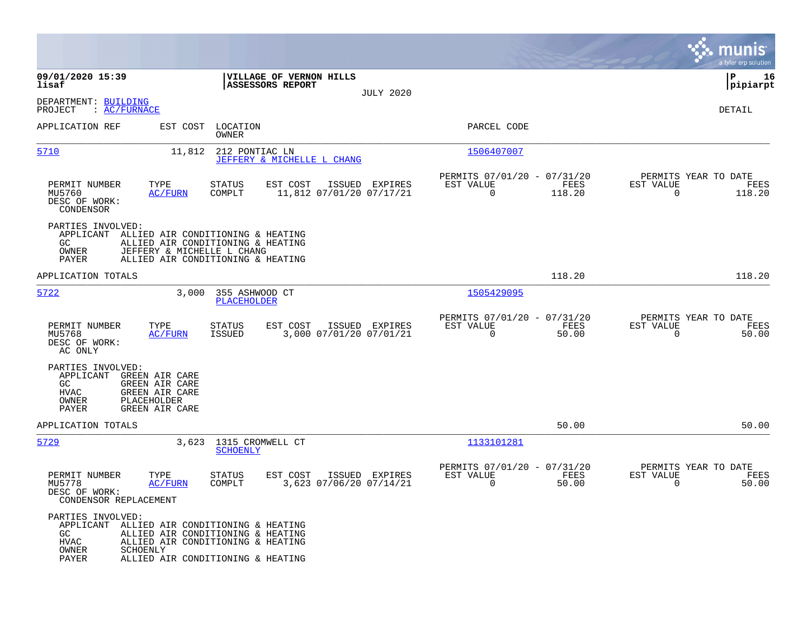|                                                                                   |                                                                                                                                                  |                                            |                                             |                  |                                                         |                |                                                     | munis<br>a tyler erp solution |
|-----------------------------------------------------------------------------------|--------------------------------------------------------------------------------------------------------------------------------------------------|--------------------------------------------|---------------------------------------------|------------------|---------------------------------------------------------|----------------|-----------------------------------------------------|-------------------------------|
| 09/01/2020 15:39<br>lisaf                                                         |                                                                                                                                                  |                                            | VILLAGE OF VERNON HILLS<br>ASSESSORS REPORT | <b>JULY 2020</b> |                                                         |                |                                                     | P<br>16<br> pipiarpt          |
| DEPARTMENT: BUILDING<br>$\colon$ AC/FURNACE<br>PROJECT                            |                                                                                                                                                  |                                            |                                             |                  |                                                         |                |                                                     | DETAIL                        |
| APPLICATION REF                                                                   | EST COST                                                                                                                                         | LOCATION<br>OWNER                          |                                             |                  | PARCEL CODE                                             |                |                                                     |                               |
| 5710                                                                              | 11,812                                                                                                                                           | 212 PONTIAC LN                             | JEFFERY & MICHELLE L CHANG                  |                  | 1506407007                                              |                |                                                     |                               |
| PERMIT NUMBER<br>MU5760<br>DESC OF WORK:<br>CONDENSOR                             | TYPE<br><b>AC/FURN</b>                                                                                                                           | <b>STATUS</b><br>COMPLT                    | EST COST<br>11,812 07/01/20 07/17/21        | ISSUED EXPIRES   | PERMITS 07/01/20 - 07/31/20<br>EST VALUE<br>$\mathbf 0$ | FEES<br>118.20 | PERMITS YEAR TO DATE<br>EST VALUE<br>$\overline{0}$ | FEES<br>118.20                |
| PARTIES INVOLVED:<br>APPLICANT<br>GC<br>OWNER<br>PAYER                            | ALLIED AIR CONDITIONING & HEATING<br>ALLIED AIR CONDITIONING & HEATING<br>JEFFERY & MICHELLE L CHANG<br>ALLIED AIR CONDITIONING & HEATING        |                                            |                                             |                  |                                                         |                |                                                     |                               |
| APPLICATION TOTALS                                                                |                                                                                                                                                  |                                            |                                             |                  |                                                         | 118.20         |                                                     | 118.20                        |
| 5722                                                                              |                                                                                                                                                  | 3,000 355 ASHWOOD CT<br><b>PLACEHOLDER</b> |                                             |                  | 1505429095                                              |                |                                                     |                               |
| PERMIT NUMBER<br>MU5768<br>DESC OF WORK:<br>AC ONLY                               | TYPE<br><b>AC/FURN</b>                                                                                                                           | <b>STATUS</b><br>ISSUED                    | EST COST<br>3,000 07/01/20 07/01/21         | ISSUED EXPIRES   | PERMITS 07/01/20 - 07/31/20<br>EST VALUE<br>$\mathbf 0$ | FEES<br>50.00  | PERMITS YEAR TO DATE<br>EST VALUE<br>0              | FEES<br>50.00                 |
| PARTIES INVOLVED:<br>APPLICANT<br>GC<br><b>HVAC</b><br>OWNER<br>PAYER             | GREEN AIR CARE<br>GREEN AIR CARE<br>GREEN AIR CARE<br>PLACEHOLDER<br>GREEN AIR CARE                                                              |                                            |                                             |                  |                                                         |                |                                                     |                               |
| APPLICATION TOTALS                                                                |                                                                                                                                                  |                                            |                                             |                  |                                                         | 50.00          |                                                     | 50.00                         |
| 5729                                                                              | 3,623                                                                                                                                            | 1315 CROMWELL CT<br><b>SCHOENLY</b>        |                                             |                  | 1133101281                                              |                |                                                     |                               |
| PERMIT NUMBER<br>MU5778<br>DESC OF WORK:<br>CONDENSOR REPLACEMENT                 | TYPE<br>AC/FURN                                                                                                                                  | <b>STATUS</b><br>COMPLT                    | EST COST<br>3,623 07/06/20 07/14/21         | ISSUED EXPIRES   | PERMITS 07/01/20 - 07/31/20<br>EST VALUE<br>$\mathbf 0$ | FEES<br>50.00  | PERMITS YEAR TO DATE<br>EST VALUE<br>$\overline{0}$ | FEES<br>50.00                 |
| PARTIES INVOLVED:<br>APPLICANT<br>GC<br><b>HVAC</b><br>SCHOENLY<br>OWNER<br>PAYER | ALLIED AIR CONDITIONING & HEATING<br>ALLIED AIR CONDITIONING & HEATING<br>ALLIED AIR CONDITIONING & HEATING<br>ALLIED AIR CONDITIONING & HEATING |                                            |                                             |                  |                                                         |                |                                                     |                               |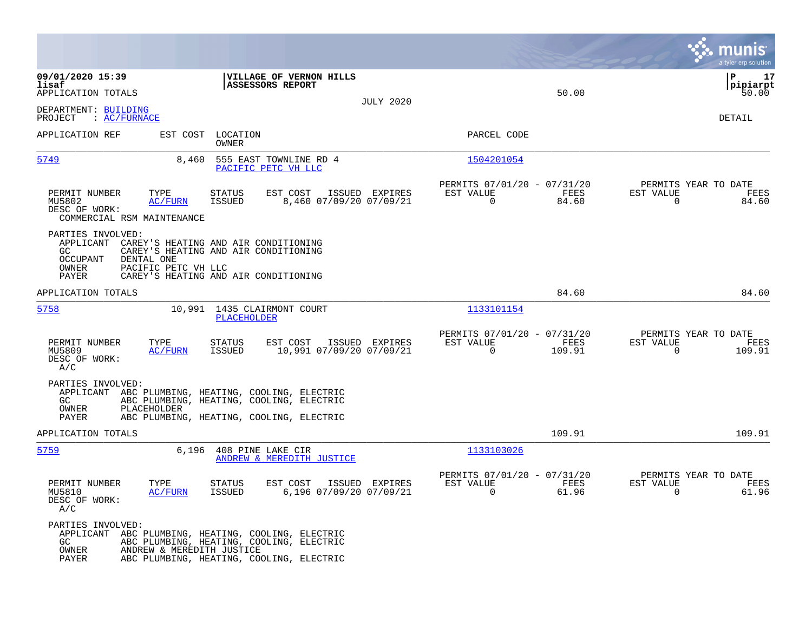|                                                                                                                                              |                                                                                          |                                                                           | munis<br>a tyler erp solution                                      |
|----------------------------------------------------------------------------------------------------------------------------------------------|------------------------------------------------------------------------------------------|---------------------------------------------------------------------------|--------------------------------------------------------------------|
| 09/01/2020 15:39<br>lisaf<br>APPLICATION TOTALS                                                                                              | VILLAGE OF VERNON HILLS<br>ASSESSORS REPORT                                              | 50.00                                                                     | 17<br>ΙP<br> pipiarpt<br>50.00                                     |
| DEPARTMENT: BUILDING<br>: AC/FURNACE<br>PROJECT                                                                                              | <b>JULY 2020</b>                                                                         |                                                                           | DETAIL                                                             |
| APPLICATION REF                                                                                                                              | EST COST LOCATION<br>OWNER                                                               | PARCEL CODE                                                               |                                                                    |
| 5749<br>8,460                                                                                                                                | 555 EAST TOWNLINE RD 4<br>PACIFIC PETC VH LLC                                            | 1504201054                                                                |                                                                    |
| PERMIT NUMBER<br>TYPE<br>MU5802<br>AC/FURN<br>DESC OF WORK:<br>COMMERCIAL RSM MAINTENANCE                                                    | <b>STATUS</b><br>EST COST<br>ISSUED EXPIRES<br>8,460 07/09/20 07/09/21<br><b>ISSUED</b>  | PERMITS 07/01/20 - 07/31/20<br>EST VALUE<br>FEES<br>$\mathbf 0$<br>84.60  | PERMITS YEAR TO DATE<br>EST VALUE<br>FEES<br>$\mathbf 0$<br>84.60  |
| PARTIES INVOLVED:<br>APPLICANT CAREY'S HEATING AND AIR CONDITIONING<br>GC<br>OCCUPANT<br>DENTAL ONE<br>PACIFIC PETC VH LLC<br>OWNER<br>PAYER | CAREY'S HEATING AND AIR CONDITIONING<br>CAREY'S HEATING AND AIR CONDITIONING             |                                                                           |                                                                    |
| APPLICATION TOTALS                                                                                                                           |                                                                                          | 84.60                                                                     | 84.60                                                              |
| 5758                                                                                                                                         | 10,991 1435 CLAIRMONT COURT<br>PLACEHOLDER                                               | 1133101154                                                                |                                                                    |
| PERMIT NUMBER<br>TYPE<br>MU5809<br>AC/FURN<br>DESC OF WORK:<br>A/C                                                                           | <b>STATUS</b><br>EST COST<br>ISSUED EXPIRES<br><b>ISSUED</b><br>10,991 07/09/20 07/09/21 | PERMITS 07/01/20 - 07/31/20<br>EST VALUE<br>FEES<br>$\mathbf 0$<br>109.91 | PERMITS YEAR TO DATE<br>EST VALUE<br>FEES<br>$\mathbf 0$<br>109.91 |
| PARTIES INVOLVED:<br>APPLICANT ABC PLUMBING, HEATING, COOLING, ELECTRIC<br>GC.<br>OWNER<br>PLACEHOLDER<br>PAYER                              | ABC PLUMBING, HEATING, COOLING, ELECTRIC<br>ABC PLUMBING, HEATING, COOLING, ELECTRIC     |                                                                           |                                                                    |
| APPLICATION TOTALS                                                                                                                           |                                                                                          | 109.91                                                                    | 109.91                                                             |
| 5759<br>6,196                                                                                                                                | 408 PINE LAKE CIR<br>ANDREW & MEREDITH JUSTICE                                           | 1133103026                                                                |                                                                    |
| PERMIT NUMBER<br>TYPE<br>MU5810<br>AC/FURN<br>DESC OF WORK:<br>A/C                                                                           | EST COST<br>ISSUED EXPIRES<br><b>STATUS</b><br>6,196 07/09/20 07/09/21<br>ISSUED         | PERMITS 07/01/20 - 07/31/20<br>EST VALUE<br>FEES<br>$\Omega$<br>61.96     | PERMITS YEAR TO DATE<br>EST VALUE<br>FEES<br>$\Omega$<br>61.96     |
| PARTIES INVOLVED:<br>APPLICANT ABC PLUMBING, HEATING, COOLING, ELECTRIC<br>GC<br>ANDREW & MEREDITH JUSTICE<br>OWNER<br>PAYER                 | ABC PLUMBING, HEATING, COOLING, ELECTRIC<br>ABC PLUMBING, HEATING, COOLING, ELECTRIC     |                                                                           |                                                                    |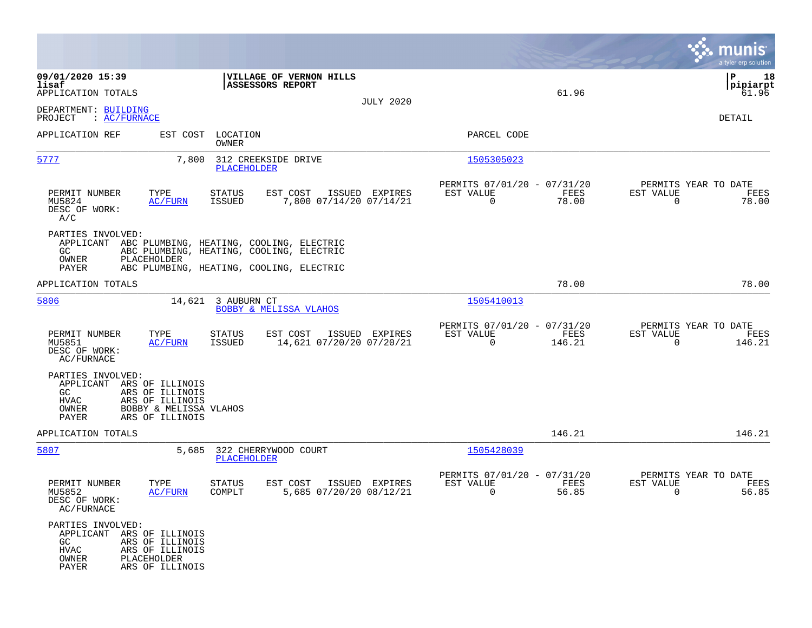|                                                                                                      |                                                                                                    |                                                                                                                                  |                          |                  |                                                      |                |                                                  | munis<br>a tyler erp solution   |
|------------------------------------------------------------------------------------------------------|----------------------------------------------------------------------------------------------------|----------------------------------------------------------------------------------------------------------------------------------|--------------------------|------------------|------------------------------------------------------|----------------|--------------------------------------------------|---------------------------------|
| 09/01/2020 15:39<br>lisaf<br>APPLICATION TOTALS                                                      |                                                                                                    | VILLAGE OF VERNON HILLS<br>ASSESSORS REPORT                                                                                      |                          |                  |                                                      | 61.96          |                                                  | l P<br>18<br> pipiarpt<br>61.96 |
| DEPARTMENT: BUILDING<br>: AC/FURNACE<br>PROJECT                                                      |                                                                                                    |                                                                                                                                  |                          | <b>JULY 2020</b> |                                                      |                |                                                  | DETAIL                          |
| APPLICATION REF                                                                                      | EST COST                                                                                           | LOCATION<br>OWNER                                                                                                                |                          |                  | PARCEL CODE                                          |                |                                                  |                                 |
| 5777                                                                                                 | 7,800                                                                                              | 312 CREEKSIDE DRIVE<br><b>PLACEHOLDER</b>                                                                                        |                          |                  | 1505305023                                           |                |                                                  |                                 |
| PERMIT NUMBER<br>MU5824<br>DESC OF WORK:<br>A/C                                                      | TYPE<br>AC/FURN                                                                                    | EST COST<br>STATUS<br><b>ISSUED</b>                                                                                              | 7,800 07/14/20 07/14/21  | ISSUED EXPIRES   | PERMITS 07/01/20 - 07/31/20<br>EST VALUE<br>$\Omega$ | FEES<br>78.00  | PERMITS YEAR TO DATE<br>EST VALUE<br>$\mathbf 0$ | FEES<br>78.00                   |
| PARTIES INVOLVED:<br>APPLICANT<br>GC.<br>OWNER<br>PAYER                                              | PLACEHOLDER                                                                                        | ABC PLUMBING, HEATING, COOLING, ELECTRIC<br>ABC PLUMBING, HEATING, COOLING, ELECTRIC<br>ABC PLUMBING, HEATING, COOLING, ELECTRIC |                          |                  |                                                      |                |                                                  |                                 |
| APPLICATION TOTALS                                                                                   |                                                                                                    |                                                                                                                                  |                          |                  |                                                      | 78.00          |                                                  | 78.00                           |
| 5806                                                                                                 |                                                                                                    | 14,621 3 AUBURN CT<br><b>BOBBY &amp; MELISSA VLAHOS</b>                                                                          |                          |                  | 1505410013                                           |                |                                                  |                                 |
| PERMIT NUMBER<br>MU5851<br>DESC OF WORK:<br>AC/FURNACE                                               | TYPE<br>AC/FURN                                                                                    | <b>STATUS</b><br>EST COST<br><b>ISSUED</b>                                                                                       | 14,621 07/20/20 07/20/21 | ISSUED EXPIRES   | PERMITS 07/01/20 - 07/31/20<br>EST VALUE<br>$\Omega$ | FEES<br>146.21 | PERMITS YEAR TO DATE<br>EST VALUE<br>$\Omega$    | FEES<br>146.21                  |
| PARTIES INVOLVED:<br>APPLICANT<br>GC.<br>HVAC<br>OWNER<br>PAYER                                      | ARS OF ILLINOIS<br>ARS OF ILLINOIS<br>ARS OF ILLINOIS<br>BOBBY & MELISSA VLAHOS<br>ARS OF ILLINOIS |                                                                                                                                  |                          |                  |                                                      |                |                                                  |                                 |
| APPLICATION TOTALS                                                                                   |                                                                                                    |                                                                                                                                  |                          |                  |                                                      | 146.21         |                                                  | 146.21                          |
| 5807                                                                                                 | 5,685                                                                                              | 322 CHERRYWOOD COURT<br>PLACEHOLDER                                                                                              |                          |                  | 1505428039                                           |                |                                                  |                                 |
| PERMIT NUMBER<br>MU5852<br>DESC OF WORK:<br>AC/FURNACE                                               | TYPE<br>AC/FURN                                                                                    | STATUS<br>EST COST<br>COMPLT                                                                                                     | 5,685 07/20/20 08/12/21  | ISSUED EXPIRES   | PERMITS 07/01/20 - 07/31/20<br>EST VALUE<br>0        | FEES<br>56.85  | PERMITS YEAR TO DATE<br>EST VALUE<br>0           | FEES<br>56.85                   |
| PARTIES INVOLVED:<br>APPLICANT ARS OF ILLINOIS<br>GC<br><b>HVAC</b><br>OWNER<br>PLACEHOLDER<br>PAYER | ARS OF ILLINOIS<br>ARS OF ILLINOIS<br>ARS OF ILLINOIS                                              |                                                                                                                                  |                          |                  |                                                      |                |                                                  |                                 |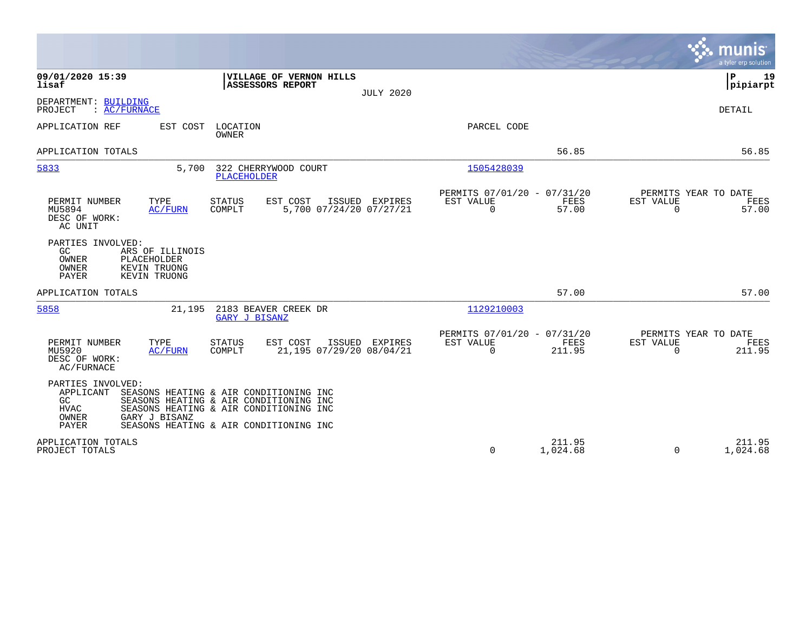|                                                                                                                             |                                                                                                                                                                      |                                                                           | a tyler erp solution                                               |
|-----------------------------------------------------------------------------------------------------------------------------|----------------------------------------------------------------------------------------------------------------------------------------------------------------------|---------------------------------------------------------------------------|--------------------------------------------------------------------|
| 09/01/2020 15:39<br>lisaf                                                                                                   | VILLAGE OF VERNON HILLS<br>ASSESSORS REPORT<br><b>JULY 2020</b>                                                                                                      |                                                                           | P<br>19<br> pipiarpt                                               |
| DEPARTMENT: BUILDING<br>PROJECT<br>: AC/FURNACE                                                                             |                                                                                                                                                                      |                                                                           | DETAIL                                                             |
| APPLICATION REF<br>EST COST                                                                                                 | LOCATION<br><b>OWNER</b>                                                                                                                                             | PARCEL CODE                                                               |                                                                    |
| APPLICATION TOTALS                                                                                                          |                                                                                                                                                                      | 56.85                                                                     | 56.85                                                              |
| 5833<br>5,700                                                                                                               | 322 CHERRYWOOD COURT<br><b>PLACEHOLDER</b>                                                                                                                           | 1505428039                                                                |                                                                    |
| PERMIT NUMBER<br>TYPE<br>MU5894<br><b>AC/FURN</b><br>DESC OF WORK:<br>AC UNIT                                               | EST COST<br><b>STATUS</b><br>ISSUED EXPIRES<br>5,700 07/24/20 07/27/21<br>COMPLT                                                                                     | PERMITS 07/01/20 - 07/31/20<br>EST VALUE<br>FEES<br>$\mathbf 0$<br>57.00  | PERMITS YEAR TO DATE<br>EST VALUE<br>FEES<br>$\mathbf 0$<br>57.00  |
| PARTIES INVOLVED:<br>GC<br>ARS OF ILLINOIS<br>OWNER<br><b>PLACEHOLDER</b><br>OWNER<br>KEVIN TRUONG<br>PAYER<br>KEVIN TRUONG |                                                                                                                                                                      |                                                                           |                                                                    |
| APPLICATION TOTALS                                                                                                          |                                                                                                                                                                      | 57.00                                                                     | 57.00                                                              |
| 5858<br>21,195                                                                                                              | 2183 BEAVER CREEK DR<br>GARY J BISANZ                                                                                                                                | 1129210003                                                                |                                                                    |
| PERMIT NUMBER<br>TYPE<br>MU5920<br><b>AC/FURN</b><br>DESC OF WORK:<br>AC/FURNACE                                            | <b>STATUS</b><br>EST COST<br>ISSUED EXPIRES<br>21,195 07/29/20 08/04/21<br>COMPLT                                                                                    | PERMITS 07/01/20 - 07/31/20<br>EST VALUE<br>FEES<br>$\mathbf 0$<br>211.95 | PERMITS YEAR TO DATE<br>EST VALUE<br>FEES<br>$\mathbf 0$<br>211.95 |
| PARTIES INVOLVED:<br>APPLICANT<br>GC.<br>HVAC<br>GARY J BISANZ<br>OWNER<br><b>PAYER</b>                                     | SEASONS HEATING & AIR CONDITIONING INC<br>SEASONS HEATING & AIR CONDITIONING INC<br>SEASONS HEATING & AIR CONDITIONING INC<br>SEASONS HEATING & AIR CONDITIONING INC |                                                                           |                                                                    |
| APPLICATION TOTALS<br>PROJECT TOTALS                                                                                        |                                                                                                                                                                      | 211.95<br>0<br>1,024.68                                                   | 211.95<br>1,024.68<br>$\Omega$                                     |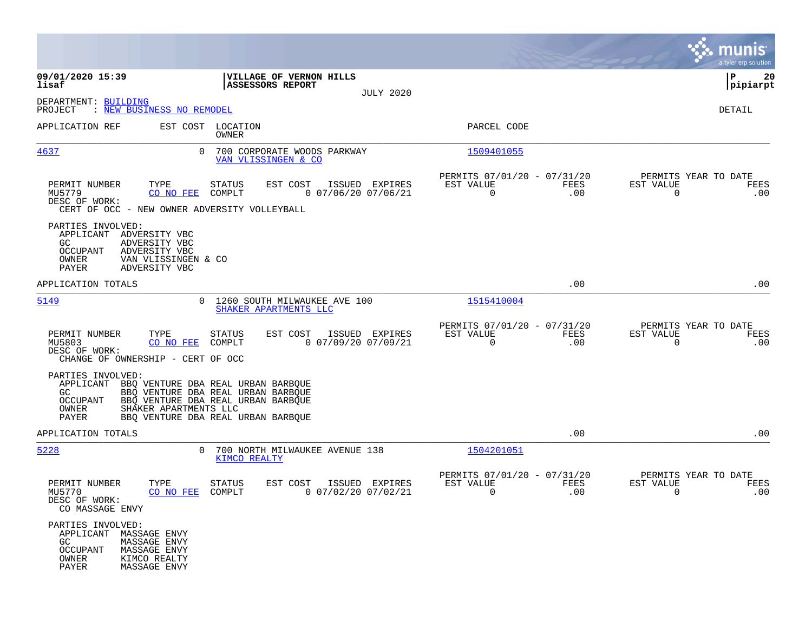|                                                                                          |                                                                        |                                                                                                                                                      |                                         |                                                            |             |                                                  | munis<br>a tyler erp solution |
|------------------------------------------------------------------------------------------|------------------------------------------------------------------------|------------------------------------------------------------------------------------------------------------------------------------------------------|-----------------------------------------|------------------------------------------------------------|-------------|--------------------------------------------------|-------------------------------|
| 09/01/2020 15:39<br>lisaf                                                                |                                                                        | VILLAGE OF VERNON HILLS<br>ASSESSORS REPORT                                                                                                          | <b>JULY 2020</b>                        |                                                            |             |                                                  | 20<br>ΙP<br> pipiarpt         |
| DEPARTMENT: BUILDING<br>PROJECT                                                          | : NEW BUSINESS NO REMODEL                                              |                                                                                                                                                      |                                         |                                                            |             |                                                  | DETAIL                        |
| APPLICATION REF                                                                          |                                                                        | EST COST LOCATION<br>OWNER                                                                                                                           |                                         | PARCEL CODE                                                |             |                                                  |                               |
| 4637                                                                                     | $\Omega$                                                               | 700 CORPORATE WOODS PARKWAY<br>VAN VLISSINGEN & CO                                                                                                   |                                         | 1509401055                                                 |             |                                                  |                               |
| PERMIT NUMBER<br>MU5779<br>DESC OF WORK:                                                 | TYPE<br>CO NO FEE                                                      | EST COST<br>STATUS<br>COMPLT<br>CERT OF OCC - NEW OWNER ADVERSITY VOLLEYBALL                                                                         | ISSUED EXPIRES<br>$0$ 07/06/20 07/06/21 | PERMITS 07/01/20 - 07/31/20<br>EST VALUE<br>$\overline{0}$ | FEES<br>.00 | PERMITS YEAR TO DATE<br>EST VALUE<br>$\mathbf 0$ | FEES<br>.00                   |
| PARTIES INVOLVED:<br>APPLICANT ADVERSITY VBC<br>GC.<br><b>OCCUPANT</b><br>OWNER<br>PAYER | ADVERSITY VBC<br>ADVERSITY VBC<br>VAN VLISSINGEN & CO<br>ADVERSITY VBC |                                                                                                                                                      |                                         |                                                            |             |                                                  |                               |
| APPLICATION TOTALS                                                                       |                                                                        |                                                                                                                                                      |                                         |                                                            | .00         |                                                  | .00                           |
| 5149                                                                                     | $\Omega$                                                               | 1260 SOUTH MILWAUKEE AVE 100<br>SHAKER APARTMENTS LLC                                                                                                |                                         | 1515410004                                                 |             |                                                  |                               |
| PERMIT NUMBER<br>MU5803<br>DESC OF WORK:                                                 | TYPE<br>CO NO FEE<br>CHANGE OF OWNERSHIP - CERT OF OCC                 | STATUS<br>EST COST<br>COMPLT                                                                                                                         | ISSUED EXPIRES<br>$0$ 07/09/20 07/09/21 | PERMITS 07/01/20 - 07/31/20<br>EST VALUE<br>$\mathbf 0$    | FEES<br>.00 | PERMITS YEAR TO DATE<br>EST VALUE<br>$\mathbf 0$ | FEES<br>.00                   |
| PARTIES INVOLVED:<br>APPLICANT<br>GC.<br><b>OCCUPANT</b><br>OWNER<br>PAYER               | SHAKER APARTMENTS LLC                                                  | BBQ VENTURE DBA REAL URBAN BARBQUE<br>BBQ VENTURE DBA REAL URBAN BARBQUE<br>BBQ VENTURE DBA REAL URBAN BARBQUE<br>BBQ VENTURE DBA REAL URBAN BARBQUE |                                         |                                                            |             |                                                  |                               |
| APPLICATION TOTALS                                                                       |                                                                        |                                                                                                                                                      |                                         |                                                            | .00         |                                                  | .00                           |
| 5228                                                                                     | $\Omega$                                                               | 700 NORTH MILWAUKEE AVENUE 138<br><b>KIMCO REALTY</b>                                                                                                |                                         | 1504201051                                                 |             |                                                  |                               |
| PERMIT NUMBER<br>MU5770<br>DESC OF WORK:<br>CO MASSAGE ENVY                              | TYPE<br>CO NO FEE                                                      | STATUS<br>EST COST<br>COMPLT                                                                                                                         | ISSUED EXPIRES<br>$0$ 07/02/20 07/02/21 | PERMITS 07/01/20 - 07/31/20<br>EST VALUE<br>0              | FEES<br>.00 | PERMITS YEAR TO DATE<br>EST VALUE<br>0           | FEES<br>.00                   |
| PARTIES INVOLVED:<br>APPLICANT MASSAGE ENVY<br>GC<br><b>OCCUPANT</b><br>OWNER<br>PAYER   | <b>MASSAGE ENVY</b><br>MASSAGE ENVY<br>KIMCO REALTY<br>MASSAGE ENVY    |                                                                                                                                                      |                                         |                                                            |             |                                                  |                               |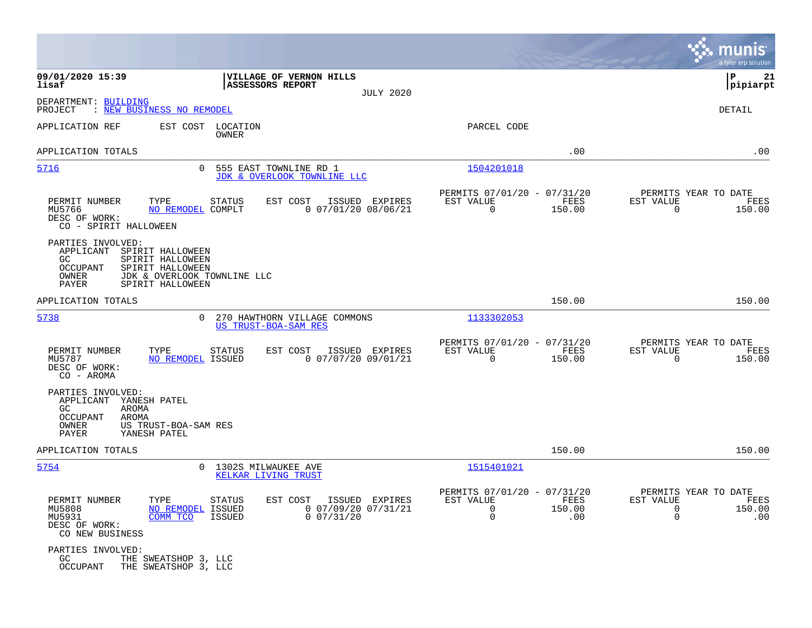|                                                                                                                                                                                          |                                                                                            |                                                                                                        | munis<br>a tyler erp solution                                                            |
|------------------------------------------------------------------------------------------------------------------------------------------------------------------------------------------|--------------------------------------------------------------------------------------------|--------------------------------------------------------------------------------------------------------|------------------------------------------------------------------------------------------|
| 09/01/2020 15:39<br>lisaf                                                                                                                                                                | VILLAGE OF VERNON HILLS<br>ASSESSORS REPORT<br><b>JULY 2020</b>                            |                                                                                                        | ΙP<br>21<br> pipiarpt                                                                    |
| DEPARTMENT: BUILDING<br>: NEW BUSINESS NO REMODEL<br>PROJECT                                                                                                                             |                                                                                            |                                                                                                        | DETAIL                                                                                   |
| APPLICATION REF                                                                                                                                                                          | EST COST LOCATION<br>OWNER                                                                 | PARCEL CODE                                                                                            |                                                                                          |
| APPLICATION TOTALS                                                                                                                                                                       |                                                                                            | .00                                                                                                    | .00                                                                                      |
| 5716                                                                                                                                                                                     | $\Omega$<br>555 EAST TOWNLINE RD 1<br>JDK & OVERLOOK TOWNLINE LLC                          | 1504201018                                                                                             |                                                                                          |
| PERMIT NUMBER<br>TYPE<br>MU5766<br>NO REMODEL COMPLT<br>DESC OF WORK:<br>CO - SPIRIT HALLOWEEN                                                                                           | <b>STATUS</b><br>EST COST<br>ISSUED EXPIRES<br>$0$ 07/01/20 08/06/21                       | PERMITS 07/01/20 - 07/31/20<br>EST VALUE<br>FEES<br>$\mathbf 0$<br>150.00                              | PERMITS YEAR TO DATE<br>EST VALUE<br>FEES<br>$\overline{0}$<br>150.00                    |
| PARTIES INVOLVED:<br>APPLICANT<br>SPIRIT HALLOWEEN<br>SPIRIT HALLOWEEN<br>GC<br><b>OCCUPANT</b><br>SPIRIT HALLOWEEN<br>OWNER<br>JDK & OVERLOOK TOWNLINE LLC<br>PAYER<br>SPIRIT HALLOWEEN |                                                                                            |                                                                                                        |                                                                                          |
| APPLICATION TOTALS                                                                                                                                                                       |                                                                                            | 150.00                                                                                                 | 150.00                                                                                   |
| 5738                                                                                                                                                                                     | $\Omega$<br>270 HAWTHORN VILLAGE COMMONS<br>US TRUST-BOA-SAM RES                           | 1133302053                                                                                             |                                                                                          |
| PERMIT NUMBER<br>TYPE<br>MU5787<br>NO REMODEL ISSUED<br>DESC OF WORK:<br>CO - AROMA                                                                                                      | EST COST<br>ISSUED EXPIRES<br><b>STATUS</b><br>$0$ 07/07/20 09/01/21                       | PERMITS 07/01/20 - 07/31/20<br>EST VALUE<br>FEES<br>$\Omega$<br>150.00                                 | PERMITS YEAR TO DATE<br>EST VALUE<br>FEES<br>$\Omega$<br>150.00                          |
| PARTIES INVOLVED:<br>APPLICANT YANESH PATEL<br>GC.<br>AROMA<br><b>OCCUPANT</b><br>AROMA<br>OWNER<br>US TRUST-BOA-SAM RES<br>PAYER<br>YANESH PATEL                                        |                                                                                            |                                                                                                        |                                                                                          |
| APPLICATION TOTALS                                                                                                                                                                       |                                                                                            | 150.00                                                                                                 | 150.00                                                                                   |
| 5754                                                                                                                                                                                     | $\Omega$<br>1302S MILWAUKEE AVE<br>KELKAR LIVING TRUST                                     | 1515401021                                                                                             |                                                                                          |
| PERMIT NUMBER<br>TYPE<br>MU5808<br>NO REMODEL ISSUED<br>MU5931<br>COMM TCO<br>DESC OF WORK:<br>CO NEW BUSINESS                                                                           | ISSUED EXPIRES<br>STATUS<br>EST COST<br>0 07/09/20 07/31/21<br><b>ISSUED</b><br>0 07/31/20 | PERMITS 07/01/20 - 07/31/20<br><b>FEES</b><br>EST VALUE<br>$\mathbf 0$<br>150.00<br>$\mathbf 0$<br>.00 | PERMITS YEAR TO DATE<br>EST VALUE<br>FEES<br>$\mathbf 0$<br>150.00<br>$\mathbf 0$<br>.00 |
| PARTIES INVOLVED:<br>GC<br>THE SWEATSHOP 3, LLC<br>OCCUPANT<br>THE SWEATSHOP 3, LLC                                                                                                      |                                                                                            |                                                                                                        |                                                                                          |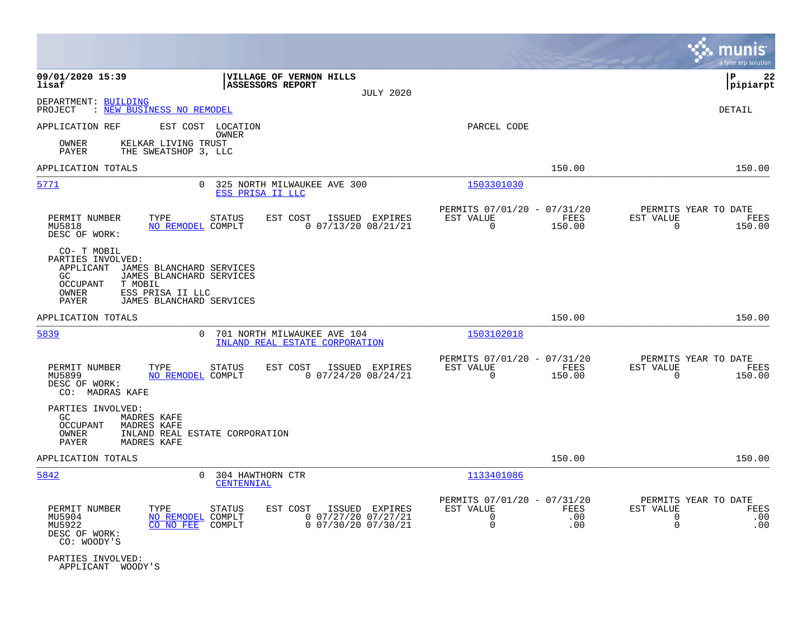|                                                                                                                   |                                                                                                                              |                                                                                           | munis<br>a tyler erp solution                                               |
|-------------------------------------------------------------------------------------------------------------------|------------------------------------------------------------------------------------------------------------------------------|-------------------------------------------------------------------------------------------|-----------------------------------------------------------------------------|
| 09/01/2020 15:39<br>lisaf                                                                                         | VILLAGE OF VERNON HILLS<br><b>ASSESSORS REPORT</b><br><b>JULY 2020</b>                                                       |                                                                                           | ΙP<br>22<br> pipiarpt                                                       |
| DEPARTMENT: BUILDING<br>PROJECT<br>: NEW BUSINESS NO REMODEL                                                      |                                                                                                                              |                                                                                           | DETAIL                                                                      |
| APPLICATION REF                                                                                                   | EST COST LOCATION<br>OWNER                                                                                                   | PARCEL CODE                                                                               |                                                                             |
| KELKAR LIVING TRUST<br>OWNER<br>THE SWEATSHOP 3, LLC<br>PAYER                                                     |                                                                                                                              |                                                                                           |                                                                             |
| APPLICATION TOTALS                                                                                                |                                                                                                                              | 150.00                                                                                    | 150.00                                                                      |
| 5771                                                                                                              | $\Omega$<br>325 NORTH MILWAUKEE AVE 300<br>ESS PRISA II LLC                                                                  | 1503301030                                                                                |                                                                             |
| PERMIT NUMBER<br>TYPE<br>MU5818<br>DESC OF WORK:                                                                  | <b>STATUS</b><br>EST COST<br>ISSUED EXPIRES<br>$0$ $07/13/20$ $08/21/21$<br>NO REMODEL COMPLT                                | PERMITS 07/01/20 - 07/31/20<br>EST VALUE<br>FEES<br>0<br>150.00                           | PERMITS YEAR TO DATE<br>EST VALUE<br>FEES<br>150.00<br>0                    |
| CO- T MOBIL<br>PARTIES INVOLVED:<br>APPLICANT<br>GC.<br>T MOBIL<br>OCCUPANT<br>OWNER<br>ESS PRISA II LLC<br>PAYER | JAMES BLANCHARD SERVICES<br>JAMES BLANCHARD SERVICES<br>JAMES BLANCHARD SERVICES                                             |                                                                                           |                                                                             |
| APPLICATION TOTALS                                                                                                |                                                                                                                              | 150.00                                                                                    | 150.00                                                                      |
| 5839                                                                                                              | 701 NORTH MILWAUKEE AVE 104<br>$\Omega$<br>INLAND REAL ESTATE CORPORATION                                                    | 1503102018                                                                                |                                                                             |
| PERMIT NUMBER<br>TYPE<br>MU5899<br>DESC OF WORK:<br>CO: MADRAS KAFE                                               | <b>STATUS</b><br>EST COST<br>ISSUED EXPIRES<br>NO REMODEL COMPLT<br>$0$ 07/24/20 08/24/21                                    | PERMITS 07/01/20 - 07/31/20<br>EST VALUE<br>FEES<br>$\mathbf 0$<br>150.00                 | PERMITS YEAR TO DATE<br>EST VALUE<br>FEES<br>$\mathbf 0$<br>150.00          |
| PARTIES INVOLVED:<br>GC.<br>MADRES KAFE<br>OCCUPANT<br><b>MADRES KAFE</b><br>OWNER<br>PAYER<br>MADRES KAFE        | INLAND REAL ESTATE CORPORATION                                                                                               |                                                                                           |                                                                             |
| APPLICATION TOTALS                                                                                                |                                                                                                                              | 150.00                                                                                    | 150.00                                                                      |
| 5842                                                                                                              | 304 HAWTHORN CTR<br>0<br>CENTENNIAL                                                                                          | 1133401086                                                                                |                                                                             |
| PERMIT NUMBER<br>TYPE<br>MU5904<br>MU5922<br>CO NO FEE<br>DESC OF WORK:<br>CO: WOODY'S                            | EST COST<br><b>STATUS</b><br>ISSUED EXPIRES<br>$0$ 07/27/20 07/27/21<br>NO REMODEL COMPLT<br>$0$ 07/30/20 07/30/21<br>COMPLT | PERMITS 07/01/20 - 07/31/20<br>EST VALUE<br><b>FEES</b><br>0<br>.00<br>$\mathbf 0$<br>.00 | PERMITS YEAR TO DATE<br>EST VALUE<br>FEES<br>0<br>.00<br>$\mathbf 0$<br>.00 |
| PARTIES INVOLVED:<br>APPLICANT WOODY'S                                                                            |                                                                                                                              |                                                                                           |                                                                             |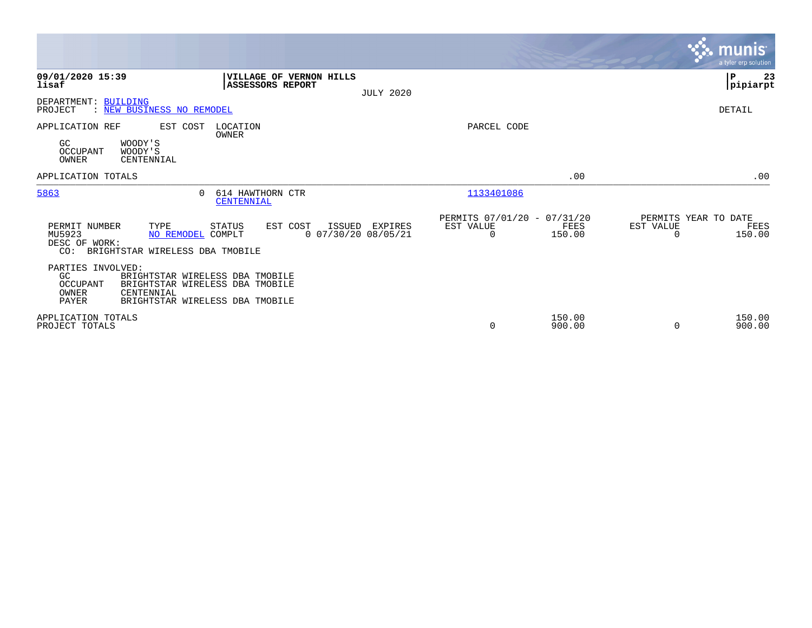|                                                                                                                                                                                     |                                                                                                               | munis<br>a tyler erp solution.         |
|-------------------------------------------------------------------------------------------------------------------------------------------------------------------------------------|---------------------------------------------------------------------------------------------------------------|----------------------------------------|
| 09/01/2020 15:39<br>VILLAGE OF VERNON HILLS<br>lisaf<br><b>ASSESSORS REPORT</b><br><b>JULY 2020</b>                                                                                 |                                                                                                               | P<br>23<br> pipiarpt                   |
| DEPARTMENT: BUILDING<br>: NEW BUSINESS NO REMODEL<br>PROJECT                                                                                                                        |                                                                                                               | DETAIL                                 |
| APPLICATION REF<br>LOCATION<br>EST COST<br>OWNER<br>GC<br>WOODY'S<br>WOODY'S<br>OCCUPANT<br>OWNER<br>CENTENNIAL                                                                     | PARCEL CODE                                                                                                   |                                        |
| APPLICATION TOTALS                                                                                                                                                                  | .00                                                                                                           | .00                                    |
| 614 HAWTHORN CTR<br>5863<br>$\cap$<br>CENTENNIAL                                                                                                                                    | 1133401086                                                                                                    |                                        |
| PERMIT NUMBER<br>TYPE<br>EST COST<br>ISSUED<br>STATUS<br>MU5923<br>$0$ 07/30/20 08/05/21<br>NO REMODEL COMPLT<br>DESC OF WORK:<br>BRIGHTSTAR WIRELESS DBA TMOBILE<br>CO:            | PERMITS 07/01/20 - 07/31/20<br>EST VALUE<br>EST VALUE<br>EXPIRES<br>FEES<br>$\mathbf 0$<br>150.00<br>$\Omega$ | PERMITS YEAR TO DATE<br>FEES<br>150.00 |
| PARTIES INVOLVED:<br>GC<br>BRIGHTSTAR WIRELESS DBA TMOBILE<br>OCCUPANT<br>BRIGHTSTAR WIRELESS DBA TMOBILE<br>OWNER<br>CENTENNIAL<br><b>PAYER</b><br>BRIGHTSTAR WIRELESS DBA TMOBILE |                                                                                                               |                                        |
| APPLICATION TOTALS<br>PROJECT TOTALS                                                                                                                                                | 150.00<br>0<br>900.00<br>$\Omega$                                                                             | 150.00<br>900.00                       |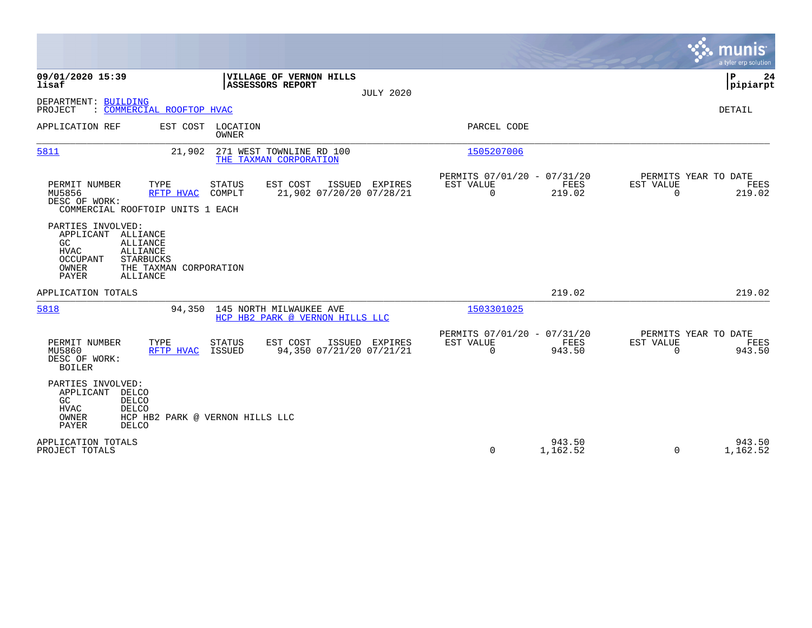|                                                                                                                                                                                        | munis<br>a tyler erp solution                                                                                                                       |
|----------------------------------------------------------------------------------------------------------------------------------------------------------------------------------------|-----------------------------------------------------------------------------------------------------------------------------------------------------|
| 09/01/2020 15:39<br>VILLAGE OF VERNON HILLS<br>lisaf<br>ASSESSORS REPORT<br><b>JULY 2020</b>                                                                                           | ΙP<br>24<br> pipiarpt                                                                                                                               |
| DEPARTMENT: BUILDING<br>: COMMERCIAL ROOFTOP HVAC<br>PROJECT                                                                                                                           | DETAIL                                                                                                                                              |
| LOCATION<br>APPLICATION REF<br>EST COST<br>OWNER                                                                                                                                       | PARCEL CODE                                                                                                                                         |
| 21,902<br>271 WEST TOWNLINE RD 100<br>5811<br>THE TAXMAN CORPORATION                                                                                                                   | 1505207006                                                                                                                                          |
| PERMIT NUMBER<br>TYPE<br><b>STATUS</b><br>EST COST<br>ISSUED EXPIRES<br>MU5856<br>21,902 07/20/20 07/28/21<br>RFTP HVAC<br>COMPLT<br>DESC OF WORK:<br>COMMERCIAL ROOFTOIP UNITS 1 EACH | PERMITS 07/01/20 - 07/31/20<br>PERMITS YEAR TO DATE<br>EST VALUE<br><b>FEES</b><br>EST VALUE<br>FEES<br>$\mathbf 0$<br>219.02<br>$\Omega$<br>219.02 |
| PARTIES INVOLVED:<br>APPLICANT ALLIANCE<br>GC<br>ALLIANCE<br><b>HVAC</b><br>ALLIANCE<br>OCCUPANT<br><b>STARBUCKS</b><br>OWNER<br>THE TAXMAN CORPORATION<br>PAYER<br>ALLIANCE           |                                                                                                                                                     |
| APPLICATION TOTALS                                                                                                                                                                     | 219.02<br>219.02                                                                                                                                    |
| 5818<br>145 NORTH MILWAUKEE AVE<br>94,350<br>HCP HB2 PARK @ VERNON HILLS LLC                                                                                                           | 1503301025                                                                                                                                          |
| PERMIT NUMBER<br>TYPE<br>EST COST<br>ISSUED EXPIRES<br><b>STATUS</b><br>RFTP HVAC<br>ISSUED<br>94,350 07/21/20 07/21/21<br>MU5860<br>DESC OF WORK:<br><b>BOILER</b>                    | PERMITS 07/01/20 - 07/31/20<br>PERMITS YEAR TO DATE<br>EST VALUE<br>EST VALUE<br>FEES<br>FEES<br>$\mathbf 0$<br>943.50<br>$\mathbf 0$<br>943.50     |
| PARTIES INVOLVED:<br>APPLICANT<br>DELCO<br>GC<br><b>DELCO</b><br><b>HVAC</b><br>DELCO<br>OWNER<br>HCP HB2 PARK @ VERNON HILLS LLC<br>PAYER<br>DELCO                                    |                                                                                                                                                     |
| APPLICATION TOTALS<br>PROJECT TOTALS                                                                                                                                                   | 943.50<br>943.50<br>0<br>1,162.52<br>1,162.52<br>$\Omega$                                                                                           |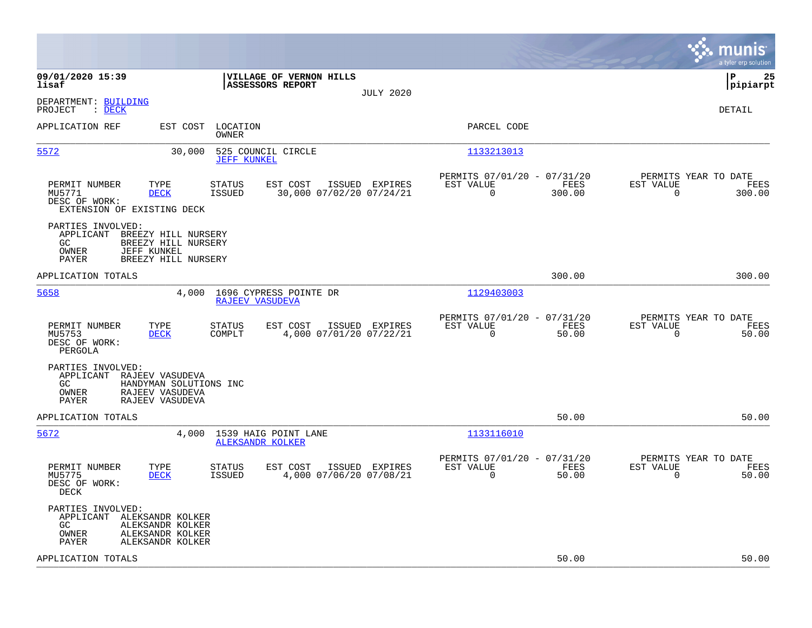|                                                                                                                                                                                           |                                                                           | munis<br>a tyler erp solution                                         |
|-------------------------------------------------------------------------------------------------------------------------------------------------------------------------------------------|---------------------------------------------------------------------------|-----------------------------------------------------------------------|
| 09/01/2020 15:39<br>VILLAGE OF VERNON HILLS<br>lisaf<br>ASSESSORS REPORT<br><b>JULY 2020</b>                                                                                              |                                                                           | P<br>25<br> pipiarpt                                                  |
| DEPARTMENT: BUILDING<br>PROJECT<br>$\therefore$ DECK                                                                                                                                      |                                                                           | <b>DETAIL</b>                                                         |
| APPLICATION REF<br>EST COST LOCATION<br>OWNER                                                                                                                                             | PARCEL CODE                                                               |                                                                       |
| 5572<br>30,000<br>525 COUNCIL CIRCLE<br><b>JEFF KUNKEL</b>                                                                                                                                | 1133213013                                                                |                                                                       |
| PERMIT NUMBER<br>TYPE<br><b>STATUS</b><br>EST COST<br>ISSUED EXPIRES<br>MU5771<br><b>DECK</b><br><b>ISSUED</b><br>30,000 07/02/20 07/24/21<br>DESC OF WORK:<br>EXTENSION OF EXISTING DECK | PERMITS 07/01/20 - 07/31/20<br>EST VALUE<br>FEES<br>$\mathbf 0$<br>300.00 | PERMITS YEAR TO DATE<br>EST VALUE<br>FEES<br>$\overline{0}$<br>300.00 |
| PARTIES INVOLVED:<br>APPLICANT<br>BREEZY HILL NURSERY<br>GC.<br>BREEZY HILL NURSERY<br>OWNER<br>JEFF KUNKEL<br>PAYER<br>BREEZY HILL NURSERY                                               |                                                                           |                                                                       |
| APPLICATION TOTALS                                                                                                                                                                        | 300.00                                                                    | 300.00                                                                |
| 5658<br>4,000 1696 CYPRESS POINTE DR<br><b>RAJEEV VASUDEVA</b>                                                                                                                            | 1129403003                                                                |                                                                       |
| EST COST<br>PERMIT NUMBER<br>TYPE<br><b>STATUS</b><br>ISSUED EXPIRES<br>MU5753<br>COMPLT<br>4,000 07/01/20 07/22/21<br><b>DECK</b><br>DESC OF WORK:<br>PERGOLA                            | PERMITS 07/01/20 - 07/31/20<br>EST VALUE<br>FEES<br>$\mathbf 0$<br>50.00  | PERMITS YEAR TO DATE<br>EST VALUE<br>FEES<br>$\mathbf 0$<br>50.00     |
| PARTIES INVOLVED:<br>APPLICANT<br>RAJEEV VASUDEVA<br>GC<br>HANDYMAN SOLUTIONS INC<br>OWNER<br>RAJEEV VASUDEVA<br>PAYER<br>RAJEEV VASUDEVA                                                 |                                                                           |                                                                       |
| APPLICATION TOTALS                                                                                                                                                                        | 50.00                                                                     | 50.00                                                                 |
| 5672<br>4,000<br>1539 HAIG POINT LANE<br>ALEKSANDR KOLKER                                                                                                                                 | 1133116010                                                                |                                                                       |
| PERMIT NUMBER<br>TYPE<br>EST COST<br><b>STATUS</b><br>ISSUED EXPIRES<br>MU5775<br><b>DECK</b><br>ISSUED<br>4,000 07/06/20 07/08/21<br>DESC OF WORK:<br>DECK                               | PERMITS 07/01/20 - 07/31/20<br>EST VALUE<br>FEES<br>0<br>50.00            | PERMITS YEAR TO DATE<br>EST VALUE<br>FEES<br>50.00<br>0               |
| PARTIES INVOLVED:<br>APPLICANT ALEKSANDR KOLKER<br>GC<br>ALEKSANDR KOLKER<br>ALEKSANDR KOLKER<br>OWNER<br>ALEKSANDR KOLKER<br>PAYER                                                       |                                                                           |                                                                       |
| APPLICATION TOTALS                                                                                                                                                                        | 50.00                                                                     | 50.00                                                                 |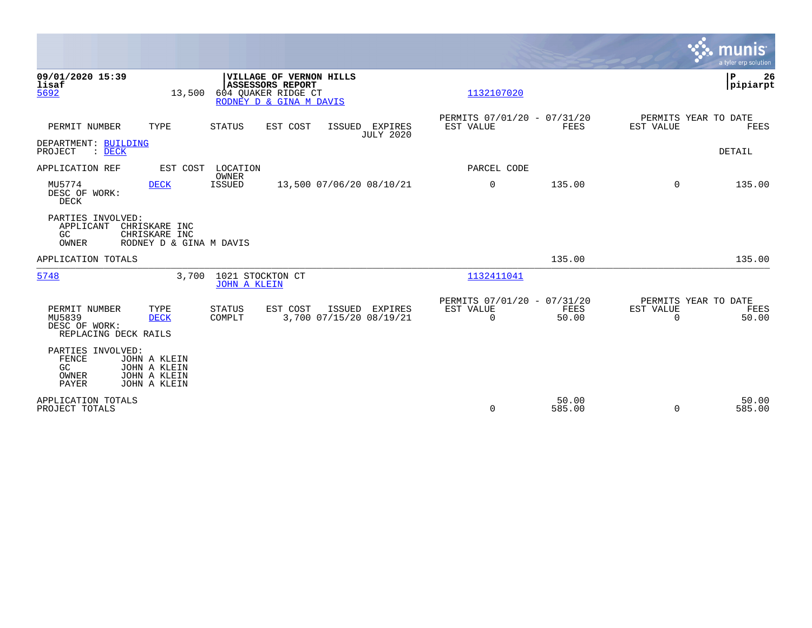|                                                                                                                    |                                                  |                                                                                               |                                    |                                                         |                      |                                               | munis<br>a tyler erp solution |
|--------------------------------------------------------------------------------------------------------------------|--------------------------------------------------|-----------------------------------------------------------------------------------------------|------------------------------------|---------------------------------------------------------|----------------------|-----------------------------------------------|-------------------------------|
| 09/01/2020 15:39<br>lisaf<br>5692                                                                                  | 13,500                                           | VILLAGE OF VERNON HILLS<br>ASSESSORS REPORT<br>604 OUAKER RIDGE CT<br>RODNEY D & GINA M DAVIS |                                    | 1132107020                                              |                      |                                               | ΙP<br>26<br> pipiarpt         |
| PERMIT NUMBER<br>TYPE                                                                                              | <b>STATUS</b>                                    | EST COST<br>ISSUED                                                                            | EXPIRES<br><b>JULY 2020</b>        | PERMITS 07/01/20 - 07/31/20<br>EST VALUE                | <b>FEES</b>          | PERMITS YEAR TO DATE<br>EST VALUE             | FEES                          |
| DEPARTMENT: BUILDING<br>PROJECT<br>$:$ DECK                                                                        |                                                  |                                                                                               |                                    |                                                         |                      |                                               | DETAIL                        |
| APPLICATION REF                                                                                                    | EST COST<br>LOCATION                             |                                                                                               |                                    | PARCEL CODE                                             |                      |                                               |                               |
| MU5774<br><b>DECK</b><br>DESC OF WORK:<br>DECK                                                                     | OWNER<br><b>ISSUED</b>                           | 13,500 07/06/20 08/10/21                                                                      |                                    | $\mathbf 0$                                             | 135.00               | $\Omega$                                      | 135.00                        |
| PARTIES INVOLVED:<br>APPLICANT<br>CHRISKARE INC<br>GC<br>CHRISKARE INC<br>OWNER                                    | RODNEY D & GINA M DAVIS                          |                                                                                               |                                    |                                                         |                      |                                               |                               |
| APPLICATION TOTALS                                                                                                 |                                                  |                                                                                               |                                    |                                                         | 135.00               |                                               | 135.00                        |
| 5748                                                                                                               | 3,700<br>1021 STOCKTON CT<br><b>JOHN A KLEIN</b> |                                                                                               |                                    | 1132411041                                              |                      |                                               |                               |
| PERMIT NUMBER<br>TYPE<br>MU5839<br><b>DECK</b><br>DESC OF WORK:<br>REPLACING DECK RAILS                            | <b>STATUS</b><br>COMPLT                          | EST COST<br>ISSUED                                                                            | EXPIRES<br>3,700 07/15/20 08/19/21 | PERMITS 07/01/20 - 07/31/20<br>EST VALUE<br>$\mathbf 0$ | <b>FEES</b><br>50.00 | PERMITS YEAR TO DATE<br>EST VALUE<br>$\Omega$ | FEES<br>50.00                 |
| PARTIES INVOLVED:<br>FENCE<br>JOHN A KLEIN<br>GC<br>JOHN A KLEIN<br>OWNER<br>JOHN A KLEIN<br>PAYER<br>JOHN A KLEIN |                                                  |                                                                                               |                                    |                                                         |                      |                                               |                               |
| APPLICATION TOTALS<br>PROJECT TOTALS                                                                               |                                                  |                                                                                               |                                    | 0                                                       | 50.00<br>585.00      | $\Omega$                                      | 50.00<br>585.00               |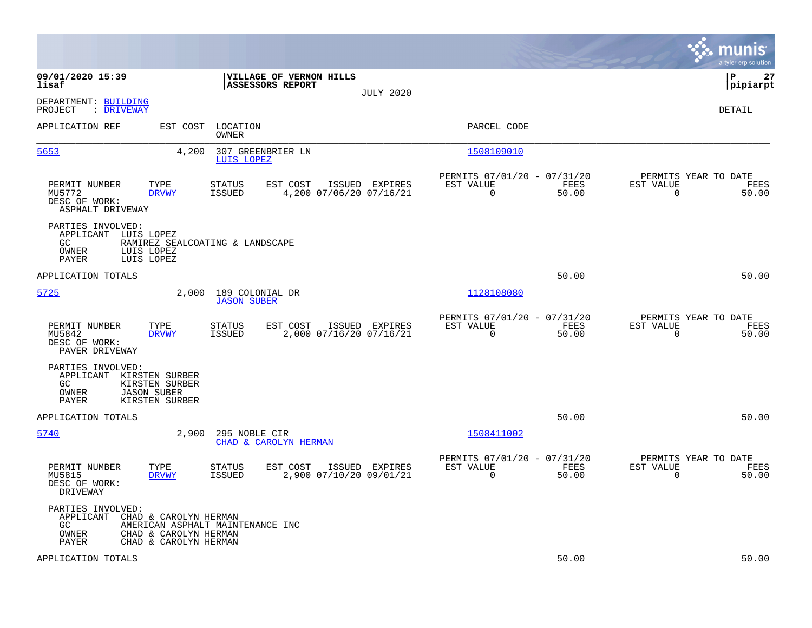|                                                                                                                                     |                                                                                                             |                                                       |                                                         |               |                                                  | munis<br>a tyler erp solution |
|-------------------------------------------------------------------------------------------------------------------------------------|-------------------------------------------------------------------------------------------------------------|-------------------------------------------------------|---------------------------------------------------------|---------------|--------------------------------------------------|-------------------------------|
| 09/01/2020 15:39<br>lisaf                                                                                                           | ASSESSORS REPORT                                                                                            | VILLAGE OF VERNON HILLS<br><b>JULY 2020</b>           |                                                         |               |                                                  | P<br>27<br> pipiarpt          |
| DEPARTMENT: BUILDING<br>: DRIVEWAY<br>PROJECT                                                                                       |                                                                                                             |                                                       |                                                         |               |                                                  | DETAIL                        |
| APPLICATION REF                                                                                                                     | EST COST<br>LOCATION<br>OWNER                                                                               |                                                       | PARCEL CODE                                             |               |                                                  |                               |
| 5653                                                                                                                                | 4,200<br>307 GREENBRIER LN<br>LUIS LOPEZ                                                                    |                                                       | 1508109010                                              |               |                                                  |                               |
| PERMIT NUMBER<br>TYPE<br>MU5772<br><b>DRVWY</b><br>DESC OF WORK:<br>ASPHALT DRIVEWAY                                                | <b>STATUS</b><br><b>ISSUED</b>                                                                              | EST COST<br>ISSUED EXPIRES<br>4,200 07/06/20 07/16/21 | PERMITS 07/01/20 - 07/31/20<br>EST VALUE<br>0           | FEES<br>50.00 | PERMITS YEAR TO DATE<br>EST VALUE<br>$\mathbf 0$ | FEES<br>50.00                 |
| PARTIES INVOLVED:<br>APPLICANT<br>LUIS LOPEZ<br>GC.<br>OWNER<br>LUIS LOPEZ<br>PAYER<br>LUIS LOPEZ                                   | RAMIREZ SEALCOATING & LANDSCAPE                                                                             |                                                       |                                                         |               |                                                  |                               |
| APPLICATION TOTALS                                                                                                                  |                                                                                                             |                                                       |                                                         | 50.00         |                                                  | 50.00                         |
| 5725                                                                                                                                | 2,000 189 COLONIAL DR<br><b>JASON SUBER</b>                                                                 |                                                       | 1128108080                                              |               |                                                  |                               |
| TYPE<br>PERMIT NUMBER<br>MU5842<br><b>DRVWY</b><br>DESC OF WORK:<br>PAVER DRIVEWAY                                                  | STATUS<br><b>ISSUED</b>                                                                                     | EST COST<br>ISSUED EXPIRES<br>2,000 07/16/20 07/16/21 | PERMITS 07/01/20 - 07/31/20<br>EST VALUE<br>$\mathbf 0$ | FEES<br>50.00 | PERMITS YEAR TO DATE<br>EST VALUE<br>$\mathbf 0$ | FEES<br>50.00                 |
| PARTIES INVOLVED:<br>APPLICANT<br>KIRSTEN SURBER<br>KIRSTEN SURBER<br>GC.<br>OWNER<br><b>JASON SUBER</b><br>PAYER<br>KIRSTEN SURBER |                                                                                                             |                                                       |                                                         |               |                                                  |                               |
| APPLICATION TOTALS                                                                                                                  |                                                                                                             |                                                       |                                                         | 50.00         |                                                  | 50.00                         |
| 5740                                                                                                                                | 2,900<br>295 NOBLE CIR<br>CHAD & CAROLYN HERMAN                                                             |                                                       | 1508411002                                              |               |                                                  |                               |
| PERMIT NUMBER<br>TYPE<br>MU5815<br><b>DRVWY</b><br>DESC OF WORK:<br>DRIVEWAY                                                        | <b>STATUS</b><br><b>ISSUED</b>                                                                              | EST COST<br>ISSUED EXPIRES<br>2,900 07/10/20 09/01/21 | PERMITS 07/01/20 - 07/31/20<br>EST VALUE<br>0           | FEES<br>50.00 | PERMITS YEAR TO DATE<br>EST VALUE<br>0           | FEES<br>50.00                 |
| PARTIES INVOLVED:<br>APPLICANT<br>GC<br>OWNER<br>PAYER                                                                              | CHAD & CAROLYN HERMAN<br>AMERICAN ASPHALT MAINTENANCE INC<br>CHAD & CAROLYN HERMAN<br>CHAD & CAROLYN HERMAN |                                                       |                                                         |               |                                                  |                               |
| APPLICATION TOTALS                                                                                                                  |                                                                                                             |                                                       |                                                         | 50.00         |                                                  | 50.00                         |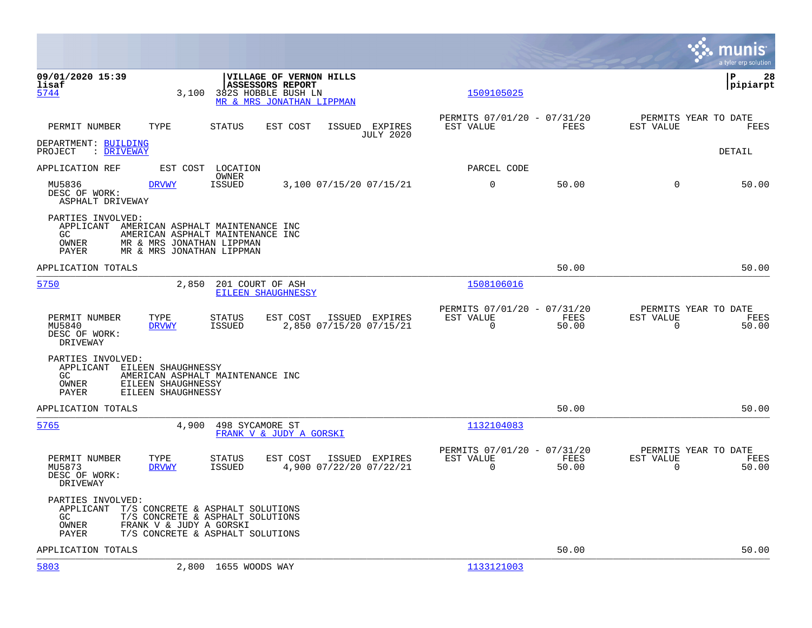|                                                                                                                                                                                                | munis<br>a tyler erp solution                                                                                                                  |
|------------------------------------------------------------------------------------------------------------------------------------------------------------------------------------------------|------------------------------------------------------------------------------------------------------------------------------------------------|
| 09/01/2020 15:39<br><b>VILLAGE OF VERNON HILLS</b><br><b>ASSESSORS REPORT</b><br>lisaf<br>5744<br>3.100<br>382S HOBBLE BUSH LN<br>MR & MRS JONATHAN LIPPMAN                                    | ΙP<br>28<br> pipiarpt<br>1509105025                                                                                                            |
| PERMIT NUMBER<br>TYPE<br><b>STATUS</b><br>EST COST<br>ISSUED EXPIRES                                                                                                                           | PERMITS 07/01/20 - 07/31/20<br>PERMITS YEAR TO DATE<br>EST VALUE<br>FEES<br>EST VALUE<br>FEES<br><b>JULY 2020</b>                              |
| DEPARTMENT: BUILDING<br>PROJECT<br>: <u>DRIVEWAY</u>                                                                                                                                           | DETAIL                                                                                                                                         |
| APPLICATION REF<br>EST COST LOCATION<br>OWNER                                                                                                                                                  | PARCEL CODE                                                                                                                                    |
| MU5836<br>3,100 07/15/20 07/15/21<br><b>DRVWY</b><br><b>ISSUED</b><br>DESC OF WORK:<br>ASPHALT DRIVEWAY                                                                                        | 0<br>50.00<br>$\mathbf 0$<br>50.00                                                                                                             |
| PARTIES INVOLVED:<br>APPLICANT AMERICAN ASPHALT MAINTENANCE INC<br>GC.<br>AMERICAN ASPHALT MAINTENANCE INC<br>OWNER<br>MR & MRS JONATHAN LIPPMAN<br>MR & MRS JONATHAN LIPPMAN<br>PAYER         |                                                                                                                                                |
| APPLICATION TOTALS                                                                                                                                                                             | 50.00<br>50.00                                                                                                                                 |
| 5750<br>2,850<br>201 COURT OF ASH<br><b>EILEEN SHAUGHNESSY</b>                                                                                                                                 | 1508106016                                                                                                                                     |
| PERMIT NUMBER<br>TYPE<br>STATUS<br>EST COST<br>ISSUED EXPIRES<br>MU5840<br><b>DRVWY</b><br><b>ISSUED</b><br>2,850 07/15/20 07/15/21<br>DESC OF WORK:<br>DRIVEWAY                               | PERMITS 07/01/20 - 07/31/20<br>PERMITS YEAR TO DATE<br>EST VALUE<br>FEES<br>EST VALUE<br>FEES<br>$\mathbf 0$<br>50.00<br>50.00<br>$\mathsf{O}$ |
| PARTIES INVOLVED:<br>APPLICANT<br>EILEEN SHAUGHNESSY<br>GC.<br>AMERICAN ASPHALT MAINTENANCE INC<br>EILEEN SHAUGHNESSY<br>OWNER<br>PAYER<br>EILEEN SHAUGHNESSY                                  |                                                                                                                                                |
| APPLICATION TOTALS                                                                                                                                                                             | 50.00<br>50.00                                                                                                                                 |
| 5765<br>4,900<br>498 SYCAMORE ST<br>FRANK V & JUDY A GORSKI                                                                                                                                    | 1132104083                                                                                                                                     |
| PERMIT NUMBER<br>TYPE<br>EST COST<br><b>STATUS</b><br>ISSUED EXPIRES<br>MU5873<br><b>DRVWY</b><br><b>ISSUED</b><br>4,900 07/22/20 07/22/21<br>DESC OF WORK:<br>DRIVEWAY                        | PERMITS 07/01/20 - 07/31/20<br>PERMITS YEAR TO DATE<br>FEES<br>EST VALUE<br>EST VALUE<br>FEES<br>$\Omega$<br>50.00<br>50.00<br>$\Omega$        |
| PARTIES INVOLVED:<br>APPLICANT<br>T/S CONCRETE & ASPHALT SOLUTIONS<br>T/S CONCRETE & ASPHALT SOLUTIONS<br>GC.<br>OWNER<br>FRANK V & JUDY A GORSKI<br>T/S CONCRETE & ASPHALT SOLUTIONS<br>PAYER |                                                                                                                                                |
| APPLICATION TOTALS                                                                                                                                                                             | 50.00<br>50.00                                                                                                                                 |
| 5803<br>2,800 1655 WOODS WAY                                                                                                                                                                   | 1133121003                                                                                                                                     |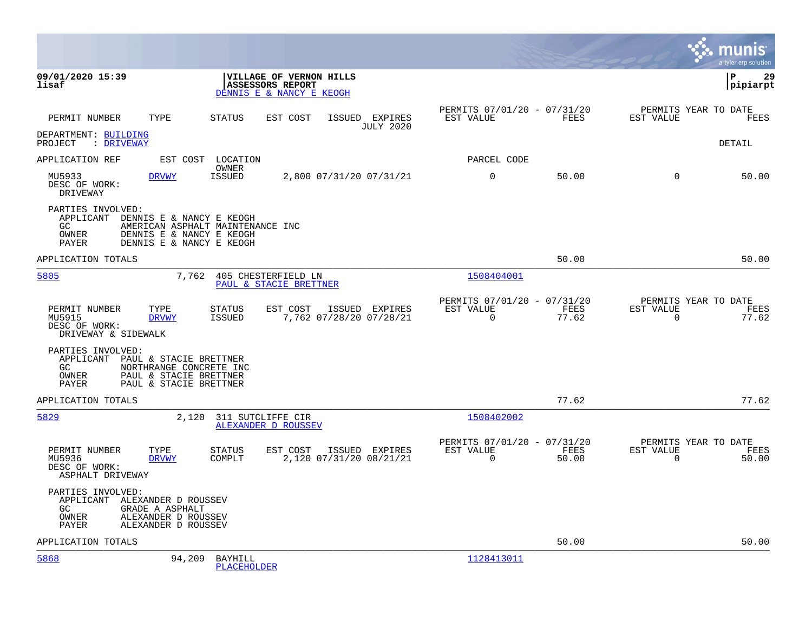|                                                                                                                                                               |                                                                           |                                                                             | a tyler erp solution                                              |
|---------------------------------------------------------------------------------------------------------------------------------------------------------------|---------------------------------------------------------------------------|-----------------------------------------------------------------------------|-------------------------------------------------------------------|
| 09/01/2020 15:39<br>lisaf                                                                                                                                     | VILLAGE OF VERNON HILLS<br>ASSESSORS REPORT<br>DENNIS E & NANCY E KEOGH   |                                                                             | l P<br>29<br> pipiarpt                                            |
| PERMIT NUMBER<br>TYPE                                                                                                                                         | <b>STATUS</b><br>EST COST<br>ISSUED EXPIRES<br><b>JULY 2020</b>           | PERMITS 07/01/20 - 07/31/20<br>EST VALUE<br>FEES                            | PERMITS YEAR TO DATE<br>EST VALUE<br>FEES                         |
| DEPARTMENT: BUILDING<br>PROJECT : DRIVEWAY                                                                                                                    |                                                                           |                                                                             | DETAIL                                                            |
| APPLICATION REF                                                                                                                                               | EST COST LOCATION                                                         | PARCEL CODE                                                                 |                                                                   |
| MU5933<br><b>DRVWY</b><br>DESC OF WORK:<br>DRIVEWAY                                                                                                           | OWNER<br>ISSUED<br>2,800 07/31/20 07/31/21                                | $\Omega$<br>50.00                                                           | $\Omega$<br>50.00                                                 |
| PARTIES INVOLVED:<br>DENNIS E & NANCY E KEOGH<br>APPLICANT<br>GC.<br>DENNIS E & NANCY E KEOGH<br>OWNER<br>DENNIS E & NANCY E KEOGH<br>PAYER                   | AMERICAN ASPHALT MAINTENANCE INC                                          |                                                                             |                                                                   |
| APPLICATION TOTALS                                                                                                                                            |                                                                           | 50.00                                                                       | 50.00                                                             |
| 5805                                                                                                                                                          | 7,762 405 CHESTERFIELD LN<br>PAUL & STACIE BRETTNER                       | 1508404001                                                                  |                                                                   |
| PERMIT NUMBER<br>TYPE<br>MU5915<br><b>DRVWY</b><br>DESC OF WORK:<br>DRIVEWAY & SIDEWALK                                                                       | EST COST<br>STATUS<br>ISSUED EXPIRES<br>ISSUED<br>7,762 07/28/20 07/28/21 | PERMITS 07/01/20 - 07/31/20<br>EST VALUE<br>FEES<br>$\overline{0}$<br>77.62 | PERMITS YEAR TO DATE<br>EST VALUE<br>FEES<br>77.62<br>$\mathbf 0$ |
| PARTIES INVOLVED:<br>APPLICANT PAUL & STACIE BRETTNER<br>GC.<br>NORTHRANGE CONCRETE INC<br>OWNER<br>PAUL & STACIE BRETTNER<br>PAUL & STACIE BRETTNER<br>PAYER |                                                                           |                                                                             |                                                                   |
| APPLICATION TOTALS                                                                                                                                            |                                                                           | 77.62                                                                       | 77.62                                                             |
| 5829<br>2,120                                                                                                                                                 | 311 SUTCLIFFE CIR<br><b>ALEXANDER D ROUSSEV</b>                           | 1508402002                                                                  |                                                                   |
| PERMIT NUMBER<br>TYPE<br>MU5936<br><b>DRVWY</b><br>DESC OF WORK:<br>ASPHALT DRIVEWAY                                                                          | STATUS<br>EST COST<br>ISSUED EXPIRES<br>COMPLT<br>2,120 07/31/20 08/21/21 | PERMITS 07/01/20 - 07/31/20<br>EST VALUE<br>FEES<br>$\Omega$<br>50.00       | PERMITS YEAR TO DATE<br>EST VALUE<br>FEES<br>$\Omega$<br>50.00    |
| PARTIES INVOLVED:<br>APPLICANT ALEXANDER D ROUSSEV<br>GC<br>GRADE A ASPHALT<br>OWNER<br>ALEXANDER D ROUSSEV<br>ALEXANDER D ROUSSEV<br>PAYER                   |                                                                           |                                                                             |                                                                   |
| APPLICATION TOTALS                                                                                                                                            |                                                                           | 50.00                                                                       | 50.00                                                             |
| 5868                                                                                                                                                          | 94,209 BAYHILL<br><b>PLACEHOLDER</b>                                      | 1128413011                                                                  |                                                                   |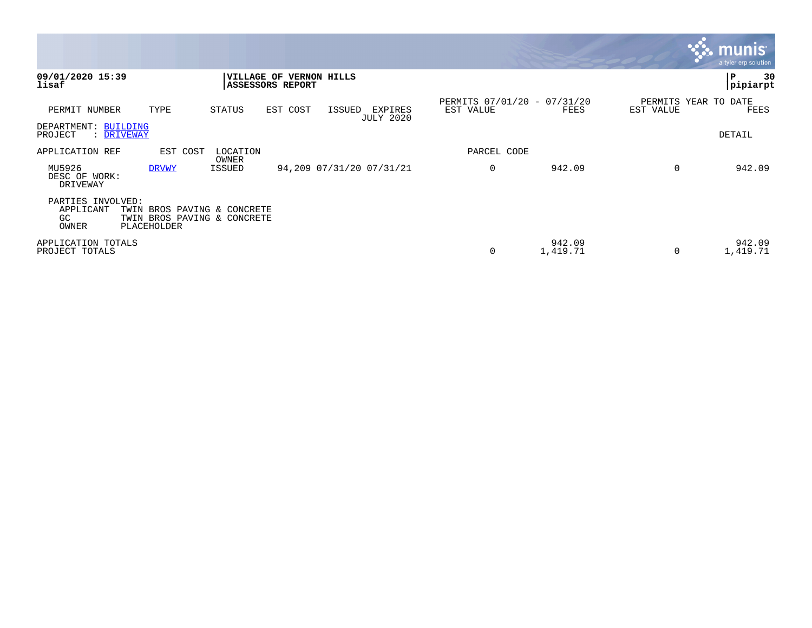|                                               |                                                                           |                   |                                                    |        |                             |                                          |                    |                                   | munis <sup>®</sup><br>a tyler erp solution |
|-----------------------------------------------|---------------------------------------------------------------------------|-------------------|----------------------------------------------------|--------|-----------------------------|------------------------------------------|--------------------|-----------------------------------|--------------------------------------------|
| 09/01/2020 15:39<br>lisaf                     |                                                                           |                   | VILLAGE OF VERNON HILLS<br><b>ASSESSORS REPORT</b> |        |                             |                                          |                    |                                   | IP.<br>30<br> pipiarpt                     |
| PERMIT NUMBER                                 | TYPE                                                                      | STATUS            | EST COST                                           | ISSUED | EXPIRES<br><b>JULY 2020</b> | PERMITS 07/01/20 - 07/31/20<br>EST VALUE | FEES               | PERMITS YEAR TO DATE<br>EST VALUE | FEES                                       |
| DEPARTMENT: BUILDING<br>PROJECT               | : DRIVEWAY                                                                |                   |                                                    |        |                             |                                          |                    |                                   | DETAIL                                     |
| APPLICATION REF                               | EST COST                                                                  | LOCATION<br>OWNER |                                                    |        |                             | PARCEL CODE                              |                    |                                   |                                            |
| MU5926<br>DESC OF WORK:<br>DRIVEWAY           | <b>DRVWY</b>                                                              | ISSUED            |                                                    |        | 94,209 07/31/20 07/31/21    | 0                                        | 942.09             | $\Omega$                          | 942.09                                     |
| PARTIES INVOLVED:<br>APPLICANT<br>GC<br>OWNER | TWIN BROS PAVING & CONCRETE<br>TWIN BROS PAVING & CONCRETE<br>PLACEHOLDER |                   |                                                    |        |                             |                                          |                    |                                   |                                            |
| APPLICATION TOTALS<br>PROJECT TOTALS          |                                                                           |                   |                                                    |        |                             | 0                                        | 942.09<br>1,419.71 | 0                                 | 942.09<br>1,419.71                         |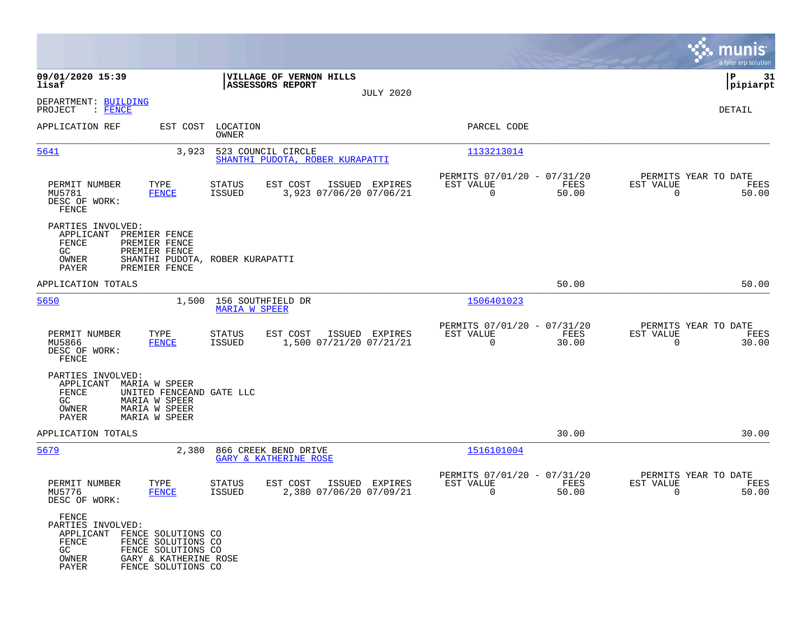|                                                                                                                                                                                        |                                                                                         |                                                                          | munis<br>a tyler erp solution                                     |
|----------------------------------------------------------------------------------------------------------------------------------------------------------------------------------------|-----------------------------------------------------------------------------------------|--------------------------------------------------------------------------|-------------------------------------------------------------------|
| 09/01/2020 15:39<br>lisaf                                                                                                                                                              | VILLAGE OF VERNON HILLS<br>ASSESSORS REPORT                                             |                                                                          | ∣P<br>31<br> pipiarpt                                             |
| DEPARTMENT: BUILDING<br>PROJECT<br>: FENCE                                                                                                                                             | <b>JULY 2020</b>                                                                        |                                                                          | DETAIL                                                            |
| APPLICATION REF                                                                                                                                                                        | EST COST<br>LOCATION<br>OWNER                                                           | PARCEL CODE                                                              |                                                                   |
| 5641                                                                                                                                                                                   | 3,923<br>523 COUNCIL CIRCLE<br>SHANTHI PUDOTA, ROBER KURAPATTI                          | 1133213014                                                               |                                                                   |
| PERMIT NUMBER<br>TYPE<br>MU5781<br><b>FENCE</b><br>DESC OF WORK:<br>FENCE                                                                                                              | <b>STATUS</b><br>EST COST<br>ISSUED EXPIRES<br><b>ISSUED</b><br>3,923 07/06/20 07/06/21 | PERMITS 07/01/20 - 07/31/20<br>EST VALUE<br>FEES<br>$\mathbf 0$<br>50.00 | PERMITS YEAR TO DATE<br>EST VALUE<br>FEES<br>$\Omega$<br>50.00    |
| PARTIES INVOLVED:<br>APPLICANT<br>PREMIER FENCE<br>FENCE<br>PREMIER FENCE<br>GC<br>PREMIER FENCE<br>OWNER<br>PAYER<br>PREMIER FENCE                                                    | SHANTHI PUDOTA, ROBER KURAPATTI                                                         |                                                                          |                                                                   |
| APPLICATION TOTALS                                                                                                                                                                     |                                                                                         | 50.00                                                                    | 50.00                                                             |
| 5650                                                                                                                                                                                   | 1,500<br>156 SOUTHFIELD DR<br><b>MARIA W SPEER</b>                                      | 1506401023                                                               |                                                                   |
| PERMIT NUMBER<br>TYPE<br>MU5866<br><b>FENCE</b><br>DESC OF WORK:<br>FENCE                                                                                                              | <b>STATUS</b><br>EST COST<br>ISSUED EXPIRES<br>ISSUED<br>1,500 07/21/20 07/21/21        | PERMITS 07/01/20 - 07/31/20<br>EST VALUE<br>FEES<br>$\mathbf 0$<br>30.00 | PERMITS YEAR TO DATE<br>EST VALUE<br>FEES<br>$\mathbf 0$<br>30.00 |
| PARTIES INVOLVED:<br>APPLICANT<br>MARIA W SPEER<br>FENCE<br>GC<br>MARIA W SPEER<br>OWNER<br>MARIA W SPEER<br>PAYER<br>MARIA W SPEER                                                    | UNITED FENCEAND GATE LLC                                                                |                                                                          |                                                                   |
| APPLICATION TOTALS                                                                                                                                                                     |                                                                                         | 30.00                                                                    | 30.00                                                             |
| 5679                                                                                                                                                                                   | 866 CREEK BEND DRIVE<br>2,380<br><b>GARY &amp; KATHERINE ROSE</b>                       | 1516101004                                                               |                                                                   |
| PERMIT NUMBER<br>TYPE<br>MU5776<br><b>FENCE</b><br>DESC OF WORK:                                                                                                                       | EST COST<br>ISSUED EXPIRES<br><b>STATUS</b><br>2,380 07/06/20 07/09/21<br>ISSUED        | PERMITS 07/01/20 - 07/31/20<br>EST VALUE<br>FEES<br>0<br>50.00           | PERMITS YEAR TO DATE<br>EST VALUE<br>FEES<br>50.00<br>0           |
| FENCE<br>PARTIES INVOLVED:<br>APPLICANT FENCE SOLUTIONS CO<br>FENCE<br>FENCE SOLUTIONS CO<br>GC<br>FENCE SOLUTIONS CO<br>OWNER<br>GARY & KATHERINE ROSE<br>PAYER<br>FENCE SOLUTIONS CO |                                                                                         |                                                                          |                                                                   |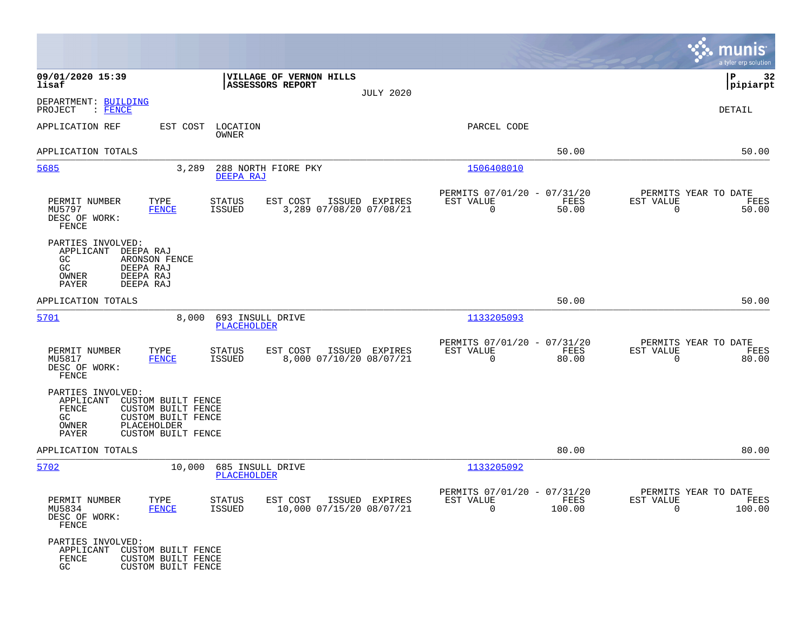|                                                                                                                                                                         |                                                                                         |                                                                          | munis<br>a tyler erp solution                                     |
|-------------------------------------------------------------------------------------------------------------------------------------------------------------------------|-----------------------------------------------------------------------------------------|--------------------------------------------------------------------------|-------------------------------------------------------------------|
| 09/01/2020 15:39<br>lisaf                                                                                                                                               | VILLAGE OF VERNON HILLS<br>ASSESSORS REPORT<br><b>JULY 2020</b>                         |                                                                          | P<br>32<br> pipiarpt                                              |
| DEPARTMENT: BUILDING<br>PROJECT<br>: FENCE                                                                                                                              |                                                                                         |                                                                          | <b>DETAIL</b>                                                     |
| APPLICATION REF<br>EST COST                                                                                                                                             | LOCATION<br>OWNER                                                                       | PARCEL CODE                                                              |                                                                   |
| APPLICATION TOTALS                                                                                                                                                      |                                                                                         | 50.00                                                                    | 50.00                                                             |
| 5685<br>3,289                                                                                                                                                           | 288 NORTH FIORE PKY<br>DEEPA RAJ                                                        | 1506408010                                                               |                                                                   |
| PERMIT NUMBER<br>TYPE<br>MU5797<br><b>FENCE</b><br>DESC OF WORK:<br>FENCE                                                                                               | EST COST<br><b>STATUS</b><br>ISSUED EXPIRES<br><b>ISSUED</b><br>3,289 07/08/20 07/08/21 | PERMITS 07/01/20 - 07/31/20<br>EST VALUE<br>FEES<br>0<br>50.00           | PERMITS YEAR TO DATE<br>EST VALUE<br>FEES<br>$\mathbf 0$<br>50.00 |
| PARTIES INVOLVED:<br>APPLICANT<br>DEEPA RAJ<br>GC.<br>ARONSON FENCE<br>GC<br>DEEPA RAJ<br>DEEPA RAJ<br>OWNER<br>PAYER<br>DEEPA RAJ                                      |                                                                                         |                                                                          |                                                                   |
| APPLICATION TOTALS                                                                                                                                                      |                                                                                         | 50.00                                                                    | 50.00                                                             |
| 5701<br>8,000                                                                                                                                                           | 693 INSULL DRIVE<br><b>PLACEHOLDER</b>                                                  | 1133205093                                                               |                                                                   |
| PERMIT NUMBER<br>TYPE<br>MU5817<br><b>FENCE</b><br>DESC OF WORK:<br>FENCE                                                                                               | <b>STATUS</b><br>EST COST<br>ISSUED EXPIRES<br>8,000 07/10/20 08/07/21<br>ISSUED        | PERMITS 07/01/20 - 07/31/20<br>FEES<br>EST VALUE<br>$\mathbf 0$<br>80.00 | PERMITS YEAR TO DATE<br>EST VALUE<br>FEES<br>$\mathbf 0$<br>80.00 |
| PARTIES INVOLVED:<br>CUSTOM BUILT FENCE<br>APPLICANT<br>FENCE<br>CUSTOM BUILT FENCE<br>GC.<br>CUSTOM BUILT FENCE<br>OWNER<br>PLACEHOLDER<br>CUSTOM BUILT FENCE<br>PAYER |                                                                                         |                                                                          |                                                                   |
| APPLICATION TOTALS                                                                                                                                                      |                                                                                         | 80.00                                                                    | 80.00                                                             |
| 5702<br>10,000                                                                                                                                                          | 685 INSULL DRIVE<br>PLACEHOLDER                                                         | 1133205092                                                               |                                                                   |
| PERMIT NUMBER<br>TYPE<br>MU5834<br><b>FENCE</b><br>DESC OF WORK:<br>FENCE                                                                                               | STATUS<br>EST COST ISSUED EXPIRES<br>10,000 07/15/20 08/07/21<br><b>ISSUED</b>          | PERMITS 07/01/20 - 07/31/20<br>EST VALUE<br>FEES<br>$\Omega$<br>100.00   | PERMITS YEAR TO DATE<br>EST VALUE<br>FEES<br>$\Omega$<br>100.00   |
| PARTIES INVOLVED:<br>APPLICANT<br>CUSTOM BUILT FENCE<br>FENCE<br><b>CUSTOM BUILT FENCE</b><br>GC<br>CUSTOM BUILT FENCE                                                  |                                                                                         |                                                                          |                                                                   |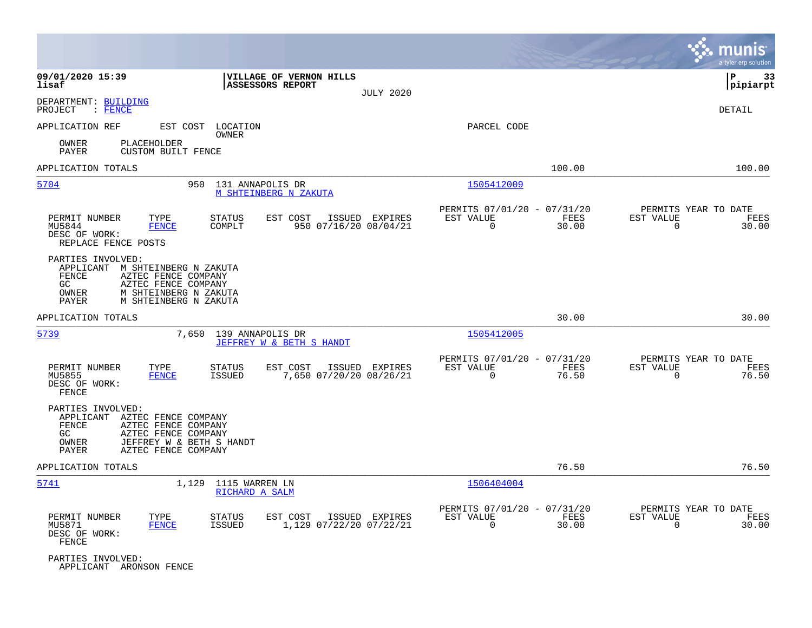|                                                                                                                                                                                       |                                                                                         |                                                                          | munis<br>a tyler erp solution                                     |
|---------------------------------------------------------------------------------------------------------------------------------------------------------------------------------------|-----------------------------------------------------------------------------------------|--------------------------------------------------------------------------|-------------------------------------------------------------------|
| 09/01/2020 15:39<br>lisaf                                                                                                                                                             | VILLAGE OF VERNON HILLS<br>ASSESSORS REPORT<br><b>JULY 2020</b>                         |                                                                          | P<br>33<br> pipiarpt                                              |
| DEPARTMENT: BUILDING<br>$:$ FENCE<br>PROJECT                                                                                                                                          |                                                                                         |                                                                          | DETAIL                                                            |
| APPLICATION REF                                                                                                                                                                       | EST COST LOCATION<br><b>OWNER</b>                                                       | PARCEL CODE                                                              |                                                                   |
| PLACEHOLDER<br>OWNER<br>PAYER<br>CUSTOM BUILT FENCE                                                                                                                                   |                                                                                         |                                                                          |                                                                   |
| APPLICATION TOTALS                                                                                                                                                                    |                                                                                         | 100.00                                                                   | 100.00                                                            |
| 5704                                                                                                                                                                                  | 131 ANNAPOLIS DR<br>950<br><b>M SHTEINBERG N ZAKUTA</b>                                 | 1505412009                                                               |                                                                   |
| PERMIT NUMBER<br>TYPE<br>MU5844<br><b>FENCE</b><br>DESC OF WORK:<br>REPLACE FENCE POSTS                                                                                               | EST COST<br><b>STATUS</b><br>ISSUED EXPIRES<br>COMPLT<br>950 07/16/20 08/04/21          | PERMITS 07/01/20 - 07/31/20<br>EST VALUE<br>FEES<br>$\mathbf 0$<br>30.00 | PERMITS YEAR TO DATE<br>EST VALUE<br>FEES<br>$\mathbf 0$<br>30.00 |
| PARTIES INVOLVED:<br>APPLICANT M SHTEINBERG N ZAKUTA<br>FENCE<br>AZTEC FENCE COMPANY<br>GC<br>AZTEC FENCE COMPANY<br>OWNER<br>M SHTEINBERG N ZAKUTA<br>M SHTEINBERG N ZAKUTA<br>PAYER |                                                                                         |                                                                          |                                                                   |
| APPLICATION TOTALS                                                                                                                                                                    |                                                                                         | 30.00                                                                    | 30.00                                                             |
| 5739                                                                                                                                                                                  | 7,650<br>139 ANNAPOLIS DR<br>JEFFREY W & BETH S HANDT                                   | 1505412005                                                               |                                                                   |
| PERMIT NUMBER<br>TYPE<br>MU5855<br><b>FENCE</b><br>DESC OF WORK:<br>FENCE                                                                                                             | EST COST<br>ISSUED<br>EXPIRES<br><b>STATUS</b><br>ISSUED<br>7,650 07/20/20 08/26/21     | PERMITS 07/01/20 - 07/31/20<br>EST VALUE<br>FEES<br>$\mathbf 0$<br>76.50 | PERMITS YEAR TO DATE<br>EST VALUE<br>FEES<br>$\mathbf 0$<br>76.50 |
| PARTIES INVOLVED:<br>APPLICANT AZTEC FENCE COMPANY<br>FENCE<br>AZTEC FENCE COMPANY<br>GC<br>AZTEC FENCE COMPANY<br>OWNER<br>JEFFREY W & BETH S HANDT<br>PAYER<br>AZTEC FENCE COMPANY  |                                                                                         |                                                                          |                                                                   |
| APPLICATION TOTALS                                                                                                                                                                    |                                                                                         | 76.50                                                                    | 76.50                                                             |
| 5741                                                                                                                                                                                  | 1,129<br>1115 WARREN LN<br>RICHARD A SALM                                               | 1506404004                                                               |                                                                   |
| PERMIT NUMBER<br>TYPE<br>MU5871<br><b>FENCE</b><br>DESC OF WORK:<br>FENCE                                                                                                             | <b>STATUS</b><br>EST COST<br>ISSUED EXPIRES<br>1,129 07/22/20 07/22/21<br><b>ISSUED</b> | PERMITS 07/01/20 - 07/31/20<br>FEES<br>EST VALUE<br>$\mathbf 0$<br>30.00 | PERMITS YEAR TO DATE<br>EST VALUE<br>FEES<br>$\mathbf 0$<br>30.00 |
| PARTIES INVOLVED:<br>APPLICANT ARONSON FENCE                                                                                                                                          |                                                                                         |                                                                          |                                                                   |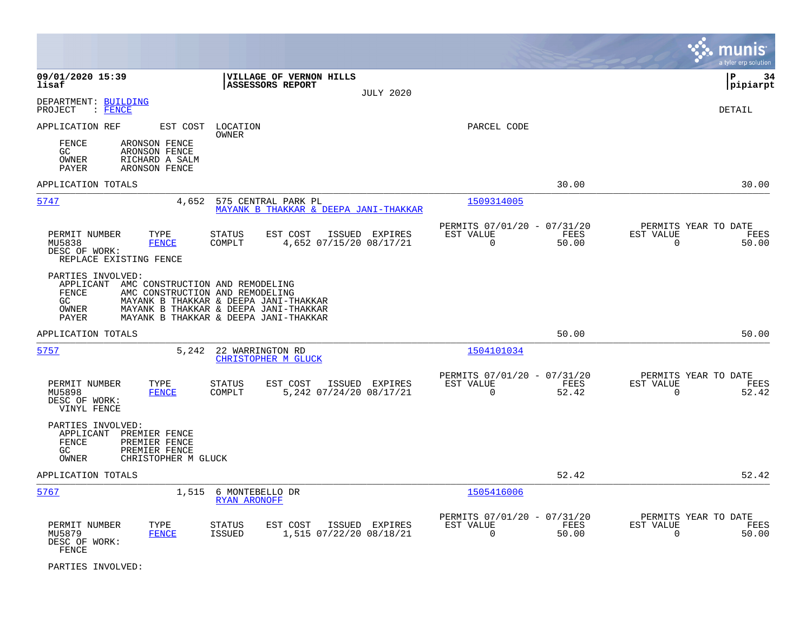|                                                                                                                                  |                                                                                                                                                            |                                                                          | munis<br>a tyler erp solution                                     |
|----------------------------------------------------------------------------------------------------------------------------------|------------------------------------------------------------------------------------------------------------------------------------------------------------|--------------------------------------------------------------------------|-------------------------------------------------------------------|
| 09/01/2020 15:39<br>lisaf                                                                                                        | VILLAGE OF VERNON HILLS<br>ASSESSORS REPORT<br><b>JULY 2020</b>                                                                                            |                                                                          | lР<br>34<br> pipiarpt                                             |
| DEPARTMENT: BUILDING<br>PROJECT<br>$:$ FENCE                                                                                     |                                                                                                                                                            |                                                                          | <b>DETAIL</b>                                                     |
| APPLICATION REF                                                                                                                  | EST COST LOCATION<br>OWNER                                                                                                                                 | PARCEL CODE                                                              |                                                                   |
| FENCE<br>ARONSON FENCE<br>GC<br>ARONSON FENCE<br>RICHARD A SALM<br>OWNER<br>PAYER<br>ARONSON FENCE                               |                                                                                                                                                            |                                                                          |                                                                   |
| APPLICATION TOTALS                                                                                                               |                                                                                                                                                            | 30.00                                                                    | 30.00                                                             |
| 5747<br>4,652                                                                                                                    | 575 CENTRAL PARK PL<br>MAYANK B THAKKAR & DEEPA JANI-THAKKAR                                                                                               | 1509314005                                                               |                                                                   |
| PERMIT NUMBER<br>TYPE<br>MU5838<br><b>FENCE</b><br>DESC OF WORK:<br>REPLACE EXISTING FENCE                                       | <b>STATUS</b><br>EST COST<br>ISSUED EXPIRES<br>COMPLT<br>4,652 07/15/20 08/17/21                                                                           | PERMITS 07/01/20 - 07/31/20<br>EST VALUE<br>FEES<br>$\Omega$<br>50.00    | PERMITS YEAR TO DATE<br>EST VALUE<br>FEES<br>$\Omega$<br>50.00    |
| PARTIES INVOLVED:<br>APPLICANT AMC CONSTRUCTION AND REMODELING<br>FENCE<br>GC<br><b>OWNER</b><br>PAYER                           | AMC CONSTRUCTION AND REMODELING<br>MAYANK B THAKKAR & DEEPA JANI-THAKKAR<br>MAYANK B THAKKAR & DEEPA JANI-THAKKAR<br>MAYANK B THAKKAR & DEEPA JANI-THAKKAR |                                                                          |                                                                   |
| APPLICATION TOTALS                                                                                                               |                                                                                                                                                            | 50.00                                                                    | 50.00                                                             |
| 5757<br>5,242                                                                                                                    | 22 WARRINGTON RD<br>CHRISTOPHER M GLUCK                                                                                                                    | 1504101034                                                               |                                                                   |
| PERMIT NUMBER<br>TYPE<br>MU5898<br><b>FENCE</b><br>DESC OF WORK:<br>VINYL FENCE                                                  | <b>STATUS</b><br>EST COST<br>ISSUED EXPIRES<br>COMPLT<br>5,242 07/24/20 08/17/21                                                                           | PERMITS 07/01/20 - 07/31/20<br>EST VALUE<br>FEES<br>$\mathbf 0$<br>52.42 | PERMITS YEAR TO DATE<br>EST VALUE<br>FEES<br>$\mathbf 0$<br>52.42 |
| PARTIES INVOLVED:<br>APPLICANT<br>PREMIER FENCE<br>FENCE<br>PREMIER FENCE<br>GC<br>PREMIER FENCE<br>CHRISTOPHER M GLUCK<br>OWNER |                                                                                                                                                            |                                                                          |                                                                   |
| APPLICATION TOTALS                                                                                                               |                                                                                                                                                            | 52.42                                                                    | 52.42                                                             |
| 5767                                                                                                                             | 1,515 6 MONTEBELLO DR<br><b>RYAN ARONOFF</b>                                                                                                               | 1505416006                                                               |                                                                   |
| PERMIT NUMBER<br>TYPE<br>MU5879<br><b>FENCE</b><br>DESC OF WORK:<br>FENCE                                                        | <b>STATUS</b><br>EST COST<br>ISSUED EXPIRES<br>1,515 07/22/20 08/18/21<br><b>ISSUED</b>                                                                    | PERMITS 07/01/20 - 07/31/20<br>EST VALUE<br>FEES<br>$\mathbf 0$<br>50.00 | PERMITS YEAR TO DATE<br>EST VALUE<br>FEES<br>$\Omega$<br>50.00    |

PARTIES INVOLVED: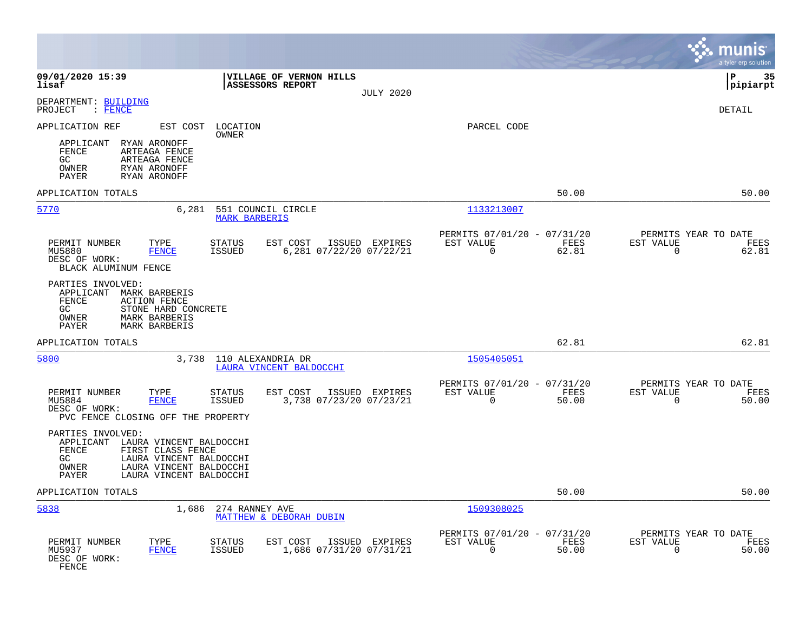|                                                                                                                                                                                                      |                                                                        |                                                                          | munis<br>a tyler erp solution                                     |
|------------------------------------------------------------------------------------------------------------------------------------------------------------------------------------------------------|------------------------------------------------------------------------|--------------------------------------------------------------------------|-------------------------------------------------------------------|
| 09/01/2020 15:39<br>lisaf                                                                                                                                                                            | VILLAGE OF VERNON HILLS<br><b>ASSESSORS REPORT</b><br><b>JULY 2020</b> |                                                                          | l P<br>35<br> pipiarpt                                            |
| DEPARTMENT: BUILDING<br>PROJECT<br>: FENCE                                                                                                                                                           |                                                                        |                                                                          | <b>DETAIL</b>                                                     |
| APPLICATION REF<br>EST COST LOCATION<br>OWNER                                                                                                                                                        |                                                                        | PARCEL CODE                                                              |                                                                   |
| APPLICANT RYAN ARONOFF<br>FENCE<br>ARTEAGA FENCE<br>GC<br>ARTEAGA FENCE<br>RYAN ARONOFF<br>OWNER<br>PAYER<br>RYAN ARONOFF                                                                            |                                                                        |                                                                          |                                                                   |
| APPLICATION TOTALS                                                                                                                                                                                   |                                                                        | 50.00                                                                    | 50.00                                                             |
| 5770<br>6,281                                                                                                                                                                                        | 551 COUNCIL CIRCLE<br><b>MARK BARBERIS</b>                             | 1133213007                                                               |                                                                   |
| TYPE<br>PERMIT NUMBER<br><b>STATUS</b><br>MU5880<br><b>FENCE</b><br><b>ISSUED</b><br>DESC OF WORK:<br>BLACK ALUMINUM FENCE                                                                           | EST COST<br>ISSUED EXPIRES<br>6,281 07/22/20 07/22/21                  | PERMITS 07/01/20 - 07/31/20<br>FEES<br>EST VALUE<br>$\Omega$<br>62.81    | PERMITS YEAR TO DATE<br>EST VALUE<br>FEES<br>$\Omega$<br>62.81    |
| PARTIES INVOLVED:<br>APPLICANT MARK BARBERIS<br>FENCE<br><b>ACTION FENCE</b><br>GC<br>STONE HARD CONCRETE<br>MARK BARBERIS<br>OWNER<br>MARK BARBERIS<br>PAYER                                        |                                                                        |                                                                          |                                                                   |
| APPLICATION TOTALS                                                                                                                                                                                   |                                                                        | 62.81                                                                    | 62.81                                                             |
| 5800<br>3,738                                                                                                                                                                                        | 110 ALEXANDRIA DR<br>LAURA VINCENT BALDOCCHI                           | 1505405051                                                               |                                                                   |
| PERMIT NUMBER<br>TYPE<br><b>STATUS</b><br>MU5884<br><b>FENCE</b><br><b>ISSUED</b><br>DESC OF WORK:<br>PVC FENCE CLOSING OFF THE PROPERTY                                                             | EST COST<br>ISSUED EXPIRES<br>3,738 07/23/20 07/23/21                  | PERMITS 07/01/20 - 07/31/20<br>EST VALUE<br>FEES<br>$\mathbf 0$<br>50.00 | PERMITS YEAR TO DATE<br>EST VALUE<br>FEES<br>$\Omega$<br>50.00    |
| PARTIES INVOLVED:<br>APPLICANT LAURA VINCENT BALDOCCHI<br><b>FENCE</b><br>FIRST CLASS FENCE<br>GC<br>LAURA VINCENT BALDOCCHI<br>LAURA VINCENT BALDOCCHI<br>OWNER<br>LAURA VINCENT BALDOCCHI<br>PAYER |                                                                        |                                                                          |                                                                   |
| APPLICATION TOTALS                                                                                                                                                                                   |                                                                        | 50.00                                                                    | 50.00                                                             |
| 5838<br>1,686                                                                                                                                                                                        | 274 RANNEY AVE<br>MATTHEW & DEBORAH DUBIN                              | 1509308025                                                               |                                                                   |
| PERMIT NUMBER<br>TYPE<br><b>STATUS</b><br>MU5937<br><b>ISSUED</b><br><b>FENCE</b><br>DESC OF WORK:<br>FENCE                                                                                          | EST COST<br>ISSUED EXPIRES<br>1,686 07/31/20 07/31/21                  | PERMITS 07/01/20 - 07/31/20<br>EST VALUE<br>FEES<br>$\mathbf 0$<br>50.00 | PERMITS YEAR TO DATE<br>EST VALUE<br>FEES<br>$\mathbf 0$<br>50.00 |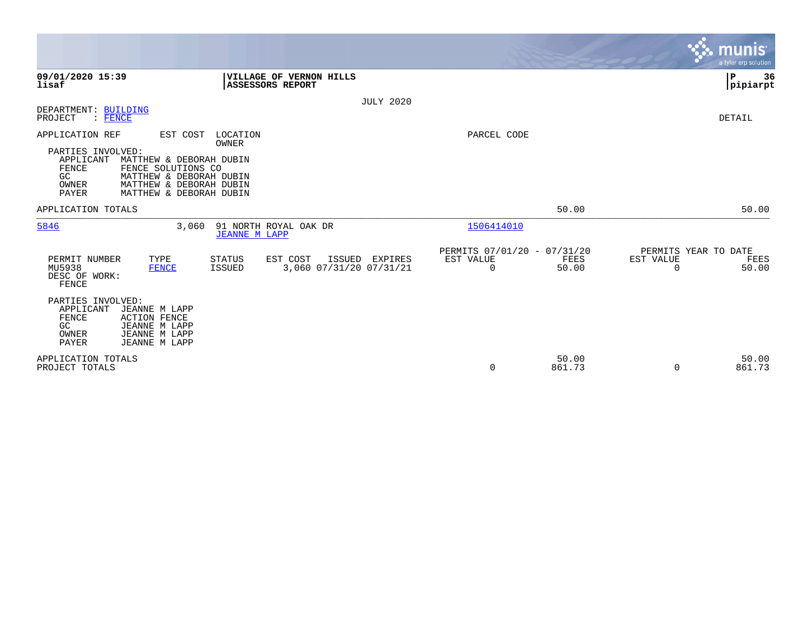|                                                                                                                                                                                                                                  |                                                                           |                                                      | munis<br>a tyler erp solution                                                   |
|----------------------------------------------------------------------------------------------------------------------------------------------------------------------------------------------------------------------------------|---------------------------------------------------------------------------|------------------------------------------------------|---------------------------------------------------------------------------------|
| 09/01/2020 15:39<br>lisaf                                                                                                                                                                                                        | <b>VILLAGE OF VERNON HILLS</b><br><b>ASSESSORS REPORT</b>                 |                                                      | P)<br>36<br> pipiarpt                                                           |
| DEPARTMENT: BUILDING<br>PROJECT<br>: FENCE                                                                                                                                                                                       | <b>JULY 2020</b>                                                          |                                                      | DETAIL                                                                          |
| APPLICATION REF<br>EST COST<br>PARTIES INVOLVED:<br>APPLICANT<br>MATTHEW & DEBORAH DUBIN<br>FENCE<br>FENCE SOLUTIONS CO<br>GC<br>MATTHEW & DEBORAH DUBIN<br>MATTHEW & DEBORAH DUBIN<br>OWNER<br>PAYER<br>MATTHEW & DEBORAH DUBIN | LOCATION<br>OWNER                                                         | PARCEL CODE                                          |                                                                                 |
| APPLICATION TOTALS                                                                                                                                                                                                               |                                                                           |                                                      | 50.00<br>50.00                                                                  |
| 5846<br>3,060                                                                                                                                                                                                                    | 91 NORTH ROYAL OAK DR<br><b>JEANNE M LAPP</b>                             | 1506414010                                           |                                                                                 |
| PERMIT NUMBER<br>TYPE<br>MU5938<br><b>FENCE</b><br>DESC OF WORK:<br>FENCE                                                                                                                                                        | STATUS<br>EST COST<br>ISSUED EXPIRES<br>3,060 07/31/20 07/31/21<br>ISSUED | PERMITS 07/01/20 - 07/31/20<br>EST VALUE<br>$\Omega$ | PERMITS YEAR TO DATE<br>FEES<br>EST VALUE<br>FEES<br>50.00<br>50.00<br>$\Omega$ |
| PARTIES INVOLVED:<br>APPLICANT<br>JEANNE M LAPP<br>FENCE<br><b>ACTION FENCE</b><br>GC.<br>JEANNE M LAPP<br>OWNER<br><b>JEANNE M LAPP</b><br>PAYER<br><b>JEANNE M LAPP</b>                                                        |                                                                           |                                                      |                                                                                 |
| APPLICATION TOTALS<br>PROJECT TOTALS                                                                                                                                                                                             |                                                                           | 0                                                    | 50.00<br>50.00<br>861.73<br>861.73<br>$\Omega$                                  |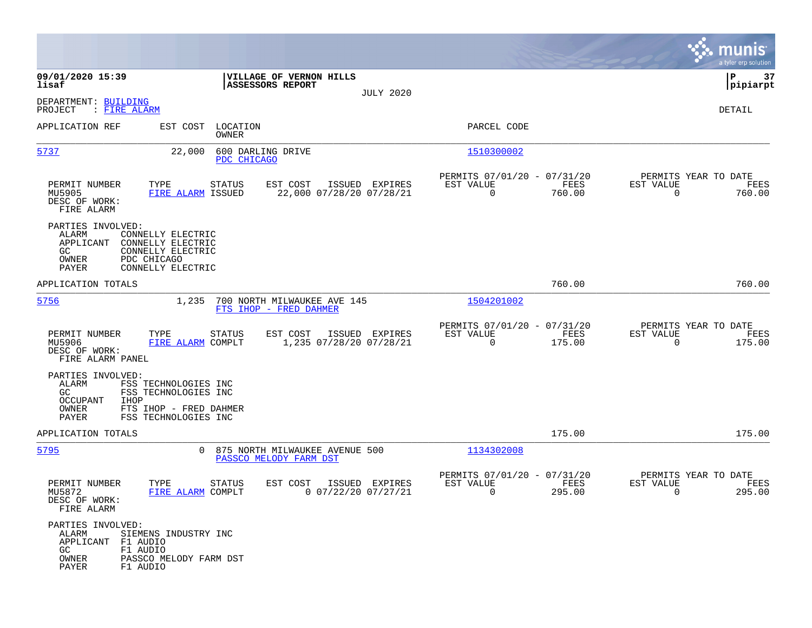|                                                                                                  |                                                                                                 |                                                            |                  |                                                         |                |                                                  | munis<br>a tyler erp solution |
|--------------------------------------------------------------------------------------------------|-------------------------------------------------------------------------------------------------|------------------------------------------------------------|------------------|---------------------------------------------------------|----------------|--------------------------------------------------|-------------------------------|
| 09/01/2020 15:39<br>lisaf                                                                        |                                                                                                 | VILLAGE OF VERNON HILLS<br><b>ASSESSORS REPORT</b>         |                  |                                                         |                |                                                  | P<br>37<br> pipiarpt          |
| DEPARTMENT: BUILDING<br>PROJECT<br>: <u>FIRE ALARM</u>                                           |                                                                                                 |                                                            | <b>JULY 2020</b> |                                                         |                |                                                  | DETAIL                        |
| APPLICATION REF                                                                                  | EST COST LOCATION<br><b>OWNER</b>                                                               |                                                            |                  | PARCEL CODE                                             |                |                                                  |                               |
| 5737                                                                                             | 22,000<br>PDC CHICAGO                                                                           | 600 DARLING DRIVE                                          |                  | 1510300002                                              |                |                                                  |                               |
| PERMIT NUMBER<br>MU5905<br>DESC OF WORK:<br>FIRE ALARM                                           | TYPE<br>STATUS<br>FIRE ALARM ISSUED                                                             | EST COST<br>22,000 07/28/20 07/28/21                       | ISSUED EXPIRES   | PERMITS 07/01/20 - 07/31/20<br>EST VALUE<br>$\mathbf 0$ | FEES<br>760.00 | PERMITS YEAR TO DATE<br>EST VALUE<br>$\mathbf 0$ | FEES<br>760.00                |
| PARTIES INVOLVED:<br>ALARM<br>APPLICANT<br>GC<br>OWNER<br>PAYER                                  | CONNELLY ELECTRIC<br>CONNELLY ELECTRIC<br>CONNELLY ELECTRIC<br>PDC CHICAGO<br>CONNELLY ELECTRIC |                                                            |                  |                                                         |                |                                                  |                               |
| APPLICATION TOTALS                                                                               |                                                                                                 |                                                            |                  |                                                         | 760.00         |                                                  | 760.00                        |
| 5756                                                                                             | 1,235                                                                                           | 700 NORTH MILWAUKEE AVE 145<br>FTS IHOP - FRED DAHMER      |                  | 1504201002                                              |                |                                                  |                               |
| PERMIT NUMBER<br>MU5906<br>DESC OF WORK:<br>FIRE ALARM PANEL                                     | TYPE<br>STATUS<br>FIRE ALARM COMPLT                                                             | EST COST<br>1,235 07/28/20 07/28/21                        | ISSUED EXPIRES   | PERMITS 07/01/20 - 07/31/20<br>EST VALUE<br>$\mathbf 0$ | FEES<br>175.00 | PERMITS YEAR TO DATE<br>EST VALUE<br>$\Omega$    | FEES<br>175.00                |
| PARTIES INVOLVED:<br>ALARM<br>GC<br>OCCUPANT<br>IHOP<br>OWNER<br>PAYER                           | FSS TECHNOLOGIES INC<br>FSS TECHNOLOGIES INC<br>FTS IHOP - FRED DAHMER<br>FSS TECHNOLOGIES INC  |                                                            |                  |                                                         |                |                                                  |                               |
| APPLICATION TOTALS                                                                               |                                                                                                 |                                                            |                  |                                                         | 175.00         |                                                  | 175.00                        |
| 5795                                                                                             |                                                                                                 | 0 875 NORTH MILWAUKEE AVENUE 500<br>PASSCO MELODY FARM DST |                  | 1134302008                                              |                |                                                  |                               |
| PERMIT NUMBER<br>MU5872<br>DESC OF WORK<br>FIRE ALARM                                            | TYPE<br><b>STATUS</b><br>FIRE ALARM COMPLT                                                      | EST COST<br>$0$ 07/22/20 07/27/21                          | ISSUED EXPIRES   | PERMITS 07/01/20 - 07/31/20<br>EST VALUE<br>0           | FEES<br>295.00 | PERMITS YEAR TO DATE<br>EST VALUE<br>0           | FEES<br>295.00                |
| PARTIES INVOLVED:<br>ALARM<br>APPLICANT F1 AUDIO<br>GC<br>F1 AUDIO<br>OWNER<br>PAYER<br>F1 AUDIO | SIEMENS INDUSTRY INC<br>PASSCO MELODY FARM DST                                                  |                                                            |                  |                                                         |                |                                                  |                               |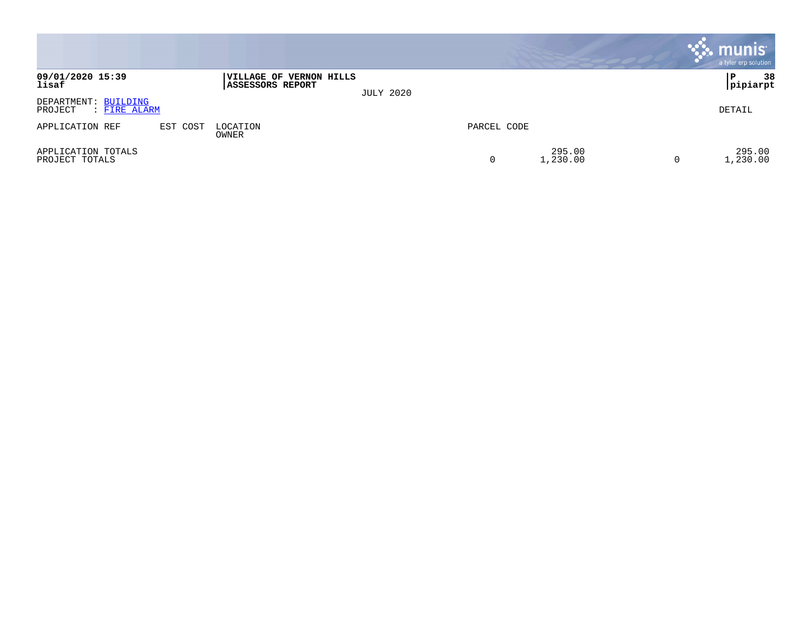|                                                 |          |                                             |                  |             |                    |   | $\cdot$ munis<br>a tyler erp solution |
|-------------------------------------------------|----------|---------------------------------------------|------------------|-------------|--------------------|---|---------------------------------------|
| 09/01/2020 15:39<br>lisaf                       |          | VILLAGE OF VERNON HILLS<br>ASSESSORS REPORT | <b>JULY 2020</b> |             |                    |   | 38<br>P<br> pipiarpt                  |
| DEPARTMENT: BUILDING<br>: FIRE ALARM<br>PROJECT |          |                                             |                  |             |                    |   | DETAIL                                |
| APPLICATION REF                                 | EST COST | LOCATION<br>OWNER                           |                  | PARCEL CODE |                    |   |                                       |
| APPLICATION TOTALS<br>PROJECT TOTALS            |          |                                             |                  | 0           | 295.00<br>1,230.00 | 0 | 295.00<br>1,230.00                    |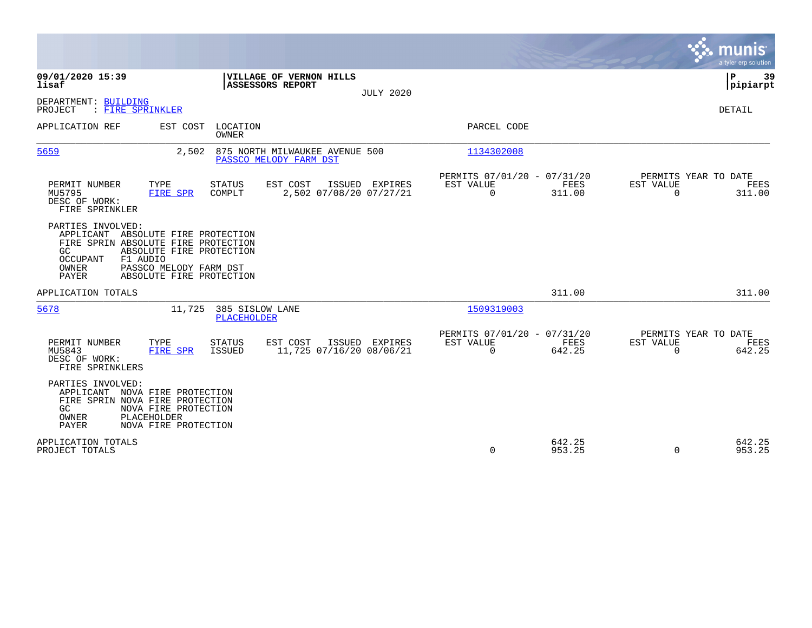|                                                                                                                                                                                                                                          |                                                                |                  |                                                      |                  |                                                      | munis<br>a tyler erp solution |
|------------------------------------------------------------------------------------------------------------------------------------------------------------------------------------------------------------------------------------------|----------------------------------------------------------------|------------------|------------------------------------------------------|------------------|------------------------------------------------------|-------------------------------|
| 09/01/2020 15:39<br>lisaf                                                                                                                                                                                                                | VILLAGE OF VERNON HILLS<br>ASSESSORS REPORT                    | <b>JULY 2020</b> |                                                      |                  |                                                      | Þ<br>39<br> pipiarpt          |
| DEPARTMENT: BUILDING<br>PROJECT<br>: FIRE SPRINKLER                                                                                                                                                                                      |                                                                |                  |                                                      |                  |                                                      | DETAIL                        |
| EST COST<br>APPLICATION REF                                                                                                                                                                                                              | LOCATION<br><b>OWNER</b>                                       |                  | PARCEL CODE                                          |                  |                                                      |                               |
| 5659<br>2,502                                                                                                                                                                                                                            | 875 NORTH MILWAUKEE AVENUE 500<br>PASSCO MELODY FARM DST       |                  | 1134302008                                           |                  |                                                      |                               |
| PERMIT NUMBER<br>TYPE<br>MU5795<br>FIRE SPR<br>DESC OF WORK:<br>FIRE SPRINKLER                                                                                                                                                           | <b>STATUS</b><br>EST COST<br>2,502 07/08/20 07/27/21<br>COMPLT | ISSUED EXPIRES   | PERMITS 07/01/20 - 07/31/20<br>EST VALUE<br>$\Omega$ | FEES<br>311.00   | PERMITS YEAR TO DATE<br><b>EST VALUE</b><br>$\Omega$ | FEES<br>311.00                |
| PARTIES INVOLVED:<br>APPLICANT ABSOLUTE FIRE PROTECTION<br>FIRE SPRIN ABSOLUTE FIRE PROTECTION<br>ABSOLUTE FIRE PROTECTION<br>GC.<br><b>OCCUPANT</b><br>F1 AUDIO<br>OWNER<br>PASSCO MELODY FARM DST<br>PAYER<br>ABSOLUTE FIRE PROTECTION |                                                                |                  |                                                      |                  |                                                      |                               |
| APPLICATION TOTALS                                                                                                                                                                                                                       |                                                                |                  |                                                      | 311.00           |                                                      | 311.00                        |
| 5678                                                                                                                                                                                                                                     | 11,725 385 SISLOW LANE<br><b>PLACEHOLDER</b>                   |                  | 1509319003                                           |                  |                                                      |                               |
| PERMIT NUMBER<br>TYPE<br>MU5843<br>FIRE SPR<br>DESC OF WORK:<br>FIRE SPRINKLERS                                                                                                                                                          | STATUS<br>EST COST<br>ISSUED<br>11,725 07/16/20 08/06/21       | ISSUED EXPIRES   | PERMITS 07/01/20 - 07/31/20<br>EST VALUE<br>$\Omega$ | FEES<br>642.25   | PERMITS YEAR TO DATE<br>EST VALUE<br>$\Omega$        | FEES<br>642.25                |
| PARTIES INVOLVED:<br>APPLICANT NOVA FIRE PROTECTION<br>FIRE SPRIN NOVA FIRE PROTECTION<br>GC<br>NOVA FIRE PROTECTION<br>PLACEHOLDER<br>OWNER<br><b>PAYER</b><br>NOVA FIRE PROTECTION                                                     |                                                                |                  |                                                      |                  |                                                      |                               |
| APPLICATION TOTALS<br>PROJECT TOTALS                                                                                                                                                                                                     |                                                                |                  | $\mathbf 0$                                          | 642.25<br>953.25 | $\Omega$                                             | 642.25<br>953.25              |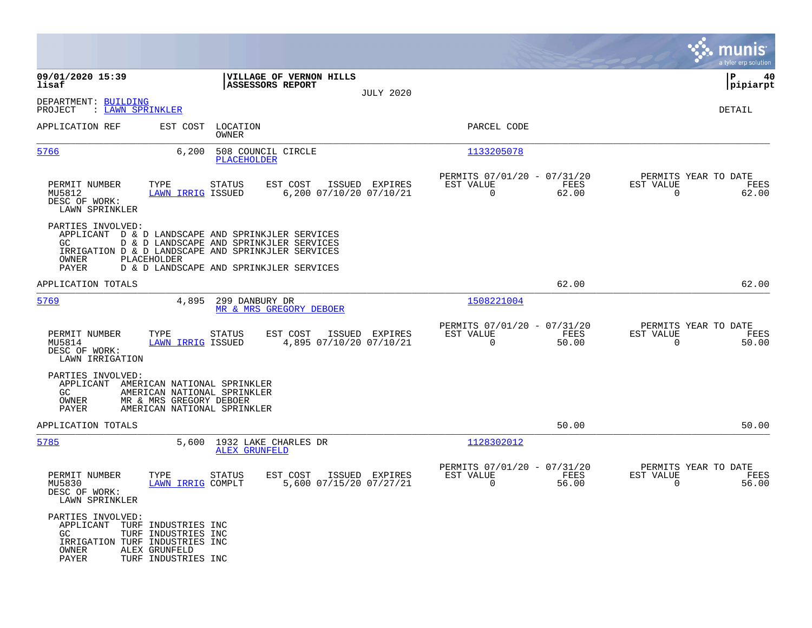|                                                                                                                                                                              |                                                                                                                                                                                               |                                                                          | a tyler erp solution                                              |
|------------------------------------------------------------------------------------------------------------------------------------------------------------------------------|-----------------------------------------------------------------------------------------------------------------------------------------------------------------------------------------------|--------------------------------------------------------------------------|-------------------------------------------------------------------|
| 09/01/2020 15:39<br>lisaf                                                                                                                                                    | VILLAGE OF VERNON HILLS<br>ASSESSORS REPORT<br><b>JULY 2020</b>                                                                                                                               |                                                                          | 40<br>l P<br> pipiarpt                                            |
| DEPARTMENT: BUILDING<br>PROJECT<br>: LAWN SPRINKLER                                                                                                                          |                                                                                                                                                                                               |                                                                          | <b>DETAIL</b>                                                     |
| APPLICATION REF<br>EST COST                                                                                                                                                  | LOCATION<br><b>OWNER</b>                                                                                                                                                                      | PARCEL CODE                                                              |                                                                   |
| 5766                                                                                                                                                                         | 6,200<br>508 COUNCIL CIRCLE<br><b>PLACEHOLDER</b>                                                                                                                                             | 1133205078                                                               |                                                                   |
| PERMIT NUMBER<br>TYPE<br>MU5812<br>DESC OF WORK:<br>LAWN SPRINKLER                                                                                                           | EST COST<br>ISSUED EXPIRES<br>STATUS<br>6,200 07/10/20 07/10/21<br><b>LAWN IRRIG ISSUED</b>                                                                                                   | PERMITS 07/01/20 - 07/31/20<br>EST VALUE<br>FEES<br>0<br>62.00           | PERMITS YEAR TO DATE<br>EST VALUE<br>FEES<br>0<br>62.00           |
| PARTIES INVOLVED:<br>GC.<br>OWNER<br>PLACEHOLDER<br>PAYER                                                                                                                    | APPLICANT D & D LANDSCAPE AND SPRINKJLER SERVICES<br>D & D LANDSCAPE AND SPRINKJLER SERVICES<br>IRRIGATION D & D LANDSCAPE AND SPRINKJLER SERVICES<br>D & D LANDSCAPE AND SPRINKJLER SERVICES |                                                                          |                                                                   |
| APPLICATION TOTALS                                                                                                                                                           |                                                                                                                                                                                               | 62.00                                                                    | 62.00                                                             |
| 5769                                                                                                                                                                         | 4,895<br>299 DANBURY DR<br>MR & MRS GREGORY DEBOER                                                                                                                                            | 1508221004                                                               |                                                                   |
| PERMIT NUMBER<br>TYPE<br>MU5814<br>DESC OF WORK:<br>LAWN IRRIGATION                                                                                                          | <b>STATUS</b><br>EST COST<br>ISSUED EXPIRES<br><b>LAWN IRRIG ISSUED</b><br>4,895 07/10/20 07/10/21                                                                                            | PERMITS 07/01/20 - 07/31/20<br>EST VALUE<br>FEES<br>$\mathbf 0$<br>50.00 | PERMITS YEAR TO DATE<br>EST VALUE<br>FEES<br>$\mathbf 0$<br>50.00 |
| PARTIES INVOLVED:<br>APPLICANT AMERICAN NATIONAL SPRINKLER<br>GC<br>OWNER<br>MR & MRS GREGORY DEBOER<br>PAYER                                                                | AMERICAN NATIONAL SPRINKLER<br>AMERICAN NATIONAL SPRINKLER                                                                                                                                    |                                                                          |                                                                   |
| APPLICATION TOTALS                                                                                                                                                           |                                                                                                                                                                                               | 50.00                                                                    | 50.00                                                             |
| 5785                                                                                                                                                                         | 5,600<br>1932 LAKE CHARLES DR<br><b>ALEX GRUNFELD</b>                                                                                                                                         | 1128302012                                                               |                                                                   |
| PERMIT NUMBER<br>TYPE<br>MU5830<br>DESC OF WORK:<br>LAWN SPRINKLER                                                                                                           | EST COST<br>ISSUED EXPIRES<br><b>STATUS</b><br><b>LAWN IRRIG COMPLT</b><br>5,600 07/15/20 07/27/21                                                                                            | PERMITS 07/01/20 - 07/31/20<br>EST VALUE<br>FEES<br>$\mathbf 0$<br>56.00 | PERMITS YEAR TO DATE<br>EST VALUE<br>FEES<br>$\mathbf 0$<br>56.00 |
| PARTIES INVOLVED:<br>APPLICANT TURF INDUSTRIES INC<br>GC.<br>TURF INDUSTRIES INC<br>IRRIGATION TURF INDUSTRIES INC<br>OWNER<br>ALEX GRUNFELD<br>PAYER<br>TURF INDUSTRIES INC |                                                                                                                                                                                               |                                                                          |                                                                   |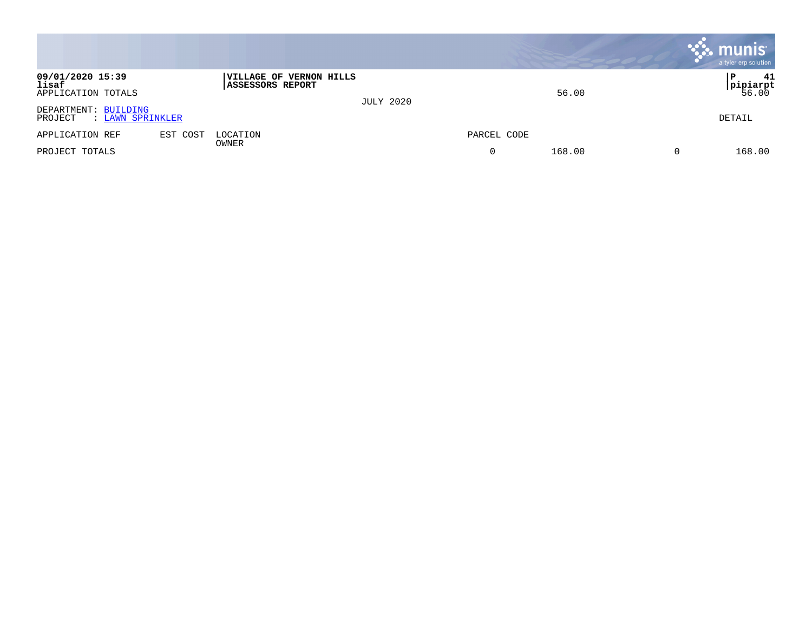|                                                     |          |                                                    |                  |             |        |   | $\mathbf{\ddot{.}}\mathbf{.}$ munis<br>a tyler erp solution |
|-----------------------------------------------------|----------|----------------------------------------------------|------------------|-------------|--------|---|-------------------------------------------------------------|
| 09/01/2020 15:39<br>lisaf<br>APPLICATION TOTALS     |          | VILLAGE OF VERNON HILLS<br><b>ASSESSORS REPORT</b> | <b>JULY 2020</b> |             | 56.00  |   | IP.<br>41<br><b>pipiarpt</b><br>56.00                       |
| DEPARTMENT: BUILDING<br>: LAWN SPRINKLER<br>PROJECT |          |                                                    |                  |             |        |   | <b>DETAIL</b>                                               |
| APPLICATION REF                                     | EST COST | LOCATION<br>OWNER                                  |                  | PARCEL CODE |        |   |                                                             |
| PROJECT TOTALS                                      |          |                                                    |                  | 0           | 168.00 | 0 | 168.00                                                      |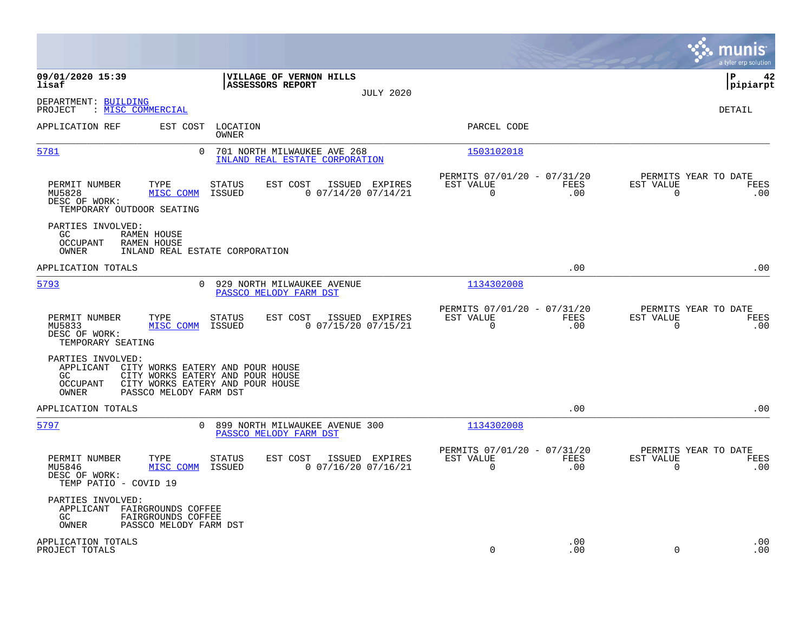|                                                                                                                                                                                              | munis<br>a tyler erp solution                                                                                                             |
|----------------------------------------------------------------------------------------------------------------------------------------------------------------------------------------------|-------------------------------------------------------------------------------------------------------------------------------------------|
| 09/01/2020 15:39<br>VILLAGE OF VERNON HILLS<br>ASSESSORS REPORT<br>lisaf<br><b>JULY 2020</b>                                                                                                 | l P<br>42<br> pipiarpt                                                                                                                    |
| DEPARTMENT: BUILDING<br>: MISC COMMERCIAL<br>PROJECT                                                                                                                                         | <b>DETAIL</b>                                                                                                                             |
| APPLICATION REF<br>EST COST LOCATION<br>OWNER                                                                                                                                                | PARCEL CODE                                                                                                                               |
| 5781<br>701 NORTH MILWAUKEE AVE 268<br>$\Omega$<br>INLAND REAL ESTATE CORPORATION                                                                                                            | 1503102018                                                                                                                                |
| EST COST<br>PERMIT NUMBER<br>TYPE<br>ISSUED EXPIRES<br>STATUS<br>MU5828<br>MISC COMM<br>ISSUED<br>$0$ $07/14/20$ $07/14/21$<br>DESC OF WORK:<br>TEMPORARY OUTDOOR SEATING                    | PERMITS 07/01/20 - 07/31/20<br>PERMITS YEAR TO DATE<br>EST VALUE<br>FEES<br>EST VALUE<br>FEES<br>$\mathbf 0$<br>.00<br>0<br>.00           |
| PARTIES INVOLVED:<br>GC.<br>RAMEN HOUSE<br>OCCUPANT<br>RAMEN HOUSE<br>OWNER<br>INLAND REAL ESTATE CORPORATION                                                                                |                                                                                                                                           |
| APPLICATION TOTALS                                                                                                                                                                           | .00<br>.00                                                                                                                                |
| 5793<br>$\Omega$<br>929 NORTH MILWAUKEE AVENUE<br>PASSCO MELODY FARM DST                                                                                                                     | 1134302008                                                                                                                                |
| PERMIT NUMBER<br>TYPE<br><b>STATUS</b><br>EST COST<br>ISSUED EXPIRES<br>MISC COMM<br>ISSUED<br>$0$ $07/15/20$ $07/15/21$<br>MU5833<br>DESC OF WORK:<br>TEMPORARY SEATING                     | PERMITS 07/01/20 - 07/31/20<br>PERMITS YEAR TO DATE<br>EST VALUE<br>FEES<br>EST VALUE<br>FEES<br>$\mathbf 0$<br>.00<br>$\mathbf 0$<br>.00 |
| PARTIES INVOLVED:<br>APPLICANT CITY WORKS EATERY AND POUR HOUSE<br>GC<br>CITY WORKS EATERY AND POUR HOUSE<br>OCCUPANT<br>CITY WORKS EATERY AND POUR HOUSE<br>PASSCO MELODY FARM DST<br>OWNER |                                                                                                                                           |
| APPLICATION TOTALS                                                                                                                                                                           | .00<br>.00                                                                                                                                |
| 5797<br>$\mathbf{0}$<br>899 NORTH MILWAUKEE AVENUE 300<br>PASSCO MELODY FARM DST                                                                                                             | 1134302008                                                                                                                                |
| PERMIT NUMBER<br>TYPE<br>EST COST<br>ISSUED EXPIRES<br><b>STATUS</b><br>MU5846<br>MISC COMM<br>ISSUED<br>$0$ $07/16/20$ $07/16/21$<br>DESC OF WORK:<br>TEMP PATIO - COVID 19                 | PERMITS 07/01/20 - 07/31/20<br>PERMITS YEAR TO DATE<br>EST VALUE<br>FEES<br>EST VALUE<br>FEES<br>$\mathbf 0$<br>.00<br>$\mathbf 0$<br>.00 |
| PARTIES INVOLVED:<br>APPLICANT FAIRGROUNDS COFFEE<br>FAIRGROUNDS COFFEE<br>GC<br>OWNER<br>PASSCO MELODY FARM DST                                                                             |                                                                                                                                           |
| APPLICATION TOTALS<br>PROJECT TOTALS                                                                                                                                                         | .00<br>.00<br>0<br>$\mathbf 0$<br>.00<br>.00                                                                                              |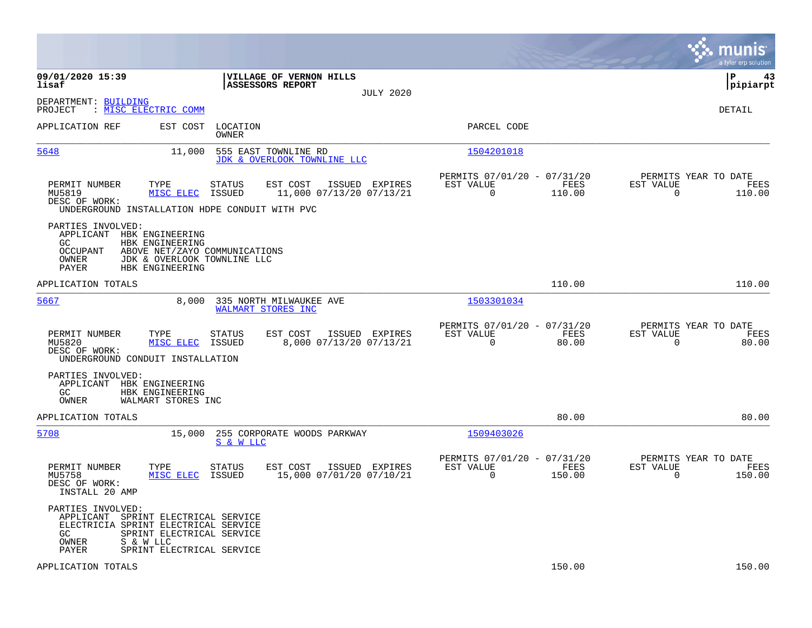|                                                                                                                                        |                                                                                                                              |                                                                          | munis<br>a tyler erp solution                                      |
|----------------------------------------------------------------------------------------------------------------------------------------|------------------------------------------------------------------------------------------------------------------------------|--------------------------------------------------------------------------|--------------------------------------------------------------------|
| 09/01/2020 15:39<br>lisaf                                                                                                              | VILLAGE OF VERNON HILLS<br><b>ASSESSORS REPORT</b><br><b>JULY 2020</b>                                                       |                                                                          | l P<br>43<br> pipiarpt                                             |
| DEPARTMENT: BUILDING<br>: MISC ELECTRIC COMM<br>PROJECT                                                                                |                                                                                                                              |                                                                          | <b>DETAIL</b>                                                      |
| APPLICATION REF                                                                                                                        | EST COST<br>LOCATION<br><b>OWNER</b>                                                                                         | PARCEL CODE                                                              |                                                                    |
| 5648                                                                                                                                   | 11,000<br>555 EAST TOWNLINE RD<br>JDK & OVERLOOK TOWNLINE LLC                                                                | 1504201018                                                               |                                                                    |
| PERMIT NUMBER<br>TYPE<br>MU5819<br>MISC ELEC<br>DESC OF WORK:                                                                          | EST COST<br>ISSUED EXPIRES<br>STATUS<br>ISSUED<br>11,000 07/13/20 07/13/21<br>UNDERGROUND INSTALLATION HDPE CONDUIT WITH PVC | PERMITS 07/01/20 - 07/31/20<br>EST VALUE<br>FEES<br>0<br>110.00          | PERMITS YEAR TO DATE<br>EST VALUE<br>FEES<br>$\mathbf 0$<br>110.00 |
| PARTIES INVOLVED:<br>APPLICANT<br>HBK ENGINEERING<br>GC<br>HBK ENGINEERING<br><b>OCCUPANT</b><br>OWNER<br>PAYER<br>HBK ENGINEERING     | ABOVE NET/ZAYO COMMUNICATIONS<br>JDK & OVERLOOK TOWNLINE LLC                                                                 |                                                                          |                                                                    |
| APPLICATION TOTALS                                                                                                                     |                                                                                                                              | 110.00                                                                   | 110.00                                                             |
| 5667                                                                                                                                   | 8,000<br>335 NORTH MILWAUKEE AVE<br>WALMART STORES INC                                                                       | 1503301034                                                               |                                                                    |
| PERMIT NUMBER<br>TYPE<br>MISC ELEC<br>MU5820<br>DESC OF WORK:<br>UNDERGROUND CONDUIT INSTALLATION                                      | EST COST<br>ISSUED EXPIRES<br>STATUS<br>ISSUED<br>8,000 07/13/20 07/13/21                                                    | PERMITS 07/01/20 - 07/31/20<br>EST VALUE<br>FEES<br>$\mathbf 0$<br>80.00 | PERMITS YEAR TO DATE<br>EST VALUE<br>FEES<br>$\mathbf 0$<br>80.00  |
| PARTIES INVOLVED:<br>APPLICANT<br>HBK ENGINEERING<br>GC.<br>HBK ENGINEERING<br>OWNER<br>WALMART STORES INC                             |                                                                                                                              |                                                                          |                                                                    |
| APPLICATION TOTALS                                                                                                                     |                                                                                                                              | 80.00                                                                    | 80.00                                                              |
| 5708                                                                                                                                   | 15,000<br>255 CORPORATE WOODS PARKWAY<br>S & W LLC                                                                           | 1509403026                                                               |                                                                    |
| PERMIT NUMBER<br>TYPE<br>MU5758<br>MISC ELEC<br>DESC OF WORK:<br>INSTALL 20 AMP                                                        | EST COST<br>STATUS<br>ISSUED EXPIRES<br>15,000 07/01/20 07/10/21<br>ISSUED                                                   | PERMITS 07/01/20 - 07/31/20<br>EST VALUE<br>FEES<br>$\Omega$<br>150.00   | PERMITS YEAR TO DATE<br>EST VALUE<br>FEES<br>$\mathbf 0$<br>150.00 |
| PARTIES INVOLVED:<br>APPLICANT SPRINT ELECTRICAL SERVICE<br>ELECTRICIA SPRINT ELECTRICAL SERVICE<br>GC.<br>OWNER<br>S & W LLC<br>PAYER | SPRINT ELECTRICAL SERVICE<br>SPRINT ELECTRICAL SERVICE                                                                       |                                                                          |                                                                    |
| APPLICATION TOTALS                                                                                                                     |                                                                                                                              | 150.00                                                                   | 150.00                                                             |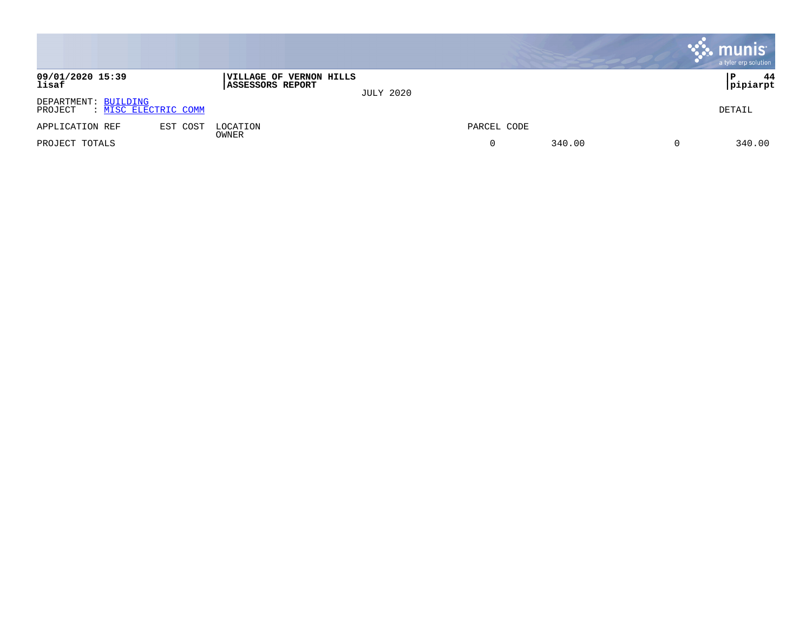|                                                         |                                                    |                  |             |        | $\cdot$ munis<br>a tyler erp solution |
|---------------------------------------------------------|----------------------------------------------------|------------------|-------------|--------|---------------------------------------|
| 09/01/2020 15:39<br>lisaf                               | VILLAGE OF VERNON HILLS<br><b>ASSESSORS REPORT</b> | <b>JULY 2020</b> |             |        | 44<br>P<br> pipiarpt                  |
| DEPARTMENT: BUILDING<br>: MISC ELECTRIC COMM<br>PROJECT |                                                    |                  |             |        | DETAIL                                |
| APPLICATION REF<br>EST COST                             | LOCATION                                           |                  | PARCEL CODE |        |                                       |
| PROJECT TOTALS                                          | OWNER                                              |                  |             | 340.00 | 340.00                                |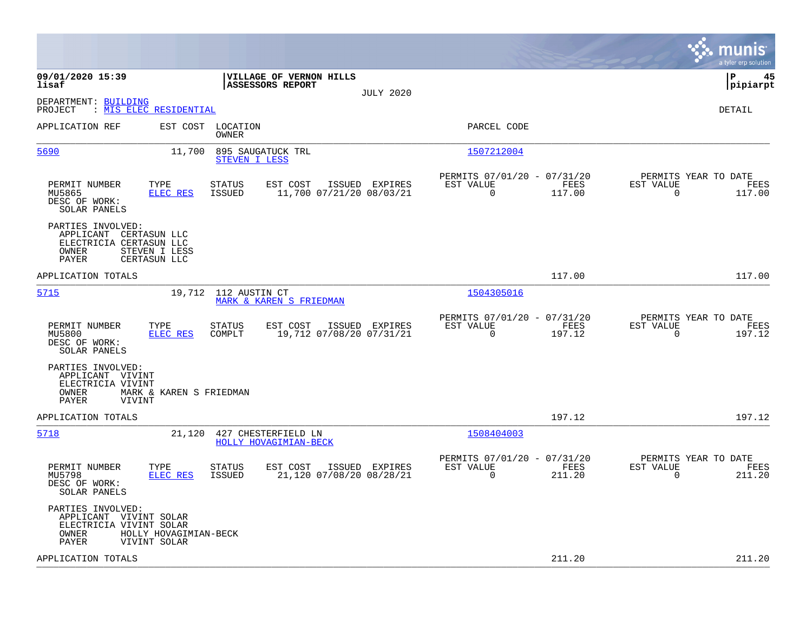|                                                                                                                                   |                                                                        |                  |                                               |                |                                                  | a tyler erp solution  |
|-----------------------------------------------------------------------------------------------------------------------------------|------------------------------------------------------------------------|------------------|-----------------------------------------------|----------------|--------------------------------------------------|-----------------------|
| 09/01/2020 15:39<br>lisaf                                                                                                         | VILLAGE OF VERNON HILLS<br><b>ASSESSORS REPORT</b>                     | <b>JULY 2020</b> |                                               |                |                                                  | ΙP<br>45<br> pipiarpt |
| DEPARTMENT: BUILDING<br>: MIS ELEC RESIDENTIAL<br>PROJECT                                                                         |                                                                        |                  |                                               |                |                                                  | <b>DETAIL</b>         |
| APPLICATION REF<br>EST COST LOCATION                                                                                              | OWNER                                                                  |                  | PARCEL CODE                                   |                |                                                  |                       |
| 5690<br>11,700                                                                                                                    | 895 SAUGATUCK TRL<br>STEVEN I LESS                                     |                  | 1507212004                                    |                |                                                  |                       |
| TYPE<br>PERMIT NUMBER<br>MU5865<br>ELEC RES<br>DESC OF WORK:<br>SOLAR PANELS                                                      | EST COST<br><b>STATUS</b><br><b>ISSUED</b><br>11,700 07/21/20 08/03/21 | ISSUED EXPIRES   | PERMITS 07/01/20 - 07/31/20<br>EST VALUE<br>0 | FEES<br>117.00 | PERMITS YEAR TO DATE<br>EST VALUE<br>$\mathbf 0$ | FEES<br>117.00        |
| PARTIES INVOLVED:<br>APPLICANT CERTASUN LLC<br>ELECTRICIA CERTASUN LLC<br>OWNER<br>STEVEN I LESS<br>PAYER<br>CERTASUN LLC         |                                                                        |                  |                                               |                |                                                  |                       |
| APPLICATION TOTALS                                                                                                                |                                                                        |                  |                                               | 117.00         |                                                  | 117.00                |
| 5715                                                                                                                              | 19,712 112 AUSTIN CT<br>MARK & KAREN S FRIEDMAN                        |                  | 1504305016                                    |                |                                                  |                       |
| PERMIT NUMBER<br>TYPE<br>MU5800<br>ELEC RES<br>DESC OF WORK:<br>SOLAR PANELS                                                      | <b>STATUS</b><br>EST COST<br>19,712 07/08/20 07/31/21<br>COMPLT        | ISSUED EXPIRES   | PERMITS 07/01/20 - 07/31/20<br>EST VALUE<br>0 | FEES<br>197.12 | PERMITS YEAR TO DATE<br>EST VALUE<br>$\mathbf 0$ | FEES<br>197.12        |
| PARTIES INVOLVED:<br>APPLICANT VIVINT<br>ELECTRICIA VIVINT<br>OWNER<br>MARK & KAREN S FRIEDMAN<br>PAYER<br>VIVINT                 |                                                                        |                  |                                               |                |                                                  |                       |
| APPLICATION TOTALS                                                                                                                |                                                                        |                  |                                               | 197.12         |                                                  | 197.12                |
| 5718<br>21,120                                                                                                                    | 427 CHESTERFIELD LN<br>HOLLY HOVAGIMIAN-BECK                           |                  | 1508404003                                    |                |                                                  |                       |
| PERMIT NUMBER<br>TYPE<br>MU5798<br><b>ELEC RES</b><br>DESC OF WORK:<br>SOLAR PANELS                                               | <b>STATUS</b><br>EST COST<br>ISSUED<br>21,120 07/08/20 08/28/21        | ISSUED EXPIRES   | PERMITS 07/01/20 - 07/31/20<br>EST VALUE<br>0 | FEES<br>211.20 | PERMITS YEAR TO DATE<br>EST VALUE<br>0           | FEES<br>211.20        |
| PARTIES INVOLVED:<br>APPLICANT VIVINT SOLAR<br>ELECTRICIA VIVINT SOLAR<br>OWNER<br>HOLLY HOVAGIMIAN-BECK<br>PAYER<br>VIVINT SOLAR |                                                                        |                  |                                               |                |                                                  |                       |
| APPLICATION TOTALS                                                                                                                |                                                                        |                  |                                               | 211.20         |                                                  | 211.20                |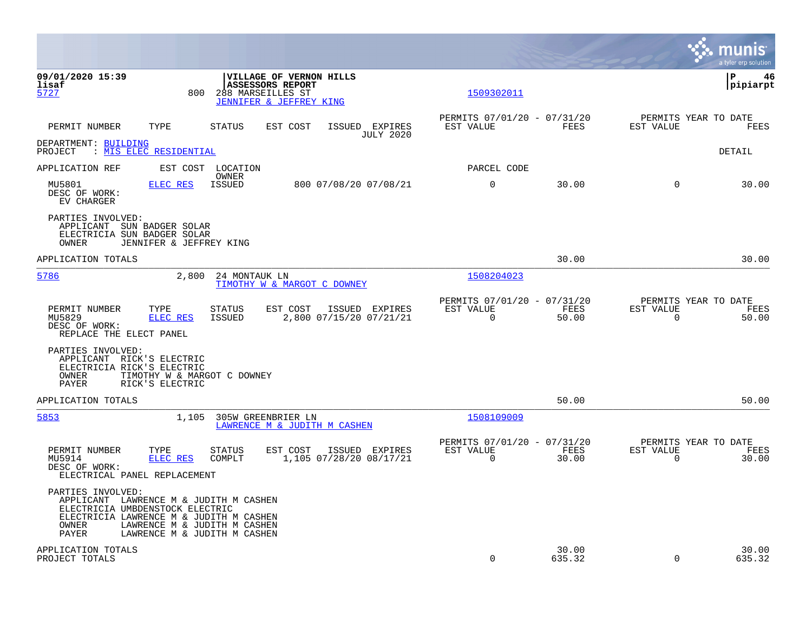|                                                                                                                                                             |                                                              |                         |                                                                                                    |                                                      |                 |                                                  | a tyler erp solution |
|-------------------------------------------------------------------------------------------------------------------------------------------------------------|--------------------------------------------------------------|-------------------------|----------------------------------------------------------------------------------------------------|------------------------------------------------------|-----------------|--------------------------------------------------|----------------------|
| 09/01/2020 15:39<br>lisaf<br>5727                                                                                                                           | 800                                                          |                         | VILLAGE OF VERNON HILLS<br><b>ASSESSORS REPORT</b><br>288 MARSEILLES ST<br>JENNIFER & JEFFREY KING | 1509302011                                           |                 |                                                  | P<br>46<br> pipiarpt |
| PERMIT NUMBER                                                                                                                                               | TYPE                                                         | <b>STATUS</b>           | EST COST<br>ISSUED EXPIRES<br><b>JULY 2020</b>                                                     | PERMITS 07/01/20 - 07/31/20<br>EST VALUE             | FEES            | PERMITS YEAR TO DATE<br>EST VALUE                | FEES                 |
| DEPARTMENT: BUILDING<br>PROJECT                                                                                                                             | : <u>MIS ELEC RESIDENTIAL</u>                                |                         |                                                                                                    |                                                      |                 |                                                  | <b>DETAIL</b>        |
| APPLICATION REF                                                                                                                                             | EST COST                                                     | LOCATION<br>OWNER       |                                                                                                    | PARCEL CODE                                          |                 |                                                  |                      |
| MU5801<br>DESC OF WORK:<br>EV CHARGER                                                                                                                       | ELEC RES                                                     | <b>ISSUED</b>           | 800 07/08/20 07/08/21                                                                              | 0                                                    | 30.00           | $\mathbf 0$                                      | 30.00                |
| PARTIES INVOLVED:<br>APPLICANT SUN BADGER SOLAR<br>ELECTRICIA SUN BADGER SOLAR<br>OWNER                                                                     | JENNIFER & JEFFREY KING                                      |                         |                                                                                                    |                                                      |                 |                                                  |                      |
| APPLICATION TOTALS                                                                                                                                          |                                                              |                         |                                                                                                    |                                                      | 30.00           |                                                  | 30.00                |
| 5786                                                                                                                                                        | 2,800                                                        | 24 MONTAUK LN           | TIMOTHY W & MARGOT C DOWNEY                                                                        | 1508204023                                           |                 |                                                  |                      |
| PERMIT NUMBER<br>MU5829<br>DESC OF WORK:<br>REPLACE THE ELECT PANEL                                                                                         | TYPE<br>ELEC RES                                             | STATUS<br><b>ISSUED</b> | EST COST<br>ISSUED EXPIRES<br>2,800 07/15/20 07/21/21                                              | PERMITS 07/01/20 - 07/31/20<br>EST VALUE<br>$\Omega$ | FEES<br>50.00   | PERMITS YEAR TO DATE<br>EST VALUE<br>$\mathbf 0$ | FEES<br>50.00        |
| PARTIES INVOLVED:<br>APPLICANT RICK'S ELECTRIC<br>ELECTRICIA RICK'S ELECTRIC<br><b>OWNER</b><br>PAYER                                                       | TIMOTHY W & MARGOT C DOWNEY<br>RICK'S ELECTRIC               |                         |                                                                                                    |                                                      |                 |                                                  |                      |
| APPLICATION TOTALS                                                                                                                                          |                                                              |                         |                                                                                                    |                                                      | 50.00           |                                                  | 50.00                |
| 5853                                                                                                                                                        | 1,105                                                        |                         | 305W GREENBRIER LN<br>LAWRENCE M & JUDITH M CASHEN                                                 | 1508109009                                           |                 |                                                  |                      |
| PERMIT NUMBER<br>MU5914<br>DESC OF WORK:<br>ELECTRICAL PANEL REPLACEMENT                                                                                    | TYPE<br>ELEC RES                                             | STATUS<br>COMPLT        | EST COST<br>ISSUED EXPIRES<br>1,105 07/28/20 08/17/21                                              | PERMITS 07/01/20 - 07/31/20<br>EST VALUE<br>0        | FEES<br>30.00   | PERMITS YEAR TO DATE<br>EST VALUE<br>$\mathbf 0$ | FEES<br>30.00        |
| PARTIES INVOLVED:<br>APPLICANT LAWRENCE M & JUDITH M CASHEN<br>ELECTRICIA UMBDENSTOCK ELECTRIC<br>ELECTRICIA LAWRENCE M & JUDITH M CASHEN<br>OWNER<br>PAYER | LAWRENCE M & JUDITH M CASHEN<br>LAWRENCE M & JUDITH M CASHEN |                         |                                                                                                    |                                                      |                 |                                                  |                      |
| APPLICATION TOTALS<br>PROJECT TOTALS                                                                                                                        |                                                              |                         |                                                                                                    | 0                                                    | 30.00<br>635.32 | $\mathbf 0$                                      | 30.00<br>635.32      |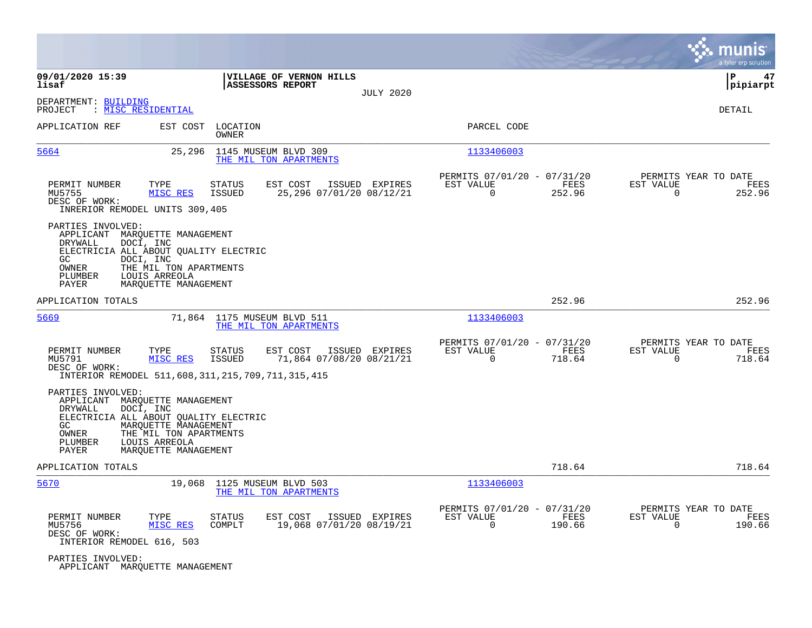|                                                                                                                                                                                                                                                    |                                                                                                                                       |                                                                        | munis<br>a tyler erp solution                                      |
|----------------------------------------------------------------------------------------------------------------------------------------------------------------------------------------------------------------------------------------------------|---------------------------------------------------------------------------------------------------------------------------------------|------------------------------------------------------------------------|--------------------------------------------------------------------|
| 09/01/2020 15:39<br>lisaf                                                                                                                                                                                                                          | VILLAGE OF VERNON HILLS<br>ASSESSORS REPORT                                                                                           |                                                                        | ΙP<br>47<br> pipiarpt                                              |
| DEPARTMENT: BUILDING<br>: MISC RESIDENTIAL<br>PROJECT                                                                                                                                                                                              | <b>JULY 2020</b>                                                                                                                      |                                                                        | DETAIL                                                             |
| APPLICATION REF<br>EST COST                                                                                                                                                                                                                        | LOCATION<br>OWNER                                                                                                                     | PARCEL CODE                                                            |                                                                    |
| 5664                                                                                                                                                                                                                                               | 25,296<br>1145 MUSEUM BLVD 309<br>THE MIL TON APARTMENTS                                                                              | 1133406003                                                             |                                                                    |
| PERMIT NUMBER<br>TYPE<br>MU5755<br>MISC RES<br>DESC OF WORK:<br>INRERIOR REMODEL UNITS 309,405                                                                                                                                                     | STATUS<br>EST COST<br>ISSUED EXPIRES<br>25,296 07/01/20 08/12/21<br>ISSUED                                                            | PERMITS 07/01/20 - 07/31/20<br>EST VALUE<br>FEES<br>$\Omega$<br>252.96 | PERMITS YEAR TO DATE<br>EST VALUE<br>FEES<br>$\mathbf 0$<br>252.96 |
| PARTIES INVOLVED:<br>APPLICANT MARQUETTE MANAGEMENT<br>DOCI, INC<br>DRYWALL<br>ELECTRICIA ALL ABOUT QUALITY ELECTRIC<br>DOCI, INC<br>GC<br>THE MIL TON APARTMENTS<br>OWNER<br>PLUMBER<br>LOUIS ARREOLA<br>MARQUETTE MANAGEMENT<br>PAYER            |                                                                                                                                       |                                                                        |                                                                    |
| APPLICATION TOTALS                                                                                                                                                                                                                                 |                                                                                                                                       | 252.96                                                                 | 252.96                                                             |
| 5669                                                                                                                                                                                                                                               | 71,864<br>1175 MUSEUM BLVD 511<br>THE MIL TON APARTMENTS                                                                              | 1133406003                                                             |                                                                    |
| PERMIT NUMBER<br>TYPE<br>MISC RES<br>MU5791<br>DESC OF WORK:                                                                                                                                                                                       | STATUS<br>EST COST<br>ISSUED EXPIRES<br><b>ISSUED</b><br>71,864 07/08/20 08/21/21<br>INTERIOR REMODEL 511,608,311,215,709,711,315,415 | PERMITS 07/01/20 - 07/31/20<br>EST VALUE<br>FEES<br>$\Omega$<br>718.64 | PERMITS YEAR TO DATE<br>EST VALUE<br>FEES<br>$\Omega$<br>718.64    |
| PARTIES INVOLVED:<br>APPLICANT MARQUETTE MANAGEMENT<br>DOCI, INC<br>DRYWALL<br>ELECTRICIA ALL ABOUT QUALITY ELECTRIC<br>MAROUETTE MANAGEMENT<br>GC<br>THE MIL TON APARTMENTS<br>OWNER<br>PLUMBER<br>LOUIS ARREOLA<br>PAYER<br>MARQUETTE MANAGEMENT |                                                                                                                                       |                                                                        |                                                                    |
| APPLICATION TOTALS                                                                                                                                                                                                                                 |                                                                                                                                       | 718.64                                                                 | 718.64                                                             |
| 5670                                                                                                                                                                                                                                               | 1125 MUSEUM BLVD 503<br>19,068<br>THE MIL TON APARTMENTS                                                                              | 1133406003                                                             |                                                                    |
| PERMIT NUMBER<br>TYPE<br>MU5756<br>MISC RES<br>DESC OF WORK:<br>INTERIOR REMODEL 616, 503                                                                                                                                                          | STATUS<br>EST COST<br>ISSUED EXPIRES<br>COMPLT<br>19,068 07/01/20 08/19/21                                                            | PERMITS 07/01/20 - 07/31/20<br>EST VALUE<br>FEES<br>0<br>190.66        | PERMITS YEAR TO DATE<br>EST VALUE<br>FEES<br>0<br>190.66           |
| PARTIES INVOLVED:<br>APPLICANT MARQUETTE MANAGEMENT                                                                                                                                                                                                |                                                                                                                                       |                                                                        |                                                                    |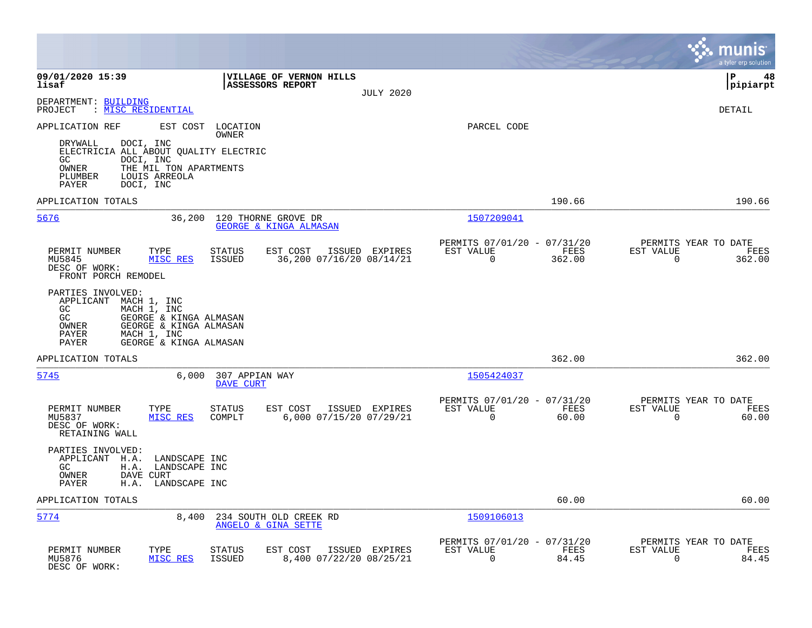|                                                                                                                                                                                                      |                                                                            |                                                                                 | munis<br>a tyler erp solution                                     |
|------------------------------------------------------------------------------------------------------------------------------------------------------------------------------------------------------|----------------------------------------------------------------------------|---------------------------------------------------------------------------------|-------------------------------------------------------------------|
| 09/01/2020 15:39<br>lisaf                                                                                                                                                                            | VILLAGE OF VERNON HILLS<br><b>ASSESSORS REPORT</b><br><b>JULY 2020</b>     |                                                                                 | l P<br>48<br> pipiarpt                                            |
| DEPARTMENT: BUILDING<br>PROJECT<br>: MISC RESIDENTIAL                                                                                                                                                |                                                                            |                                                                                 | <b>DETAIL</b>                                                     |
| APPLICATION REF<br>EST COST<br>DRYWALL<br>DOCI, INC<br>ELECTRICIA ALL ABOUT QUALITY ELECTRIC<br>DOCI, INC<br>GC<br>THE MIL TON APARTMENTS<br>OWNER<br>PLUMBER<br>LOUIS ARREOLA<br>DOCI, INC<br>PAYER | LOCATION<br>OWNER                                                          | PARCEL CODE                                                                     |                                                                   |
| APPLICATION TOTALS                                                                                                                                                                                   |                                                                            | 190.66                                                                          | 190.66                                                            |
| 5676<br>36,200                                                                                                                                                                                       | 120 THORNE GROVE DR<br><b>GEORGE &amp; KINGA ALMASAN</b>                   | 1507209041                                                                      |                                                                   |
| PERMIT NUMBER<br>TYPE<br>MU5845<br>MISC RES<br>DESC OF WORK:<br>FRONT PORCH REMODEL                                                                                                                  | EST COST<br>STATUS<br>ISSUED EXPIRES<br>36,200 07/16/20 08/14/21<br>ISSUED | PERMITS 07/01/20 - 07/31/20<br>EST VALUE<br>FEES<br>$\Omega$<br>362.00          | PERMITS YEAR TO DATE<br>EST VALUE<br>FEES<br>$\Omega$<br>362.00   |
| PARTIES INVOLVED:<br>APPLICANT<br>MACH 1, INC<br>MACH 1, INC<br>GC<br>GEORGE & KINGA ALMASAN<br>GC<br>GEORGE & KINGA ALMASAN<br>OWNER<br>MACH 1, INC<br>PAYER<br>GEORGE & KINGA ALMASAN<br>PAYER     |                                                                            |                                                                                 |                                                                   |
| APPLICATION TOTALS                                                                                                                                                                                   |                                                                            | 362.00                                                                          | 362.00                                                            |
| 5745                                                                                                                                                                                                 | 6,000<br>307 APPIAN WAY<br>DAVE CURT                                       | 1505424037                                                                      |                                                                   |
| PERMIT NUMBER<br>TYPE<br>MISC RES<br>MU5837<br>DESC OF WORK:<br>RETAINING WALL                                                                                                                       | EST COST<br>ISSUED EXPIRES<br>STATUS<br>COMPLT<br>6,000 07/15/20 07/29/21  | PERMITS 07/01/20 - 07/31/20<br>EST VALUE<br>FEES<br>0<br>60.00                  | PERMITS YEAR TO DATE<br>EST VALUE<br>FEES<br>$\mathbf 0$<br>60.00 |
| PARTIES INVOLVED:<br>APPLICANT<br>H.A.<br>LANDSCAPE INC<br>LANDSCAPE INC<br>GC.<br>H.A.<br>DAVE CURT<br>OWNER<br>PAYER<br>H.A.<br>LANDSCAPE INC                                                      |                                                                            |                                                                                 |                                                                   |
| APPLICATION TOTALS                                                                                                                                                                                   |                                                                            | 60.00                                                                           | 60.00                                                             |
| 5774                                                                                                                                                                                                 | 8,400<br>234 SOUTH OLD CREEK RD<br>ANGELO & GINA SETTE                     | 1509106013                                                                      |                                                                   |
| PERMIT NUMBER<br>TYPE<br>MISC RES<br>MU5876<br>DESC OF WORK:                                                                                                                                         | STATUS<br>EST COST<br>ISSUED EXPIRES<br>ISSUED<br>8,400 07/22/20 08/25/21  | PERMITS 07/01/20 - 07/31/20<br>EST VALUE<br><b>FEES</b><br>$\mathbf 0$<br>84.45 | PERMITS YEAR TO DATE<br>EST VALUE<br>FEES<br>84.45<br>0           |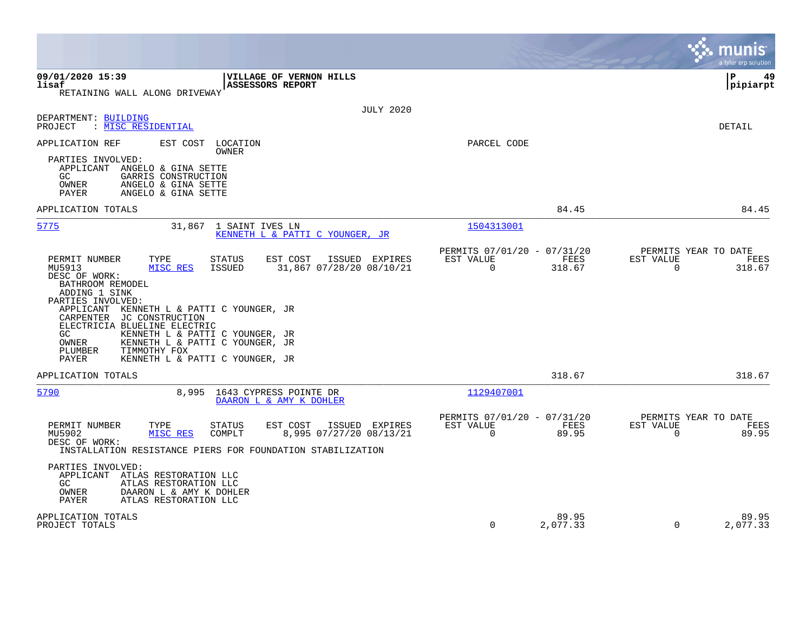|                                                                                                                                                                                                                                                                                                                                                                                                                                                                                             |                                                                             | munis<br>a tyler erp solution                                   |
|---------------------------------------------------------------------------------------------------------------------------------------------------------------------------------------------------------------------------------------------------------------------------------------------------------------------------------------------------------------------------------------------------------------------------------------------------------------------------------------------|-----------------------------------------------------------------------------|-----------------------------------------------------------------|
| 09/01/2020 15:39<br>VILLAGE OF VERNON HILLS<br>lisaf<br>ASSESSORS REPORT<br>RETAINING WALL ALONG DRIVEWAY                                                                                                                                                                                                                                                                                                                                                                                   |                                                                             | l P<br>49<br> pipiarpt                                          |
| <b>JULY 2020</b>                                                                                                                                                                                                                                                                                                                                                                                                                                                                            |                                                                             |                                                                 |
| DEPARTMENT: BUILDING<br>: MISC RESIDENTIAL<br>PROJECT                                                                                                                                                                                                                                                                                                                                                                                                                                       |                                                                             | DETAIL                                                          |
| APPLICATION REF<br>EST COST<br>LOCATION<br><b>OWNER</b>                                                                                                                                                                                                                                                                                                                                                                                                                                     | PARCEL CODE                                                                 |                                                                 |
| PARTIES INVOLVED:<br>APPLICANT<br>ANGELO & GINA SETTE<br>GARRIS CONSTRUCTION<br>GC<br>OWNER<br>ANGELO & GINA SETTE<br>PAYER<br>ANGELO & GINA SETTE                                                                                                                                                                                                                                                                                                                                          |                                                                             |                                                                 |
| APPLICATION TOTALS                                                                                                                                                                                                                                                                                                                                                                                                                                                                          | 84.45                                                                       | 84.45                                                           |
| 5775<br>31,867<br>1 SAINT IVES LN<br>KENNETH L & PATTI C YOUNGER, JR                                                                                                                                                                                                                                                                                                                                                                                                                        | 1504313001                                                                  |                                                                 |
| PERMIT NUMBER<br>TYPE<br><b>STATUS</b><br>EST COST<br>ISSUED EXPIRES<br>31,867 07/28/20 08/10/21<br>MU5913<br><b>MISC RES</b><br>ISSUED<br>DESC OF WORK:<br>BATHROOM REMODEL<br>ADDING 1 SINK<br>PARTIES INVOLVED:<br>APPLICANT KENNETH L & PATTI C YOUNGER, JR<br>CARPENTER<br>JC CONSTRUCTION<br>ELECTRICIA BLUELINE ELECTRIC<br>GC<br>KENNETH L & PATTI C YOUNGER, JR<br>OWNER<br>KENNETH L & PATTI C YOUNGER, JR<br>PLUMBER<br>TIMMOTHY FOX<br>PAYER<br>KENNETH L & PATTI C YOUNGER, JR | PERMITS 07/01/20 - 07/31/20<br>EST VALUE<br>FEES<br>$\Omega$<br>318.67      | PERMITS YEAR TO DATE<br>EST VALUE<br>FEES<br>$\Omega$<br>318.67 |
| APPLICATION TOTALS                                                                                                                                                                                                                                                                                                                                                                                                                                                                          | 318.67                                                                      | 318.67                                                          |
| 5790<br>8,995<br>1643 CYPRESS POINTE DR<br>DAARON L & AMY K DOHLER                                                                                                                                                                                                                                                                                                                                                                                                                          | 1129407001                                                                  |                                                                 |
| PERMIT NUMBER<br>TYPE<br>STATUS<br>EST COST<br>ISSUED EXPIRES<br>MU5902<br>MISC RES<br>COMPLT<br>8,995 07/27/20 08/13/21<br>DESC OF WORK:<br>INSTALLATION RESISTANCE PIERS FOR FOUNDATION STABILIZATION<br>PARTIES INVOLVED:<br>APPLICANT<br>ATLAS RESTORATION LLC                                                                                                                                                                                                                          | PERMITS 07/01/20 - 07/31/20<br>EST VALUE<br>FEES<br>$\overline{0}$<br>89.95 | PERMITS YEAR TO DATE<br>EST VALUE<br>FEES<br>0<br>89.95         |
| GC<br>ATLAS RESTORATION LLC<br>OWNER<br>DAARON L & AMY K DOHLER<br>PAYER<br>ATLAS RESTORATION LLC                                                                                                                                                                                                                                                                                                                                                                                           |                                                                             |                                                                 |
| APPLICATION TOTALS<br>PROJECT TOTALS                                                                                                                                                                                                                                                                                                                                                                                                                                                        | 89.95<br>$\Omega$<br>2,077.33                                               | 89.95<br>2,077.33<br>$\Omega$                                   |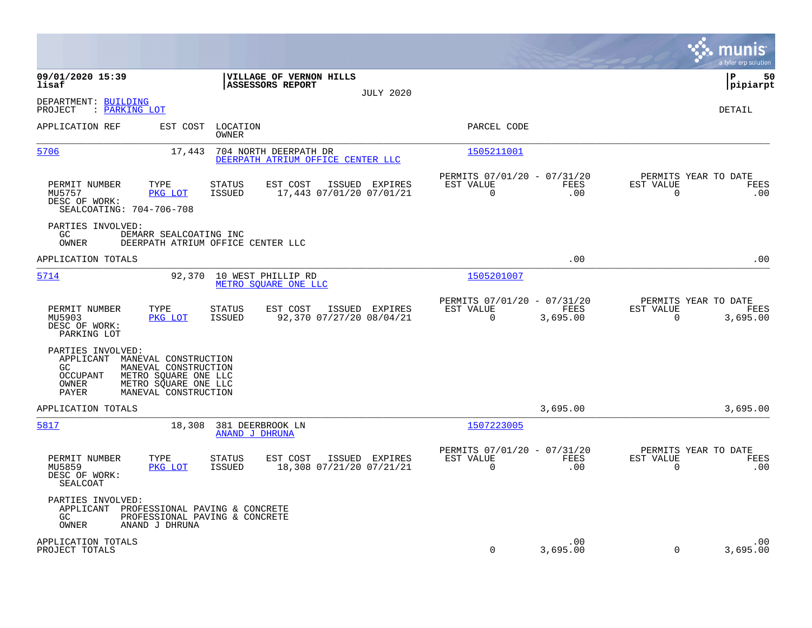|                                                                                         |                                                                                                                      |                  |                                                         |                    |                                                   | munis<br>a tyler erp solution |
|-----------------------------------------------------------------------------------------|----------------------------------------------------------------------------------------------------------------------|------------------|---------------------------------------------------------|--------------------|---------------------------------------------------|-------------------------------|
| 09/01/2020 15:39<br>lisaf                                                               | VILLAGE OF VERNON HILLS<br>ASSESSORS REPORT                                                                          | <b>JULY 2020</b> |                                                         |                    |                                                   | lР<br>50<br> pipiarpt         |
| DEPARTMENT: BUILDING<br>: PARKING LOT<br>PROJECT                                        |                                                                                                                      |                  |                                                         |                    |                                                   | <b>DETAIL</b>                 |
| APPLICATION REF                                                                         | EST COST LOCATION<br>OWNER                                                                                           |                  | PARCEL CODE                                             |                    |                                                   |                               |
| 5706                                                                                    | 17,443<br>704 NORTH DEERPATH DR<br>DEERPATH ATRIUM OFFICE CENTER LLC                                                 |                  | 1505211001                                              |                    |                                                   |                               |
| PERMIT NUMBER<br>TYPE<br>MU5757<br>PKG LOT<br>DESC OF WORK:<br>SEALCOATING: 704-706-708 | EST COST<br><b>STATUS</b><br><b>ISSUED</b><br>17,443 07/01/20 07/01/21                                               | ISSUED EXPIRES   | PERMITS 07/01/20 - 07/31/20<br>EST VALUE<br>$\mathbf 0$ | FEES<br>.00        | PERMITS YEAR TO DATE<br>EST VALUE<br>$\mathsf{O}$ | FEES<br>.00                   |
| PARTIES INVOLVED:<br>GC.<br>OWNER                                                       | DEMARR SEALCOATING INC<br>DEERPATH ATRIUM OFFICE CENTER LLC                                                          |                  |                                                         |                    |                                                   |                               |
| APPLICATION TOTALS                                                                      |                                                                                                                      |                  |                                                         | .00                |                                                   | .00                           |
| 5714                                                                                    | 92,370<br>10 WEST PHILLIP RD<br>METRO SOUARE ONE LLC                                                                 |                  | 1505201007                                              |                    |                                                   |                               |
| PERMIT NUMBER<br>TYPE<br>MU5903<br>PKG LOT<br>DESC OF WORK:<br>PARKING LOT              | <b>STATUS</b><br>EST COST<br>92,370 07/27/20 08/04/21<br>ISSUED                                                      | ISSUED EXPIRES   | PERMITS 07/01/20 - 07/31/20<br>EST VALUE<br>$\Omega$    | FEES<br>3,695.00   | PERMITS YEAR TO DATE<br>EST VALUE<br>$\mathbf 0$  | FEES<br>3,695.00              |
| PARTIES INVOLVED:<br>APPLICANT<br>GC.<br>OCCUPANT<br>OWNER<br><b>PAYER</b>              | MANEVAL CONSTRUCTION<br>MANEVAL CONSTRUCTION<br>METRO SQUARE ONE LLC<br>METRO SQUARE ONE LLC<br>MANEVAL CONSTRUCTION |                  |                                                         |                    |                                                   |                               |
| APPLICATION TOTALS                                                                      |                                                                                                                      |                  |                                                         | 3,695.00           |                                                   | 3,695.00                      |
| 5817                                                                                    | 18,308<br>381 DEERBROOK LN<br>ANAND J DHRUNA                                                                         |                  | 1507223005                                              |                    |                                                   |                               |
| TYPE<br>PERMIT NUMBER<br>MU5859<br>PKG LOT<br>DESC OF WORK:<br>SEALCOAT                 | <b>STATUS</b><br>EST COST<br>18,308 07/21/20 07/21/21<br>ISSUED                                                      | ISSUED EXPIRES   | PERMITS 07/01/20 - 07/31/20<br>EST VALUE<br>0           | <b>FEES</b><br>.00 | PERMITS YEAR TO DATE<br>EST VALUE<br>$\mathbf 0$  | <b>FEES</b><br>.00            |
| PARTIES INVOLVED:<br>APPLICANT<br>GC.<br>OWNER<br>ANAND J DHRUNA                        | PROFESSIONAL PAVING & CONCRETE<br>PROFESSIONAL PAVING & CONCRETE                                                     |                  |                                                         |                    |                                                   |                               |
| APPLICATION TOTALS<br>PROJECT TOTALS                                                    |                                                                                                                      |                  | $\Omega$                                                | .00<br>3,695.00    | $\Omega$                                          | .00<br>3,695.00               |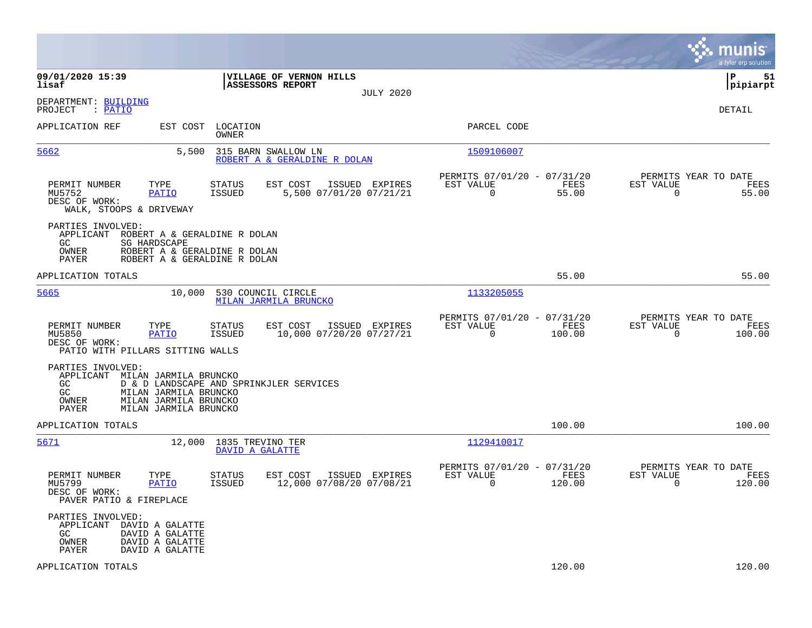|                                                                                |                                                                                                                                             |                                            |                                                         |                |                                                  | munis<br>a tyler erp solution |
|--------------------------------------------------------------------------------|---------------------------------------------------------------------------------------------------------------------------------------------|--------------------------------------------|---------------------------------------------------------|----------------|--------------------------------------------------|-------------------------------|
| 09/01/2020 15:39<br>lisaf                                                      | VILLAGE OF VERNON HILLS<br><b>ASSESSORS REPORT</b>                                                                                          | <b>JULY 2020</b>                           |                                                         |                |                                                  | l P<br>51<br> pipiarpt        |
| DEPARTMENT: BUILDING<br>PROJECT<br>: <u>PATIO</u>                              |                                                                                                                                             |                                            |                                                         |                |                                                  | <b>DETAIL</b>                 |
| APPLICATION REF                                                                | EST COST<br>LOCATION<br>OWNER                                                                                                               |                                            | PARCEL CODE                                             |                |                                                  |                               |
| 5662                                                                           | 5,500<br>315 BARN SWALLOW LN<br>ROBERT A & GERALDINE R DOLAN                                                                                |                                            | 1509106007                                              |                |                                                  |                               |
| PERMIT NUMBER<br>MU5752<br>DESC OF WORK:<br>WALK, STOOPS & DRIVEWAY            | TYPE<br>STATUS<br>EST COST<br>PATIO<br><b>ISSUED</b>                                                                                        | ISSUED EXPIRES<br>5,500 07/01/20 07/21/21  | PERMITS 07/01/20 - 07/31/20<br>EST VALUE<br>$\mathbf 0$ | FEES<br>55.00  | PERMITS YEAR TO DATE<br>EST VALUE<br>$\Omega$    | FEES<br>55.00                 |
| PARTIES INVOLVED:<br>APPLICANT<br><b>SG HARDSCAPE</b><br>GC.<br>OWNER<br>PAYER | ROBERT A & GERALDINE R DOLAN<br>ROBERT A & GERALDINE R DOLAN<br>ROBERT A & GERALDINE R DOLAN                                                |                                            |                                                         |                |                                                  |                               |
| APPLICATION TOTALS                                                             |                                                                                                                                             |                                            |                                                         | 55.00          |                                                  | 55.00                         |
| 5665                                                                           | 10,000<br>530 COUNCIL CIRCLE<br>MILAN JARMILA BRUNCKO                                                                                       |                                            | 1133205055                                              |                |                                                  |                               |
| PERMIT NUMBER<br>MU5850<br>DESC OF WORK:<br>PATIO WITH PILLARS SITTING WALLS   | TYPE<br>STATUS<br>EST COST<br>ISSUED<br>PATIO                                                                                               | ISSUED EXPIRES<br>10,000 07/20/20 07/27/21 | PERMITS 07/01/20 - 07/31/20<br>EST VALUE<br>$\mathbf 0$ | FEES<br>100.00 | PERMITS YEAR TO DATE<br>EST VALUE<br>$\mathbf 0$ | FEES<br>100.00                |
| PARTIES INVOLVED:<br>APPLICANT<br>GC<br>GC<br>OWNER<br>PAYER                   | MILAN JARMILA BRUNCKO<br>D & D LANDSCAPE AND SPRINKJLER SERVICES<br>MILAN JARMILA BRUNCKO<br>MILAN JARMILA BRUNCKO<br>MILAN JARMILA BRUNCKO |                                            |                                                         |                |                                                  |                               |
| APPLICATION TOTALS                                                             |                                                                                                                                             |                                            |                                                         | 100.00         |                                                  | 100.00                        |
| 5671                                                                           | 12,000<br>1835 TREVINO TER<br>DAVID A GALATTE                                                                                               |                                            | 1129410017                                              |                |                                                  |                               |
| PERMIT NUMBER<br>MU5799<br>DESC OF WORK:<br>PAVER PATIO & FIREPLACE            | TYPE<br>STATUS<br>EST COST<br><b>PATIO</b><br><b>ISSUED</b>                                                                                 | ISSUED EXPIRES<br>12,000 07/08/20 07/08/21 | PERMITS 07/01/20 - 07/31/20<br>EST VALUE<br>$\mathbf 0$ | FEES<br>120.00 | PERMITS YEAR TO DATE<br>EST VALUE<br>0           | FEES<br>120.00                |
| PARTIES INVOLVED:<br>APPLICANT<br>GC.<br>OWNER<br>PAYER                        | DAVID A GALATTE<br>DAVID A GALATTE<br>DAVID A GALATTE<br>DAVID A GALATTE                                                                    |                                            |                                                         |                |                                                  |                               |
| APPLICATION TOTALS                                                             |                                                                                                                                             |                                            |                                                         | 120.00         |                                                  | 120.00                        |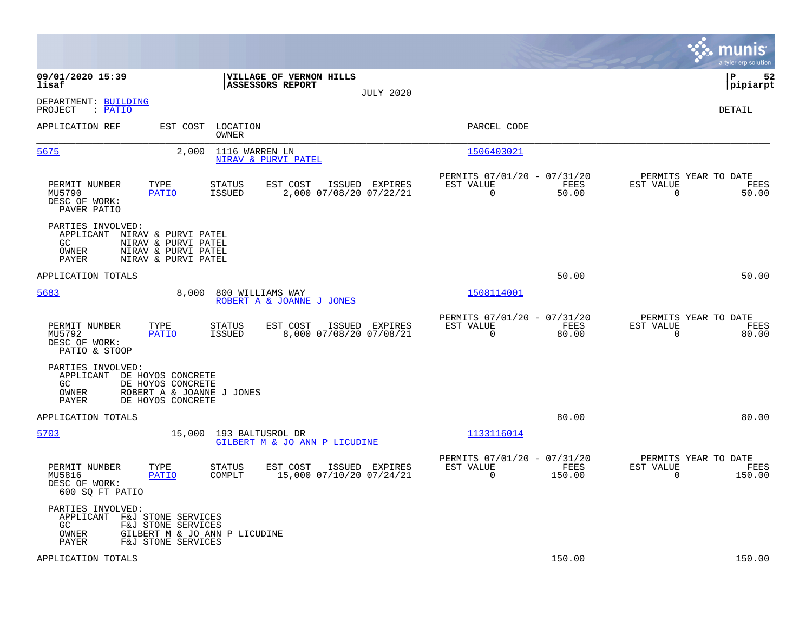|                                                                                                                                                                              |                                                                          | munis<br>a tyler erp solution                                        |
|------------------------------------------------------------------------------------------------------------------------------------------------------------------------------|--------------------------------------------------------------------------|----------------------------------------------------------------------|
| 09/01/2020 15:39<br>VILLAGE OF VERNON HILLS<br>lisaf<br>ASSESSORS REPORT<br><b>JULY 2020</b>                                                                                 |                                                                          | P<br>52<br> pipiarpt                                                 |
| DEPARTMENT: BUILDING<br>PROJECT<br>: PATIO                                                                                                                                   |                                                                          | <b>DETAIL</b>                                                        |
| APPLICATION REF<br>EST COST LOCATION<br>OWNER                                                                                                                                | PARCEL CODE                                                              |                                                                      |
| 5675<br>2,000<br>1116 WARREN LN<br>NIRAV & PURVI PATEL                                                                                                                       | 1506403021                                                               |                                                                      |
| PERMIT NUMBER<br>TYPE<br><b>STATUS</b><br>EST COST<br>ISSUED EXPIRES<br>MU5790<br>PATIO<br><b>ISSUED</b><br>2,000 07/08/20 07/22/21<br>DESC OF WORK:<br>PAVER PATIO          | PERMITS 07/01/20 - 07/31/20<br>EST VALUE<br>FEES<br>$\mathbf 0$<br>50.00 | PERMITS YEAR TO DATE<br>EST VALUE<br>FEES<br>$\overline{0}$<br>50.00 |
| PARTIES INVOLVED:<br>APPLICANT<br>NIRAV & PURVI PATEL<br>GC.<br>NIRAV & PURVI PATEL<br>OWNER<br>NIRAV & PURVI PATEL<br>PAYER<br>NIRAV & PURVI PATEL                          |                                                                          |                                                                      |
| APPLICATION TOTALS                                                                                                                                                           | 50.00                                                                    | 50.00                                                                |
| 5683<br>8,000<br>800 WILLIAMS WAY<br>ROBERT A & JOANNE J JONES                                                                                                               | 1508114001                                                               |                                                                      |
| PERMIT NUMBER<br>TYPE<br><b>STATUS</b><br>EST COST<br>ISSUED EXPIRES<br>MU5792<br><b>ISSUED</b><br>8,000 07/08/20 07/08/21<br><b>PATIO</b><br>DESC OF WORK:<br>PATIO & STOOP | PERMITS 07/01/20 - 07/31/20<br>EST VALUE<br>FEES<br>$\mathbf 0$<br>80.00 | PERMITS YEAR TO DATE<br>EST VALUE<br>FEES<br>$\mathbf 0$<br>80.00    |
| PARTIES INVOLVED:<br>APPLICANT DE HOYOS CONCRETE<br>GC<br>DE HOYOS CONCRETE<br>ROBERT A & JOANNE J JONES<br>OWNER<br>PAYER<br>DE HOYOS CONCRETE                              |                                                                          |                                                                      |
| APPLICATION TOTALS                                                                                                                                                           | 80.00                                                                    | 80.00                                                                |
| 5703<br>15,000 193 BALTUSROL DR<br>GILBERT M & JO ANN P LICUDINE                                                                                                             | 1133116014                                                               |                                                                      |
| EST COST<br>PERMIT NUMBER<br>TYPE<br><b>STATUS</b><br>ISSUED EXPIRES<br>15,000 07/10/20 07/24/21<br>MU5816<br><b>PATIO</b><br>COMPLT<br>DESC OF WORK:<br>600 SQ FT PATIO     | PERMITS 07/01/20 - 07/31/20<br>EST VALUE<br>FEES<br>0<br>150.00          | PERMITS YEAR TO DATE<br>EST VALUE<br>FEES<br>150.00<br>0             |
| PARTIES INVOLVED:<br>APPLICANT<br>F&J STONE SERVICES<br>GC<br>F&J STONE SERVICES<br>GILBERT M & JO ANN P LICUDINE<br>OWNER<br>F&J STONE SERVICES<br>PAYER                    |                                                                          |                                                                      |
| APPLICATION TOTALS                                                                                                                                                           | 150.00                                                                   | 150.00                                                               |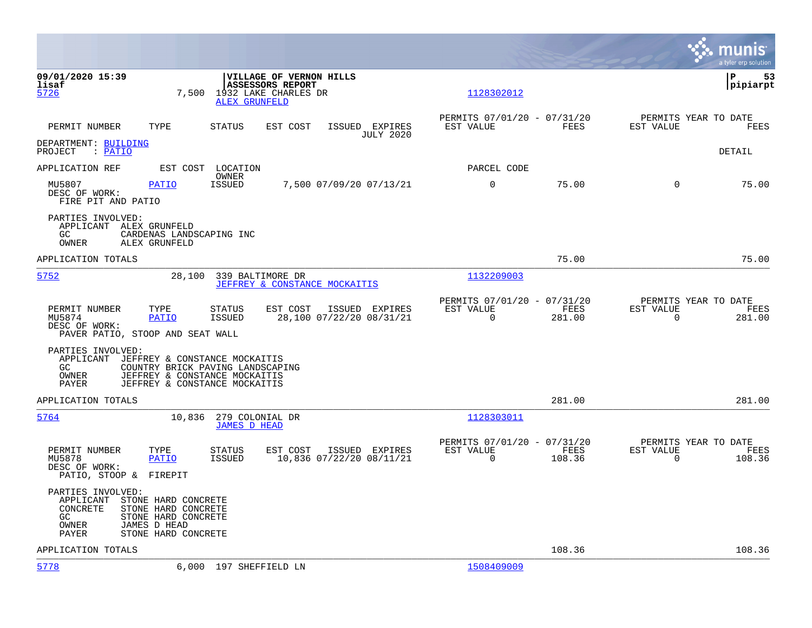|                                                                                                                                                                                             | munis<br>a tyler erp solution                                                                                                                      |
|---------------------------------------------------------------------------------------------------------------------------------------------------------------------------------------------|----------------------------------------------------------------------------------------------------------------------------------------------------|
| 09/01/2020 15:39<br>VILLAGE OF VERNON HILLS<br>lisaf<br>ASSESSORS REPORT<br>5726<br>7,500<br>1932 LAKE CHARLES DR<br><b>ALEX GRUNFELD</b>                                                   | ΙP<br>53<br> pipiarpt<br>1128302012                                                                                                                |
| TYPE<br><b>STATUS</b><br>PERMIT NUMBER<br>EST COST<br>ISSUED EXPIRES                                                                                                                        | PERMITS 07/01/20 - 07/31/20<br>PERMITS YEAR TO DATE<br>FEES<br>EST VALUE<br>EST VALUE<br>FEES<br><b>JULY 2020</b>                                  |
| DEPARTMENT: BUILDING<br>PROJECT : PATIO                                                                                                                                                     | DETAIL                                                                                                                                             |
| APPLICATION REF<br>EST COST LOCATION<br><b>OWNER</b>                                                                                                                                        | PARCEL CODE                                                                                                                                        |
| <b>ISSUED</b><br>7,500 07/09/20 07/13/21<br>MU5807<br><b>PATIO</b><br>DESC OF WORK:<br>FIRE PIT AND PATIO                                                                                   | $\mathbf 0$<br>75.00<br>$\Omega$<br>75.00                                                                                                          |
| PARTIES INVOLVED:<br>APPLICANT ALEX GRUNFELD<br>GC.<br>CARDENAS LANDSCAPING INC<br>OWNER<br><b>ALEX GRUNFELD</b>                                                                            |                                                                                                                                                    |
| APPLICATION TOTALS                                                                                                                                                                          | 75.00<br>75.00                                                                                                                                     |
| 5752<br>28,100<br>339 BALTIMORE DR<br>JEFFREY & CONSTANCE MOCKAITIS                                                                                                                         | 1132209003                                                                                                                                         |
| PERMIT NUMBER<br>TYPE<br><b>STATUS</b><br>EST COST<br>ISSUED EXPIRES<br>MU5874<br><b>PATIO</b><br>ISSUED<br>28,100 07/22/20 08/31/21<br>DESC OF WORK:<br>PAVER PATIO, STOOP AND SEAT WALL   | PERMITS 07/01/20 - 07/31/20<br>PERMITS YEAR TO DATE<br>EST VALUE<br>FEES<br>EST VALUE<br>FEES<br>$\mathbf 0$<br>281.00<br>$\overline{0}$<br>281.00 |
| PARTIES INVOLVED:<br>APPLICANT JEFFREY & CONSTANCE MOCKAITIS<br>GC.<br>COUNTRY BRICK PAVING LANDSCAPING<br>JEFFREY & CONSTANCE MOCKAITIS<br>OWNER<br>JEFFREY & CONSTANCE MOCKAITIS<br>PAYER |                                                                                                                                                    |
| APPLICATION TOTALS                                                                                                                                                                          | 281.00<br>281.00                                                                                                                                   |
| 279 COLONIAL DR<br>5764<br>10,836<br><b>JAMES D HEAD</b>                                                                                                                                    | 1128303011                                                                                                                                         |
| PERMIT NUMBER<br>TYPE<br><b>STATUS</b><br>EST COST<br>ISSUED EXPIRES<br>MU5878<br><b>PATIO</b><br>ISSUED<br>10,836 07/22/20 08/11/21<br>DESC OF WORK:<br>PATIO, STOOP & FIREPIT             | PERMITS 07/01/20 - 07/31/20<br>PERMITS YEAR TO DATE<br>EST VALUE<br>FEES<br>EST VALUE<br>FEES<br>$\mathbf 0$<br>108.36<br>$\mathbf 0$<br>108.36    |
| PARTIES INVOLVED:<br>APPLICANT<br>STONE HARD CONCRETE<br>CONCRETE<br>STONE HARD CONCRETE<br>STONE HARD CONCRETE<br>GC.<br>OWNER<br><b>JAMES D HEAD</b><br>STONE HARD CONCRETE<br>PAYER      |                                                                                                                                                    |
| APPLICATION TOTALS                                                                                                                                                                          | 108.36<br>108.36                                                                                                                                   |
| 5778<br>6,000 197 SHEFFIELD LN                                                                                                                                                              | 1508409009                                                                                                                                         |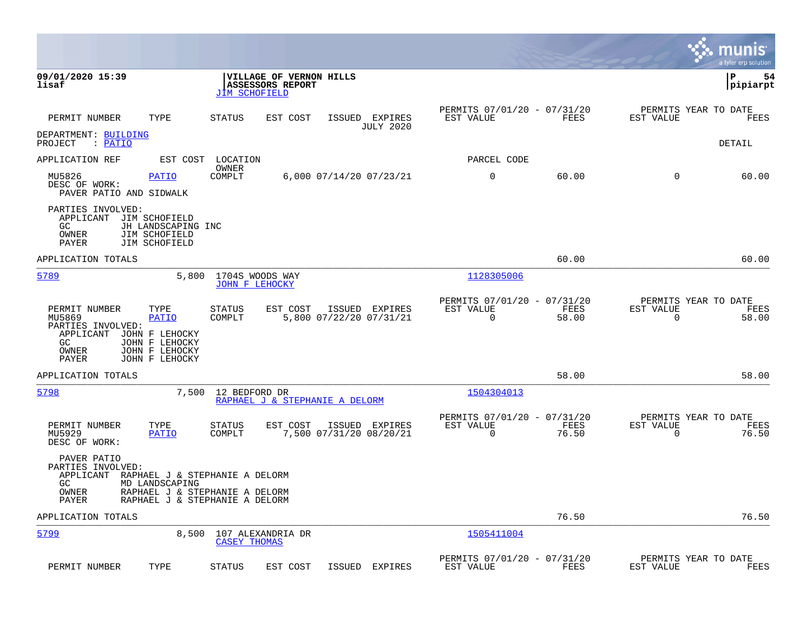|                                                                                                                                                                                |                                                                                  |                                                                          | munis<br>a tyler erp solution                                     |
|--------------------------------------------------------------------------------------------------------------------------------------------------------------------------------|----------------------------------------------------------------------------------|--------------------------------------------------------------------------|-------------------------------------------------------------------|
| 09/01/2020 15:39<br>lisaf                                                                                                                                                      | <b>VILLAGE OF VERNON HILLS</b><br><b>ASSESSORS REPORT</b><br>JIM SCHOFIELD       |                                                                          | l P<br>54<br> pipiarpt                                            |
| TYPE<br>PERMIT NUMBER                                                                                                                                                          | ISSUED EXPIRES<br><b>STATUS</b><br>EST COST<br><b>JULY 2020</b>                  | PERMITS 07/01/20 - 07/31/20<br>FEES<br>EST VALUE                         | PERMITS YEAR TO DATE<br>EST VALUE<br>FEES                         |
| DEPARTMENT: BUILDING<br>PROJECT : PATIO                                                                                                                                        |                                                                                  |                                                                          | DETAIL                                                            |
| APPLICATION REF                                                                                                                                                                | EST COST LOCATION                                                                | PARCEL CODE                                                              |                                                                   |
| <b>PATIO</b><br>MU5826<br>DESC OF WORK:<br>PAVER PATIO AND SIDWALK                                                                                                             | OWNER<br>COMPLT<br>6,000 07/14/20 07/23/21                                       | $\mathbf 0$<br>60.00                                                     | 0<br>60.00                                                        |
| PARTIES INVOLVED:<br>APPLICANT<br>JIM SCHOFIELD<br>GC<br>JH LANDSCAPING INC<br>JIM SCHOFIELD<br>OWNER<br>PAYER<br>JIM SCHOFIELD                                                |                                                                                  |                                                                          |                                                                   |
| APPLICATION TOTALS                                                                                                                                                             |                                                                                  | 60.00                                                                    | 60.00                                                             |
| 5789<br>5,800                                                                                                                                                                  | 1704S WOODS WAY<br><b>JOHN F LEHOCKY</b>                                         | 1128305006                                                               |                                                                   |
| PERMIT NUMBER<br>TYPE<br>MU5869<br><b>PATIO</b><br>PARTIES INVOLVED:<br>APPLICANT JOHN F LEHOCKY<br>GC<br>JOHN F LEHOCKY<br>OWNER<br>JOHN F LEHOCKY<br>JOHN F LEHOCKY<br>PAYER | <b>STATUS</b><br>EST COST<br>ISSUED EXPIRES<br>COMPLT<br>5,800 07/22/20 07/31/21 | PERMITS 07/01/20 - 07/31/20<br>EST VALUE<br>FEES<br>$\mathbf 0$<br>58.00 | PERMITS YEAR TO DATE<br>EST VALUE<br>FEES<br>$\mathbf 0$<br>58.00 |
| APPLICATION TOTALS                                                                                                                                                             |                                                                                  | 58.00                                                                    | 58.00                                                             |
| 5798                                                                                                                                                                           | 7,500<br>12 BEDFORD DR<br>RAPHAEL J & STEPHANIE A DELORM                         | 1504304013                                                               |                                                                   |
| PERMIT NUMBER<br>TYPE<br>MU5929<br><b>PATIO</b><br>DESC OF WORK:                                                                                                               | <b>STATUS</b><br>EST COST<br>ISSUED EXPIRES<br>COMPLT<br>7,500 07/31/20 08/20/21 | PERMITS 07/01/20 - 07/31/20<br>EST VALUE<br>FEES<br>$\Omega$<br>76.50    | PERMITS YEAR TO DATE<br>EST VALUE<br>FEES<br>$\mathbf 0$<br>76.50 |
| PAVER PATIO<br>PARTIES INVOLVED:<br>APPLICANT RAPHAEL J & STEPHANIE A DELORM<br>GC.<br>MD LANDSCAPING<br>OWNER<br>PAYER                                                        | RAPHAEL J & STEPHANIE A DELORM<br>RAPHAEL J & STEPHANIE A DELORM                 |                                                                          |                                                                   |
| APPLICATION TOTALS                                                                                                                                                             |                                                                                  | 76.50                                                                    | 76.50                                                             |
| 5799                                                                                                                                                                           | 8,500<br>107 ALEXANDRIA DR<br><b>CASEY THOMAS</b>                                | 1505411004                                                               |                                                                   |
| PERMIT NUMBER<br>TYPE                                                                                                                                                          | <b>STATUS</b><br>EST COST<br>ISSUED<br>EXPIRES                                   | PERMITS 07/01/20 - 07/31/20<br>EST VALUE<br>FEES                         | PERMITS YEAR TO DATE<br>EST VALUE<br>FEES                         |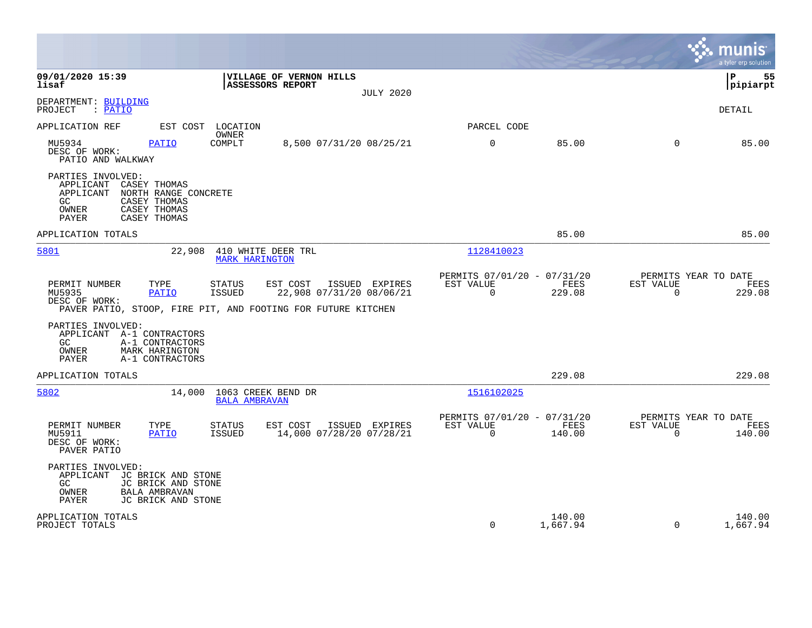|                                                                                                                                                                     |                                                                                                                                                          |                                                         |                    |                                                  | munis<br>a tyler erp solution |
|---------------------------------------------------------------------------------------------------------------------------------------------------------------------|----------------------------------------------------------------------------------------------------------------------------------------------------------|---------------------------------------------------------|--------------------|--------------------------------------------------|-------------------------------|
| 09/01/2020 15:39<br>lisaf                                                                                                                                           | VILLAGE OF VERNON HILLS<br><b>ASSESSORS REPORT</b><br><b>JULY 2020</b>                                                                                   |                                                         |                    |                                                  | P<br>55<br>pipiarpt           |
| DEPARTMENT: BUILDING<br>PROJECT<br>: PATIO                                                                                                                          |                                                                                                                                                          |                                                         |                    |                                                  | DETAIL                        |
| APPLICATION REF                                                                                                                                                     | EST COST LOCATION                                                                                                                                        | PARCEL CODE                                             |                    |                                                  |                               |
| MU5934<br><b>PATIO</b><br>DESC OF WORK:<br>PATIO AND WALKWAY                                                                                                        | OWNER<br>COMPLT<br>8,500 07/31/20 08/25/21                                                                                                               | $\mathbf 0$                                             | 85.00              | $\mathbf 0$                                      | 85.00                         |
| PARTIES INVOLVED:<br>APPLICANT<br>CASEY THOMAS<br>APPLICANT<br>NORTH RANGE CONCRETE<br>GC.<br>CASEY THOMAS<br>OWNER<br>CASEY THOMAS<br><b>PAYER</b><br>CASEY THOMAS |                                                                                                                                                          |                                                         |                    |                                                  |                               |
| APPLICATION TOTALS                                                                                                                                                  |                                                                                                                                                          |                                                         | 85.00              |                                                  | 85.00                         |
| 5801<br>22,908                                                                                                                                                      | 410 WHITE DEER TRL<br><b>MARK HARINGTON</b>                                                                                                              | 1128410023                                              |                    |                                                  |                               |
| PERMIT NUMBER<br>TYPE<br>MU5935<br><b>PATIO</b><br>DESC OF WORK:                                                                                                    | <b>STATUS</b><br>EST COST<br>ISSUED EXPIRES<br><b>ISSUED</b><br>22,908 07/31/20 08/06/21<br>PAVER PATIO, STOOP, FIRE PIT, AND FOOTING FOR FUTURE KITCHEN | PERMITS 07/01/20 - 07/31/20<br>EST VALUE<br>$\mathbf 0$ | FEES<br>229.08     | PERMITS YEAR TO DATE<br>EST VALUE<br>$\Omega$    | FEES<br>229.08                |
| PARTIES INVOLVED:<br>APPLICANT A-1 CONTRACTORS<br>GC<br>A-1 CONTRACTORS<br>OWNER<br>MARK HARINGTON<br>PAYER<br>A-1 CONTRACTORS                                      |                                                                                                                                                          |                                                         |                    |                                                  |                               |
| APPLICATION TOTALS                                                                                                                                                  |                                                                                                                                                          |                                                         | 229.08             |                                                  | 229.08                        |
| 5802<br>14,000                                                                                                                                                      | 1063 CREEK BEND DR<br><b>BALA AMBRAVAN</b>                                                                                                               | 1516102025                                              |                    |                                                  |                               |
| PERMIT NUMBER<br>TYPE<br>MU5911<br>PATIO<br>DESC OF WORK:<br>PAVER PATIO                                                                                            | EST COST<br><b>STATUS</b><br>ISSUED EXPIRES<br>14,000 07/28/20 07/28/21<br>ISSUED                                                                        | PERMITS 07/01/20 - 07/31/20<br>EST VALUE<br>$\mathbf 0$ | FEES<br>140.00     | PERMITS YEAR TO DATE<br>EST VALUE<br>$\mathbf 0$ | FEES<br>140.00                |
| PARTIES INVOLVED:<br>APPLICANT<br>JC BRICK AND STONE<br>JC BRICK AND STONE<br>GC.<br>BALA AMBRAVAN<br>OWNER<br>PAYER<br>JC BRICK AND STONE                          |                                                                                                                                                          |                                                         |                    |                                                  |                               |
| APPLICATION TOTALS<br>PROJECT TOTALS                                                                                                                                |                                                                                                                                                          | $\mathbf 0$                                             | 140.00<br>1,667.94 | $\Omega$                                         | 140.00<br>1,667.94            |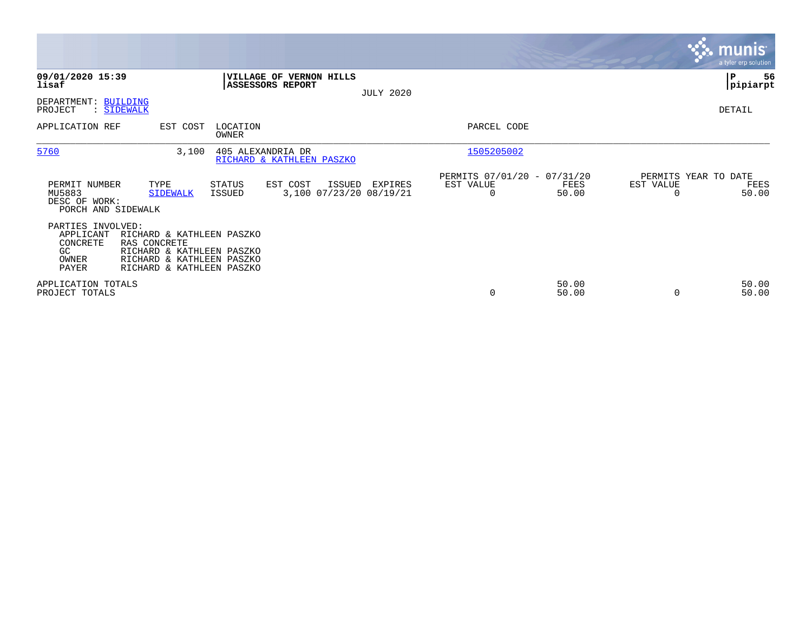|                                                                    |                                                                                                                                  |                         |                                               |                  |                                                         |                |                                               | <b>munis</b><br>a tyler erp solution |
|--------------------------------------------------------------------|----------------------------------------------------------------------------------------------------------------------------------|-------------------------|-----------------------------------------------|------------------|---------------------------------------------------------|----------------|-----------------------------------------------|--------------------------------------|
| 09/01/2020 15:39<br>lisaf                                          |                                                                                                                                  |                         | VILLAGE OF VERNON HILLS<br>ASSESSORS REPORT   | <b>JULY 2020</b> |                                                         |                |                                               | P<br>56<br> pipiarpt                 |
| DEPARTMENT: BUILDING<br>PROJECT                                    | : SIDEWALK                                                                                                                       |                         |                                               |                  |                                                         |                |                                               | DETAIL                               |
| APPLICATION REF                                                    | EST COST                                                                                                                         | LOCATION<br>OWNER       |                                               |                  | PARCEL CODE                                             |                |                                               |                                      |
| 5760                                                               | 3,100                                                                                                                            | 405 ALEXANDRIA DR       | RICHARD & KATHLEEN PASZKO                     |                  | 1505205002                                              |                |                                               |                                      |
| PERMIT NUMBER<br>MU5883<br>DESC OF WORK:<br>PORCH AND SIDEWALK     | TYPE<br><b>SIDEWALK</b>                                                                                                          | STATUS<br><b>ISSUED</b> | EST COST<br>ISSUED<br>3,100 07/23/20 08/19/21 | EXPIRES          | PERMITS 07/01/20 - 07/31/20<br>EST VALUE<br>$\mathbf 0$ | FEES<br>50.00  | PERMITS YEAR TO DATE<br>EST VALUE<br>$\Omega$ | FEES<br>50.00                        |
| PARTIES INVOLVED:<br>APPLICANT<br>CONCRETE<br>GC<br>OWNER<br>PAYER | RICHARD & KATHLEEN PASZKO<br>RAS CONCRETE<br>RICHARD & KATHLEEN PASZKO<br>RICHARD & KATHLEEN PASZKO<br>RICHARD & KATHLEEN PASZKO |                         |                                               |                  |                                                         |                |                                               |                                      |
| APPLICATION TOTALS<br>PROJECT TOTALS                               |                                                                                                                                  |                         |                                               |                  | 0                                                       | 50.00<br>50.00 | 0                                             | 50.00<br>50.00                       |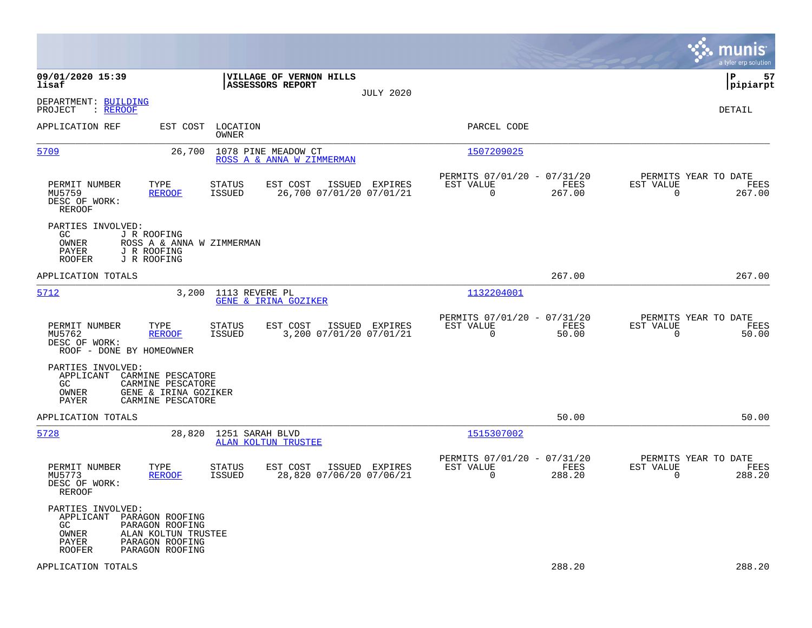|                                                                                                                                                                             |                                                                                         |                                                         | munis<br>a tyler erp solution                                                        |
|-----------------------------------------------------------------------------------------------------------------------------------------------------------------------------|-----------------------------------------------------------------------------------------|---------------------------------------------------------|--------------------------------------------------------------------------------------|
| 09/01/2020 15:39<br>lisaf                                                                                                                                                   | VILLAGE OF VERNON HILLS<br>ASSESSORS REPORT                                             | <b>JULY 2020</b>                                        | P<br>57<br> pipiarpt                                                                 |
| DEPARTMENT: BUILDING<br>: REROOF<br>PROJECT                                                                                                                                 |                                                                                         |                                                         | DETAIL                                                                               |
| APPLICATION REF<br>EST COST                                                                                                                                                 | LOCATION<br><b>OWNER</b>                                                                | PARCEL CODE                                             |                                                                                      |
| 5709                                                                                                                                                                        | 26,700<br>1078 PINE MEADOW CT<br>ROSS A & ANNA W ZIMMERMAN                              | 1507209025                                              |                                                                                      |
| TYPE<br>PERMIT NUMBER<br>MU5759<br><b>REROOF</b><br>DESC OF WORK:<br>REROOF                                                                                                 | EST COST<br>ISSUED EXPIRES<br><b>STATUS</b><br>26,700 07/01/20 07/01/21<br>ISSUED       | PERMITS 07/01/20 - 07/31/20<br>EST VALUE<br>0           | PERMITS YEAR TO DATE<br>EST VALUE<br>FEES<br>FEES<br>267.00<br>$\mathbf 0$<br>267.00 |
| PARTIES INVOLVED:<br>GC<br>J R ROOFING<br>OWNER<br>PAYER<br>J R ROOFING<br>J R ROOFING<br><b>ROOFER</b>                                                                     | ROSS A & ANNA W ZIMMERMAN                                                               |                                                         |                                                                                      |
| APPLICATION TOTALS                                                                                                                                                          |                                                                                         |                                                         | 267.00<br>267.00                                                                     |
| 5712                                                                                                                                                                        | 3,200 1113 REVERE PL<br>GENE & IRINA GOZIKER                                            | 1132204001                                              |                                                                                      |
| PERMIT NUMBER<br>TYPE<br>MU5762<br><b>REROOF</b><br>DESC OF WORK:<br>ROOF - DONE BY HOMEOWNER                                                                               | <b>STATUS</b><br>EST COST<br>ISSUED EXPIRES<br><b>ISSUED</b><br>3,200 07/01/20 07/01/21 | PERMITS 07/01/20 - 07/31/20<br>EST VALUE<br>$\Omega$    | PERMITS YEAR TO DATE<br>FEES<br>EST VALUE<br>FEES<br>$\Omega$<br>50.00<br>50.00      |
| PARTIES INVOLVED:<br>CARMINE PESCATORE<br>APPLICANT<br>GC.<br>CARMINE PESCATORE<br>OWNER<br>GENE & IRINA GOZIKER<br>PAYER<br>CARMINE PESCATORE                              |                                                                                         |                                                         |                                                                                      |
| APPLICATION TOTALS                                                                                                                                                          |                                                                                         |                                                         | 50.00<br>50.00                                                                       |
| 5728                                                                                                                                                                        | 28,820<br>1251 SARAH BLVD<br><b>ALAN KOLTUN TRUSTEE</b>                                 | 1515307002                                              |                                                                                      |
| PERMIT NUMBER<br>TYPE<br>MU5773<br><b>REROOF</b><br>DESC OF WORK:<br>REROOF                                                                                                 | <b>STATUS</b><br>EST COST<br>ISSUED EXPIRES<br>28,820 07/06/20 07/06/21<br>ISSUED       | PERMITS 07/01/20 - 07/31/20<br>EST VALUE<br>$\mathbf 0$ | PERMITS YEAR TO DATE<br>FEES<br>EST VALUE<br>FEES<br>288.20<br>$\mathbf 0$<br>288.20 |
| PARTIES INVOLVED:<br>APPLICANT<br>PARAGON ROOFING<br>GC.<br>PARAGON ROOFING<br>ALAN KOLTUN TRUSTEE<br>OWNER<br>PAYER<br>PARAGON ROOFING<br><b>ROOFER</b><br>PARAGON ROOFING |                                                                                         |                                                         |                                                                                      |
| APPLICATION TOTALS                                                                                                                                                          |                                                                                         |                                                         | 288.20<br>288.20                                                                     |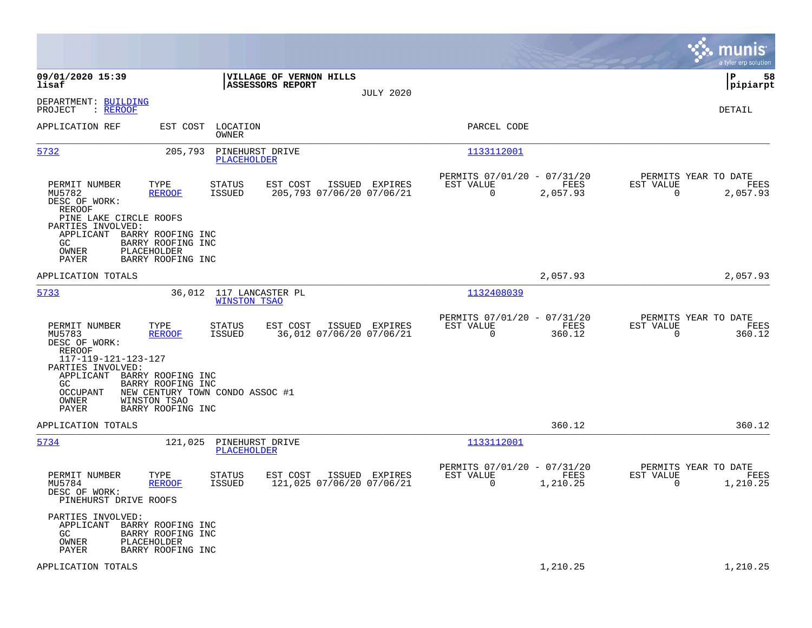|                                                                                                                                                                         |                                                                                            |                                                    |                  |                                                         |                  |                                                  | munis<br>a tyler erp solution |
|-------------------------------------------------------------------------------------------------------------------------------------------------------------------------|--------------------------------------------------------------------------------------------|----------------------------------------------------|------------------|---------------------------------------------------------|------------------|--------------------------------------------------|-------------------------------|
| 09/01/2020 15:39<br>lisaf                                                                                                                                               |                                                                                            | VILLAGE OF VERNON HILLS<br><b>ASSESSORS REPORT</b> | <b>JULY 2020</b> |                                                         |                  |                                                  | ΙP<br>58<br> pipiarpt         |
| DEPARTMENT: BUILDING<br>: REROOF<br>PROJECT                                                                                                                             |                                                                                            |                                                    |                  |                                                         |                  |                                                  | <b>DETAIL</b>                 |
| APPLICATION REF                                                                                                                                                         | EST COST LOCATION<br>OWNER                                                                 |                                                    |                  | PARCEL CODE                                             |                  |                                                  |                               |
| 5732                                                                                                                                                                    | 205,793<br>PINEHURST DRIVE<br>PLACEHOLDER                                                  |                                                    |                  | 1133112001                                              |                  |                                                  |                               |
| PERMIT NUMBER<br>MU5782<br>DESC OF WORK:<br>REROOF<br>PINE LAKE CIRCLE ROOFS<br>PARTIES INVOLVED:<br>APPLICANT BARRY ROOFING INC<br>GC<br>OWNER<br>PLACEHOLDER<br>PAYER | TYPE<br>STATUS<br><b>REROOF</b><br><b>ISSUED</b><br>BARRY ROOFING INC<br>BARRY ROOFING INC | EST COST<br>205,793 07/06/20 07/06/21              | ISSUED EXPIRES   | PERMITS 07/01/20 - 07/31/20<br>EST VALUE<br>$\mathbf 0$ | FEES<br>2,057.93 | PERMITS YEAR TO DATE<br>EST VALUE<br>$\mathbf 0$ | FEES<br>2,057.93              |
| APPLICATION TOTALS                                                                                                                                                      |                                                                                            |                                                    |                  |                                                         | 2,057.93         |                                                  | 2,057.93                      |
| 5733                                                                                                                                                                    | 36,012<br><b>WINSTON TSAO</b>                                                              | 117 LANCASTER PL                                   |                  | 1132408039                                              |                  |                                                  |                               |
| PERMIT NUMBER<br>MU5783<br>DESC OF WORK:<br>REROOF<br>117-119-121-123-127<br>PARTIES INVOLVED:<br>APPLICANT BARRY ROOFING INC<br>GC.                                    | TYPE<br><b>STATUS</b><br><b>REROOF</b><br>ISSUED<br>BARRY ROOFING INC                      | EST COST<br>36,012 07/06/20 07/06/21               | ISSUED EXPIRES   | PERMITS 07/01/20 - 07/31/20<br>EST VALUE<br>$\Omega$    | FEES<br>360.12   | PERMITS YEAR TO DATE<br>EST VALUE<br>$\mathbf 0$ | FEES<br>360.12                |
| OCCUPANT<br>OWNER<br>WINSTON TSAO<br>PAYER                                                                                                                              | NEW CENTURY TOWN CONDO ASSOC #1<br>BARRY ROOFING INC                                       |                                                    |                  |                                                         |                  |                                                  |                               |
| APPLICATION TOTALS                                                                                                                                                      |                                                                                            |                                                    |                  |                                                         | 360.12           |                                                  | 360.12                        |
| 5734                                                                                                                                                                    | 121,025<br>PINEHURST DRIVE<br>PLACEHOLDER                                                  |                                                    |                  | 1133112001                                              |                  |                                                  |                               |
| PERMIT NUMBER<br>MU5784<br>DESC OF WORK:<br>PINEHURST DRIVE ROOFS                                                                                                       | TYPE<br><b>STATUS</b><br><b>REROOF</b><br>ISSUED                                           | EST COST<br>121,025 07/06/20 07/06/21              | ISSUED EXPIRES   | PERMITS 07/01/20 - 07/31/20<br>EST VALUE<br>$\mathbf 0$ | FEES<br>1,210.25 | PERMITS YEAR TO DATE<br>EST VALUE<br>$\mathbf 0$ | FEES<br>1,210.25              |
| PARTIES INVOLVED:<br>APPLICANT<br>GC.<br>PLACEHOLDER<br>OWNER<br>PAYER                                                                                                  | BARRY ROOFING INC<br>BARRY ROOFING INC<br>BARRY ROOFING INC                                |                                                    |                  |                                                         |                  |                                                  |                               |
| APPLICATION TOTALS                                                                                                                                                      |                                                                                            |                                                    |                  |                                                         | 1,210.25         |                                                  | 1,210.25                      |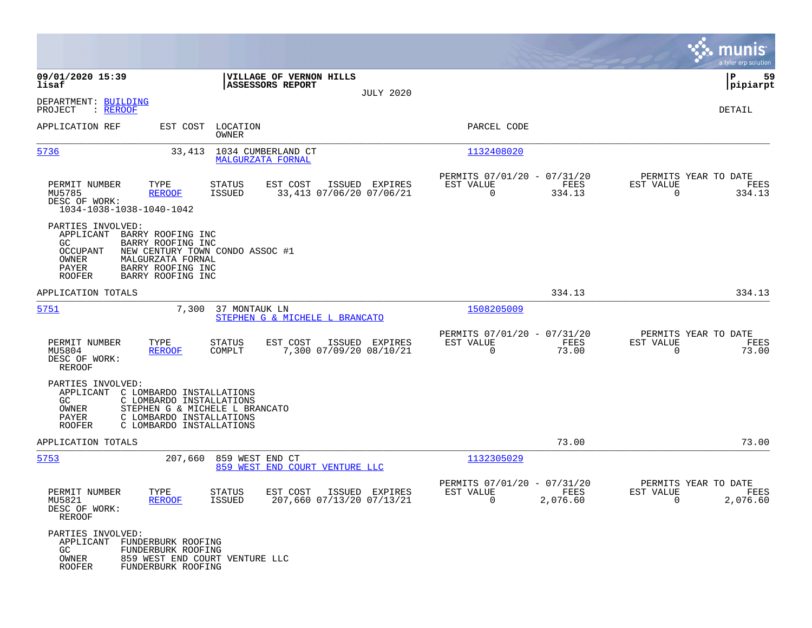|                                                                                                                                                                                                                            |                                                                                    |                                                                           | munis<br>a tyler erp solution                                        |
|----------------------------------------------------------------------------------------------------------------------------------------------------------------------------------------------------------------------------|------------------------------------------------------------------------------------|---------------------------------------------------------------------------|----------------------------------------------------------------------|
| 09/01/2020 15:39<br>lisaf                                                                                                                                                                                                  | VILLAGE OF VERNON HILLS<br><b>ASSESSORS REPORT</b><br><b>JULY 2020</b>             |                                                                           | 59<br>P<br> pipiarpt                                                 |
| DEPARTMENT: BUILDING<br>PROJECT<br>: <u>REROOF</u>                                                                                                                                                                         |                                                                                    |                                                                           | DETAIL                                                               |
| APPLICATION REF                                                                                                                                                                                                            | EST COST LOCATION<br>OWNER                                                         | PARCEL CODE                                                               |                                                                      |
| 5736<br>33,413                                                                                                                                                                                                             | 1034 CUMBERLAND CT<br><b>MALGURZATA FORNAL</b>                                     | 1132408020                                                                |                                                                      |
| PERMIT NUMBER<br>TYPE<br>MU5785<br><b>REROOF</b><br>DESC OF WORK:<br>1034-1038-1038-1040-1042                                                                                                                              | STATUS<br>EST COST<br>ISSUED EXPIRES<br>ISSUED<br>33,413 07/06/20 07/06/21         | PERMITS 07/01/20 - 07/31/20<br>EST VALUE<br>FEES<br>$\mathbf 0$<br>334.13 | PERMITS YEAR TO DATE<br>EST VALUE<br>FEES<br>334.13<br>0             |
| PARTIES INVOLVED:<br>APPLICANT<br>BARRY ROOFING INC<br>BARRY ROOFING INC<br>GC.<br><b>OCCUPANT</b><br>OWNER<br>MALGURZATA FORNAL<br>PAYER<br>BARRY ROOFING INC<br><b>ROOFER</b><br>BARRY ROOFING INC                       | NEW CENTURY TOWN CONDO ASSOC #1                                                    |                                                                           |                                                                      |
| APPLICATION TOTALS                                                                                                                                                                                                         |                                                                                    | 334.13                                                                    | 334.13                                                               |
| 5751<br>7,300                                                                                                                                                                                                              | 37 MONTAUK LN<br>STEPHEN G & MICHELE L BRANCATO                                    | 1508205009                                                                |                                                                      |
| TYPE<br>PERMIT NUMBER<br>MU5804<br><b>REROOF</b><br>DESC OF WORK:<br>REROOF                                                                                                                                                | EST COST<br>ISSUED EXPIRES<br>STATUS<br>7,300 07/09/20 08/10/21<br>COMPLT          | PERMITS 07/01/20 - 07/31/20<br>EST VALUE<br>FEES<br>$\Omega$<br>73.00     | PERMITS YEAR TO DATE<br>EST VALUE<br>FEES<br>$\overline{0}$<br>73.00 |
| PARTIES INVOLVED:<br>APPLICANT<br>C LOMBARDO INSTALLATIONS<br>GC.<br>C LOMBARDO INSTALLATIONS<br>OWNER<br>STEPHEN G & MICHELE L BRANCATO<br>PAYER<br>C LOMBARDO INSTALLATIONS<br><b>ROOFER</b><br>C LOMBARDO INSTALLATIONS |                                                                                    |                                                                           |                                                                      |
| APPLICATION TOTALS                                                                                                                                                                                                         |                                                                                    | 73.00                                                                     | 73.00                                                                |
| 5753                                                                                                                                                                                                                       | 207,660 859 WEST END CT<br>859 WEST END COURT VENTURE LLC                          | 1132305029                                                                |                                                                      |
| PERMIT NUMBER<br>TYPE<br>MU5821<br><b>REROOF</b><br>DESC OF WORK:<br><b>REROOF</b>                                                                                                                                         | <b>STATUS</b><br>EST COST<br>ISSUED EXPIRES<br>ISSUED<br>207,660 07/13/20 07/13/21 | PERMITS 07/01/20 - 07/31/20<br>EST VALUE<br>FEES<br>2,076.60<br>$\sim$ 0  | PERMITS YEAR TO DATE<br>EST VALUE<br>FEES<br>2,076.60<br>$\sim$ 0    |
| PARTIES INVOLVED:<br>APPLICANT FUNDERBURK ROOFING<br>GC<br>FUNDERBURK ROOFING<br>OWNER<br>ROOFER<br>FUNDERBURK ROOFING                                                                                                     | 859 WEST END COURT VENTURE LLC                                                     |                                                                           |                                                                      |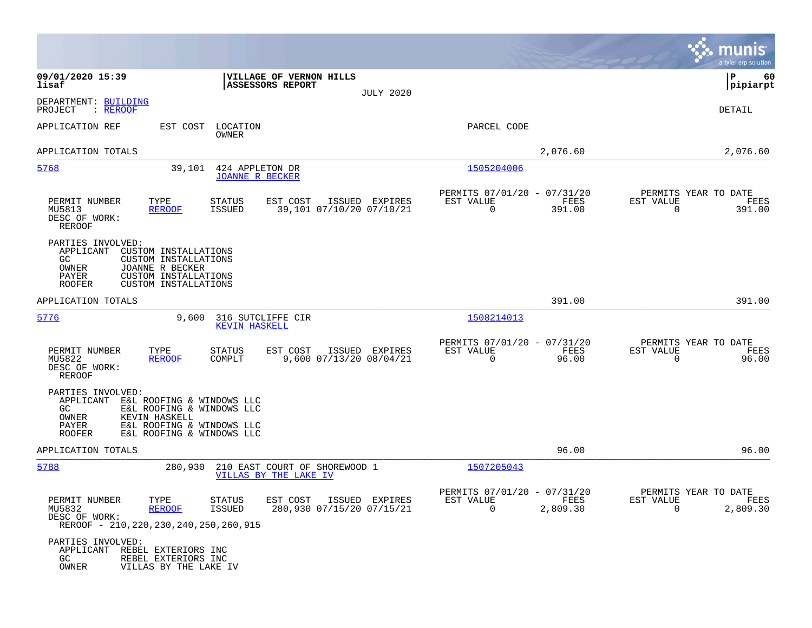|                                                                                                                                                                                                               |                                                                                   |                                                                           | nis<br>a tyler erp solution                                        |
|---------------------------------------------------------------------------------------------------------------------------------------------------------------------------------------------------------------|-----------------------------------------------------------------------------------|---------------------------------------------------------------------------|--------------------------------------------------------------------|
| 09/01/2020 15:39<br>lisaf                                                                                                                                                                                     | VILLAGE OF VERNON HILLS<br>ASSESSORS REPORT<br><b>JULY 2020</b>                   |                                                                           | ΙP<br>60<br> pipiarpt                                              |
| DEPARTMENT: BUILDING<br>PROJECT<br>: <u>REROOF</u>                                                                                                                                                            |                                                                                   |                                                                           | DETAIL                                                             |
| EST COST<br>APPLICATION REF                                                                                                                                                                                   | LOCATION<br>OWNER                                                                 | PARCEL CODE                                                               |                                                                    |
| APPLICATION TOTALS                                                                                                                                                                                            |                                                                                   | 2,076.60                                                                  | 2,076.60                                                           |
| 5768<br>39,101                                                                                                                                                                                                | 424 APPLETON DR<br><b>JOANNE R BECKER</b>                                         | 1505204006                                                                |                                                                    |
| PERMIT NUMBER<br>TYPE<br>MU5813<br><b>REROOF</b><br>DESC OF WORK:<br>REROOF                                                                                                                                   | EST COST<br>ISSUED EXPIRES<br><b>STATUS</b><br>39,101 07/10/20 07/10/21<br>ISSUED | PERMITS 07/01/20 - 07/31/20<br>EST VALUE<br>FEES<br>$\mathbf 0$<br>391.00 | PERMITS YEAR TO DATE<br>EST VALUE<br>FEES<br>$\mathbf 0$<br>391.00 |
| PARTIES INVOLVED:<br>APPLICANT<br>CUSTOM INSTALLATIONS<br>GC<br>CUSTOM INSTALLATIONS<br>JOANNE R BECKER<br>OWNER<br>CUSTOM INSTALLATIONS<br>PAYER<br>CUSTOM INSTALLATIONS<br><b>ROOFER</b>                    |                                                                                   |                                                                           |                                                                    |
| APPLICATION TOTALS                                                                                                                                                                                            |                                                                                   | 391.00                                                                    | 391.00                                                             |
| 5776<br>9,600                                                                                                                                                                                                 | 316 SUTCLIFFE CIR<br><b>KEVIN HASKELL</b>                                         | 1508214013                                                                |                                                                    |
| PERMIT NUMBER<br>TYPE<br>MU5822<br><b>REROOF</b><br>DESC OF WORK:<br><b>REROOF</b>                                                                                                                            | <b>STATUS</b><br>EST COST<br>ISSUED EXPIRES<br>COMPLT<br>9,600 07/13/20 08/04/21  | PERMITS 07/01/20 - 07/31/20<br>EST VALUE<br>FEES<br>0<br>96.00            | PERMITS YEAR TO DATE<br>EST VALUE<br>FEES<br>$\mathbf 0$<br>96.00  |
| PARTIES INVOLVED:<br>APPLICANT<br>E&L ROOFING & WINDOWS LLC<br>E&L ROOFING & WINDOWS LLC<br>GC.<br>OWNER<br>KEVIN HASKELL<br>E&L ROOFING & WINDOWS LLC<br>PAYER<br>E&L ROOFING & WINDOWS LLC<br><b>ROOFER</b> |                                                                                   |                                                                           |                                                                    |
| APPLICATION TOTALS                                                                                                                                                                                            |                                                                                   | 96.00                                                                     | 96.00                                                              |
| 5788<br>280,930                                                                                                                                                                                               | 210 EAST COURT OF SHOREWOOD 1<br>VILLAS BY THE LAKE IV                            | 1507205043                                                                |                                                                    |
| PERMIT NUMBER<br>TYPE<br>MU5832<br><b>REROOF</b><br>DESC OF WORK:<br>REROOF - 210, 220, 230, 240, 250, 260, 915                                                                                               | EST COST<br>ISSUED EXPIRES<br>STATUS<br>ISSUED<br>280,930 07/15/20 07/15/21       | PERMITS 07/01/20 - 07/31/20<br>EST VALUE<br>FEES<br>0<br>2,809.30         | PERMITS YEAR TO DATE<br>EST VALUE<br>FEES<br>2,809.30<br>0         |
| PARTIES INVOLVED:<br>APPLICANT<br>REBEL EXTERIORS INC<br>GC.<br>REBEL EXTERIORS INC<br>OWNER<br>VILLAS BY THE LAKE IV                                                                                         |                                                                                   |                                                                           |                                                                    |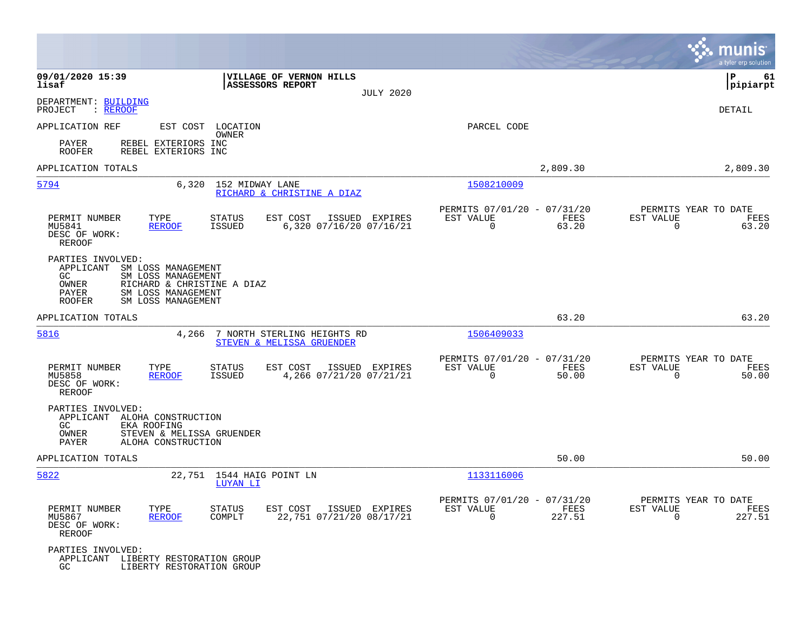|                                                                                                                                                                                            |                                                                        |                                                                           | munis<br>a tyler erp solution                                     |
|--------------------------------------------------------------------------------------------------------------------------------------------------------------------------------------------|------------------------------------------------------------------------|---------------------------------------------------------------------------|-------------------------------------------------------------------|
| 09/01/2020 15:39<br>lisaf                                                                                                                                                                  | VILLAGE OF VERNON HILLS<br><b>ASSESSORS REPORT</b><br><b>JULY 2020</b> |                                                                           | ΙP<br>61<br> pipiarpt                                             |
| DEPARTMENT: BUILDING<br>: REROOF<br>PROJECT                                                                                                                                                |                                                                        |                                                                           | DETAIL                                                            |
| APPLICATION REF<br>EST COST<br>LOCATION<br>OWNER                                                                                                                                           |                                                                        | PARCEL CODE                                                               |                                                                   |
| <b>PAYER</b><br>REBEL EXTERIORS INC<br><b>ROOFER</b><br>REBEL EXTERIORS INC                                                                                                                |                                                                        |                                                                           |                                                                   |
| APPLICATION TOTALS                                                                                                                                                                         |                                                                        | 2,809.30                                                                  | 2,809.30                                                          |
| 5794<br>6,320<br>152 MIDWAY LANE                                                                                                                                                           | RICHARD & CHRISTINE A DIAZ                                             | 1508210009                                                                |                                                                   |
| PERMIT NUMBER<br>TYPE<br>STATUS<br>MU5841<br><b>REROOF</b><br><b>ISSUED</b><br>DESC OF WORK:<br><b>REROOF</b>                                                                              | EST COST<br>ISSUED EXPIRES<br>6,320 07/16/20 07/16/21                  | PERMITS 07/01/20 - 07/31/20<br>EST VALUE<br>FEES<br>0<br>63.20            | PERMITS YEAR TO DATE<br>EST VALUE<br>FEES<br>0<br>63.20           |
| PARTIES INVOLVED:<br>APPLICANT SM LOSS MANAGEMENT<br><b>GC</b><br>SM LOSS MANAGEMENT<br>RICHARD & CHRISTINE A DIAZ<br>OWNER<br>SM LOSS MANAGEMENT<br>PAYER<br>SM LOSS MANAGEMENT<br>ROOFER |                                                                        |                                                                           |                                                                   |
| APPLICATION TOTALS                                                                                                                                                                         |                                                                        | 63.20                                                                     | 63.20                                                             |
| 5816<br>4,266                                                                                                                                                                              | 7 NORTH STERLING HEIGHTS RD<br>STEVEN & MELISSA GRUENDER               | 1506409033                                                                |                                                                   |
| PERMIT NUMBER<br>TYPE<br><b>STATUS</b><br><b>ISSUED</b><br>MU5858<br><b>REROOF</b><br>DESC OF WORK:<br><b>REROOF</b>                                                                       | EST COST<br>ISSUED EXPIRES<br>4,266 07/21/20 07/21/21                  | PERMITS 07/01/20 - 07/31/20<br>FEES<br>EST VALUE<br>$\mathbf 0$<br>50.00  | PERMITS YEAR TO DATE<br>EST VALUE<br>FEES<br>$\mathbf 0$<br>50.00 |
| PARTIES INVOLVED:<br>APPLICANT ALOHA CONSTRUCTION<br>GC<br>EKA ROOFING<br>OWNER<br>STEVEN & MELISSA GRUENDER<br>ALOHA CONSTRUCTION<br>PAYER                                                |                                                                        |                                                                           |                                                                   |
| APPLICATION TOTALS                                                                                                                                                                         |                                                                        | 50.00                                                                     | 50.00                                                             |
| 5822<br>22,751 1544 HAIG POINT LN<br>LUYAN LI                                                                                                                                              |                                                                        | 1133116006                                                                |                                                                   |
| PERMIT NUMBER<br>TYPE<br>STATUS<br>MU5867<br><b>REROOF</b><br>COMPLT<br>DESC OF WORK:<br>REROOF                                                                                            | EST COST<br>ISSUED EXPIRES<br>22,751 07/21/20 08/17/21                 | PERMITS 07/01/20 - 07/31/20<br>EST VALUE<br>FEES<br>$\mathbf 0$<br>227.51 | PERMITS YEAR TO DATE<br>EST VALUE<br>FEES<br>227.51<br>0          |
| PARTIES INVOLVED:<br>APPLICANT LIBERTY RESTORATION GROUP<br>GC<br>LIBERTY RESTORATION GROUP                                                                                                |                                                                        |                                                                           |                                                                   |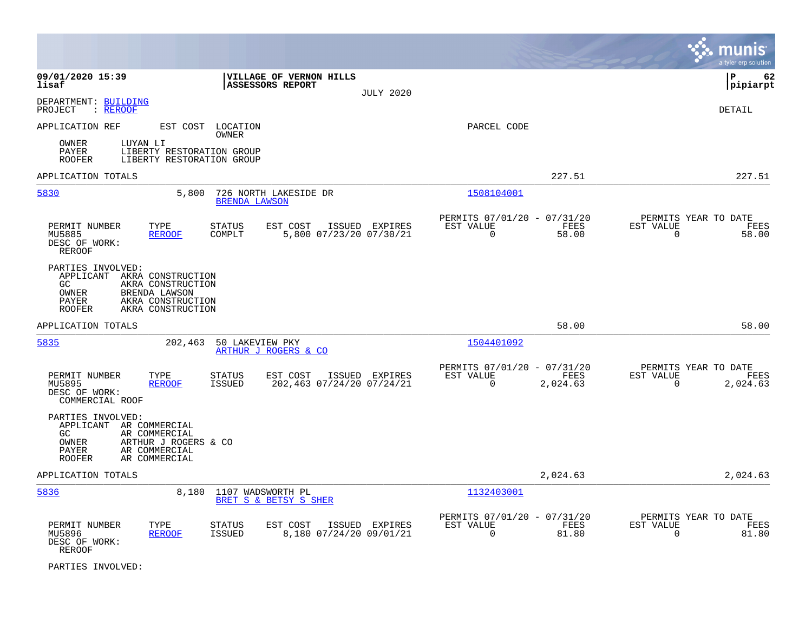|                                                                                                                                                                           |                                                                                           |                                                                             | munis<br>a tyler erp solution                                        |
|---------------------------------------------------------------------------------------------------------------------------------------------------------------------------|-------------------------------------------------------------------------------------------|-----------------------------------------------------------------------------|----------------------------------------------------------------------|
| 09/01/2020 15:39<br>lisaf                                                                                                                                                 | VILLAGE OF VERNON HILLS<br><b>ASSESSORS REPORT</b><br><b>JULY 2020</b>                    |                                                                             | lР<br>62<br> pipiarpt                                                |
| DEPARTMENT: BUILDING<br>: REROOF<br>PROJECT                                                                                                                               |                                                                                           |                                                                             | DETAIL                                                               |
| APPLICATION REF<br>OWNER<br>LUYAN LI<br>LIBERTY RESTORATION GROUP<br>PAYER<br><b>ROOFER</b><br>LIBERTY RESTORATION GROUP                                                  | EST COST LOCATION<br>OWNER                                                                | PARCEL CODE                                                                 |                                                                      |
| APPLICATION TOTALS                                                                                                                                                        |                                                                                           | 227.51                                                                      | 227.51                                                               |
| 5830<br>5,800                                                                                                                                                             | 726 NORTH LAKESIDE DR<br><b>BRENDA LAWSON</b>                                             | 1508104001                                                                  |                                                                      |
| PERMIT NUMBER<br>TYPE<br>MU5885<br><b>REROOF</b><br>DESC OF WORK:<br><b>REROOF</b>                                                                                        | EST COST<br><b>STATUS</b><br>ISSUED EXPIRES<br>COMPLT<br>5,800 07/23/20 07/30/21          | PERMITS 07/01/20 - 07/31/20<br>EST VALUE<br>FEES<br>$\mathbf 0$<br>58.00    | PERMITS YEAR TO DATE<br>EST VALUE<br>FEES<br>58.00<br>$\mathbf 0$    |
| PARTIES INVOLVED:<br>APPLICANT AKRA CONSTRUCTION<br>GC<br>AKRA CONSTRUCTION<br>OWNER<br>BRENDA LAWSON<br>AKRA CONSTRUCTION<br>PAYER<br>AKRA CONSTRUCTION<br><b>ROOFER</b> |                                                                                           |                                                                             |                                                                      |
| APPLICATION TOTALS                                                                                                                                                        |                                                                                           | 58.00                                                                       | 58.00                                                                |
| 5835<br>202,463                                                                                                                                                           | 50 LAKEVIEW PKY<br>ARTHUR J ROGERS & CO                                                   | 1504401092                                                                  |                                                                      |
| PERMIT NUMBER<br>TYPE<br>MU5895<br><b>REROOF</b><br>DESC OF WORK:<br>COMMERCIAL ROOF                                                                                      | <b>STATUS</b><br>EST COST<br>ISSUED EXPIRES<br><b>ISSUED</b><br>202,463 07/24/20 07/24/21 | PERMITS 07/01/20 - 07/31/20<br>EST VALUE<br>FEES<br>$\mathbf 0$<br>2,024.63 | PERMITS YEAR TO DATE<br>EST VALUE<br>FEES<br>2,024.63<br>$\mathbf 0$ |
| PARTIES INVOLVED:<br>APPLICANT AR COMMERCIAL<br>AR COMMERCIAL<br>GC<br>OWNER<br>ARTHUR J ROGERS & CO<br><b>PAYER</b><br>AR COMMERCIAL<br><b>ROOFER</b><br>AR COMMERCIAL   |                                                                                           |                                                                             |                                                                      |
| APPLICATION TOTALS                                                                                                                                                        |                                                                                           | 2,024.63                                                                    | 2,024.63                                                             |
| 5836<br>8,180                                                                                                                                                             | 1107 WADSWORTH PL<br>BRET S & BETSY S SHER                                                | 1132403001                                                                  |                                                                      |
| PERMIT NUMBER<br>TYPE<br>MU5896<br><b>REROOF</b><br>DESC OF WORK:<br>REROOF                                                                                               | ISSUED EXPIRES<br>STATUS<br>EST COST<br>8,180 07/24/20 09/01/21<br>ISSUED                 | PERMITS 07/01/20 - 07/31/20<br>EST VALUE<br>FEES<br>$\mathbf 0$<br>81.80    | PERMITS YEAR TO DATE<br>EST VALUE<br>FEES<br>0<br>81.80              |

PARTIES INVOLVED: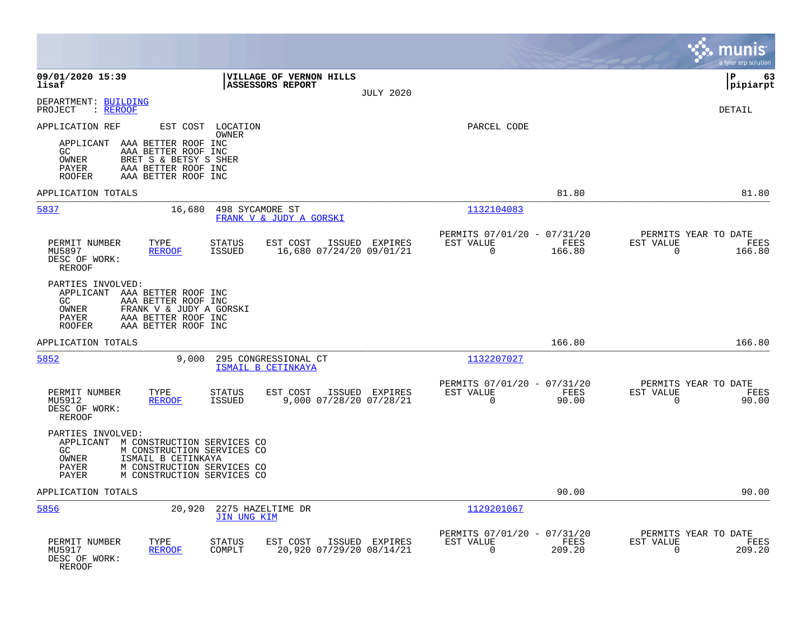|                                                                                             |                                                                                                              |                                                    |                  |                                                         |                |                                                  | munis<br>a tyler erp solution |
|---------------------------------------------------------------------------------------------|--------------------------------------------------------------------------------------------------------------|----------------------------------------------------|------------------|---------------------------------------------------------|----------------|--------------------------------------------------|-------------------------------|
| 09/01/2020 15:39<br>lisaf                                                                   |                                                                                                              | VILLAGE OF VERNON HILLS<br><b>ASSESSORS REPORT</b> | <b>JULY 2020</b> |                                                         |                |                                                  | l P<br>63<br> pipiarpt        |
| DEPARTMENT: BUILDING<br>: REROOF<br>PROJECT                                                 |                                                                                                              |                                                    |                  |                                                         |                |                                                  | DETAIL                        |
| APPLICATION REF                                                                             | EST COST LOCATION<br>OWNER                                                                                   |                                                    |                  | PARCEL CODE                                             |                |                                                  |                               |
| APPLICANT AAA BETTER ROOF INC<br>GC<br>OWNER<br>PAYER<br><b>ROOFER</b>                      | AAA BETTER ROOF INC<br>BRET S & BETSY S SHER<br>AAA BETTER ROOF INC<br>AAA BETTER ROOF INC                   |                                                    |                  |                                                         |                |                                                  |                               |
| APPLICATION TOTALS                                                                          |                                                                                                              |                                                    |                  |                                                         | 81.80          |                                                  | 81.80                         |
| 5837                                                                                        | 16,680                                                                                                       | 498 SYCAMORE ST<br>FRANK V & JUDY A GORSKI         |                  | 1132104083                                              |                |                                                  |                               |
| PERMIT NUMBER<br>MU5897<br>DESC OF WORK:<br><b>REROOF</b>                                   | TYPE<br><b>STATUS</b><br><b>REROOF</b><br><b>ISSUED</b>                                                      | EST COST<br>16,680 07/24/20 09/01/21               | ISSUED EXPIRES   | PERMITS 07/01/20 - 07/31/20<br>EST VALUE<br>$\Omega$    | FEES<br>166.80 | PERMITS YEAR TO DATE<br>EST VALUE<br>$\Omega$    | FEES<br>166.80                |
| PARTIES INVOLVED:<br>APPLICANT AAA BETTER ROOF INC<br>GC<br>OWNER<br>PAYER<br><b>ROOFER</b> | AAA BETTER ROOF INC<br>FRANK V & JUDY A GORSKI<br>AAA BETTER ROOF INC<br>AAA BETTER ROOF INC                 |                                                    |                  |                                                         |                |                                                  |                               |
| APPLICATION TOTALS                                                                          |                                                                                                              |                                                    |                  |                                                         | 166.80         |                                                  | 166.80                        |
| 5852                                                                                        | 9,000                                                                                                        | 295 CONGRESSIONAL CT<br>ISMAIL B CETINKAYA         |                  | 1132207027                                              |                |                                                  |                               |
| PERMIT NUMBER<br>MU5912<br>DESC OF WORK:<br><b>REROOF</b>                                   | TYPE<br><b>STATUS</b><br><b>REROOF</b><br>ISSUED                                                             | EST COST<br>9,000 07/28/20 07/28/21                | ISSUED EXPIRES   | PERMITS 07/01/20 - 07/31/20<br>EST VALUE<br>$\mathbf 0$ | FEES<br>90.00  | PERMITS YEAR TO DATE<br>EST VALUE<br>$\mathbf 0$ | FEES<br>90.00                 |
| PARTIES INVOLVED:<br>APPLICANT M CONSTRUCTION SERVICES CO<br>GC<br>OWNER<br>PAYER<br>PAYER  | M CONSTRUCTION SERVICES CO<br>ISMAIL B CETINKAYA<br>M CONSTRUCTION SERVICES CO<br>M CONSTRUCTION SERVICES CO |                                                    |                  |                                                         |                |                                                  |                               |
| APPLICATION TOTALS                                                                          |                                                                                                              |                                                    |                  |                                                         | 90.00          |                                                  | 90.00                         |
| 5856                                                                                        | 20,920<br>JIN UNG KIM                                                                                        | 2275 HAZELTIME DR                                  |                  | 1129201067                                              |                |                                                  |                               |
| PERMIT NUMBER<br>MU5917<br>DESC OF WORK:<br><b>REROOF</b>                                   | TYPE<br><b>STATUS</b><br><b>REROOF</b><br>COMPLT                                                             | EST COST<br>20,920 07/29/20 08/14/21               | ISSUED EXPIRES   | PERMITS 07/01/20 - 07/31/20<br>EST VALUE<br>$\Omega$    | FEES<br>209.20 | PERMITS YEAR TO DATE<br>EST VALUE<br>$\Omega$    | FEES<br>209.20                |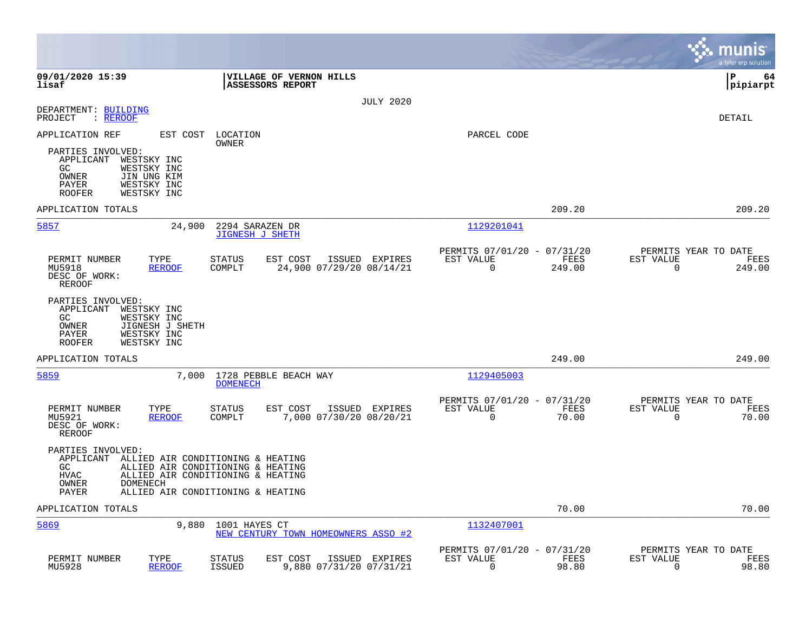|                                                                                                                                                                                                                                            |                                                                          | munis<br>a tyler erp solution                                     |
|--------------------------------------------------------------------------------------------------------------------------------------------------------------------------------------------------------------------------------------------|--------------------------------------------------------------------------|-------------------------------------------------------------------|
| 09/01/2020 15:39<br>VILLAGE OF VERNON HILLS<br>lisaf<br>ASSESSORS REPORT                                                                                                                                                                   |                                                                          | l P<br>64<br> pipiarpt                                            |
| <b>JULY 2020</b>                                                                                                                                                                                                                           |                                                                          |                                                                   |
| DEPARTMENT: BUILDING<br>PROJECT<br>: <u>REROOF</u>                                                                                                                                                                                         |                                                                          | DETAIL                                                            |
| APPLICATION REF<br>EST COST<br>LOCATION<br>OWNER                                                                                                                                                                                           | PARCEL CODE                                                              |                                                                   |
| PARTIES INVOLVED:<br>APPLICANT<br>WESTSKY INC<br>GC<br>WESTSKY INC<br>OWNER<br>JIN UNG KIM<br>PAYER<br>WESTSKY INC<br><b>ROOFER</b><br>WESTSKY INC                                                                                         |                                                                          |                                                                   |
| APPLICATION TOTALS                                                                                                                                                                                                                         | 209.20                                                                   | 209.20                                                            |
| 5857<br>2294 SARAZEN DR<br>24,900<br><b>JIGNESH J SHETH</b>                                                                                                                                                                                | 1129201041                                                               |                                                                   |
| PERMIT NUMBER<br>EST COST<br>ISSUED EXPIRES<br>TYPE<br>STATUS<br>24,900 07/29/20 08/14/21<br>MU5918<br><b>REROOF</b><br>COMPLT<br>DESC OF WORK:<br><b>REROOF</b>                                                                           | PERMITS 07/01/20 - 07/31/20<br>EST VALUE<br>FEES<br>$\Omega$<br>249.00   | PERMITS YEAR TO DATE<br>EST VALUE<br>FEES<br>$\Omega$<br>249.00   |
| PARTIES INVOLVED:<br>APPLICANT<br>WESTSKY INC<br>GC.<br>WESTSKY INC<br>OWNER<br>JIGNESH J SHETH<br>PAYER<br>WESTSKY INC<br><b>ROOFER</b><br>WESTSKY INC                                                                                    |                                                                          |                                                                   |
| APPLICATION TOTALS                                                                                                                                                                                                                         | 249.00                                                                   | 249.00                                                            |
| 5859<br>7,000<br>1728 PEBBLE BEACH WAY<br><b>DOMENECH</b>                                                                                                                                                                                  | 1129405003                                                               |                                                                   |
| PERMIT NUMBER<br>TYPE<br>STATUS<br>EST COST<br>ISSUED EXPIRES<br>MU5921<br><b>REROOF</b><br>COMPLT<br>7,000 07/30/20 08/20/21<br>DESC OF WORK:<br>REROOF                                                                                   | PERMITS 07/01/20 - 07/31/20<br>EST VALUE<br>FEES<br>$\mathbf 0$<br>70.00 | PERMITS YEAR TO DATE<br>EST VALUE<br>FEES<br>$\mathbf 0$<br>70.00 |
| PARTIES INVOLVED:<br>APPLICANT ALLIED AIR CONDITIONING & HEATING<br>GC.<br>ALLIED AIR CONDITIONING & HEATING<br><b>HVAC</b><br>ALLIED AIR CONDITIONING & HEATING<br>OWNER<br><b>DOMENECH</b><br>PAYER<br>ALLIED AIR CONDITIONING & HEATING |                                                                          |                                                                   |
| APPLICATION TOTALS                                                                                                                                                                                                                         | 70.00                                                                    | 70.00                                                             |
| 5869<br>9,880<br>1001 HAYES CT<br>NEW CENTURY TOWN HOMEOWNERS ASSO #2                                                                                                                                                                      | 1132407001                                                               |                                                                   |
| PERMIT NUMBER<br>TYPE<br>EST COST<br>ISSUED EXPIRES<br><b>STATUS</b><br>MU5928<br><b>REROOF</b><br><b>ISSUED</b><br>9,880 07/31/20 07/31/21                                                                                                | PERMITS 07/01/20 - 07/31/20<br>EST VALUE<br>FEES<br>$\mathbf 0$<br>98.80 | PERMITS YEAR TO DATE<br>EST VALUE<br>FEES<br>$\mathbf 0$<br>98.80 |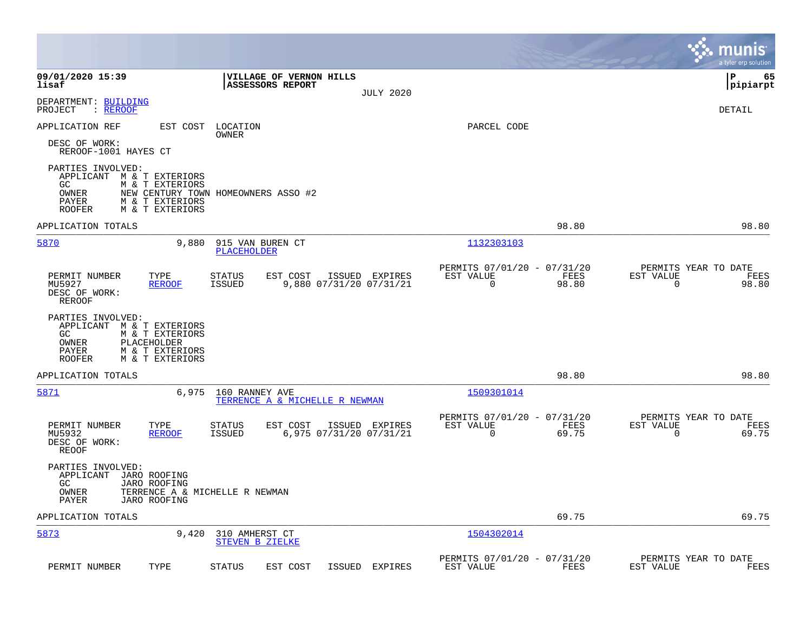|                                                                                                                                                                         |                                                                                         |                                                                | munis<br>a tyler erp solution                           |
|-------------------------------------------------------------------------------------------------------------------------------------------------------------------------|-----------------------------------------------------------------------------------------|----------------------------------------------------------------|---------------------------------------------------------|
| 09/01/2020 15:39<br>lisaf                                                                                                                                               | VILLAGE OF VERNON HILLS<br><b>ASSESSORS REPORT</b><br><b>JULY 2020</b>                  |                                                                | 65<br>l P<br> pipiarpt                                  |
| DEPARTMENT: BUILDING<br>: <u>REROOF</u><br>PROJECT                                                                                                                      |                                                                                         |                                                                | DETAIL                                                  |
| APPLICATION REF<br>EST COST<br>DESC OF WORK:                                                                                                                            | LOCATION<br>OWNER                                                                       | PARCEL CODE                                                    |                                                         |
| REROOF-1001 HAYES CT                                                                                                                                                    |                                                                                         |                                                                |                                                         |
| PARTIES INVOLVED:<br>APPLICANT M & T EXTERIORS<br>M & T EXTERIORS<br>GC.<br>$\mathop{\text{\rm OWNER}}$<br>PAYER<br>M & T EXTERIORS<br>M & T EXTERIORS<br><b>ROOFER</b> | NEW CENTURY TOWN HOMEOWNERS ASSO #2                                                     |                                                                |                                                         |
| APPLICATION TOTALS                                                                                                                                                      |                                                                                         | 98.80                                                          | 98.80                                                   |
| 5870<br>9,880                                                                                                                                                           | 915 VAN BUREN CT<br>PLACEHOLDER                                                         | 1132303103                                                     |                                                         |
| PERMIT NUMBER<br>TYPE<br>MU5927<br><b>REROOF</b><br>DESC OF WORK:<br>REROOF                                                                                             | STATUS<br>EST COST<br>ISSUED EXPIRES<br><b>ISSUED</b><br>9,880 07/31/20 07/31/21        | PERMITS 07/01/20 - 07/31/20<br>EST VALUE<br>FEES<br>0<br>98.80 | PERMITS YEAR TO DATE<br>EST VALUE<br>FEES<br>98.80<br>0 |
| PARTIES INVOLVED:<br>APPLICANT M & T EXTERIORS<br>GC<br>M & T EXTERIORS<br>OWNER<br>PLACEHOLDER<br>PAYER<br>M & T EXTERIORS<br><b>ROOFER</b><br>M & T EXTERIORS         |                                                                                         |                                                                |                                                         |
| APPLICATION TOTALS                                                                                                                                                      |                                                                                         | 98.80                                                          | 98.80                                                   |
| 5871<br>6,975                                                                                                                                                           | 160 RANNEY AVE<br>TERRENCE A & MICHELLE R NEWMAN                                        | 1509301014                                                     |                                                         |
| PERMIT NUMBER<br>TYPE<br>MU5932<br><b>REROOF</b><br>DESC OF WORK:<br>REOOF                                                                                              | <b>STATUS</b><br>EST COST<br>ISSUED EXPIRES<br>6,975 07/31/20 07/31/21<br><b>ISSUED</b> | PERMITS 07/01/20 - 07/31/20<br>EST VALUE<br>FEES<br>0<br>69.75 | PERMITS YEAR TO DATE<br>EST VALUE<br>FEES<br>69.75<br>0 |
| PARTIES INVOLVED:<br>APPLICANT<br>JARO ROOFING<br>GC<br><b>JARO ROOFING</b><br>OWNER<br>TERRENCE A & MICHELLE R NEWMAN<br>PAYER<br><b>JARO ROOFING</b>                  |                                                                                         |                                                                |                                                         |
| APPLICATION TOTALS                                                                                                                                                      |                                                                                         | 69.75                                                          | 69.75                                                   |
| 5873<br>9,420                                                                                                                                                           | 310 AMHERST CT<br>STEVEN B ZIELKE                                                       | 1504302014                                                     |                                                         |
| PERMIT NUMBER<br>TYPE                                                                                                                                                   | <b>STATUS</b><br>EST COST<br>ISSUED<br>EXPIRES                                          | PERMITS 07/01/20 - 07/31/20<br>EST VALUE<br>FEES               | PERMITS YEAR TO DATE<br>EST VALUE<br>FEES               |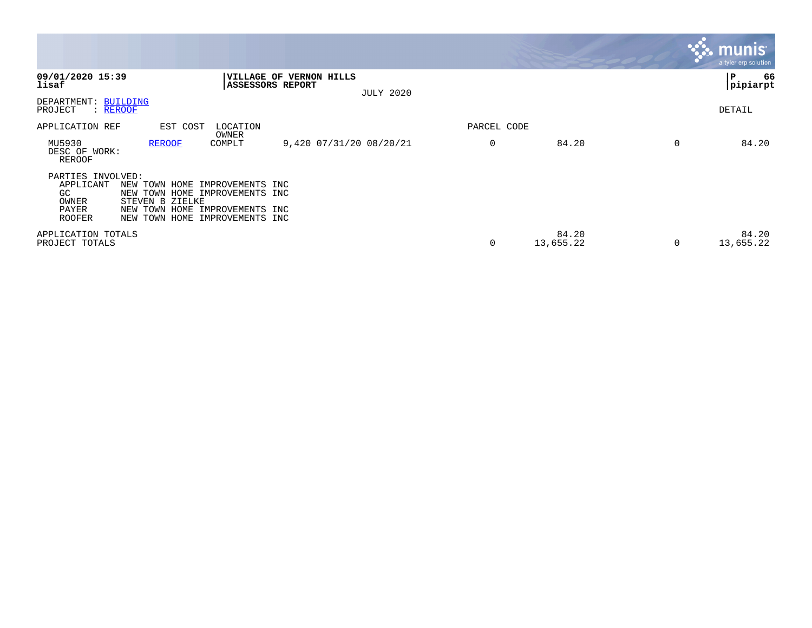|                                                                         |                                                                                            |                                                                                   |                         |                  |             |                    |   | <u>munis'</u><br>a tyler erp solution |
|-------------------------------------------------------------------------|--------------------------------------------------------------------------------------------|-----------------------------------------------------------------------------------|-------------------------|------------------|-------------|--------------------|---|---------------------------------------|
| 09/01/2020 15:39<br>lisaf                                               |                                                                                            | <b>ASSESSORS REPORT</b>                                                           | VILLAGE OF VERNON HILLS | <b>JULY 2020</b> |             |                    |   | 66<br>P<br> pipiarpt                  |
| DEPARTMENT: BUILDING<br>PROJECT<br>: REROOF                             |                                                                                            |                                                                                   |                         |                  |             |                    |   | DETAIL                                |
| APPLICATION REF                                                         | EST COST                                                                                   | LOCATION                                                                          |                         |                  | PARCEL CODE |                    |   |                                       |
| MU5930<br>DESC OF WORK:<br>REROOF                                       | <b>REROOF</b>                                                                              | OWNER<br>COMPLT                                                                   | 9,420 07/31/20 08/20/21 |                  | 0           | 84.20              | 0 | 84.20                                 |
| PARTIES INVOLVED:<br>APPLICANT<br>GC<br>OWNER<br>PAYER<br><b>ROOFER</b> | NEW TOWN<br>HOME<br>NEW TOWN<br>STEVEN B ZIELKE<br>TOWN<br>HOME<br>NEW<br>NEW TOWN<br>HOME | IMPROVEMENTS INC<br>HOME IMPROVEMENTS INC<br>IMPROVEMENTS INC<br>IMPROVEMENTS INC |                         |                  |             |                    |   |                                       |
| APPLICATION TOTALS<br>PROJECT TOTALS                                    |                                                                                            |                                                                                   |                         |                  | 0           | 84.20<br>13,655.22 | 0 | 84.20<br>13,655.22                    |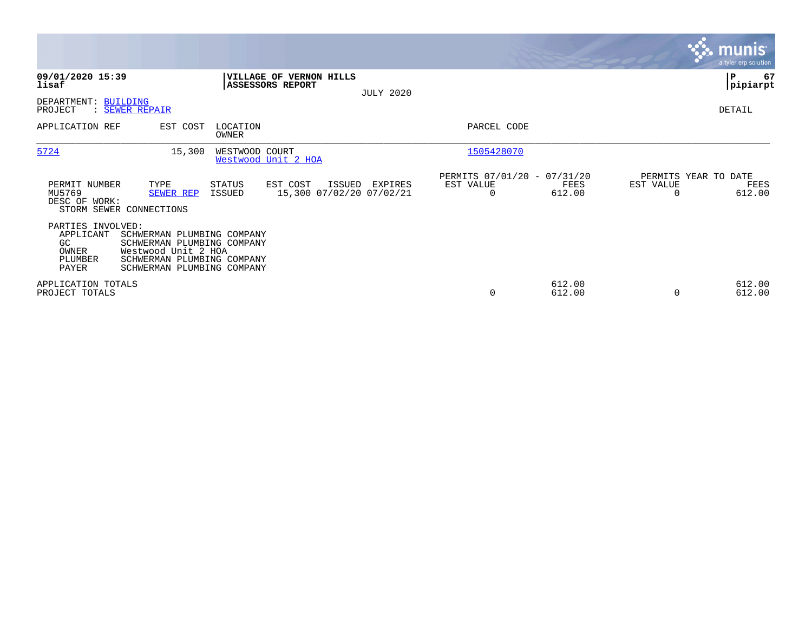|                                                                    |                                                                                                                                             |                   |                                                           |                  |                                                      |                  |                                   | <b>munis</b><br>a tyler erp solution |
|--------------------------------------------------------------------|---------------------------------------------------------------------------------------------------------------------------------------------|-------------------|-----------------------------------------------------------|------------------|------------------------------------------------------|------------------|-----------------------------------|--------------------------------------|
| 09/01/2020 15:39<br>lisaf                                          |                                                                                                                                             |                   | <b>VILLAGE OF VERNON HILLS</b><br><b>ASSESSORS REPORT</b> |                  |                                                      |                  |                                   | ∣P<br>67<br> pipiarpt                |
| DEPARTMENT: BUILDING<br>PROJECT                                    | : SEWER REPAIR                                                                                                                              |                   |                                                           | <b>JULY 2020</b> |                                                      |                  |                                   | DETAIL                               |
| APPLICATION REF                                                    | EST COST                                                                                                                                    | LOCATION<br>OWNER |                                                           |                  | PARCEL CODE                                          |                  |                                   |                                      |
| 5724                                                               | 15,300                                                                                                                                      | WESTWOOD COURT    | Westwood Unit 2 HOA                                       |                  | 1505428070                                           |                  |                                   |                                      |
| PERMIT NUMBER<br>MU5769<br>DESC OF WORK:                           | TYPE<br>SEWER REP<br>STORM SEWER CONNECTIONS                                                                                                | STATUS<br>ISSUED  | EST COST<br>ISSUED<br>15,300 07/02/20 07/02/21            | EXPIRES          | PERMITS 07/01/20 - 07/31/20<br>EST VALUE<br>$\Omega$ | FEES<br>612.00   | PERMITS YEAR TO DATE<br>EST VALUE | FEES<br>612.00                       |
| PARTIES INVOLVED:<br>APPLICANT<br>GC.<br>OWNER<br>PLUMBER<br>PAYER | SCHWERMAN PLUMBING COMPANY<br>SCHWERMAN PLUMBING COMPANY<br>Westwood Unit 2 HOA<br>SCHWERMAN PLUMBING COMPANY<br>SCHWERMAN PLUMBING COMPANY |                   |                                                           |                  |                                                      |                  |                                   |                                      |
| APPLICATION TOTALS<br>PROJECT TOTALS                               |                                                                                                                                             |                   |                                                           |                  | 0                                                    | 612.00<br>612.00 | $\Omega$                          | 612.00<br>612.00                     |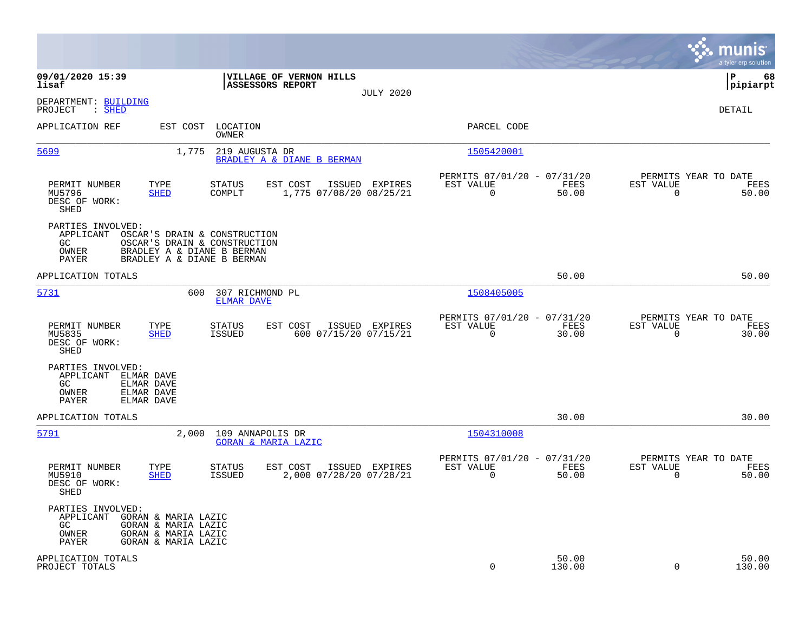|                                                                                                                                                           |                                                                                                                          |                                                                             | munis<br>a tyler erp solution                                     |
|-----------------------------------------------------------------------------------------------------------------------------------------------------------|--------------------------------------------------------------------------------------------------------------------------|-----------------------------------------------------------------------------|-------------------------------------------------------------------|
| 09/01/2020 15:39<br>lisaf                                                                                                                                 | VILLAGE OF VERNON HILLS<br><b>ASSESSORS REPORT</b><br><b>JULY 2020</b>                                                   |                                                                             | P<br>68<br> pipiarpt                                              |
| DEPARTMENT: BUILDING<br>PROJECT<br>$\mathrel{\mathop:}$ SHED                                                                                              |                                                                                                                          |                                                                             | <b>DETAIL</b>                                                     |
| APPLICATION REF<br>EST COST                                                                                                                               | LOCATION<br>OWNER                                                                                                        | PARCEL CODE                                                                 |                                                                   |
| 5699                                                                                                                                                      | 1,775<br>219 AUGUSTA DR<br>BRADLEY A & DIANE B BERMAN                                                                    | 1505420001                                                                  |                                                                   |
| PERMIT NUMBER<br>TYPE<br>MU5796<br><b>SHED</b><br>DESC OF WORK:<br><b>SHED</b>                                                                            | STATUS<br>EST COST<br>ISSUED EXPIRES<br>1,775 07/08/20 08/25/21<br>COMPLT                                                | PERMITS 07/01/20 - 07/31/20<br>EST VALUE<br>FEES<br>$\mathbf 0$<br>50.00    | PERMITS YEAR TO DATE<br>EST VALUE<br>FEES<br>$\mathbf 0$<br>50.00 |
| PARTIES INVOLVED:<br>APPLICANT<br>GC.<br>OWNER<br>PAYER                                                                                                   | OSCAR'S DRAIN & CONSTRUCTION<br>OSCAR'S DRAIN & CONSTRUCTION<br>BRADLEY A & DIANE B BERMAN<br>BRADLEY A & DIANE B BERMAN |                                                                             |                                                                   |
| APPLICATION TOTALS                                                                                                                                        |                                                                                                                          | 50.00                                                                       | 50.00                                                             |
| 5731                                                                                                                                                      | 600<br>307 RICHMOND PL<br><b>ELMAR DAVE</b>                                                                              | 1508405005                                                                  |                                                                   |
| TYPE<br>PERMIT NUMBER<br>MU5835<br><b>SHED</b><br>DESC OF WORK:<br>SHED                                                                                   | STATUS<br>EST COST<br>ISSUED EXPIRES<br><b>ISSUED</b><br>600 07/15/20 07/15/21                                           | PERMITS 07/01/20 - 07/31/20<br>FEES<br>EST VALUE<br>$\overline{0}$<br>30.00 | PERMITS YEAR TO DATE<br>EST VALUE<br>FEES<br>$\mathbf 0$<br>30.00 |
| PARTIES INVOLVED:<br>APPLICANT<br>ELMAR DAVE<br>ELMAR DAVE<br>GC.<br>ELMAR DAVE<br>OWNER<br><b>PAYER</b><br>ELMAR DAVE                                    |                                                                                                                          |                                                                             |                                                                   |
| APPLICATION TOTALS                                                                                                                                        |                                                                                                                          | 30.00                                                                       | 30.00                                                             |
| 5791                                                                                                                                                      | 2,000<br>109 ANNAPOLIS DR<br><b>GORAN &amp; MARIA LAZIC</b>                                                              | 1504310008                                                                  |                                                                   |
| PERMIT NUMBER<br>TYPE<br>MU5910<br><b>SHED</b><br>DESC OF WORK:<br>SHED                                                                                   | EST COST<br>ISSUED EXPIRES<br>STATUS<br>2,000 07/28/20 07/28/21<br>ISSUED                                                | PERMITS 07/01/20 - 07/31/20<br>EST VALUE<br>FEES<br>$\mathbf 0$<br>50.00    | PERMITS YEAR TO DATE<br>EST VALUE<br>FEES<br>$\mathbf 0$<br>50.00 |
| PARTIES INVOLVED:<br>APPLICANT<br>GORAN & MARIA LAZIC<br>GC<br>GORAN & MARIA LAZIC<br>OWNER<br>GORAN & MARIA LAZIC<br><b>PAYER</b><br>GORAN & MARIA LAZIC |                                                                                                                          |                                                                             |                                                                   |
| APPLICATION TOTALS<br>PROJECT TOTALS                                                                                                                      |                                                                                                                          | 50.00<br>$\mathbf 0$<br>130.00                                              | 50.00<br>0<br>130.00                                              |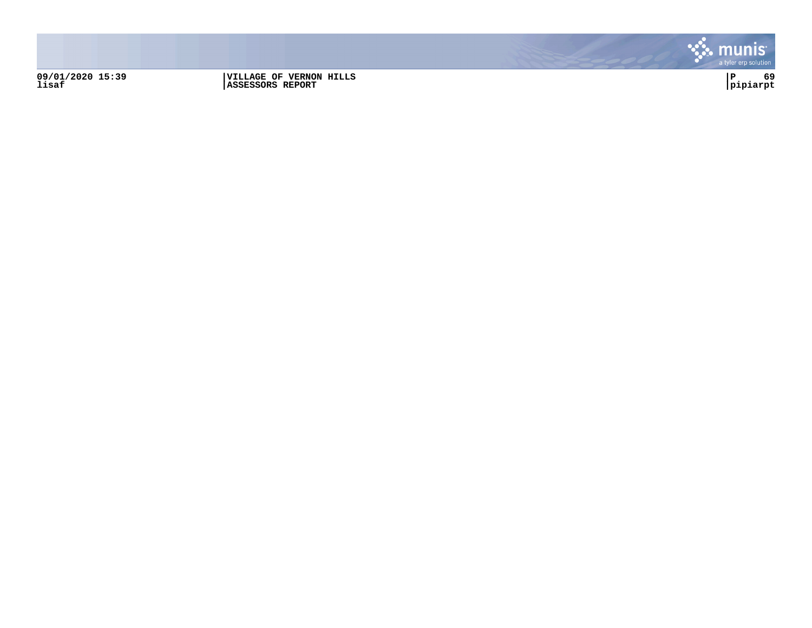**09/01/2020 15:39 |VILLAGE OF VERNON HILLS |P 69 lisaf |ASSESSORS REPORT |pipiarpt**

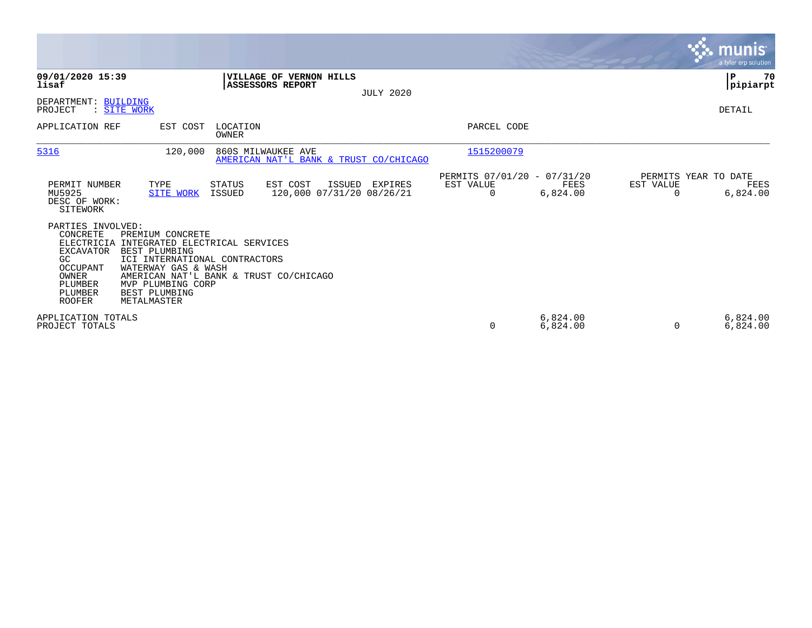|                                                                                                                                   |                                                                                                                                                                                                                            |                   |                                                              |                  |                                                      |                      |                       | munis<br>a tyler erp solution            |
|-----------------------------------------------------------------------------------------------------------------------------------|----------------------------------------------------------------------------------------------------------------------------------------------------------------------------------------------------------------------------|-------------------|--------------------------------------------------------------|------------------|------------------------------------------------------|----------------------|-----------------------|------------------------------------------|
| 09/01/2020 15:39<br>lisaf                                                                                                         |                                                                                                                                                                                                                            |                   | VILLAGE OF VERNON HILLS<br><b>ASSESSORS REPORT</b>           | <b>JULY 2020</b> |                                                      |                      |                       | 70<br>P<br> pipiarpt                     |
| DEPARTMENT: BUILDING<br>PROJECT                                                                                                   | : SITE WORK                                                                                                                                                                                                                |                   |                                                              |                  |                                                      |                      |                       | DETAIL                                   |
| APPLICATION REF                                                                                                                   | EST COST                                                                                                                                                                                                                   | LOCATION<br>OWNER |                                                              |                  | PARCEL CODE                                          |                      |                       |                                          |
| 5316                                                                                                                              | 120,000                                                                                                                                                                                                                    |                   | 860S MILWAUKEE AVE<br>AMERICAN NAT'L BANK & TRUST CO/CHICAGO |                  | 1515200079                                           |                      |                       |                                          |
| PERMIT NUMBER<br>MU5925<br>DESC OF WORK:<br>SITEWORK                                                                              | TYPE<br><b>SITE WORK</b>                                                                                                                                                                                                   | STATUS<br>ISSUED  | EST COST<br>ISSUED<br>120,000 07/31/20 08/26/21              | EXPIRES          | PERMITS 07/01/20 - 07/31/20<br>EST VALUE<br>$\Omega$ | FEES<br>6,824.00     | EST VALUE<br>$\Omega$ | PERMITS YEAR TO DATE<br>FEES<br>6,824.00 |
| PARTIES INVOLVED:<br>CONCRETE<br>ELECTRICIA<br><b>EXCAVATOR</b><br>GC<br>OCCUPANT<br>OWNER<br>PLUMBER<br>PLUMBER<br><b>ROOFER</b> | PREMIUM CONCRETE<br>INTEGRATED ELECTRICAL SERVICES<br>BEST PLUMBING<br>ICI INTERNATIONAL CONTRACTORS<br>WATERWAY GAS & WASH<br>AMERICAN NAT'L BANK & TRUST CO/CHICAGO<br>MVP PLUMBING CORP<br>BEST PLUMBING<br>METALMASTER |                   |                                                              |                  |                                                      |                      |                       |                                          |
| APPLICATION TOTALS<br>PROJECT TOTALS                                                                                              |                                                                                                                                                                                                                            |                   |                                                              |                  | 0                                                    | 6,824.00<br>6,824.00 | $\Omega$              | 6,824.00<br>6,824.00                     |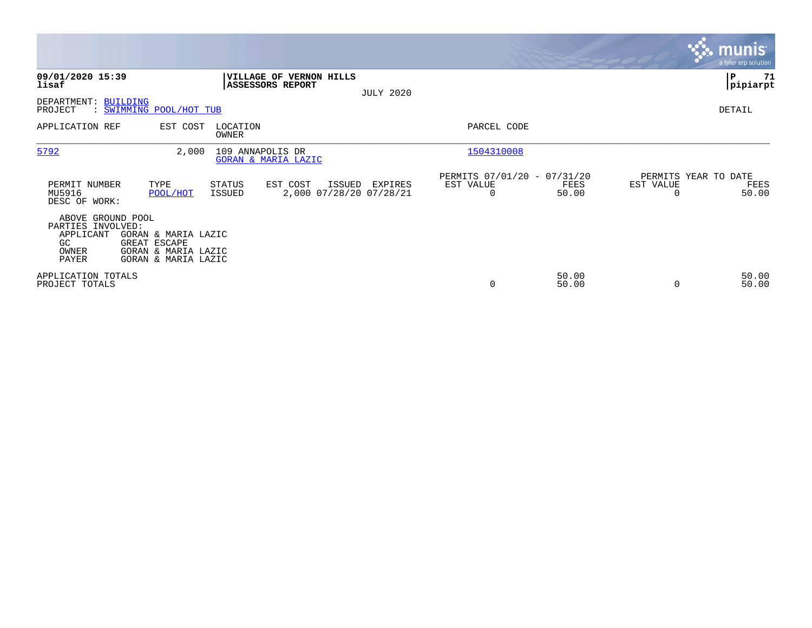|                                                                             |                                                                                   |                                                    |                                               |                  |                                               |                |                                   | <b>Munis</b><br>a tyler erp solution |
|-----------------------------------------------------------------------------|-----------------------------------------------------------------------------------|----------------------------------------------------|-----------------------------------------------|------------------|-----------------------------------------------|----------------|-----------------------------------|--------------------------------------|
| 09/01/2020 15:39<br>lisaf                                                   |                                                                                   | ASSESSORS REPORT                                   | VILLAGE OF VERNON HILLS                       | <b>JULY 2020</b> |                                               |                |                                   | ∣P<br>71<br> pipiarpt                |
| DEPARTMENT: BUILDING<br>PROJECT                                             | : SWIMMING POOL/HOT TUB                                                           |                                                    |                                               |                  |                                               |                |                                   | DETAIL                               |
| APPLICATION REF                                                             | EST COST                                                                          | LOCATION<br>OWNER                                  |                                               |                  | PARCEL CODE                                   |                |                                   |                                      |
| 5792                                                                        | 2,000                                                                             | 109 ANNAPOLIS DR<br><b>GORAN &amp; MARIA LAZIC</b> |                                               |                  | 1504310008                                    |                |                                   |                                      |
| PERMIT NUMBER<br>MU5916<br>DESC OF WORK:                                    | TYPE<br>POOL/HOT                                                                  | STATUS<br><b>ISSUED</b>                            | EST COST<br>ISSUED<br>2,000 07/28/20 07/28/21 | EXPIRES          | PERMITS 07/01/20 - 07/31/20<br>EST VALUE<br>0 | FEES<br>50.00  | PERMITS YEAR TO DATE<br>EST VALUE | FEES<br>50.00                        |
| ABOVE GROUND POOL<br>PARTIES INVOLVED:<br>APPLICANT<br>GC<br>OWNER<br>PAYER | GORAN & MARIA LAZIC<br>GREAT ESCAPE<br>GORAN & MARIA LAZIC<br>GORAN & MARIA LAZIC |                                                    |                                               |                  |                                               |                |                                   |                                      |
| APPLICATION TOTALS<br>PROJECT TOTALS                                        |                                                                                   |                                                    |                                               |                  | $\mathbf 0$                                   | 50.00<br>50.00 |                                   | 50.00<br>50.00                       |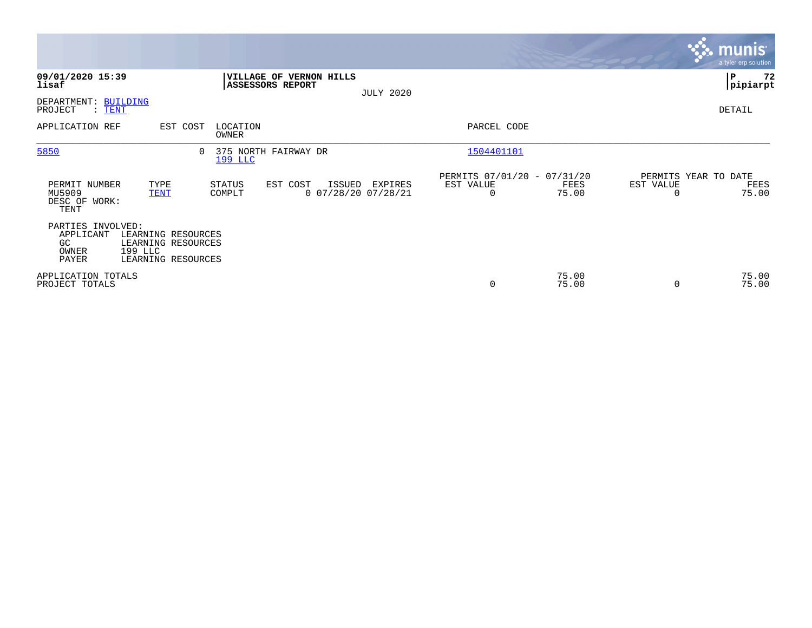|                                                        |                                                                           |                                 |                                             |                  |                                               |                |                       | <b>munis</b><br>a tyler erp solution  |
|--------------------------------------------------------|---------------------------------------------------------------------------|---------------------------------|---------------------------------------------|------------------|-----------------------------------------------|----------------|-----------------------|---------------------------------------|
| 09/01/2020 15:39<br>lisaf                              |                                                                           | ASSESSORS REPORT                | VILLAGE OF VERNON HILLS                     | <b>JULY 2020</b> |                                               |                |                       | 72<br>P<br> pipiarpt                  |
| DEPARTMENT: BUILDING<br>PROJECT<br>$:$ TENT            |                                                                           |                                 |                                             |                  |                                               |                |                       | DETAIL                                |
| APPLICATION REF                                        | EST COST                                                                  | LOCATION<br>OWNER               |                                             |                  | PARCEL CODE                                   |                |                       |                                       |
| 5850                                                   | $\Omega$                                                                  | 375 NORTH FAIRWAY DR<br>199 LLC |                                             |                  | 1504401101                                    |                |                       |                                       |
| PERMIT NUMBER<br>MU5909<br>DESC OF WORK:<br>TENT       | TYPE<br>TENT                                                              | STATUS<br>COMPLT                | EST COST<br>ISSUED<br>$0$ 07/28/20 07/28/21 | EXPIRES          | PERMITS 07/01/20 - 07/31/20<br>EST VALUE<br>0 | FEES<br>75.00  | EST VALUE<br>$\Omega$ | PERMITS YEAR TO DATE<br>FEES<br>75.00 |
| PARTIES INVOLVED:<br>APPLICANT<br>GC<br>OWNER<br>PAYER | LEARNING RESOURCES<br>LEARNING RESOURCES<br>199 LLC<br>LEARNING RESOURCES |                                 |                                             |                  |                                               |                |                       |                                       |
| APPLICATION TOTALS<br>PROJECT TOTALS                   |                                                                           |                                 |                                             |                  | $\mathbf 0$                                   | 75.00<br>75.00 | $\Omega$              | 75.00<br>75.00                        |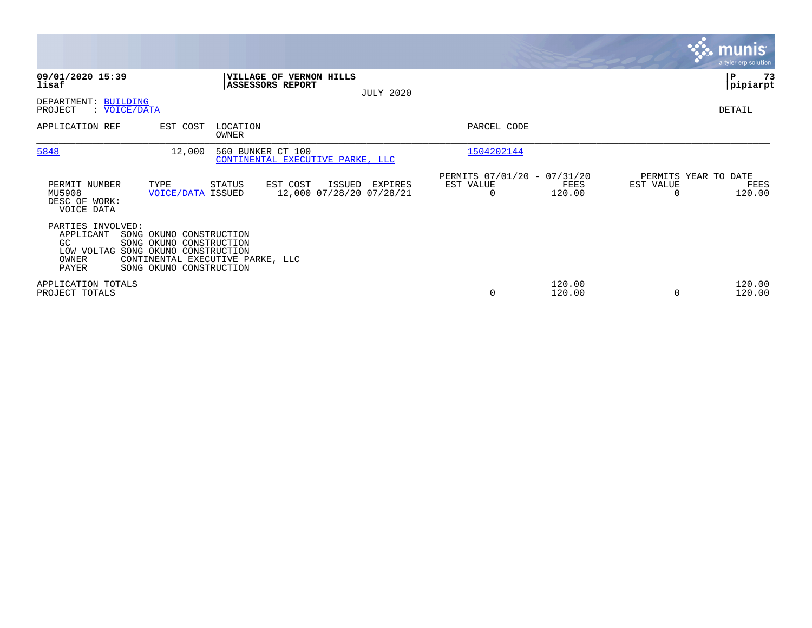|                                                                                              |                                                                                                                   |                   |                                                       |        |                  |                                                      |                  |                                   | munis'<br>a tyler erp solution |
|----------------------------------------------------------------------------------------------|-------------------------------------------------------------------------------------------------------------------|-------------------|-------------------------------------------------------|--------|------------------|------------------------------------------------------|------------------|-----------------------------------|--------------------------------|
| 09/01/2020 15:39<br>lisaf                                                                    |                                                                                                                   |                   | VILLAGE OF VERNON HILLS<br><b>ASSESSORS REPORT</b>    |        | <b>JULY 2020</b> |                                                      |                  |                                   | ∣P<br>73<br> pipiarpt          |
| DEPARTMENT: BUILDING<br>PROJECT<br>: VOICE/DATA                                              |                                                                                                                   |                   |                                                       |        |                  |                                                      |                  |                                   | DETAIL                         |
| APPLICATION REF                                                                              | EST COST                                                                                                          | LOCATION<br>OWNER |                                                       |        |                  | PARCEL CODE                                          |                  |                                   |                                |
| 5848                                                                                         | 12,000                                                                                                            |                   | 560 BUNKER CT 100<br>CONTINENTAL EXECUTIVE PARKE, LLC |        |                  | 1504202144                                           |                  |                                   |                                |
| PERMIT NUMBER<br>MU5908<br>DESC OF WORK:<br>VOICE DATA                                       | TYPE<br>VOICE/DATA ISSUED                                                                                         | STATUS            | EST COST<br>12,000 07/28/20 07/28/21                  | ISSUED | EXPIRES          | PERMITS 07/01/20 - 07/31/20<br>EST VALUE<br>$\Omega$ | FEES<br>120.00   | PERMITS YEAR TO DATE<br>EST VALUE | FEES<br>120.00                 |
| PARTIES INVOLVED:<br>APPLICANT<br>GC<br>LOW VOLTAG SONG OKUNO CONSTRUCTION<br>OWNER<br>PAYER | SONG OKUNO CONSTRUCTION<br>SONG OKUNO CONSTRUCTION<br>CONTINENTAL EXECUTIVE PARKE, LLC<br>SONG OKUNO CONSTRUCTION |                   |                                                       |        |                  |                                                      |                  |                                   |                                |
| APPLICATION TOTALS<br>PROJECT TOTALS                                                         |                                                                                                                   |                   |                                                       |        |                  | 0                                                    | 120.00<br>120.00 |                                   | 120.00<br>120.00               |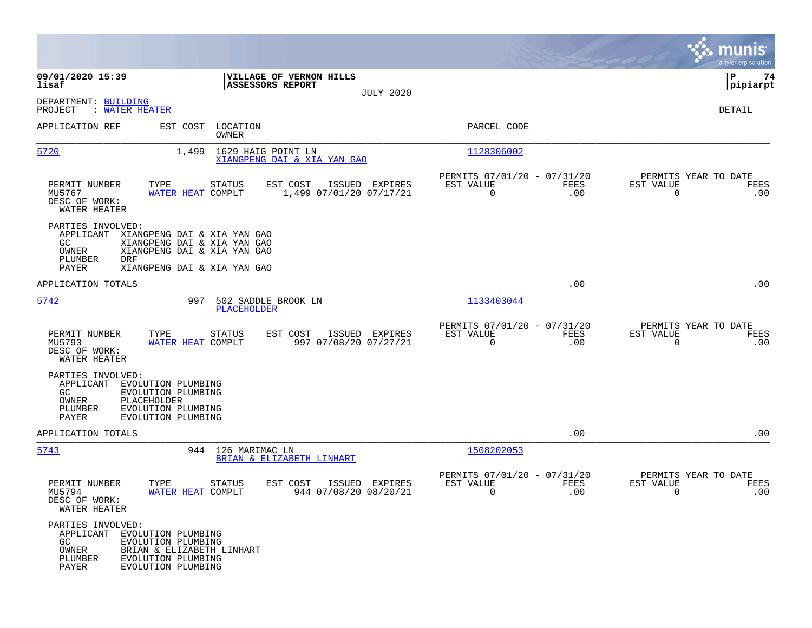|                                                                                                                                                                                                             |                                                                 |                                                            | munis<br>a tyler erp solution                                                     |
|-------------------------------------------------------------------------------------------------------------------------------------------------------------------------------------------------------------|-----------------------------------------------------------------|------------------------------------------------------------|-----------------------------------------------------------------------------------|
| 09/01/2020 15:39<br>lisaf                                                                                                                                                                                   | VILLAGE OF VERNON HILLS<br><b>ASSESSORS REPORT</b>              |                                                            | P<br>74<br> pipiarpt                                                              |
| DEPARTMENT: BUILDING<br>: WATER HEATER<br>PROJECT                                                                                                                                                           | <b>JULY 2020</b>                                                |                                                            | DETAIL                                                                            |
| APPLICATION REF                                                                                                                                                                                             | EST COST LOCATION<br><b>OWNER</b>                               | PARCEL CODE                                                |                                                                                   |
| 5720<br>1,499                                                                                                                                                                                               | 1629 HAIG POINT LN<br>XIANGPENG DAI & XIA YAN GAO               | 1128306002                                                 |                                                                                   |
| TYPE<br>PERMIT NUMBER<br>MU5767<br>WATER HEAT COMPLT<br>DESC OF WORK:<br>WATER HEATER                                                                                                                       | EST COST<br>STATUS<br>ISSUED EXPIRES<br>1,499 07/01/20 07/17/21 | PERMITS 07/01/20 - 07/31/20<br>EST VALUE<br>$\overline{0}$ | PERMITS YEAR TO DATE<br>FEES<br>EST VALUE<br>FEES<br>.00<br>$\overline{0}$<br>.00 |
| PARTIES INVOLVED:<br>APPLICANT<br>XIANGPENG DAI & XIA YAN GAO<br>GC<br>XIANGPENG DAI & XIA YAN GAO<br>OWNER<br>XIANGPENG DAI & XIA YAN GAO<br><b>PLUMBER</b><br>DRF<br>PAYER<br>XIANGPENG DAI & XIA YAN GAO |                                                                 |                                                            |                                                                                   |
| APPLICATION TOTALS                                                                                                                                                                                          |                                                                 |                                                            | .00<br>.00                                                                        |
| 997<br>5742                                                                                                                                                                                                 | 502 SADDLE BROOK LN<br>PLACEHOLDER                              | 1133403044                                                 |                                                                                   |
| PERMIT NUMBER<br>TYPE<br>MU5793<br>WATER HEAT COMPLT<br>DESC OF WORK:<br>WATER HEATER                                                                                                                       | STATUS<br>EST COST<br>ISSUED EXPIRES<br>997 07/08/20 07/27/21   | PERMITS 07/01/20 - 07/31/20<br>EST VALUE<br>$\mathbf 0$    | PERMITS YEAR TO DATE<br>FEES<br>EST VALUE<br>FEES<br>.00<br>$\mathbf 0$<br>.00    |
| PARTIES INVOLVED:<br>APPLICANT<br>EVOLUTION PLUMBING<br>GC<br>EVOLUTION PLUMBING<br>OWNER<br>PLACEHOLDER<br>PLUMBER<br>EVOLUTION PLUMBING<br>PAYER<br>EVOLUTION PLUMBING                                    |                                                                 |                                                            |                                                                                   |
| APPLICATION TOTALS                                                                                                                                                                                          |                                                                 |                                                            | .00<br>.00                                                                        |
| 5743                                                                                                                                                                                                        | 944 126 MARIMAC LN<br>BRIAN & ELIZABETH LINHART                 | 1508202053                                                 |                                                                                   |
| PERMIT NUMBER<br>TYPE<br>MU5794<br>WATER HEAT COMPLT<br>DESC OF WORK:<br>WATER HEATER                                                                                                                       | ISSUED EXPIRES<br>STATUS<br>EST COST<br>944 07/08/20 08/20/21   | PERMITS 07/01/20 - 07/31/20<br>EST VALUE<br>0              | PERMITS YEAR TO DATE<br>FEES<br>EST VALUE<br>FEES<br>.00<br>0<br>.00              |
| PARTIES INVOLVED:<br>APPLICANT EVOLUTION PLUMBING<br>GC<br>EVOLUTION PLUMBING<br>OWNER<br>BRIAN & ELIZABETH LINHART<br>PLUMBER<br>EVOLUTION PLUMBING<br>PAYER<br>EVOLUTION PLUMBING                         |                                                                 |                                                            |                                                                                   |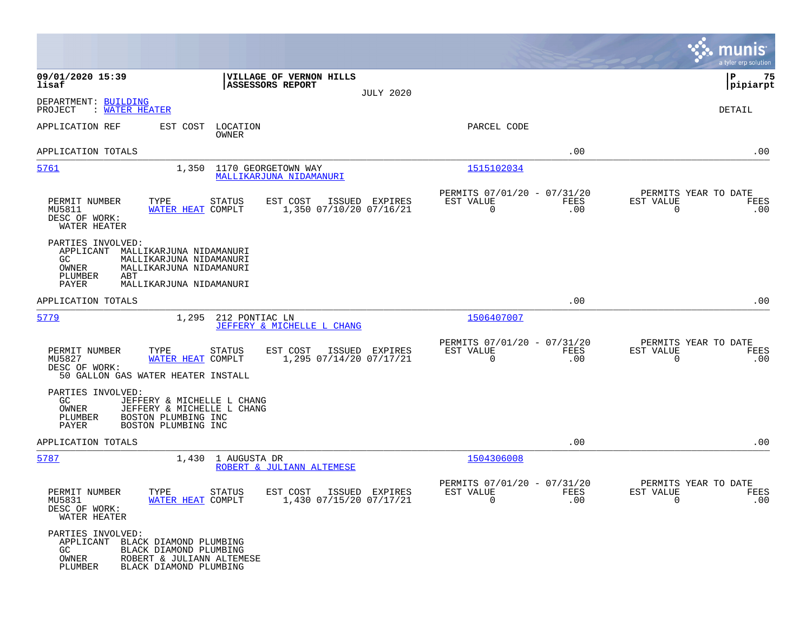|                                                                                                                                                                                       |                                                         |                  |                                               |             |                                                  | munis<br>a tyler erp solution |
|---------------------------------------------------------------------------------------------------------------------------------------------------------------------------------------|---------------------------------------------------------|------------------|-----------------------------------------------|-------------|--------------------------------------------------|-------------------------------|
| 09/01/2020 15:39<br>lisaf                                                                                                                                                             | VILLAGE OF VERNON HILLS<br><b>ASSESSORS REPORT</b>      | <b>JULY 2020</b> |                                               |             |                                                  | 75<br>IΡ<br> pipiarpt         |
| DEPARTMENT: BUILDING<br>PROJECT<br>: WATER HEATER                                                                                                                                     |                                                         |                  |                                               |             |                                                  | DETAIL                        |
| APPLICATION REF<br>EST COST                                                                                                                                                           | LOCATION<br>OWNER                                       |                  | PARCEL CODE                                   |             |                                                  |                               |
| APPLICATION TOTALS                                                                                                                                                                    |                                                         |                  |                                               | .00         |                                                  | .00                           |
| 5761<br>1,350                                                                                                                                                                         | 1170 GEORGETOWN WAY<br>MALLIKARJUNA NIDAMANURI          |                  | 1515102034                                    |             |                                                  |                               |
| PERMIT NUMBER<br>TYPE<br>MU5811<br>WATER HEAT COMPLT<br>DESC OF WORK:<br>WATER HEATER                                                                                                 | EST COST<br>STATUS<br>1,350 07/10/20 07/16/21           | ISSUED EXPIRES   | PERMITS 07/01/20 - 07/31/20<br>EST VALUE<br>0 | FEES<br>.00 | PERMITS YEAR TO DATE<br>EST VALUE<br>0           | FEES<br>.00                   |
| PARTIES INVOLVED:<br>APPLICANT<br>MALLIKARJUNA NIDAMANURI<br>MALLIKARJUNA NIDAMANURI<br>GC.<br>OWNER<br>MALLIKARJUNA NIDAMANURI<br>PLUMBER<br>ABT<br>PAYER<br>MALLIKARJUNA NIDAMANURI |                                                         |                  |                                               |             |                                                  |                               |
| APPLICATION TOTALS                                                                                                                                                                    |                                                         |                  |                                               | .00         |                                                  | .00                           |
| 5779<br>1,295                                                                                                                                                                         | 212 PONTIAC LN<br>JEFFERY & MICHELLE L CHANG            |                  | 1506407007                                    |             |                                                  |                               |
| PERMIT NUMBER<br>TYPE<br>MU5827<br>WATER HEAT COMPLT<br>DESC OF WORK:<br>50 GALLON GAS WATER HEATER INSTALL                                                                           | EST COST<br>STATUS<br>1,295 07/14/20 07/17/21           | ISSUED EXPIRES   | PERMITS 07/01/20 - 07/31/20<br>EST VALUE<br>0 | FEES<br>.00 | PERMITS YEAR TO DATE<br>EST VALUE<br>$\mathbf 0$ | FEES<br>.00                   |
| PARTIES INVOLVED:<br>GC<br>JEFFERY & MICHELLE L CHANG<br>OWNER<br>JEFFERY & MICHELLE L CHANG<br>PLUMBER<br>BOSTON PLUMBING INC<br>PAYER<br>BOSTON PLUMBING INC                        |                                                         |                  |                                               |             |                                                  |                               |
| APPLICATION TOTALS                                                                                                                                                                    |                                                         |                  |                                               | .00         |                                                  | .00                           |
| 5787<br>1,430                                                                                                                                                                         | 1 AUGUSTA DR<br>ROBERT & JULIANN ALTEMESE               |                  | 1504306008                                    |             |                                                  |                               |
| PERMIT NUMBER<br>TYPE<br>WATER HEAT COMPLT<br>MU5831<br>DESC OF WORK:<br>WATER HEATER                                                                                                 | STATUS<br>EST COST<br>ISSUED<br>1,430 07/15/20 07/17/21 | EXPIRES          | PERMITS 07/01/20 - 07/31/20<br>EST VALUE<br>0 | FEES<br>.00 | PERMITS YEAR TO DATE<br>EST VALUE<br>0           | FEES<br>$.00 \,$              |
| PARTIES INVOLVED:<br>APPLICANT<br>BLACK DIAMOND PLUMBING<br>GC<br>BLACK DIAMOND PLUMBING<br>OWNER<br>ROBERT & JULIANN ALTEMESE<br>PLUMBER<br>BLACK DIAMOND PLUMBING                   |                                                         |                  |                                               |             |                                                  |                               |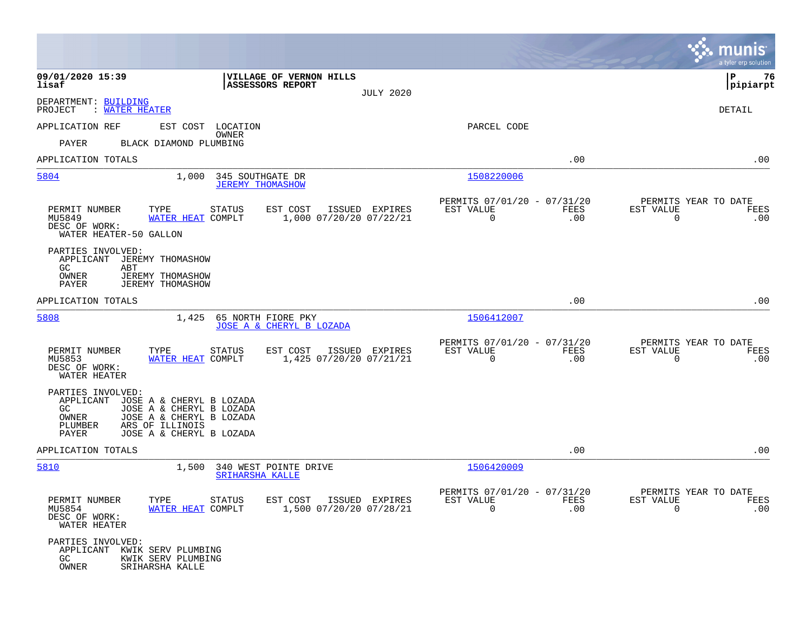|                                                                                                                                                                                                      |                                                                 |                                                                        | munis<br>a tyler erp solution                                   |
|------------------------------------------------------------------------------------------------------------------------------------------------------------------------------------------------------|-----------------------------------------------------------------|------------------------------------------------------------------------|-----------------------------------------------------------------|
| 09/01/2020 15:39<br>lisaf                                                                                                                                                                            | VILLAGE OF VERNON HILLS<br>ASSESSORS REPORT<br><b>JULY 2020</b> |                                                                        | ΙP<br>76<br> pipiarpt                                           |
| DEPARTMENT: BUILDING<br>: WATER HEATER<br>PROJECT                                                                                                                                                    |                                                                 |                                                                        | DETAIL                                                          |
| APPLICATION REF<br>EST COST                                                                                                                                                                          | LOCATION                                                        | PARCEL CODE                                                            |                                                                 |
| PAYER<br>BLACK DIAMOND PLUMBING                                                                                                                                                                      | OWNER                                                           |                                                                        |                                                                 |
| APPLICATION TOTALS                                                                                                                                                                                   |                                                                 | .00                                                                    | .00                                                             |
| 5804<br>1,000                                                                                                                                                                                        | 345 SOUTHGATE DR<br><b>JEREMY THOMASHOW</b>                     | 1508220006                                                             |                                                                 |
| PERMIT NUMBER<br>TYPE<br>MU5849<br>WATER HEAT COMPLT<br>DESC OF WORK:<br>WATER HEATER-50 GALLON                                                                                                      | STATUS<br>ISSUED EXPIRES<br>EST COST<br>1,000 07/20/20 07/22/21 | PERMITS 07/01/20 - 07/31/20<br>FEES<br>EST VALUE<br>$\mathbf 0$<br>.00 | PERMITS YEAR TO DATE<br>EST VALUE<br>FEES<br>$\mathbf 0$<br>.00 |
| PARTIES INVOLVED:<br>APPLICANT<br>JEREMY THOMASHOW<br>GC<br>ABT<br>OWNER<br>JEREMY THOMASHOW<br>PAYER<br>JEREMY THOMASHOW                                                                            |                                                                 |                                                                        |                                                                 |
| APPLICATION TOTALS                                                                                                                                                                                   |                                                                 | .00                                                                    | .00                                                             |
| 5808<br>1,425                                                                                                                                                                                        | 65 NORTH FIORE PKY<br><b>JOSE A &amp; CHERYL B LOZADA</b>       | 1506412007                                                             |                                                                 |
| PERMIT NUMBER<br>TYPE<br>MU5853<br>WATER HEAT COMPLT<br>DESC OF WORK:<br>WATER HEATER                                                                                                                | STATUS<br>EST COST<br>ISSUED EXPIRES<br>1,425 07/20/20 07/21/21 | PERMITS 07/01/20 - 07/31/20<br>FEES<br>EST VALUE<br>.00<br>$\mathbf 0$ | PERMITS YEAR TO DATE<br>EST VALUE<br>FEES<br>$\mathbf 0$<br>.00 |
| PARTIES INVOLVED:<br>APPLICANT<br>JOSE A & CHERYL B LOZADA<br>GC<br>JOSE A & CHERYL B LOZADA<br>OWNER<br>JOSE A & CHERYL B LOZADA<br>PLUMBER<br>ARS OF ILLINOIS<br>JOSE A & CHERYL B LOZADA<br>PAYER |                                                                 |                                                                        |                                                                 |
| APPLICATION TOTALS                                                                                                                                                                                   |                                                                 | .00                                                                    | .00                                                             |
| 5810<br>1,500                                                                                                                                                                                        | 340 WEST POINTE DRIVE<br>SRIHARSHA KALLE                        | 1506420009                                                             |                                                                 |
| PERMIT NUMBER<br>TYPE<br><b>STATUS</b><br>MU5854<br>WATER HEAT COMPLT<br>DESC OF WORK:<br>WATER HEATER                                                                                               | EST COST ISSUED EXPIRES<br>1,500 07/20/20 07/28/21              | PERMITS 07/01/20 - 07/31/20<br>EST VALUE<br>FEES<br>$\Omega$<br>.00    | PERMITS YEAR TO DATE<br>EST VALUE<br>FEES<br>.00<br>$\Omega$    |
| PARTIES INVOLVED:<br>APPLICANT KWIK SERV PLUMBING<br>GC<br>KWIK SERV PLUMBING<br>OWNER<br>SRIHARSHA KALLE                                                                                            |                                                                 |                                                                        |                                                                 |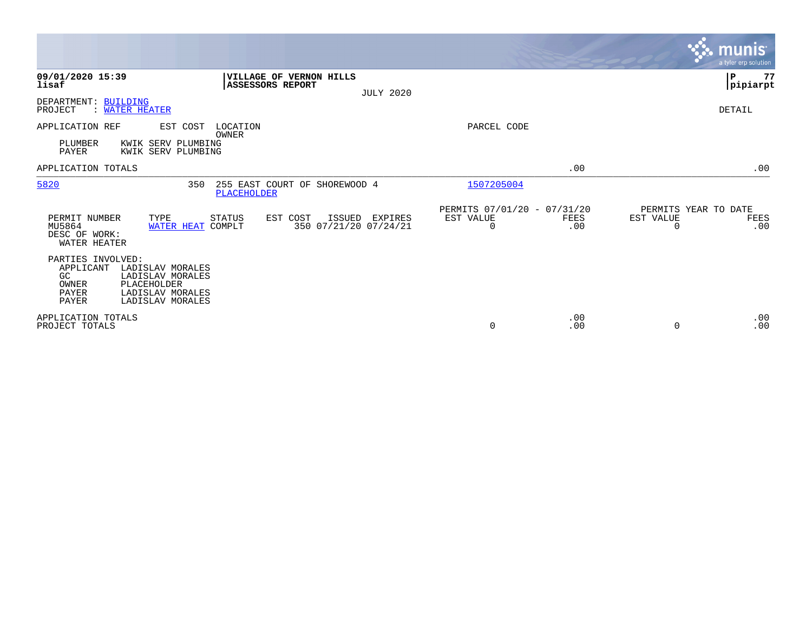|                                                                                                                                                                              |                                                                                    |                                                                     | <b>munis</b><br>a tyler erp solution                         |
|------------------------------------------------------------------------------------------------------------------------------------------------------------------------------|------------------------------------------------------------------------------------|---------------------------------------------------------------------|--------------------------------------------------------------|
| 09/01/2020 15:39<br>lisaf                                                                                                                                                    | VILLAGE OF VERNON HILLS<br><b>ASSESSORS REPORT</b><br><b>JULY 2020</b>             |                                                                     | 77<br> P<br> pipiarpt                                        |
| DEPARTMENT: BUILDING<br>PROJECT<br>: WATER HEATER                                                                                                                            |                                                                                    |                                                                     | DETAIL                                                       |
| APPLICATION REF<br>EST COST<br>PLUMBER<br>KWIK SERV PLUMBING<br>PAYER<br>KWIK SERV PLUMBING                                                                                  | LOCATION<br>OWNER                                                                  | PARCEL CODE                                                         |                                                              |
| APPLICATION TOTALS                                                                                                                                                           |                                                                                    | .00                                                                 | .00                                                          |
| 5820                                                                                                                                                                         | 255 EAST COURT OF SHOREWOOD 4<br>350<br>PLACEHOLDER                                | 1507205004                                                          |                                                              |
| PERMIT NUMBER<br>TYPE<br>MU5864<br>DESC OF WORK:<br>WATER HEATER                                                                                                             | STATUS<br>EST COST<br>ISSUED EXPIRES<br>350 07/21/20 07/24/21<br>WATER HEAT COMPLT | PERMITS 07/01/20 - 07/31/20<br>EST VALUE<br>FEES<br>$\Omega$<br>.00 | PERMITS YEAR TO DATE<br>EST VALUE<br>FEES<br>$\Omega$<br>.00 |
| PARTIES INVOLVED:<br>APPLICANT<br><b>LADISLAV MORALES</b><br>GC<br>LADISLAV MORALES<br>OWNER<br>PLACEHOLDER<br>PAYER<br>LADISLAV MORALES<br><b>PAYER</b><br>LADISLAV MORALES |                                                                                    |                                                                     |                                                              |
| APPLICATION TOTALS<br>PROJECT TOTALS                                                                                                                                         |                                                                                    | .00<br>.00<br>0                                                     | .00<br>.00<br>$\Omega$                                       |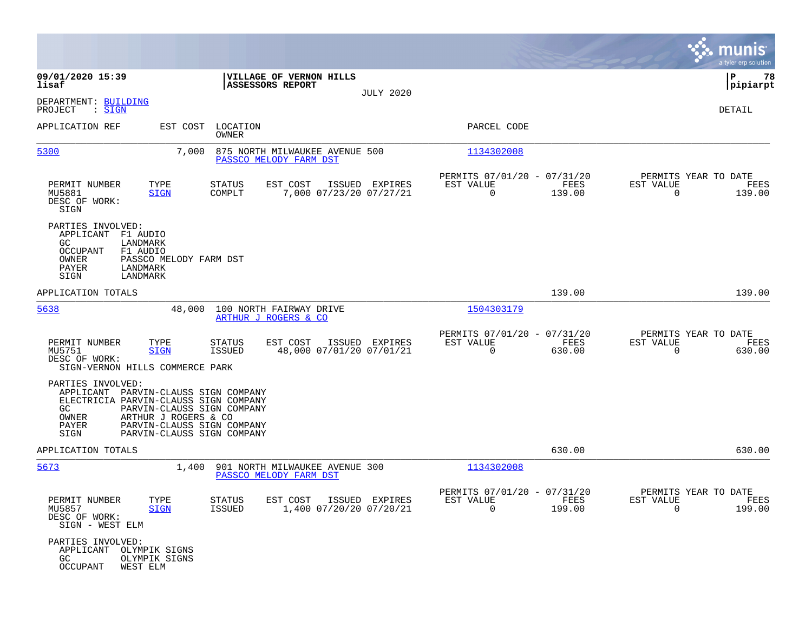|                                                                                                                                                                                                                                                       |                                                                                   |                                                                           | munis<br>a tyler erp solution                                      |
|-------------------------------------------------------------------------------------------------------------------------------------------------------------------------------------------------------------------------------------------------------|-----------------------------------------------------------------------------------|---------------------------------------------------------------------------|--------------------------------------------------------------------|
| 09/01/2020 15:39<br>lisaf                                                                                                                                                                                                                             | VILLAGE OF VERNON HILLS<br><b>ASSESSORS REPORT</b>                                |                                                                           | 78<br>IΡ<br> pipiarpt                                              |
| DEPARTMENT: BUILDING<br>PROJECT<br>: SIGN                                                                                                                                                                                                             | <b>JULY 2020</b>                                                                  |                                                                           | DETAIL                                                             |
| APPLICATION REF<br>EST COST                                                                                                                                                                                                                           | LOCATION<br>OWNER                                                                 | PARCEL CODE                                                               |                                                                    |
| 5300<br>7,000                                                                                                                                                                                                                                         | 875 NORTH MILWAUKEE AVENUE 500<br>PASSCO MELODY FARM DST                          | 1134302008                                                                |                                                                    |
| TYPE<br>PERMIT NUMBER<br>MU5881<br><b>SIGN</b><br>DESC OF WORK:<br>SIGN                                                                                                                                                                               | <b>STATUS</b><br>EST COST<br>ISSUED EXPIRES<br>7,000 07/23/20 07/27/21<br>COMPLT  | PERMITS 07/01/20 - 07/31/20<br>FEES<br>EST VALUE<br>$\mathbf 0$<br>139.00 | PERMITS YEAR TO DATE<br>EST VALUE<br>FEES<br>$\Omega$<br>139.00    |
| PARTIES INVOLVED:<br>APPLICANT F1 AUDIO<br>GC<br>LANDMARK<br>OCCUPANT<br>F1 AUDIO<br>OWNER<br>PASSCO MELODY FARM DST<br>PAYER<br>LANDMARK<br>SIGN<br>LANDMARK                                                                                         |                                                                                   |                                                                           |                                                                    |
| APPLICATION TOTALS                                                                                                                                                                                                                                    |                                                                                   | 139.00                                                                    | 139.00                                                             |
| 5638<br>48,000                                                                                                                                                                                                                                        | 100 NORTH FAIRWAY DRIVE<br>ARTHUR J ROGERS & CO                                   | 1504303179                                                                |                                                                    |
| PERMIT NUMBER<br>TYPE<br>MU5751<br><b>SIGN</b><br>DESC OF WORK:<br>SIGN-VERNON HILLS COMMERCE PARK                                                                                                                                                    | <b>STATUS</b><br>EST COST<br>ISSUED EXPIRES<br>48,000 07/01/20 07/01/21<br>ISSUED | PERMITS 07/01/20 - 07/31/20<br>EST VALUE<br>FEES<br>$\Omega$<br>630.00    | PERMITS YEAR TO DATE<br>EST VALUE<br>FEES<br>$\mathbf 0$<br>630.00 |
| PARTIES INVOLVED:<br>APPLICANT PARVIN-CLAUSS SIGN COMPANY<br>ELECTRICIA PARVIN-CLAUSS SIGN COMPANY<br>GC.<br>PARVIN-CLAUSS SIGN COMPANY<br>OWNER<br>ARTHUR J ROGERS & CO<br>PAYER<br>PARVIN-CLAUSS SIGN COMPANY<br>SIGN<br>PARVIN-CLAUSS SIGN COMPANY |                                                                                   |                                                                           |                                                                    |
| APPLICATION TOTALS                                                                                                                                                                                                                                    |                                                                                   | 630.00                                                                    | 630.00                                                             |
| 5673<br>1,400                                                                                                                                                                                                                                         | 901 NORTH MILWAUKEE AVENUE 300<br>PASSCO MELODY FARM DST                          | 1134302008                                                                |                                                                    |
| PERMIT NUMBER<br>TYPE<br>MU5857<br><b>SIGN</b><br>DESC OF WORK:<br>SIGN - WEST ELM                                                                                                                                                                    | STATUS<br>EST COST ISSUED EXPIRES<br>1,400 07/20/20 07/20/21<br>ISSUED            | PERMITS 07/01/20 - 07/31/20<br>EST VALUE<br>FEES<br>$\Omega$<br>199.00    | PERMITS YEAR TO DATE<br>EST VALUE<br>FEES<br>$\Omega$<br>199.00    |
| PARTIES INVOLVED:<br>APPLICANT OLYMPIK SIGNS<br>GC<br>OLYMPIK SIGNS<br><b>OCCUPANT</b><br>WEST ELM                                                                                                                                                    |                                                                                   |                                                                           |                                                                    |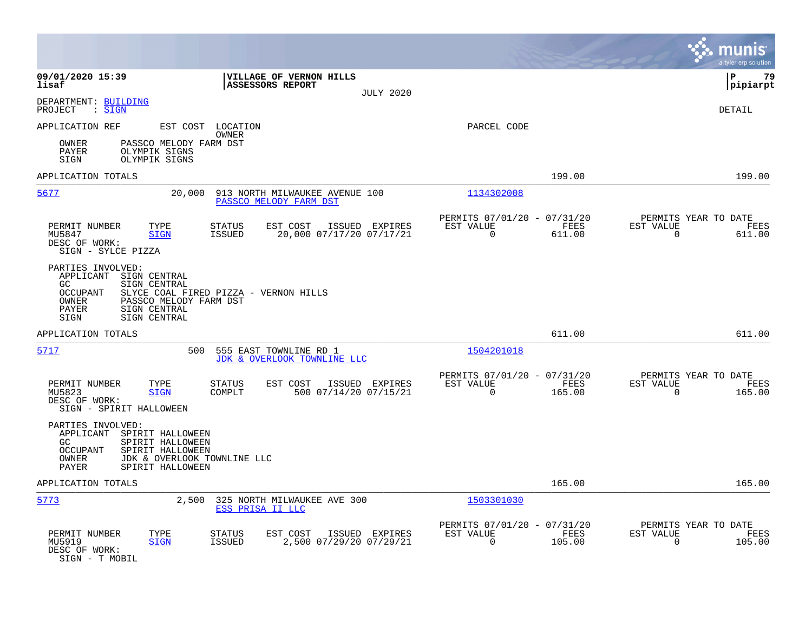|                                                                                                                                                                                                                              |                                                                           | munis<br>a tyler erp solution                                         |
|------------------------------------------------------------------------------------------------------------------------------------------------------------------------------------------------------------------------------|---------------------------------------------------------------------------|-----------------------------------------------------------------------|
| 09/01/2020 15:39<br>VILLAGE OF VERNON HILLS<br>lisaf<br><b>ASSESSORS REPORT</b><br><b>JULY 2020</b>                                                                                                                          |                                                                           | l P<br>79<br> pipiarpt                                                |
| DEPARTMENT: BUILDING<br>$:$ SIGN<br>PROJECT                                                                                                                                                                                  |                                                                           | <b>DETAIL</b>                                                         |
| APPLICATION REF<br>EST COST LOCATION<br>OWNER                                                                                                                                                                                | PARCEL CODE                                                               |                                                                       |
| PASSCO MELODY FARM DST<br>OWNER<br>PAYER<br>OLYMPIK SIGNS<br>OLYMPIK SIGNS<br>SIGN                                                                                                                                           |                                                                           |                                                                       |
| APPLICATION TOTALS                                                                                                                                                                                                           | 199.00                                                                    | 199.00                                                                |
| 5677<br>20,000<br>913 NORTH MILWAUKEE AVENUE 100<br>PASSCO MELODY FARM DST                                                                                                                                                   | 1134302008                                                                |                                                                       |
| PERMIT NUMBER<br>TYPE<br><b>STATUS</b><br>EST COST<br>ISSUED EXPIRES<br>MU5847<br><b>SIGN</b><br>ISSUED<br>20,000 07/17/20 07/17/21<br>DESC OF WORK:<br>SIGN - SYLCE PIZZA                                                   | PERMITS 07/01/20 - 07/31/20<br>FEES<br>EST VALUE<br>$\mathbf 0$<br>611.00 | PERMITS YEAR TO DATE<br>EST VALUE<br>FEES<br>$\overline{0}$<br>611.00 |
| PARTIES INVOLVED:<br>APPLICANT<br>SIGN CENTRAL<br>SIGN CENTRAL<br>GC.<br><b>OCCUPANT</b><br>SLYCE COAL FIRED PIZZA - VERNON HILLS<br><b>OWNER</b><br>PASSCO MELODY FARM DST<br>PAYER<br>SIGN CENTRAL<br>SIGN CENTRAL<br>SIGN |                                                                           |                                                                       |
| APPLICATION TOTALS                                                                                                                                                                                                           | 611.00                                                                    | 611.00                                                                |
| 5717<br>500<br>555 EAST TOWNLINE RD 1<br>JDK & OVERLOOK TOWNLINE LLC                                                                                                                                                         | 1504201018                                                                |                                                                       |
| PERMIT NUMBER<br>TYPE<br><b>STATUS</b><br>EST COST<br>ISSUED EXPIRES<br>500 07/14/20 07/15/21<br><b>SIGN</b><br>COMPLT<br>MU5823<br>DESC OF WORK:<br>SIGN - SPIRIT HALLOWEEN                                                 | PERMITS 07/01/20 - 07/31/20<br>EST VALUE<br>FEES<br>$\Omega$<br>165.00    | PERMITS YEAR TO DATE<br>EST VALUE<br>FEES<br>$\Omega$<br>165.00       |
| PARTIES INVOLVED:<br>APPLICANT<br>SPIRIT HALLOWEEN<br>GC<br>SPIRIT HALLOWEEN<br><b>OCCUPANT</b><br>SPIRIT HALLOWEEN<br><b>OWNER</b><br>JDK & OVERLOOK TOWNLINE LLC<br>PAYER<br>SPIRIT HALLOWEEN                              |                                                                           |                                                                       |
| APPLICATION TOTALS                                                                                                                                                                                                           | 165.00                                                                    | 165.00                                                                |
| 5773<br>2,500<br>325 NORTH MILWAUKEE AVE 300<br>ESS PRISA II LLC                                                                                                                                                             | 1503301030                                                                |                                                                       |
| EST COST<br>PERMIT NUMBER<br>TYPE<br><b>STATUS</b><br>ISSUED EXPIRES<br>2,500 07/29/20 07/29/21<br>MU5919<br><b>SIGN</b><br><b>ISSUED</b><br>DESC OF WORK:<br>SIGN - T MOBIL                                                 | PERMITS 07/01/20 - 07/31/20<br>EST VALUE<br>FEES<br>0<br>105.00           | PERMITS YEAR TO DATE<br>EST VALUE<br>FEES<br>$\mathbf 0$<br>105.00    |